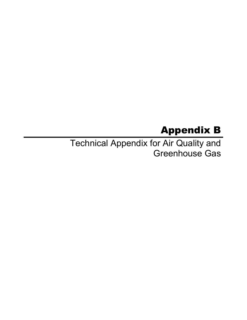# Appendix B

Technical Appendix for Air Quality and Greenhouse Gas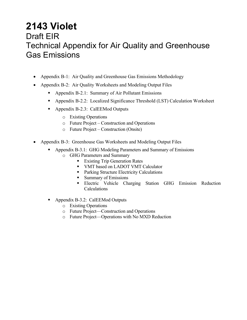## **2143 Violet**  Draft EIR Technical Appendix for Air Quality and Greenhouse Gas Emissions

- Appendix B-1: Air Quality and Greenhouse Gas Emissions Methodology
- Appendix B-2: Air Quality Worksheets and Modeling Output Files
	- Appendix B-2.1: Summary of Air Pollutant Emissions
	- Appendix B-2.2: Localized Significance Threshold (LST) Calculation Worksheet
	- Appendix B-2.3: CalEEMod Outputs
		- o Existing Operations
		- o Future Project Construction and Operations
		- o Future Project Construction (Onsite)
- Appendix B-3: Greenhouse Gas Worksheets and Modeling Output Files
	- Appendix B-3.1: GHG Modeling Parameters and Summary of Emissions
		- o GHG Parameters and Summary
			- **Existing Trip Generation Rates**
			- VMT based on LADOT VMT Calculator
			- **Parking Structure Electricity Calculations**
			- Summary of Emissions
			- **Electric Vehicle Charging Station GHG Emission Reduction** Calculations
	- Appendix B-3.2: CalEEMod Outputs
		- o Existing Operations
		- o Future Project—Construction and Operations
		- o Future Project—Operations with No MXD Reduction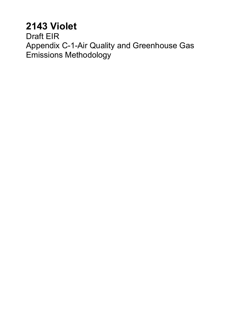# **2143 Violet**

Draft EIR Appendix C-1-Air Quality and Greenhouse Gas Emissions Methodology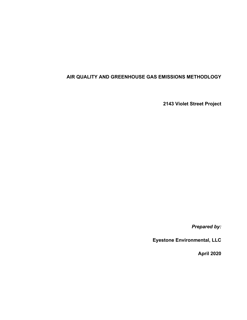### **AIR QUALITY AND GREENHOUSE GAS EMISSIONS METHODLOGY**

**2143 Violet Street Project** 

*Prepared by:* 

**Eyestone Environmental, LLC** 

**April 2020**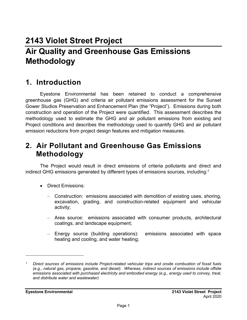## **2143 Violet Street Project Air Quality and Greenhouse Gas Emissions Methodology**

## **1. Introduction**

Eyestone Environmental has been retained to conduct a comprehensive greenhouse gas (GHG) and criteria air pollutant emissions assessment for the Sunset Gower Studios Preservation and Enhancement Plan (the "Project"). Emissions during both construction and operation of the Project were quantified. This assessment describes the methodology used to estimate the GHG and air pollutant emissions from existing and Project conditions and describes the methodology used to quantify GHG and air pollutant emission reductions from project design features and mitigation measures.

## **2. Air Pollutant and Greenhouse Gas Emissions Methodology**

The Project would result in direct emissions of criteria pollutants and direct and indirect GHG emissions generated by different types of emissions sources, including:<sup>1</sup>

- Direct Emissions:
	- Construction: emissions associated with demolition of existing uses, shoring, excavation, grading, and construction-related equipment and vehicular activity;
	- Area source: emissions associated with consumer products, architectural coatings, and landscape equipment;
	- Energy source (building operations): emissions associated with space heating and cooling, and water heating;

*<sup>1</sup> Direct sources of emissions include Project-related vehicular trips and onsite combustion of fossil fuels (e.g., natural gas, propane, gasoline, and diesel). Whereas, indirect sources of emissions include offsite emissions associated with purchased electricity and embodied energy (e.g., energy used to convey, treat, and distribute water and wastewater)*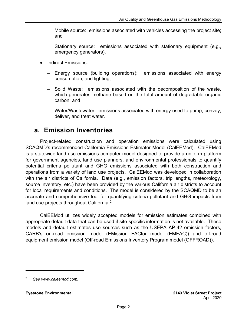- Mobile source: emissions associated with vehicles accessing the project site; and
- Stationary source: emissions associated with stationary equipment (e.g., emergency generators).
- Indirect Emissions:
	- Energy source (building operations): emissions associated with energy consumption, and lighting;
	- Solid Waste: emissions associated with the decomposition of the waste, which generates methane based on the total amount of degradable organic carbon; and
	- Water/Wastewater: emissions associated with energy used to pump, convey, deliver, and treat water.

## **a. Emission Inventories**

Project-related construction and operation emissions were calculated using SCAQMD's recommended California Emissions Estimator Model (CalEEMod). CalEEMod is a statewide land use emissions computer model designed to provide a uniform platform for government agencies, land use planners, and environmental professionals to quantify potential criteria pollutant and GHG emissions associated with both construction and operations from a variety of land use projects. CalEEMod was developed in collaboration with the air districts of California. Data (e.g., emission factors, trip lengths, meteorology, source inventory, etc.) have been provided by the various California air districts to account for local requirements and conditions. The model is considered by the SCAQMD to be an accurate and comprehensive tool for quantifying criteria pollutant and GHG impacts from land use projects throughout California.<sup>2</sup>

CalEEMod utilizes widely accepted models for emission estimates combined with appropriate default data that can be used if site-specific information is not available. These models and default estimates use sources such as the USEPA AP-42 emission factors, CARB's on-road emission model (EMission FACtor model (EMFAC)) and off-road equipment emission model (Off-road Emissions Inventory Program model (OFFROAD)).

<sup>2</sup> *See www.caleemod.com.*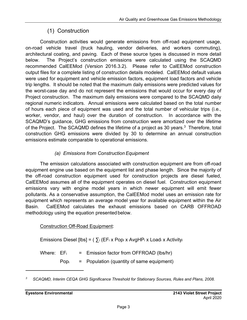## (1) Construction

Construction activities would generate emissions from off-road equipment usage, on-road vehicle travel (truck hauling, vendor deliveries, and workers commuting), architectural coating, and paving. Each of these source types is discussed in more detail below. The Project's construction emissions were calculated using the SCAQMD recommended CalEEMod (Version 2016.3.2). Please refer to CalEEMod construction output files for a complete listing of construction details modeled. CalEEMod default values were used for equipment and vehicle emission factors, equipment load factors and vehicle trip lengths. It should be noted that the maximum daily emissions were predicted values for the worst-case day and do not represent the emissions that would occur for every day of Project construction. The maximum daily emissions were compared to the SCAQMD daily regional numeric indicators. Annual emissions were calculated based on the total number of hours each piece of equipment was used and the total number of vehicular trips (i.e., worker, vendor, and haul) over the duration of construction. In accordance with the SCAQMD's guidance, GHG emissions from construction were amortized over the lifetime of the Project. The SCAQMD defines the lifetime of a project as 30 years.<sup>3</sup> Therefore, total construction GHG emissions were divided by 30 to determine an annual construction emissions estimate comparable to operational emissions.

## *(a) Emissions from Construction Equipment*

The emission calculations associated with construction equipment are from off-road equipment engine use based on the equipment list and phase length. Since the majority of the off-road construction equipment used for construction projects are diesel fueled, CalEEMod assumes all of the equipment operates on diesel fuel. Construction equipment emissions vary with engine model years in which newer equipment will emit fewer pollutants. As a conservative assumption, the CalEEMod model uses an emission rate for equipment which represents an average model year for available equipment within the Air Basin. CalEEMod calculates the exhaust emissions based on CARB OFFROAD methodology using the equation presented below.

### Construction Off-Road Equipment:

Emissions Diesel [lbs] =  $(\sum_i (EF_i \times Pop_i \times AvgHP_i \times Load_i \times Activity_i)$ 

Where:  $EF_i$  = Emission factor from OFFROAD (lbs/hr)

 $Pop<sub>i</sub>$  = Population (quantity of same equipment)

*<sup>3</sup> SCAQMD, Interim CEQA GHG Significance Threshold for Stationary Sources, Rules and Plans, 2008.*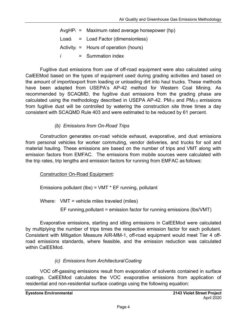AvgHP $_{i}$  = Maximum rated average horsepower (hp)  $Load<sub>i</sub> = Load Factor (dimensionless)$ Activity $i =$  Hours of operation (hours) *i* = Summation index

Fugitive dust emissions from use of off-road equipment were also calculated using CalEEMod based on the types of equipment used during grading activities and based on the amount of import/export from loading or unloading dirt into haul trucks. These methods have been adapted from USEPA's AP-42 method for Western Coal Mining. As recommended by SCAQMD, the fugitive dust emissions from the grading phase are calculated using the methodology described in USEPA AP-42. PM10 and PM2.5 emissions from fugitive dust will be controlled by watering the construction site three times a day consistent with SCAQMD Rule 403 and were estimated to be reduced by 61 percent.

### *(b) Emissions from On-Road Trips*

Construction generates on-road vehicle exhaust, evaporative, and dust emissions from personal vehicles for worker commuting, vendor deliveries, and trucks for soil and material hauling. These emissions are based on the number of trips and VMT along with emission factors from EMFAC. The emissions from mobile sources were calculated with the trip rates, trip lengths and emission factors for running from EMFAC as follows:

Construction On-Road Equipment:

Emissions pollutant (lbs) = VMT \* EF running, pollutant

Where: VMT = vehicle miles traveled (miles)

EF running,pollutant = emission factor for running emissions (lbs/VMT)

Evaporative emissions, starting and idling emissions in CalEEMod were calculated by multiplying the number of trips times the respective emission factor for each pollutant. Consistent with Mitigation Measure AIR-MM-1, off-road equipment would meet Tier 4 offroad emissions standards, where feasible, and the emission reduction was calculated within CalEEMod.

### *(c) Emissions from Architectural Coating*

VOC off-gassing emissions result from evaporation of solvents contained in surface coatings. CalEEMod calculates the VOC evaporative emissions from application of residential and non-residential surface coatings using the following equation: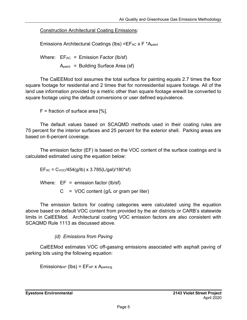Construction Architectural Coating Emissions:

Emissions Architectural Coatings (lbs) = $EFAC X F^*A_{paint}$ 

Where:  $EF_{AC} = Emission Factor (lb/sf)$  $A_{\text{paint}}$  = Building Surface Area (sf)

The CalEEMod tool assumes the total surface for painting equals 2.7 times the floor square footage for residential and 2 times that for nonresidential square footage. All of the land use information provided by a metric other than square footage erewill be converted to square footage using the default conversions or user defined equivalence.

 $F =$  fraction of surface area [%].

The default values based on SCAQMD methods used in their coating rules are 75 percent for the interior surfaces and 25 percent for the exterior shell. Parking areas are based on 6-percent coverage.

The emission factor (EF) is based on the VOC content of the surface coatings and is calculated estimated using the equation below:

 $EF_{AC} = C_{VOC}/454(g/lb) \times 3.785(L/gal)/180*sf)$ 

Where:  $EF =$  emission factor (lb/sf)

 $C = VOC$  content (g/L or gram per liter)

The emission factors for coating categories were calculated using the equation above based on default VOC content from provided by the air districts or CARB's statewide limits in CalEEMod. Architectural coating VOC emission factors are also consistent with SCAQMD Rule 1113 as discussed above.

## *(d) Emissions from Paving*

CalEEMod estimates VOC off-gassing emissions associated with asphalt paving of parking lots using the following equation:

 $Emissions_{AP}$  (lbs) =  $EF_{AP}$  x  $A_{parking}$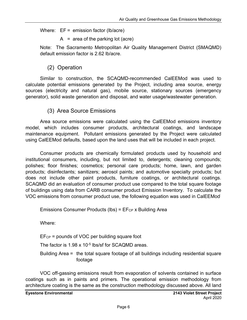Where:  $EF =$  emission factor (lb/acre)

 $A = area of the parking lot (acre)$ 

Note: The Sacramento Metropolitan Air Quality Management District (SMAQMD) default emission factor is 2.62 lb/acre.

## (2) Operation

Similar to construction, the SCAQMD-recommended CalEEMod was used to calculate potential emissions generated by the Project, including area source, energy sources (electricity and natural gas), mobile source, stationary sources (emergency generator), solid waste generation and disposal, and water usage/wastewater generation.

## (3) Area Source Emissions

Area source emissions were calculated using the CalEEMod emissions inventory model, which includes consumer products, architectural coatings, and landscape maintenance equipment. Pollutant emissions generated by the Project were calculated using CalEEMod defaults, based upon the land uses that will be included in each project.

Consumer products are chemically formulated products used by household and institutional consumers, including, but not limited to, detergents; cleaning compounds; polishes; floor finishes; cosmetics; personal care products; home, lawn, and garden products; disinfectants; sanitizers; aerosol paints; and automotive specialty products; but does not include other paint products, furniture coatings, or architectural coatings. SCAQMD did an evaluation of consumer product use compared to the total square footage of buildings using data from CARB consumer product Emission Inventory. To calculate the VOC emissions from consumer product use, the following equation was used in CalEEMod:

Emissions Consumer Products (lbs) =  $E$ F<sub>CP</sub> x Building Area

Where:

EFCP = pounds of VOC per building square foot

The factor is 1.98 x 10<sup>-5</sup> lbs/sf for SCAQMD areas.

Building Area = the total square footage of all buildings including residential square footage

VOC off-gassing emissions result from evaporation of solvents contained in surface coatings such as in paints and primers. The operational emission methodology from architecture coating is the same as the construction methodology discussed above. All land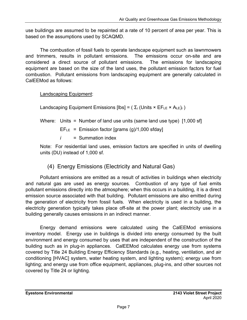use buildings are assumed to be repainted at a rate of 10 percent of area per year. This is based on the assumptions used by SCAQMD.

The combustion of fossil fuels to operate landscape equipment such as lawnmowers and trimmers, results in pollutant emissions. The emissions occur on-site and are considered a direct source of pollutant emissions. The emissions for landscaping equipment are based on the size of the land uses, the pollutant emission factors for fuel combustion. Pollutant emissions from landscaping equipment are generally calculated in CalEEMod as follows:

Landscaping Equipment:

Landscaping Equipment Emissions [lbs] =  $(\Sigma_i$  (Units  $\times$  EF<sub>LE</sub>  $\times$  A<sub>LE</sub>)<sub>*i*</sub>)

Where: Units = Number of land use units (same land use type) [1,000 sf]

 $EFE = Emission factor [grams (g)/1,000 sfday]$ 

*i* = Summation index

Note: For residential land uses, emission factors are specified in units of dwelling units (DU) instead of 1,000 sf.

(4) Energy Emissions (Electricity and Natural Gas)

Pollutant emissions are emitted as a result of activities in buildings when electricity and natural gas are used as energy sources. Combustion of any type of fuel emits pollutant emissions directly into the atmosphere; when this occurs in a building, it is a direct emission source associated with that building. Pollutant emissions are also emitted during the generation of electricity from fossil fuels. When electricity is used in a building, the electricity generation typically takes place off-site at the power plant; electricity use in a building generally causes emissions in an indirect manner.

Energy demand emissions were calculated using the CalEEMod emissions inventory model. Energy use in buildings is divided into energy consumed by the built environment and energy consumed by uses that are independent of the construction of the building such as in plug-in appliances. CalEEMod calculates energy use from systems covered by Title 24 Building Energy Efficiency Standards (e.g., heating, ventilation, and air conditioning [HVAC] system, water heating system, and lighting system); energy use from lighting; and energy use from office equipment, appliances, plug-ins, and other sources not covered by Title 24 or lighting.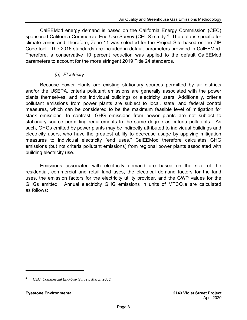CalEEMod energy demand is based on the California Energy Commission (CEC) sponsored California Commercial End Use Survey (CEUS) study.4 The data is specific for climate zones and, therefore, Zone 11 was selected for the Project Site based on the ZIP Code tool. The 2016 standards are included in default parameters provided in CalEEMod. Therefore, a conservative 10 percent reduction was applied to the default CalEEMod parameters to account for the more stringent 2019 Title 24 standards.

### *(a) Electricity*

Because power plants are existing stationary sources permitted by air districts and/or the USEPA, criteria pollutant emissions are generally associated with the power plants themselves, and not individual buildings or electricity users. Additionally, criteria pollutant emissions from power plants are subject to local, state, and federal control measures, which can be considered to be the maximum feasible level of mitigation for stack emissions. In contrast, GHG emissions from power plants are not subject to stationary source permitting requirements to the same degree as criteria pollutants. As such, GHGs emitted by power plants may be indirectly attributed to individual buildings and electricity users, who have the greatest ability to decrease usage by applying mitigation measures to individual electricity "end uses." CalEEMod therefore calculates GHG emissions (but not criteria pollutant emissions) from regional power plants associated with building electricity use.

Emissions associated with electricity demand are based on the size of the residential, commercial and retail land uses, the electrical demand factors for the land uses, the emission factors for the electricity utility provider, and the GWP values for the GHGs emitted. Annual electricity GHG emissions in units of MTCO<sub>2</sub>e are calculated as follows:

*<sup>4</sup> CEC, Commercial End-Use Survey, March 2006.*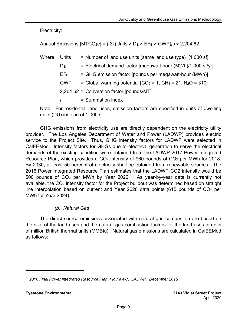Electricity:

Annual Emissions [MTCO<sub>2</sub>e] = ( $\Sigma$ <sub>*i*</sub> (Units × D<sub>E</sub> × EF<sub>E</sub> × GWP)<sub>*i*</sub>) ÷ 2,204.62

| Where: Units |              | = Number of land use units (same land use type) [1,000 sf]   |
|--------------|--------------|--------------------------------------------------------------|
|              | $D_{E}$      | = Electrical demand factor [megawatt-hour (MWh)/1,000 sf/yr] |
|              | $EF_E$       | = GHG emission factor [pounds per megawatt-hour (MWh)]       |
|              | <b>GWP</b>   | = Global warming potential $[CO2 = 1, CH4 = 21, N2O = 310]$  |
|              |              | 2,204.62 = Conversion factor [pounds/MT]                     |
|              | $\mathbf{I}$ | = Summation index                                            |

Note: For residential land uses, emission factors are specified in units of dwelling units (DU) instead of 1,000 sf.

GHG emissions from electricity use are directly dependent on the electricity utility provider. The Los Angeles Department of Water and Power (LADWP) provides electric service to the Project Site. Thus, GHG intensity factors for LADWP were selected in CalEEMod. Intensity factors for GHGs due to electrical generation to serve the electrical demands of the existing condition were obtained from the LADWP 2017 Power Integrated Resource Plan, which provides a  $CO<sub>2</sub>$  intensity of 960 pounds of  $CO<sub>2</sub>$  per MWh for 2018. By 2030, at least 50 percent of electricity shall be obtained from renewable sources. The 2016 Power Integrated Resource Plan estimates that the LADWP CO2 intensity would be 500 pounds of  $CO<sub>2</sub>$  per MWh by Year 2026.<sup>5</sup> As year-by-year data is currently not available, the CO<sub>2</sub> intensity factor for the Project buildout was determined based on straight line interpolation based on current and Year 2028 data points (615 pounds of  $CO<sub>2</sub>$  per MWh for Year 2024).

## *(b) Natural Gas*

The direct source emissions associated with natural gas combustion are based on the size of the land uses and the natural gas combustion factors for the land uses in units of million British thermal units (MMBtu). Natural gas emissions are calculated in CalEEMod as follows:

*<sup>5 2016</sup> Final Power Integrated Resource Plan, Figure 4-7. LADWP. December 2016.*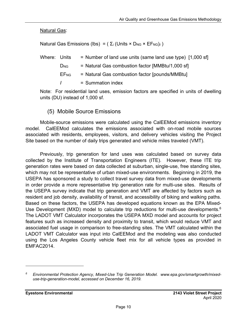**Natural Gas:** 

Natural Gas Emissions (lbs) =  $(\Sigma_i$  (Units × D<sub>NG</sub> × EF<sub>NG</sub>)<sub>*i*</sub>)

| Where: Units |                        | = Number of land use units (same land use type) [1,000 sf] |
|--------------|------------------------|------------------------------------------------------------|
|              | $D_{NG}$               | = Natural Gas combustion factor [MMBtu/1,000 sf]           |
|              | <b>EF<sub>NG</sub></b> | $=$ Natural Gas combustion factor [pounds/MMBtu]           |
|              | $\mathbf{I}$           | $=$ Summation index                                        |

Note: For residential land uses, emission factors are specified in units of dwelling units (DU) instead of 1,000 sf.

(5) Mobile Source Emissions

Mobile-source emissions were calculated using the CalEEMod emissions inventory model. CalEEMod calculates the emissions associated with on-road mobile sources associated with residents, employees, visitors, and delivery vehicles visiting the Project Site based on the number of daily trips generated and vehicle miles traveled (VMT).

Previously, trip generation for land uses was calculated based on survey data collected by the Institute of Transportation Engineers (ITE). However, these ITE trip generation rates were based on data collected at suburban, single-use, free standing sites, which may not be representative of urban mixed-use environments. Beginning in 2019, the USEPA has sponsored a study to collect travel survey data from mixed-use developments in order provide a more representative trip generation rate for multi-use sites. Results of the USEPA survey indicate that trip generation and VMT are affected by factors such as resident and job density, availability of transit, and accessibility of biking and walking paths. Based on these factors, the USEPA has developed equations known as the EPA Mixed-Use Development (MXD) model to calculate trip reductions for multi-use developments.<sup>6</sup> The LADOT VMT Calculator incorporates the USEPA MXD model and accounts for project features such as increased density and proximity to transit, which would reduce VMT and associated fuel usage in comparison to free-standing sites. The VMT calculated within the LADOT VMT Calculator was input into CalEEMod and the modeling was also conducted using the Los Angeles County vehicle fleet mix for all vehicle types as provided in EMFAC2014.

*<sup>6</sup> Environmental Protection Agency, Mixed-Use Trip Generation Model. www.epa.gov/smartgrowth/mixeduse-trip-generation-model, accessed on December 16, 2019.*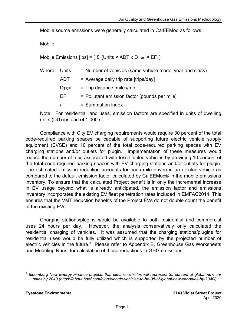Mobile source emissions were generally calculated in CalEEMod as follows:

Mobile:

Mobile Emissions [lbs] =  $(\Sigma_i$  (Units × ADT x D<sub>TRIP</sub> × EF<sub>i</sub>)

| Where: Units |                   | = Number of vehicles (same vehicle model year and class) |
|--------------|-------------------|----------------------------------------------------------|
|              | ADT               | $=$ Average daily trip rate [trips/day]                  |
|              | D <sub>TRIP</sub> | $=$ Trip distance [miles/trip]                           |
|              | FF.               | = Pollutant emission factor [pounds per mile]            |
|              | $\mathbf{I}$      | $=$ Summation index                                      |

Note: For residential land uses, emission factors are specified in units of dwelling units (DU) instead of 1,000 sf.

Compliance with City EV charging requirements would require 30 percent of the total code-required parking spaces be capable of supporting future electric vehicle supply equipment (EVSE) and 10 percent of the total code-required parking spaces with EV charging stations and/or outlets for plugin. Implementation of these measures would reduce the number of trips associated with fossil-fueled vehicles by providing 10 percent of the total code-required parking spaces with EV charging stations and/or outlets for plugin. The estimated emission reduction accounts for each mile driven in an electric vehicle as compared to the default emission factor calculated by CalEEMod® in the mobile emissions inventory. To ensure that the calculated Project benefit is in only the incremental increase in EV usage beyond what is already anticipated, the emission factor and emissions inventory incorporates the existing EV fleet penetration rates included in EMFAC2014. This ensures that the VMT reduction benefits of the Project EVs do not double count the benefit of the existing EVs.

Charging stations/plugins would be available to both residential and commercial uses 24 hours per day. However, the analysis conservatively only calculated the residential charging of vehicles. It was assumed that the charging stations/plugins for residential uses would be fully utilized which is supported by the projected number of electric vehicles in the future.<sup>7</sup> Please refer to Appendix B, Greenhouse Gas Worksheets and Modeling Runs, for calculation of these reductions in GHG emissions.

*<sup>7</sup> Bloomberg New Energy Finance projects that electric vehicles will represent 35 percent of global new car sales by 2040 (https://about.bnef.com/blog/electric-vehicles-to-be-35-of-global-new-car-sales-by-2040/).*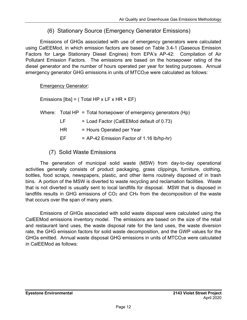## (6) Stationary Source (Emergency Generator Emissions)

Emissions of GHGs associated with use of emergency generators were calculated using CalEEMod, in which emission factors are based on Table 3.4-1 (Gaseous Emission Factors for Large Stationary Diesel Engines) from EPA's AP-42: Compilation of Air Pollutant Emission Factors. The emissions are based on the horsepower rating of the diesel generator and the number of hours operated per year for testing purposes. Annual emergency generator GHG emissions in units of MTCO<sub>2</sub>e were calculated as follows:

Emergency Generator:

Emissions  $[Ibs] = (Total HP x LF x HR x EF)$ 

- Where: Total  $HP = Total$  horsepower of emergency generators  $(Hp)$ 
	- $LF =$  Load Factor (CalEEMod default of 0.73)
	- HR = Hours Operated per Year
	- $EF = AP-42$  Emission Factor of 1.16 lb/hp-hr)
	- (7) Solid Waste Emissions

The generation of municipal solid waste (MSW) from day-to-day operational activities generally consists of product packaging, grass clippings, furniture, clothing, bottles, food scraps, newspapers, plastic, and other items routinely disposed of in trash bins. A portion of the MSW is diverted to waste recycling and reclamation facilities. Waste that is not diverted is usually sent to local landfills for disposal. MSW that is disposed in landfills results in GHG emissions of  $CO<sub>2</sub>$  and  $CH<sub>4</sub>$  from the decomposition of the waste that occurs over the span of many years.

Emissions of GHGs associated with solid waste disposal were calculated using the CalEEMod emissions inventory model. The emissions are based on the size of the retail and restaurant land uses, the waste disposal rate for the land uses, the waste diversion rate, the GHG emission factors for solid waste decomposition, and the GWP values for the GHGs emitted. Annual waste disposal GHG emissions in units of MTCO<sub>2</sub>e were calculated in CalEEMod as follows: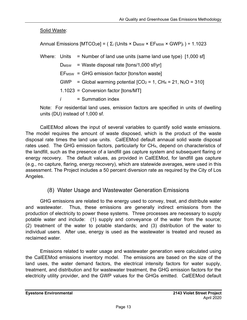Solid Waste:

Annual Emissions  $[MTCO_2e] = (\Sigma_i (Units \times D_{MSW} \times EF_{MSW} \times GWP)_i) \div 1.1023$ 

Where: Units = Number of land use units (same land use type) [1,000 sf]  $D_{MSW}$  = Waste disposal rate  $[tons/1,000 sf/yr]$  $EF_{MSW} = GHG$  emission factor [tons/ton waste] GWP = Global warming potential  $[CO_2 = 1, CH_4 = 21, N_2O = 310]$  1.1023 = Conversion factor [tons/MT] *i* = Summation index

Note: For residential land uses, emission factors are specified in units of dwelling units (DU) instead of 1,000 sf.

CalEEMod allows the input of several variables to quantify solid waste emissions. The model requires the amount of waste disposed, which is the product of the waste disposal rate times the land use units. CalEEMod default annaual solid waste disposal rates used. The GHG emission factors, particularly for CH4, depend on characteristics of the landfill, such as the presence of a landfill gas capture system and subsequent flaring or energy recovery. The default values, as provided in CalEEMod, for landfill gas capture (e.g., no capture, flaring, energy recovery), which are statewide averages, were used in this assessment. The Project includes a 50 percent diversion rate as required by the City of Los Angeles.

## (8) Water Usage and Wastewater Generation Emissions

GHG emissions are related to the energy used to convey, treat, and distribute water and wastewater. Thus, these emissions are generally indirect emissions from the production of electricity to power these systems. Three processes are necessary to supply potable water and include: (1) supply and conveyance of the water from the source; (2) treatment of the water to potable standards; and (3) distribution of the water to individual users. After use, energy is used as the wastewater is treated and reused as reclaimed water.

Emissions related to water usage and wastewater generation were calculated using the CalEEMod emissions inventory model. The emissions are based on the size of the land uses, the water demand factors, the electrical intensity factors for water supply, treatment, and distribution and for wastewater treatment, the GHG emission factors for the electricity utility provider, and the GWP values for the GHGs emitted. CalEEMod default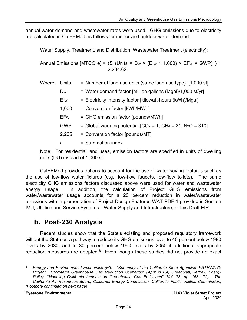annual water demand and wastewater rates were used. GHG emissions due to electricity are calculated in CalEEMod as follows for indoor and outdoor water demand:

Water Supply, Treatment, and Distribution; Wastewater Treatment (electricity):

Annual Emissions  $[MTCO_2e] = (\Sigma_i (Units \times Dw \times (Elw \div 1,000) \times EF_w \times GWP)_i) \div$ 2,204.62

| Where: | Units          | = Number of land use units (same land use type) [1,000 sf]     |
|--------|----------------|----------------------------------------------------------------|
|        | D <sub>W</sub> | = Water demand factor [million gallons (Mgal)/1,000 sf/yr]     |
|        | Elw            | = Electricity intensity factor [kilowatt-hours (kWh)/Mgal]     |
|        | 1,000          | = Conversion factor [kWh/MWh]                                  |
|        | EFw            | = GHG emission factor [pounds/MWh]                             |
|        | <b>GWP</b>     | = Global warming potential $[CO_2 = 1, CH_4 = 21, N_2O = 310]$ |
|        | 2,205          | = Conversion factor [pounds/MT]                                |
|        | i              | $=$ Summation index                                            |
|        |                |                                                                |

Note: For residential land uses, emission factors are specified in units of dwelling units (DU) instead of 1,000 sf.

CalEEMod provides options to account for the use of water saving features such as the use of low-flow water fixtures (e.g., low-flow faucets, low-flow toilets). The same electricity GHG emissions factors discussed above were used for water and wastewater energy usage. In addition, the calculation of Project GHG emissions from water/wastewater usage accounts for a 20 percent reduction in water/wastewater emissions with implementation of Project Design Features WAT-PDF-1 provided in Section IV.J, Utilities and Service Systems—Water Supply and Infrastructure, of this Draft EIR.

## **b. Post-230 Analysis**

Recent studies show that the State's existing and proposed regulatory framework will put the State on a pathway to reduce its GHG emissions level to 40 percent below 1990 levels by 2030, and to 80 percent below 1990 levels by 2050 if additional appropriate reduction measures are adopted. $8$  Even though these studies did not provide an exact

*<sup>8</sup> Energy and Environmental Economics (E3). "Summary of the California State Agencies' PATHWAYS Project: Long-term Greenhouse Gas Reduction Scenarios" (April 2015); Greenblatt, Jeffrey, Energy Policy, "Modeling California Impacts on Greenhouse Gas Emissions" (Vol. 78, pp. 158–172). The California Air Resources Board, California Energy Commission, California Public Utilities Commission, (Footnote continued on next page)*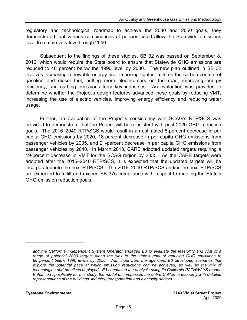regulatory and technological roadmap to achieve the 2030 and 2050 goals, they demonstrated that various combinations of policies could allow the Statewide emissions level to remain very low through 2050.

Subsequent to the findings of these studies, SB 32 was passed on September 8, 2016, which would require the State board to ensure that Statewide GHG emissions are reduced to 40 percent below the 1990 level by 2030. The new plan outlined in SB 32 involves increasing renewable energy use, imposing tighter limits on the carbon content of gasoline and diesel fuel, putting more electric cars on the road, improving energy efficiency, and curbing emissions from key industries. An evaluation was provided to determine whether the Project's design features advanced these goals by reducing VMT, increasing the use of electric vehicles, improving energy efficiency and reducing water usage.

Further, an evaluation of the Project's consistency with SCAG's RTP/SCS was provided to demonstrate that the Project will be consistent with post-2020 GHG reduction goals. The 2016–2040 RTP/SCS would result in an estimated 8-percent decrease in per capita GHG emissions by 2020, 18-percent decrease in per capita GHG emissions from passenger vehicles by 2035, and 21-percent decrease in per capita GHG emissions from passenger vehicles by 2040. In March 2018, CARB adopted updated targets requiring a 19-percent decrease in VMT for the SCAG region by 2035. As the CARB targets were adopted after the 2016–2040 RTP/SCS, it is expected that the updated targets will be incorporated into the next RTP/SCS. The 2016–2040 RTP/SCS and/or the next RTP/SCS are expected to fulfill and exceed SB 375 compliance with respect to meeting the State's GHG emission reduction goals.

*and the California Independent System Operator engaged E3 to evaluate the feasibility and cost of a range of potential 2030 targets along the way to the state's goal of reducing GHG emissions to 80 percent below 1990 levels by 2050. With input from the agencies, E3 developed scenarios that*  explore the potential pace at which emission reductions can be achieved, as well as the mix of *technologies and practices deployed. E3 conducted the analysis using its California PATHWAYS model. Enhanced specifically for this study, the model encompasses the entire California economy with detailed representations of the buildings, industry, transportation and electricity sectors.*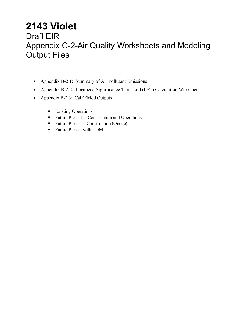## **2143 Violet**  Draft EIR Appendix C-2-Air Quality Worksheets and Modeling Output Files

- Appendix B-2.1: Summary of Air Pollutant Emissions
- Appendix B-2.2: Localized Significance Threshold (LST) Calculation Worksheet
- Appendix B-2.3: CalEEMod Outputs
	- **Existing Operations**
	- $\blacksquare$  Future Project Construction and Operations
	- **Future Project Construction (Onsite)**
	- **Future Project with TDM**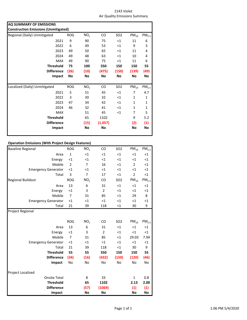| 2143 Violet                   |
|-------------------------------|
| Air Quality Emissions Summary |

| AQ SUMMARY OF EMISSIONS<br><b>Construction Emissions (Unmitigated)</b> |            |                 |         |                 |           |                   |  |  |
|------------------------------------------------------------------------|------------|-----------------|---------|-----------------|-----------|-------------------|--|--|
| Regional (Daily) Unmitigated                                           | <b>ROG</b> | NO <sub>x</sub> | CO.     | SO <sub>2</sub> | $PM_{10}$ | PM <sub>2.5</sub> |  |  |
| 2021                                                                   | 9          | 90              | 75      | $\leq$ 1        | 11        | 6                 |  |  |
| 2022                                                                   | 6          | 49              | 53      | $\leq 1$        | 9         | 3                 |  |  |
| 2023                                                                   | 49         | 50              | 65      | $\leq$ 1        | 11        | 4                 |  |  |
| 2024                                                                   | 49         | 48              | 63      | $<$ 1           | 10        | 4                 |  |  |
| <b>MAX</b>                                                             | 49         | 90              | 75      | $\leq$ 1        | 11        | 6                 |  |  |
| <b>Threshold</b>                                                       | 75         | 100             | 550     | 150             | 150       | 55                |  |  |
| <b>Difference</b>                                                      | (26)       | (10)            | (475)   | (150)           | (139)     | (49)              |  |  |
| Impact                                                                 | <b>No</b>  | No              | No      | No              | No        | No                |  |  |
|                                                                        |            |                 |         |                 |           |                   |  |  |
| Localized (Daily) Unmitigated                                          | ROG        | NO <sub>x</sub> | CO.     | SO <sub>2</sub> | $PM_{10}$ | PM <sub>2.5</sub> |  |  |
| 2021                                                                   | 5          | 51              | 45      | $<$ 1           | 7         | 4.7               |  |  |
| 2022                                                                   | 3          | 30              | 32      | $<$ 1           | 1         | 1                 |  |  |
| 2023                                                                   | 47         | 34              | 42      | $\leq$ 1        | 1         | $\mathbf{1}$      |  |  |
| 2024                                                                   | 46         | 32              | 41      | $<$ 1           | 1         | 1                 |  |  |
| <b>MAX</b>                                                             |            | 51              | 45      | $<$ 1           | 7         | 5                 |  |  |
| <b>Threshold</b>                                                       |            | 65              | 1102    |                 | 9         | 5.2               |  |  |
| <b>Difference</b>                                                      |            | (15)            | (1,057) |                 | (2)       | (1)               |  |  |
| Impact                                                                 |            | No              | No      |                 | No        | No                |  |  |
|                                                                        |            |                 |         |                 |           |                   |  |  |

#### **Operation Emissions (With Project Design Features)**

| <b>Baseline Regional</b>   | <b>ROG</b>     | NO <sub>x</sub> | CO             | <b>SO2</b> | $PM_{10}$      | PM <sub>2.5</sub> |
|----------------------------|----------------|-----------------|----------------|------------|----------------|-------------------|
| Area                       | $\mathbf{1}$   | <1              | $<$ 1          | $<$ 1      | <1             | $<$ 1             |
| Energy                     | $<$ 1          | <1              | $<$ 1          | $<$ 1      | $<$ 1          | $\leq$ 1          |
| Mobile                     | $\overline{2}$ | 7               | 16             | $<$ 1      | $\overline{2}$ | $\leq$ 1          |
| <b>Emergency Generator</b> | <1             | ${<}1$          | <1             | $<$ 1      | $\leq$ 1       | $\leq$ 1          |
| Total                      | 3              | 7               | 17             | $<$ 1      | 2              | $<$ 1             |
| <b>Regional Buildout</b>   | <b>ROG</b>     | NO <sub>x</sub> | CO             | <b>SO2</b> | $PM_{10}$      | PM <sub>2.5</sub> |
| Area                       | 13             | 6               | 31             | $<$ 1      | $\leq$ 1       | $\leq$ 1          |
| Energy                     | <1             | 3               | $\overline{2}$ | $<$ 1      | $\leq$ 1       | $\leq$ 1          |
| Mobile                     | 7              | 31              | 85             | $<$ 1      | 29             | 8                 |
| <b>Emergency Generator</b> | $<$ 1          | <1              | $<$ 1          | $<$ 1      | <1             | $\leq 1$          |
| Total                      | 21             | 39              | 118            | $<$ 1      | 30             | 9                 |
| <b>Project Regional</b>    |                |                 |                |            |                |                   |
|                            |                |                 |                |            |                |                   |
|                            | <b>ROG</b>     | NO <sub>x</sub> | CO             | <b>SO2</b> | $PM_{10}$      | PM <sub>2.5</sub> |
| Area                       | 13             | 6               | 31             | $<$ 1      | <1             | $<$ 1             |
| Energy                     | $\leq$ 1       | 3               | $\overline{2}$ | $<$ 1      | $<$ 1          | $<$ 1             |
| Mobile                     | $\overline{7}$ | 31              | 85             | $<$ 1      | 29.03          | 7.94              |
| <b>Emergency Generator</b> | $<$ 1          | <1              | $<$ 1          | $<$ 1      | $<$ 1          | $<$ 1             |
| Total                      | 21             | 39              | 118            | $<$ 1      | 30             | 9                 |
| <b>Threshold</b>           | 55             | 55              | 550            | 150        | 150            | 55                |
| <b>Difference</b>          | (34)           | (16)            | (432)          | (150)      | (120)          | (46)              |
| Impact                     | No             | No              | No             | No         | No             | No                |
|                            |                |                 |                |            |                |                   |
| Project Localized          |                |                 |                |            |                |                   |
| <b>Onsite Total</b>        |                | 8               | 33             |            | 1              | 0.8               |
| <b>Threshold</b>           |                | 65              | 1102           |            | 2.13           | 2.00              |
| <b>Difference</b>          |                | (57)            | (1069)         |            | (1)            | (1)               |
| Impact                     |                | No              | No             |            | No             | No                |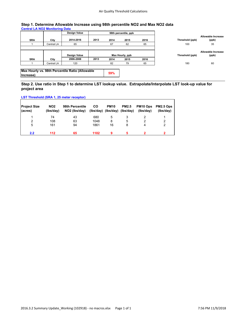#### **Step 1. Determine Allowable Increase using 98th percentile NO2 and Max NO2 data Central LA NO2 Monitoring Data**

|            |            | Design Value                                    |      |      | 98th percentile, ppb |      |                 |                                    |
|------------|------------|-------------------------------------------------|------|------|----------------------|------|-----------------|------------------------------------|
| <b>SRA</b> | City       | 2014-2016                                       | 2013 | 2014 | 2015                 | 2016 | Threshold (ppb) | Allowable Increase<br>(ppb)        |
|            | Central LA | 65                                              |      | 67   | 62                   | 65   | 100             | 35                                 |
|            |            | Design Value                                    |      |      | Max Hourly, ppb      |      | Threshold (ppb) | <b>Allowable Increase</b><br>(ppb) |
| <b>SRA</b> | City       | 2006-2008                                       | 2013 | 2014 | 2015                 | 2016 |                 |                                    |
|            | Central LA | 120                                             |      | 82   | 79                   | 65   | 180             | 60                                 |
| Increase)  |            | Max Hourly vs. 98th Percentile Ratio (Allowable |      | 59%  |                      |      |                 |                                    |

#### **Step 2. Use ratio in Step 1 to determine LST lookup value. Extrapolate/Interpolate LST look-up value for project area**

#### **LST Threshold (SRA 1, 25 meter receptor)**

| <b>Project Size</b><br>(acres) | NO <sub>2</sub><br>(lbs/day) | 98th Percentile<br>NO <sub>2</sub> (Ibs/day) | <b>CO</b> | <b>PM10</b><br>(lbs/day) (lbs/day) (lbs/day) | <b>PM2.5</b> | PM <sub>10</sub> Ops<br>(Ibs/day) | PM2.5 Ops<br>(lbs/day) |
|--------------------------------|------------------------------|----------------------------------------------|-----------|----------------------------------------------|--------------|-----------------------------------|------------------------|
|                                | 74                           | 43                                           | 680       | 5                                            |              |                                   |                        |
| 2                              | 108                          | 63                                           | 1048      | 8                                            | 5            | 2                                 | 2                      |
| 5                              | 161                          | 94                                           | 1861      | 16                                           | 8            | 4                                 | 2                      |
| 2.2                            | 112                          | 65                                           | 1102      | 9                                            |              |                                   |                        |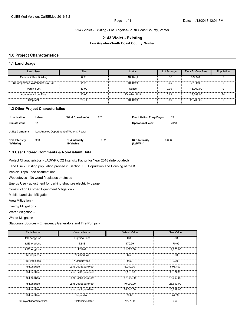2143 Violet - Existing - Los Angeles-South Coast County, Winter

#### **2143 Violet - Existing Los Angeles-South Coast County, Winter**

#### **1.0 Project Characteristics**

#### **1.1 Land Usage**

| <b>Land Uses</b>                 | <b>Size</b> | <b>Metric</b>        | Lot Acreage | Floor Surface Area | Population |
|----------------------------------|-------------|----------------------|-------------|--------------------|------------|
| General Office Building          | 6.98        | 1000sqft             | 0.16        | 6,983.00           |            |
| Unrefrigerated Warehouse-No Rail | 2.11        | 1000saft             | 0.05        | 2.109.00           |            |
| Parking Lot                      | 43.00       | Space                | 0.39        | 15.000.00          |            |
| <b>Apartments Low Rise</b>       | 10.00       | <b>Dwelling Unit</b> | 0.63        | 28.699.00          | 24         |
| Strip Mall                       | 25.74       | 1000saft             | 0.59        | 25.739.00          |            |

#### **1.2 Other Project Characteristics**

| Urbanization               | Urban                                   | Wind Speed (m/s)                  | 2.2   | <b>Precipitation Freg (Days)</b> | 33    |
|----------------------------|-----------------------------------------|-----------------------------------|-------|----------------------------------|-------|
| <b>Climate Zone</b>        | 11                                      |                                   |       | <b>Operational Year</b>          | 2018  |
| <b>Utility Company</b>     | Los Angeles Department of Water & Power |                                   |       |                                  |       |
| CO2 Intensity<br>(lb/MWhr) | 960                                     | <b>CH4 Intensity</b><br>(lb/MWhr) | 0.029 | N2O Intensity<br>(lb/MWhr)       | 0.006 |

#### **1.3 User Entered Comments & Non-Default Data**

Project Characteristics - LADWP CO2 Intensity Factor for Year 2018 (Interpolated)

Land Use - Existing population provied in Section XIII. Population and Housing of the IS.

Vehicle Trips - see assumptions

Woodstoves - No wood fireplaces or stoves

Energy Use - adjustment for parking structure electricity usage

Construction Off-road Equipment Mitigation -

Mobile Land Use Mitigation -

Area Mitigation -

Energy Mitigation -

Water Mitigation -

Waste Mitigation -

Stationary Sources - Emergency Generators and Fire Pumps -

| <b>Table Name</b>         | <b>Column Name</b> | <b>Default Value</b> | <b>New Value</b> |
|---------------------------|--------------------|----------------------|------------------|
| tblEnergyUse              | LightingElect      | 0.88                 | 0.88             |
| tblEnergyUse              | T24E               | 170.99               | 170.99           |
| tblEnergyUse              | <b>T24NG</b>       | 11,673.00            | 11,673.00        |
| tblFireplaces             | <b>NumberGas</b>   | 8.50                 | 9.00             |
| tblFireplaces             | NumberWood         | 0.50                 | 0.00             |
| tblLandUse                | LandUseSquareFeet  | 6,980.00             | 6.983.00         |
| tblLandUse                | LandUseSquareFeet  | 2.110.00             | 2.109.00         |
| tblLandUse                | LandUseSquareFeet  | 17,200.00            | 15,000.00        |
| tblLandUse                | LandUseSquareFeet  | 10,000.00            | 28,699.00        |
| tblLandUse                | LandUseSquareFeet  | 25,740.00            | 25,739.00        |
| tblLandUse                | Population         | 29.00                | 24.00            |
| tblProjectCharacteristics | CO2IntensityFactor | 1227.89              | 960              |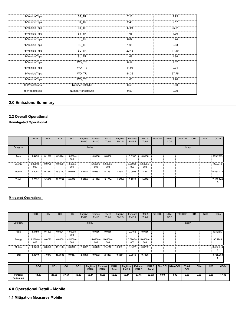| tblVehicleTrips | ST_TR              | 7.16  | 7.95  |
|-----------------|--------------------|-------|-------|
| tblVehicleTrips | ST_TR              | 2.46  | 2.17  |
| tblVehicleTrips | ST_TR              | 42.04 | 35.81 |
| tblVehicleTrips | ST_TR              | 1.68  | 4.96  |
| tblVehicleTrips | SU_TR              | 6.07  | 6.74  |
| tblVehicleTrips | SU TR              | 1.05  | 0.93  |
| tblVehicleTrips | SU_TR              | 20.43 | 17.40 |
| tblVehicleTrips | SU TR              | 1.68  | 4.96  |
| tblVehicleTrips | WD TR              | 6.59  | 7.32  |
| tblVehicleTrips | WD_TR              | 11.03 | 9.74  |
| tblVehicleTrips | WD TR              | 44.32 | 37.75 |
| tblVehicleTrips | WD_TR              | 1.68  | 4.96  |
| tblWoodstoves   | NumberCatalytic    | 0.50  | 0.00  |
| tblWoodstoves   | NumberNoncatalytic | 0.50  | 0.00  |

#### **2.0 Emissions Summary**

#### **2.2 Overall Operational**

**Unmitigated Operational**

|          | <b>ROG</b>      | <b>NO<sub>x</sub></b> | CO      | <b>SO2</b>      | Fugitive<br><b>PM10</b> | Exhaust<br><b>PM10</b> | <b>PM10</b><br>Total | Fugitive<br>PM2.5 | Exhaust<br><b>PM2.5</b> | PM2.5<br>Total  | Bio-CO <sub>2</sub> | NBio-<br>CO <sub>2</sub> | <b>Total CO2</b> | CH <sub>4</sub> | <b>N2O</b> | CO <sub>2</sub> e |
|----------|-----------------|-----------------------|---------|-----------------|-------------------------|------------------------|----------------------|-------------------|-------------------------|-----------------|---------------------|--------------------------|------------------|-----------------|------------|-------------------|
| Category |                 |                       |         |                 | lb/day                  |                        |                      |                   |                         |                 |                     |                          | lb/day           |                 |            |                   |
| Area     | .4459           | 0.1590                | 0.9024  | 1.0000e-<br>003 |                         | 0.0166                 | 0.0166               |                   | 0.0166                  | 0.0166          |                     |                          |                  |                 |            | 193.2613          |
| Energy   | 8.2300e-<br>003 | 0.0725                | 0.0460  | 4.5000e-<br>004 |                         | 5.6800e-<br>003        | 5.6800e-<br>003      |                   | 5.6800e-<br>003         | 5.6800e-<br>003 |                     |                          |                  |                 |            | 90.2749           |
| Mobile   | 2.3051          | 9.7673                | 25.9250 | 0.0676          | 5.0708                  | 0.0853                 | 5.1561               | 1.3574            | 0.0803                  | 1.4377          |                     |                          |                  |                 |            | 6,867.213         |
| Total    | 3.7592          | 9.9988                | 26.8734 | 0.0690          | 5.0708                  | 0.1076                 | 5.1784               | 1.3574            | 0.1026                  | 1.4600          |                     |                          |                  |                 |            | 7,150.749<br>Б    |

#### **Mitigated Operational**

|                             | <b>ROG</b>      | <b>NO<sub>x</sub></b> | <sub>CO</sub>         | <b>SO2</b>      | Fugitive<br><b>PM10</b> | Exhaust<br><b>PM10</b>         | <b>PM10</b><br>Total          | Fugitive<br>PM2.5           | Exhaust<br><b>PM2.5</b>         | PM2.5<br>Total                 |                              | Bio-CO <sub>2</sub> | NBio-<br>CO <sub>2</sub> | Total CO <sub>2</sub>           | CH <sub>4</sub> | <b>N2O</b> | CO <sub>2</sub> e |
|-----------------------------|-----------------|-----------------------|-----------------------|-----------------|-------------------------|--------------------------------|-------------------------------|-----------------------------|---------------------------------|--------------------------------|------------------------------|---------------------|--------------------------|---------------------------------|-----------------|------------|-------------------|
| Category                    |                 |                       |                       |                 |                         | lb/day                         |                               |                             |                                 |                                |                              |                     |                          | lb/day                          |                 |            |                   |
| Area                        | 1.4459          | 0.1590                | 0.9024                | 1.0000e-<br>003 |                         | 0.0166                         | 0.0166                        |                             | 0.0166                          | 0.0166                         |                              |                     |                          |                                 |                 |            | 193.2613          |
| Energy                      | 8.2300e-<br>003 | 0.0725                | 0.0460                | 4.5000e-<br>004 |                         | 5.6800e-<br>003                | 5.6800e-<br>003               |                             | 5.6800e-<br>003                 | 5.6800e-<br>003                |                              |                     |                          |                                 |                 |            | 90.2749           |
| Mobile                      | 1.8778          | 6.8028                | 15.8102               | 0.0342          | 2.3762                  | 0.0449                         | 2.4210                        | 0.6361                      | 0.0422                          | 0.6782                         |                              |                     |                          |                                 |                 |            | 3,482.414         |
| Total                       | 3.3319          | 7.0343                | 16.7586               | 0.0357          | 2.3762                  | 0.0672                         | 2.4433                        | 0.6361                      | 0.0645                          | 0.7005                         |                              |                     |                          |                                 |                 |            | 3,765.950         |
|                             | <b>ROG</b>      |                       | <b>NO<sub>x</sub></b> | <b>CO</b>       | <b>SO2</b>              | <b>Fugitive</b><br><b>PM10</b> | <b>Exhaust</b><br><b>PM10</b> | <b>PM10</b><br><b>Total</b> | <b>Fugitive</b><br><b>PM2.5</b> | <b>Exhaust</b><br><b>PM2.5</b> | <b>PM2.5</b><br><b>Total</b> |                     | Bio-CO2 NBio-CO2         | <b>Total</b><br>CO <sub>2</sub> | CH <sub>4</sub> | <b>N20</b> | CO <sub>2e</sub>  |
| Percent<br><b>Reduction</b> | 11.37           |                       | 29.65                 | 37.64           | 48.29                   | 53.14                          | 37.59                         | 52.82                       | 53.14                           | 37.15                          | 52.02                        | 0.00                | 0.00                     | 0.00                            | 0.00            | 0.00       | 47.33             |

#### **4.0 Operational Detail - Mobile**

**4.1 Mitigation Measures Mobile**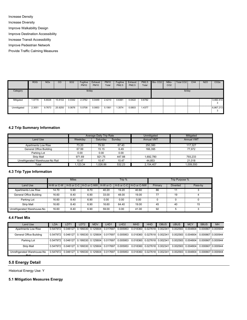Increase Density

Increase Diversity

Improve Walkability Design

Improve Destination Accessibility

Increase Transit Accessibility

Improve Pedestrian Network

Provide Traffic Calming Measures

|                  | <b>ROG</b> | <b>NO<sub>x</sub></b> | CO      | <b>SO2</b> | Fugitive<br><b>PM10</b> | Exhaust<br><b>PM10</b> | <b>PM10</b><br>Total | Fugitive<br>PM2.5 | Exhaust<br>PM2.5 | PM2.5<br>Total | Bio-CO <sub>2</sub> | NBio-<br>CO <sub>2</sub> | Total CO <sub>2</sub> | CH <sub>4</sub> | <b>N2O</b> | CO <sub>2</sub> e |
|------------------|------------|-----------------------|---------|------------|-------------------------|------------------------|----------------------|-------------------|------------------|----------------|---------------------|--------------------------|-----------------------|-----------------|------------|-------------------|
| Category         |            |                       |         |            | lb/day                  |                        |                      |                   |                  |                |                     |                          | lb/day                |                 |            |                   |
| Mitigated<br>99. | .8778      | 6.8028                | 15.8102 | 0.0342     | 2.3762                  | 0.0449                 | 2.4210               | 0.6361            | 0.0422           | 0.6782         |                     |                          |                       |                 |            | 3,482.414         |
| Unmitigated      | 2.3051     | 9.7673                | 25.9250 | 0.0676     | 5.0708                  | 0.0853                 | 5.1561               | .3574             | 0.0803           | .4377          |                     |                          |                       |                 |            | 6.867.213         |

#### **4.2 Trip Summary Information**

|                                  |         | <b>Average Daily Trip Rate</b> |        | Unmitigated       | Mitigated         |
|----------------------------------|---------|--------------------------------|--------|-------------------|-------------------|
| Land Use                         | Weekdav | Saturdav                       | Sundav | <b>Annual VMT</b> | <b>Annual VMT</b> |
| <b>Apartments Low Rise</b>       | 73.20   | 79.50                          | 67.40  | 250.380           | 117.327           |
| General Office Building          | 67.99   | 15.15                          | 6.49   | 166.395           | 77.972            |
| Parking Lot                      | 0.00    | 0.00                           | 0.00   |                   |                   |
| <b>Strip Mall</b>                | 971.69  | 921.75                         | 447.88 | 1.692.780         | 793.233           |
| Unrefrigerated Warehouse-No Rail | 10.47   | 10.47                          | 10.47  | 44.853            | 21.018            |
| Total                            | .123.34 | .026.86                        | 532.23 | 2.154.407         | 1.009.550         |

#### **4.3 Trip Type Information**

|                             |       | <b>Miles</b> |      |       | Trip % |                                                                              |         | Trip Purpose %  |         |
|-----------------------------|-------|--------------|------|-------|--------|------------------------------------------------------------------------------|---------|-----------------|---------|
| Land Use                    |       |              |      |       |        | H-W or C-W   H-S or C-C   H-O or C-NW   H-W or C-   H-S or C-C   H-O or C-NW | Primary | <b>Diverted</b> | Pass-by |
| Apartments Low Rise         | 14.70 | 5.90         | 8.70 | 40.20 | 19.20  | 40.60                                                                        | 86      | 11              |         |
| General Office Building     | 16.60 | 8.40         | 6.90 | 33.00 | 48.00  | 19.00                                                                        | 77      | 19              |         |
| Parking Lot                 | 16.60 | 8.40         | 6.90 | 0.00  | 0.00   | 0.00                                                                         |         |                 |         |
| Strip Mall                  | 16.60 | 8.40         | 6.90 | 16.60 | 64.40  | 19.00                                                                        | 45      | 40              | 15      |
| Unrefrigerated Warehouse-No | 16.60 | 8.40         | 6.90 | 59.00 | 0.00   | 41.00                                                                        | 92      |                 |         |

#### **4.4 Fleet Mix**

| Land Use                                                                                                                                                          | LDA | LDT1 | LDT <sub>2</sub> | <b>MDV</b> | LHD <sup>.</sup> | LHD <sub>2</sub> | <b>MHD</b> | <b>HHD</b> | <b>OBUS</b> | <b>UBUS</b>                                                                                                                            | <b>MCY</b> | <b>SBUS</b> | <b>MH</b> |
|-------------------------------------------------------------------------------------------------------------------------------------------------------------------|-----|------|------------------|------------|------------------|------------------|------------|------------|-------------|----------------------------------------------------------------------------------------------------------------------------------------|------------|-------------|-----------|
| <b>Apartments Low Rise</b>                                                                                                                                        |     |      |                  |            |                  |                  |            |            |             | ┋0.547972┊0.046127፤0.199330፤0.125604፤0.017697፤0.005953 0.018360፤0.027618፤0.002341፤0.002583፤0.004804፤0.000667፤0.000944                  |            |             |           |
| General Office Building                                                                                                                                           |     |      |                  |            |                  |                  |            |            |             | $10.547972$ : 0.046127 $10.199330$ : 0.125604: 0.017697: 0.005953 0.018360: 0.027618: 0.002341: 0.002583: 0.004804: 0.000667: 0.000944 |            |             |           |
| Parking Lot                                                                                                                                                       |     |      |                  |            |                  |                  |            |            |             | ┋0.547972┊0.046127፤0.199330፤0.125604፤0.017697፤0.005953 0.018360፤0.027618፤0.002341፤0.002583፤0.004804፤0.000667፤0.000944                  |            |             |           |
| <b>Strip Mall</b>                                                                                                                                                 |     |      |                  |            |                  |                  |            |            |             | 0.002583 0.046127 0.199330 0.125604 0.017697 0.005953 0.018360 0.027618 0.002341 0.002583 0.004804 0.000667 0.000944                   |            |             |           |
| Unrefrigerated Warehouse-No   0.547972 0.046127 0.199330 0.125604 0.017697 0.005953 0.018360 0.027618 0.002341 0.002583 0.004804 0.000667 0.000944<br><b>Dail</b> |     |      |                  |            |                  |                  |            |            |             |                                                                                                                                        |            |             |           |

#### **5.0 Energy Detail**

Historical Energy Use: Y

#### **5.1 Mitigation Measures Energy**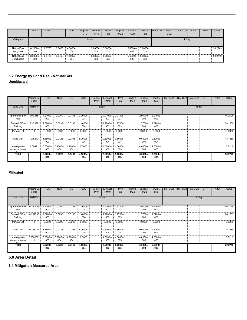|                                  | <b>ROG</b>            | <b>NO<sub>x</sub></b> | CO     | SO <sub>2</sub>   | Fugitive<br><b>PM10</b> | Exhaust<br><b>PM10</b>   | <b>PM10</b><br>Total | Fugitive<br>PM2.5 | Exhaust<br><b>PM2.5</b>  | <b>PM2.5</b><br>Total | Bio-CO <sub>2</sub> | NBio-<br>CO <sub>2</sub> | Total CO <sub>2</sub> | CH <sub>4</sub> | <b>N2O</b> | CO <sub>2</sub> e |
|----------------------------------|-----------------------|-----------------------|--------|-------------------|-------------------------|--------------------------|----------------------|-------------------|--------------------------|-----------------------|---------------------|--------------------------|-----------------------|-----------------|------------|-------------------|
| Category                         |                       |                       |        |                   | lb/day                  |                          |                      |                   |                          |                       |                     |                          | lb/day                |                 |            |                   |
| NaturalGas<br>Mitigated          | 8.2300e-<br>æ.<br>003 | 0.0725                | 0.0460 | 4.5000e-<br>004   |                         | 5.6800e- 5.6800e-<br>003 | 003                  |                   | 5.6800e- 5.6800e-<br>003 | 003                   |                     |                          |                       |                 |            | 90.2749           |
| <b>NaturalGas</b><br>Unmitigated | 8.2300e-<br>Ξ.<br>003 | 0.0725                | 0.0460 | $4.5000e-$<br>004 |                         | 5.6800e- 5.6800e-<br>003 | 003                  |                   | 5.6800e-<br>003          | 5.6800e-<br>003       |                     |                          |                       |                 |            | 90.2749           |

## **5.2 Energy by Land Use - NaturalGas**

**Unmitigated**

|                                | NaturalGa<br>s Use | <b>ROG</b>           | <b>NO<sub>x</sub></b> | CO              | SO <sub>2</sub> | Fugitive<br><b>PM10</b> | Exhaust<br><b>PM10</b> | <b>PM10</b><br>Total | Fugitive<br><b>PM2.5</b> | Exhaust<br>PM2.5 | <b>PM2.5</b><br>Total | Bio- CO2 NBio- CO2 Total CO2 | CH <sub>4</sub> | <b>N2O</b> | CO <sub>2e</sub> |
|--------------------------------|--------------------|----------------------|-----------------------|-----------------|-----------------|-------------------------|------------------------|----------------------|--------------------------|------------------|-----------------------|------------------------------|-----------------|------------|------------------|
| Land Use                       | kBTU/yr            |                      |                       |                 |                 |                         | lb/day                 |                      |                          |                  |                       |                              | lb/day          |            |                  |
| Apartments Low !<br>Rise       | 390.456            | 4.2100e-<br>m<br>003 | 0.0360                | 0.0153          | 2.3000e-<br>004 |                         | 2.9100e-<br>003        | 2.9100e-<br>003      |                          | 2.9100e-<br>003  | 2.9100e-<br>003       |                              |                 |            | 46.2090          |
| General Office<br>Building     | 237.996            | 2.5700e-<br>003      | 0.0233                | 0.0196          | -.4000e<br>004  |                         | .7700e-<br>003         | 1.7700e-<br>003      |                          | 1.7700e-<br>003  | 1.7700e-<br>003       |                              |                 |            | 28.1659          |
| Parking Lot                    | 0                  | 0.0000               | 0.0000                | 0.0000          | 0.0000          |                         | 0.0000                 | 0.0000               |                          | 0.0000           | 0.0000                |                              |                 |            | 0.0000           |
| <b>Strip Mall</b>              | 128.342            | .3800e-<br>H.<br>003 | 0.0126                | 0.0106          | 8.0000e-<br>005 |                         | 9.6000e-<br>004        | 9.6000e-<br>004      |                          | 9.6000e-<br>004  | 9.6000e-<br>004       |                              |                 |            | 15.1888          |
| Unrefrigerated<br>Warehouse-No | 6.00921            | 6.0000e-<br>005      | 5.9000e-<br>004       | 4.9000e-<br>004 | 0.0000          |                         | 4.0000e-<br>005        | 4.0000e-<br>005      |                          | 4.0000e-<br>005  | 4.0000e-<br>005       |                              |                 |            | 0.7112           |
| Total                          |                    | 8.2200e-<br>003      | 0.0725                | 0.0460          | 4.5000e-<br>004 |                         | 5.6800e-<br>003        | 5.6800e-<br>003      |                          | 5.6800e-<br>003  | 5.6800e-<br>003       |                              |                 |            | 90.2749          |

#### **Mitigated**

|                                     | NaturalGa<br>s Use | ROG                                    | <b>NO<sub>x</sub></b> | <sub>co</sub>   | <b>SO2</b>      | Fugitive<br><b>PM10</b> | Exhaust<br><b>PM10</b> | <b>PM10</b><br>Total | Fugitive<br>PM2.5 | Exhaust<br>PM2.5  | PM2.5<br>Total  | Bio- CO2 NBio- CO2 Total CO2 | CH <sub>4</sub> | N <sub>2</sub> O | CO <sub>2e</sub> |
|-------------------------------------|--------------------|----------------------------------------|-----------------------|-----------------|-----------------|-------------------------|------------------------|----------------------|-------------------|-------------------|-----------------|------------------------------|-----------------|------------------|------------------|
| Land Use                            | kBTU/yr            |                                        |                       |                 |                 |                         | lb/day                 |                      |                   |                   |                 |                              | lb/day          |                  |                  |
| Apartments Low 10.390456 ::<br>Rise |                    | 4.2100e-<br>003                        | 0.0360                | 0.0153          | 2.3000e-<br>004 |                         | 2.9100e-<br>003        | 2.9100e-<br>003      |                   | 2.9100e-<br>003   | 2.9100e-<br>003 |                              |                 |                  | 46.2090          |
| General Office<br>Building          | 0.237996           | 2.5700e-<br>003                        | 0.0233                | 0.0196          | -.4000e<br>004  |                         | 1.7700e-<br>003        | 1.7700e-<br>003      |                   | 1.7700e-<br>003   | 1.7700e-<br>003 |                              |                 |                  | 28.1659          |
| Parking Lot                         | $^{\circ}$         | 0.0000                                 | 0.0000                | 0.0000          | 0.0000          |                         | 0.0000                 | 0.0000               |                   | 0.0000            | 0.0000          |                              |                 |                  | 0.0000           |
| <b>Strip Mall</b>                   | 0.128342           | 1.3800e-<br>003                        | 0.0126                | 0.0106          | 8.0000e-<br>005 |                         | 9.6000e-<br>004        | 9.6000e-<br>004      |                   | $9.6000e-$<br>004 | 9.6000e-<br>004 |                              |                 |                  | 15.1888          |
| Unrefrigerated<br>Warehouse-No      |                    | $[0.0060092]$ 6.0000e- 5.9000e-<br>005 | 004                   | 4.9000e-<br>004 | 0.0000          |                         | 4.0000e-<br>005        | 4.0000e-<br>005      |                   | 4.0000e-<br>005   | 4.0000e-<br>005 |                              |                 |                  | 0.7112           |
| Total                               |                    | 8.2200e-<br>003                        | 0.0725                | 0.0460          | 4.5000e-<br>004 |                         | 5.6800e-<br>003        | 5.6800e-<br>003      |                   | 5.6800e-<br>003   | 5.6800e-<br>003 |                              |                 |                  | 90.2749          |

#### **6.0 Area Detail**

**6.1 Mitigation Measures Area**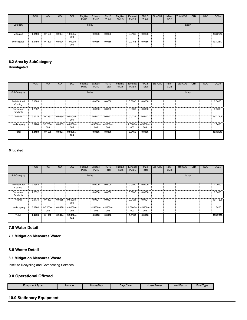|             | <b>ROG</b>   | <b>NO<sub>x</sub></b> | CO     | <b>SO2</b>      | Fugitive<br><b>PM10</b> | Exhaust<br><b>PM10</b> | <b>PM10</b><br>Total | Fugitive<br><b>PM2.5</b> | Exhaust<br>PM2.5 | PM2.5<br>Total | Bio-CO <sub>2</sub> | NBio-<br>CO <sub>2</sub> | Total CO <sub>2</sub> | CH <sub>4</sub> | <b>N2O</b> | CO <sub>2</sub> e |
|-------------|--------------|-----------------------|--------|-----------------|-------------------------|------------------------|----------------------|--------------------------|------------------|----------------|---------------------|--------------------------|-----------------------|-----------------|------------|-------------------|
| Category    |              |                       |        |                 | lb/day                  |                        |                      |                          |                  |                |                     |                          | lb/day                |                 |            |                   |
| Mitigated   | .4459        | 0.1590                | 0.9024 | 1.0000e-<br>003 |                         | 0.0166                 | 0.0166               |                          | 0.0166           | 0.0166         |                     |                          |                       |                 |            | 193.2613          |
| Unmitigated | <b>.4459</b> | 0.1590                | 0.9024 | 1.0000e-<br>003 |                         | 0.0166                 | 0.0166               |                          | 0.0166           | 0.0166         |                     |                          |                       |                 |            | 193.2613          |

### **6.2 Area by SubCategory**

**Unmitigated**

|                          | <b>ROG</b> | <b>NO<sub>x</sub></b> | CO     | SO <sub>2</sub>    | Fugitive<br><b>PM10</b> | Exhaust<br><b>PM10</b> | <b>PM10</b><br>Total | Fugitive<br>PM2.5 | Exhaust<br>PM2.5 | <b>PM2.5</b><br>Total | Bio-CO <sub>2</sub> | NBio-<br>CO <sub>2</sub> | Total CO <sub>2</sub> | CH <sub>4</sub> | <b>N2O</b> | CO <sub>2</sub> e |
|--------------------------|------------|-----------------------|--------|--------------------|-------------------------|------------------------|----------------------|-------------------|------------------|-----------------------|---------------------|--------------------------|-----------------------|-----------------|------------|-------------------|
| SubCategory              |            |                       |        |                    | lb/day                  |                        |                      |                   |                  |                       |                     |                          | lb/day                |                 |            |                   |
| Architectural<br>Coating | 0.1388     |                       |        |                    |                         | 0.0000                 | 0.0000               |                   | 0.0000           | 0.0000                |                     |                          |                       |                 |            | 0.0000            |
| Consumer<br>Products     | 1.2632     |                       |        |                    |                         | 0.0000                 | 0.0000               |                   | 0.0000           | 0.0000                |                     |                          |                       |                 |            | 0.0000            |
| Hearth                   | 0.0175     | 0.1493                | 0.0635 | 9.5000e-<br>004    |                         | 0.0121                 | 0.0121               |                   | 0.0121           | 0.0121                |                     |                          |                       |                 |            | 191.7208          |
| Landscaping              | 0.0264     | 9.7200e-<br>003       | 0.8389 | 4.0000e-<br>005    |                         | 4.5600e-<br>003        | 4.5600e-<br>003      |                   | 4.5600e-<br>003  | 4.5600e-<br>003       |                     |                          |                       |                 |            | 1.5405            |
| Total                    | 1.4459     | 0.1590                | 0.9024 | $9.9000e -$<br>004 |                         | 0.0166                 | 0.0166               |                   | 0.0166           | 0.0166                |                     |                          |                       |                 |            | 193.2613          |

#### **Mitigated**

|                          | <b>ROG</b> | <b>NO<sub>x</sub></b>  | CO     | SO <sub>2</sub>    | Fugitive<br><b>PM10</b> | Exhaust<br><b>PM10</b>   | <b>PM10</b><br>Total | Fugitive<br>PM2.5 | Exhaust<br>PM2.5         | <b>PM2.5</b><br>Total | Bio-CO <sub>2</sub> | NBio-<br>CO <sub>2</sub> | Total CO <sub>2</sub> | CH <sub>4</sub> | <b>N2O</b> | CO <sub>2</sub> e |
|--------------------------|------------|------------------------|--------|--------------------|-------------------------|--------------------------|----------------------|-------------------|--------------------------|-----------------------|---------------------|--------------------------|-----------------------|-----------------|------------|-------------------|
| SubCategory              |            |                        |        |                    | lb/day                  |                          |                      |                   |                          |                       |                     |                          | lb/day                |                 |            |                   |
| Architectural<br>Coating | 0.1388     |                        |        |                    |                         | 0.0000                   | 0.0000               |                   | 0.0000                   | 0.0000                |                     |                          |                       |                 |            | 0.0000            |
| Consumer<br>Products     | 1.2632     |                        |        |                    |                         | 0.0000                   | 0.0000               |                   | 0.0000                   | 0.0000                |                     |                          |                       |                 |            | 0.0000            |
| Hearth                   | 0.0175     | 0.1493                 | 0.0635 | 9.5000e-<br>004    |                         | 0.0121                   | 0.0121               |                   | 0.0121                   | 0.0121                |                     |                          |                       |                 |            | 191.7208          |
| Landscaping              | 0.0264     | 9.7200e-<br>- 3<br>003 | 0.8389 | 4.0000e-<br>005    |                         | 4.5600e- 4.5600e-<br>003 | 003                  |                   | 4.5600e- 4.5600e-<br>003 | 003                   |                     |                          |                       |                 |            | 1.5405            |
| Total                    | 1.4459     | 0.1590                 | 0.9024 | $9.9000e -$<br>004 |                         | 0.0166                   | 0.0166               |                   | 0.0166                   | 0.0166                |                     |                          |                       |                 |            | 193.2613          |

#### **7.0 Water Detail**

#### **7.1 Mitigation Measures Water**

#### **8.0 Waste Detail**

#### **8.1 Mitigation Measures Waste**

Institute Recycling and Composting Services

#### **9.0 Operational Offroad**

| Davs/Year<br>Hours/Dav<br>Equipment Type<br>Number | Horse Power | <b>Fuel Type</b><br><b>Load Factor</b><br>$\sim$ |
|----------------------------------------------------|-------------|--------------------------------------------------|
|----------------------------------------------------|-------------|--------------------------------------------------|

#### **10.0 Stationary Equipment**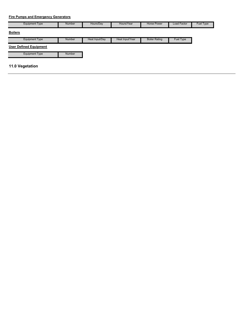#### **Fire Pumps and Emergency Generators**

| <b>Equipment Type</b>         | <b>Number</b> | Hours/Day      | Hours/Year      | Horse Power          | Load Factor | Fuel Type |
|-------------------------------|---------------|----------------|-----------------|----------------------|-------------|-----------|
| <b>Boilers</b>                |               |                |                 |                      |             |           |
| <b>Equipment Type</b>         | <b>Number</b> | Heat Input/Day | Heat Input/Year | <b>Boiler Rating</b> | Fuel Type   |           |
| <b>User Defined Equipment</b> |               |                |                 |                      |             |           |
| <b>Equipment Type</b>         | <b>Number</b> |                |                 |                      |             |           |
| 11.0 Vegetation               |               |                |                 |                      |             |           |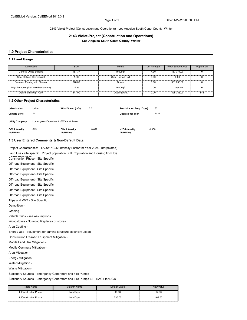#### 2143 Violet-Project (Construction and Operations) - Los Angeles-South Coast County, Winter

**2143 Violet-Project (Construction and Operations) Los Angeles-South Coast County, Winter**

#### **1.0 Project Characteristics**

#### **1.1 Land Usage**

| <b>Land Uses</b>                      | <b>Size</b> | Metric            | Lot Acreage | Floor Surface Area | Population |
|---------------------------------------|-------------|-------------------|-------------|--------------------|------------|
| General Office Building               | 187.37      | $1000$ sqft       | 4.30        | 187.374.00         |            |
| User Defined Commercial               | 1.00        | User Defined Unit | 0.00        | 0.00               |            |
| <b>Enclosed Parking with Elevator</b> | 828.00      | Space             | 0.00        | 331.200.00         |            |
| High Turnover (Sit Down Restaurant)   | 21.86       | 1000saft          | 0.00        | 21.858.00          |            |
| Apartments High Rise                  | 347.00      | Dwelling Unit     | 0.00        | 325.385.00         | 843        |

#### **1.2 Other Project Characteristics**

| Urbanization               | Urban                                   | Wind Speed (m/s)                  | 2.2   | <b>Precipitation Freg (Days)</b> | 33    |
|----------------------------|-----------------------------------------|-----------------------------------|-------|----------------------------------|-------|
| <b>Climate Zone</b>        | 11                                      |                                   |       | <b>Operational Year</b>          | 2024  |
| <b>Utility Company</b>     | Los Angeles Department of Water & Power |                                   |       |                                  |       |
| CO2 Intensity<br>(lb/MWhr) | 615                                     | <b>CH4 Intensity</b><br>(lb/MWhr) | 0.029 | N2O Intensity<br>(lb/MWhr)       | 0.006 |

#### **1.3 User Entered Comments & Non-Default Data**

Project Characteristics - LADWP CO2 Intensity Factor for Year 2024 (Interpolated)

Land Use - site specific. Project population (XIII. Population and Housing from IS)

Construction Phase - Site Specific

Off-road Equipment - Site Specific

Off-road Equipment - Site Specific

Off-road Equipment - Site Specific

Off-road Equipment - Site Specific

Off-road Equipment - Site Specific

Off-road Equipment - Site Specific

Off-road Equipment - Site Specific

Trips and VMT - Site Specific

Demolition -

Grading -

Vehicle Trips - see assumptions

Woodstoves - No wood fireplaces or stoves

Area Coating -

Energy Use - adjustment for parking structure electricity usage

Construction Off-road Equipment Mitigation -

Mobile Land Use Mitigation -

Mobile Commute Mitigation -

Area Mitigation -

Energy Mitigation -

Water Mitigation -

Waste Mitigation -

Stationary Sources - Emergency Generators and Fire Pumps -

Stationary Sources - Emergency Generators and Fire Pumps EF - BACT for EG's

| Table Name           | Column Name    | Default Value | <b>New Value</b> |
|----------------------|----------------|---------------|------------------|
| tblConstructionPhase | NumDavs        | 18.00         | 92.00            |
| tblConstructionPhase | <b>NumDavs</b> | 230.00        | 468.00           |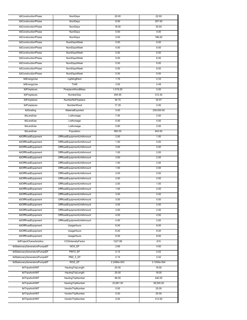| tblConstructionPhase           | NumDays                    | 20.00       | 22.00       |
|--------------------------------|----------------------------|-------------|-------------|
| tblConstructionPhase           | <b>NumDays</b>             | 8.00        | 257.00      |
| tblConstructionPhase           | <b>NumDays</b>             | 18.00       | 30.00       |
| tblConstructionPhase           | NumDays                    | 5.00        | 4.00        |
| tblConstructionPhase           | NumDays                    | 5.00        | 186.00      |
| tblConstructionPhase           | <b>NumDaysWeek</b>         | 5.00        | 6.00        |
| tblConstructionPhase           |                            |             |             |
|                                | NumDaysWeek                | 5.00        | 6.00        |
| tblConstructionPhase           | NumDaysWeek                | 5.00        | 6.00        |
| tblConstructionPhase           | <b>NumDaysWeek</b>         | 5.00        | 6.00        |
| tblConstructionPhase           | NumDaysWeek                | 5.00        | 6.00        |
| tblConstructionPhase           | <b>NumDaysWeek</b>         | 5.00        | 6.00        |
| tblConstructionPhase           | <b>NumDaysWeek</b>         | 5.00        | 6.00        |
| tblEnergyUse                   | LightingElect              | 1.75        | 2.33        |
| tblEnergyUse                   | <b>T24E</b>                | 3.92        | 0.49        |
| tblFireplaces                  | FireplaceWoodMass          | 1,019.20    | 0.00        |
| tblFireplaces                  | <b>NumberGas</b>           | 294.95      | 312.30      |
| tblFireplaces                  | NumberNoFireplace          | 34.70       | 34.07       |
| tblFireplaces                  | NumberWood                 | 17.35       | 0.00        |
|                                |                            |             |             |
| tblGrading                     | MaterialExported           | 0.00        | 239,500.00  |
| tblLandUse                     | LotAcreage                 | 7.45        | 0.00        |
| tblLandUse                     | LotAcreage                 | 0.50        | 0.00        |
| tblLandUse                     | LotAcreage                 | 5.60        | 0.00        |
| tblLandUse                     | Population                 | 992.00      | 843.00      |
| tblOffRoadEquipment            | OffRoadEquipmentUnitAmount | 2.00        | 1.00        |
| tblOffRoadEquipment            | OffRoadEquipmentUnitAmount | 1.00        | 0.00        |
| tblOffRoadEquipment            | OffRoadEquipmentUnitAmount | 3.00        | 0.00        |
| tblOffRoadEquipment            | OffRoadEquipmentUnitAmount | 1.00        | 2.00        |
| tblOffRoadEquipment            | OffRoadEquipmentUnitAmount | 3.00        | 2.00        |
| tblOffRoadEquipment            | OffRoadEquipmentUnitAmount | 1.00        | 2.00        |
| tblOffRoadEquipment            | OffRoadEquipmentUnitAmount | 1.00        | 0.00        |
| tblOffRoadEquipment            | OffRoadEquipmentUnitAmount | 2.00        | 0.00        |
|                                |                            |             |             |
| tblOffRoadEquipment            | OffRoadEquipmentUnitAmount | 2.00        | 0.00        |
| tblOffRoadEquipment            | OffRoadEquipmentUnitAmount | 2.00        | 1.00        |
| tblOffRoadEquipment            | OffRoadEquipmentUnitAmount | 1.00        | 2.00        |
| tblOffRoadEquipment            | OffRoadEquipmentUnitAmount | 3.00        | 0.00        |
| tblOffRoadEquipment            | OffRoadEquipmentUnitAmount | 3.00        | 0.00        |
| tblOffRoadEquipment            | OffRoadEquipmentUnitAmount | 3.00        | 0.00        |
| tblOffRoadEquipment            | OffRoadEquipmentUnitAmount | 3.00        | 2.00        |
| tblOffRoadEquipment            | OffRoadEquipmentUnitAmount | 4.00        | 0.00        |
| tblOffRoadEquipment            | OffRoadEquipmentUnitAmount | 4.00        | 0.00        |
| tblOffRoadEquipment            | UsageHours                 | 6.00        | 8.00        |
| tblOffRoadEquipment            | UsageHours                 | 6.00        | 8.00        |
| tblOffRoadEquipment            | UsageHours                 | 6.00        | 8.00        |
| tblProjectCharacteristics      | CO2IntensityFactor         | 1227.89     | 615         |
|                                |                            |             |             |
| tblStationaryGeneratorsPumpsEF | NOX EF                     | 2.85        | 0.50        |
| tblStationaryGeneratorsPumpsEF | PM10_EF                    | 0.15        | 0.02        |
| tblStationaryGeneratorsPumpsEF | PM2_5_EF                   | 0.15        | 0.02        |
| tblStationaryGeneratorsPumpsEF | <b>ROG EF</b>              | 2.2480e-003 | 3.1000e-004 |
| tblTripsAndVMT                 | HaulingTripLength          | 20.00       | 18.00       |
| tblTripsAndVMT                 | HaulingTripLength          | 20.00       | 18.00       |
| tblTripsAndVMT                 | HaulingTripNumber          | 99.00       | 440.00      |
| tblTripsAndVMT                 | HaulingTripNumber          | 23,681.00   | 38,550.00   |
| tblTripsAndVMT                 | VendorTripNumber           | 0.00        | 20.00       |
| tblTripsAndVMT                 | VendorTripNumber           | 0.00        | 20.00       |
| tblTripsAndVMT                 | VendorTripNumber           | 0.00        | 312.00      |
|                                |                            |             |             |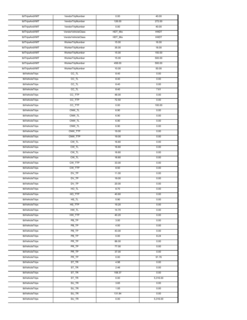| tblTripsAndVMT  | VendorTripNumber          | 0.00    | 40.00       |
|-----------------|---------------------------|---------|-------------|
| tblTripsAndVMT  | VendorTripNumber          | 126.00  | 272.00      |
| tblTripsAndVMT  | VendorTripNumber          | 0.00    | 40.00       |
| tblTripsAndVMT  | <b>VendorVehicleClass</b> | HDT_Mix | <b>HHDT</b> |
| tblTripsAndVMT  | VendorVehicleClass        | HDT_Mix | <b>HHDT</b> |
| tblTripsAndVMT  | WorkerTripNumber          | 15.00   | 16.00       |
| tblTripsAndVMT  | WorkerTripNumber          | 35.00   | 18.00       |
| tblTripsAndVMT  | WorkerTripNumber          | 15.00   | 150.00      |
| tblTripsAndVMT  | WorkerTripNumber          | 15.00   | 500.00      |
| tblTripsAndVMT  | WorkerTripNumber          | 458.00  | 500.00      |
| tblTripsAndVMT  | WorkerTripNumber          | 10.00   | 50.00       |
| tblVehicleTrips | $CC$ _TL                  | 8.40    | 0.00        |
| tblVehicleTrips | $\overline{CC\_TL}$       | 8.40    | 0.00        |
| tblVehicleTrips | $\overline{CC\_TL}$       | 8.40    | 0.00        |
| tblVehicleTrips | $CC$ _TL                  | 8.40    | 7.61        |
| tblVehicleTrips | CC_TTP                    | 48.00   | 0.00        |
| tblVehicleTrips | CC_TTP                    | 72.50   | 0.00        |
| tblVehicleTrips | CC_TTP                    | 0.00    | 100.00      |
| tblVehicleTrips | CNW_TL                    | 6.90    | 0.00        |
| tblVehicleTrips | CNW_TL                    | 6.90    | 0.00        |
|                 |                           | 6.90    | 0.00        |
| tblVehicleTrips | CNW_TL                    |         |             |
| tblVehicleTrips | CNW_TL                    | 6.90    | 0.00        |
| tblVehicleTrips | CNW_TTP                   | 19.00   | 0.00        |
| tblVehicleTrips | CNW_TTP                   | 19.00   | 0.00        |
| tblVehicleTrips | CW_TL                     | 16.60   | 0.00        |
| tblVehicleTrips | CW_TL                     | 16.60   | 0.00        |
| tblVehicleTrips | $CW_T$                    | 16.60   | 0.00        |
| tblVehicleTrips | $CW_T$                    | 16.60   | 0.00        |
| tblVehicleTrips | CW_TTP                    | 33.00   | 0.00        |
| tblVehicleTrips | CW_TTP                    | 8.50    | 0.00        |
| tblVehicleTrips | DV_TP                     | 11.00   | 0.00        |
| tblVehicleTrips | $DV_TP$                   | 19.00   | 0.00        |
| tblVehicleTrips | DV_TP                     | 20.00   | 0.00        |
| tblVehicleTrips | HO_TL                     | 8.70    | 0.00        |
| tblVehicleTrips | HO_TTP                    | 40.60   | 0.00        |
| tblVehicleTrips | HS_TL                     | 5.90    | 0.00        |
| tblVehicleTrips | HS_TTP                    | 19.20   | 0.00        |
| tblVehicleTrips | HW_TL                     | 14.70   | 0.00        |
| tblVehicleTrips | HW_TTP                    | 40.20   | 0.00        |
| tblVehicleTrips | PB_TP                     | 3.00    | 0.00        |
| tblVehicleTrips | PB_TP                     | 4.00    | 0.00        |
| tblVehicleTrips | PB_TP                     | 43.00   | 0.00        |
| tblVehicleTrips | PB TP                     | 0.00    | 8.24        |
| tblVehicleTrips | PR TP                     | 86.00   | 0.00        |
| tblVehicleTrips | PR TP                     | 77.00   | 0.00        |
| tblVehicleTrips | PR TP                     | 37.00   | 0.00        |
| tblVehicleTrips | PR_TP                     | 0.00    | 91.76       |
| tblVehicleTrips | ST_TR                     | 4.98    | 0.00        |
| tblVehicleTrips | ST_TR                     | 2.46    | 0.00        |
| tblVehicleTrips | ST_TR                     | 158.37  | 0.00        |
| tblVehicleTrips | ST_TR                     | 0.00    | 5,316.00    |
| tblVehicleTrips | SU_TR                     | 3.65    | 0.00        |
| tblVehicleTrips | SU_TR                     | 1.05    | 0.00        |
| tblVehicleTrips | SU_TR                     | 131.84  | 0.00        |
| tblVehicleTrips | SU_TR                     | 0.00    | 5,316.00    |
|                 |                           |         |             |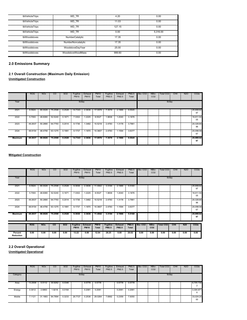| tblVehicleTrips | WD TR              | 4.20   | 0.00     |
|-----------------|--------------------|--------|----------|
| tblVehicleTrips | WD TR              | 11.03  | 0.00     |
| tblVehicleTrips | WD TR              | 127.15 | 0.00     |
| tblVehicleTrips | WD TR              | 0.00   | 5.316.00 |
| tblWoodstoves   | NumberCatalytic    | 17.35  | 0.00     |
| tblWoodstoves   | NumberNoncatalytic | 17.35  | 0.00     |
| tblWoodstoves   | WoodstoveDayYear   | 25.00  | 0.00     |
| tblWoodstoves   | WoodstoveWoodMass  | 999.60 | 0.00     |

#### **2.0 Emissions Summary**

#### **2.1 Overall Construction (Maximum Daily Emission) Unmitigated Construction**

|                | <b>ROG</b> | <b>NO<sub>x</sub></b> | CO      | SO <sub>2</sub> | Fugitive<br><b>PM10</b> | Exhaust<br><b>PM10</b> | <b>PM10</b><br>Total | Fugitive<br>PM2.5 | Exhaust<br>PM2.5 | <b>PM2.5</b><br>Total | Bio-CO <sub>2</sub> | NBio-<br>CO <sub>2</sub> | Total CO <sub>2</sub> | CH <sub>4</sub> | <b>N2O</b> | CO <sub>2e</sub> |
|----------------|------------|-----------------------|---------|-----------------|-------------------------|------------------------|----------------------|-------------------|------------------|-----------------------|---------------------|--------------------------|-----------------------|-----------------|------------|------------------|
| Year           |            |                       |         |                 | lb/day                  |                        |                      |                   |                  |                       |                     |                          | lb/day                |                 |            |                  |
| 2021           | 8.5924     | 90.0026               | 75.2598 | 0.2528          | 14.7343                 | 2.3636                 | 17.0979              | 7.3579            | 2.1966           | 9.5545                |                     |                          |                       |                 |            | 125,908.62<br>97 |
| 2022           | 5.7093     | 48.6080               | 52.5240 | 0.1671          | 7.3302                  | 1.2225                 | 8.5527               | 1.9836            | 1.2040           | 3.1876                |                     |                          |                       |                 |            | 16,911.50<br>05  |
| 2023           | 49.2637    | 50.2890               | 64.7793 | 0.2014          | 9.1736                  | 1.3482                 | 10.5218              | 2.4783            | 1.3178           | 3.7961                |                     |                          |                       |                 |            | 20,328.80<br>96  |
| 2024           | 48.9154    | 48.4756               | 63.1275 | 0.1991          | 9.1737                  | 1.1870                 | 10.3607              | 2.4783            | 1.1594           | 3.6377                |                     |                          |                       |                 |            | 20,098.58<br>67  |
| <b>Maximum</b> | 49.2637    | 90.0026               | 75.2598 | 0.2528          | 14.7343                 | 2.3636                 | 17.0979              | 7.3579            | 2.1966           | 9.5545                |                     |                          |                       |                 |            | 25,908.62<br>97  |

#### **Mitigated Construction**

|                      | <b>ROG</b> | <b>NO<sub>x</sub></b> | CO             | <b>SO2</b> | Fugitive<br><b>PM10</b>        | Exhaust<br><b>PM10</b>        | <b>PM10</b><br>Total        | Fugitive<br>PM2.5               | Exhaust<br>PM2.5               | PM2.5<br>Total               | Bio-CO <sub>2</sub> | NBio-<br>CO <sub>2</sub> | Total CO <sub>2</sub> | CH <sub>4</sub> | <b>N2O</b>      | CO <sub>2</sub> e |  |
|----------------------|------------|-----------------------|----------------|------------|--------------------------------|-------------------------------|-----------------------------|---------------------------------|--------------------------------|------------------------------|---------------------|--------------------------|-----------------------|-----------------|-----------------|-------------------|--|
| Year                 |            |                       |                |            | lb/day                         |                               |                             |                                 |                                |                              | lb/day              |                          |                       |                 |                 |                   |  |
| 2021                 | 8.5924     | 90.0026               | 75.2598        | 0.2528     | 9.3938                         | 2.3636                        | 11.4942                     | 3.3194                          | 2.1966                         | 5.5160                       |                     |                          |                       |                 |                 | 25,908.62<br>97   |  |
| 2022                 | 5.7093     | 48.6080               | 52.5240        | 0.1671     | 7.3302                         | 1.2225                        | 8.5527                      | 1.9836                          | .2040                          | 3.1876                       |                     |                          |                       |                 |                 | 16,911.50<br>05   |  |
| 2023                 | 49.2637    | 50.2890               | 64.7793        | 0.2014     | 9.1736                         | 1.3482                        | 10.5218                     | 2.4783                          | 1.3178                         | 3.7961                       |                     |                          |                       |                 |                 | 20,328.80<br>96   |  |
| 2024                 | 48.9154    | 48.4756               | 63.1275        | 0.1991     | 9.1737                         | 1.1870                        | 10.3607                     | 2.4783                          | 1.1594                         | 3.6377                       |                     |                          |                       |                 |                 | 20,098.58<br>67   |  |
| <b>Maximum</b>       | 49.2637    | 90.0026               | 75.2598        | 0.2528     | 9.3938                         | 2.3636                        | 11.4942                     | 3.3194                          | 2.1966                         | 5.5160                       |                     |                          |                       |                 |                 | 25,908.62<br>97   |  |
|                      | <b>ROG</b> | <b>NOx</b>            | $\overline{c}$ | <b>SO2</b> | <b>Fugitive</b><br><b>PM10</b> | <b>Exhaust</b><br><b>PM10</b> | <b>PM10</b><br><b>Total</b> | <b>Fugitive</b><br><b>PM2.5</b> | <b>Exhaust</b><br><b>PM2.5</b> | <b>PM2.5</b><br><b>Total</b> | <b>Bio-CO2</b>      | NBio-<br>CO <sub>2</sub> | <b>Total CO2</b>      | CH4             | N <sub>20</sub> | CO <sub>2e</sub>  |  |
| Percent<br>Reduction | 0.00       | 0.00                  | 0.00           | 0.00       | 13.22                          | 0.00                          | 12.04                       | 28.25                           | 0.00                           | 20.02                        | 0.00                | 0.00                     | 0.00                  | 0.00            | 0.00            | 0.00              |  |

#### **2.2 Overall Operational Unmitigated Operational**

|          | <b>ROG</b> | <b>NOx</b> | CO.     | SO <sub>2</sub> | Fugitive<br><b>PM10</b> | Exhaust<br><b>PM10</b> | PM10<br>Total | Fugitive<br>PM2.5 | Exhaust<br>PM2.5 | PM2.5<br>Total | Bio-CO <sub>2</sub> | NBio-<br>CO <sub>2</sub> | Total CO <sub>2</sub> | CH <sub>4</sub> | N2O | CO <sub>2e</sub> |
|----------|------------|------------|---------|-----------------|-------------------------|------------------------|---------------|-------------------|------------------|----------------|---------------------|--------------------------|-----------------------|-----------------|-----|------------------|
| Category |            |            |         |                 | lb/day                  |                        |               |                   |                  |                |                     |                          | lb/day                |                 |     |                  |
| Area     | 13.2936    | 5.5112     | 30.9262 | 0.0346          |                         | 0.5778                 | 0.5778        |                   | 0.5778           | 0.5778         |                     |                          |                       |                 |     | 6,705.738        |
| Energy   | 0.3012     | 2.6863     | .9218   | 0.0164          |                         | 0.2081                 | 0.2081        |                   | 0.2081           | 0.2081         |                     |                          |                       |                 |     | 3,304.871<br>6   |
| Mobile   | 7.1121     | 31.1683    | 84.7894 | 0.3233          | 28,7727                 | 0.2538                 | 29.0264       | 7.6992            | 0.2359           | 7.9350         |                     |                          |                       |                 |     | 33,024.20<br>00  |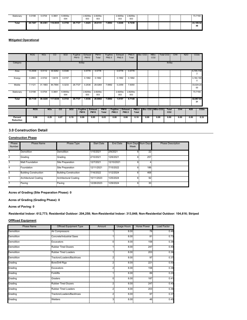| Stationarv | 0.0198  | 0.0704  | 0.3661   | 6.9000e-<br>004 |         | 2.8200e-<br>003 | 2.8200e-<br>003 |        | 2.8200e-<br>003 | 2.8200e-<br>003 |  |  | 73.7150         |
|------------|---------|---------|----------|-----------------|---------|-----------------|-----------------|--------|-----------------|-----------------|--|--|-----------------|
| Total      | 20.7267 | 39.4361 | 118.0035 | 0.3750          | 28.7727 | .0425           | 29.8151         | 7.6992 | 1.0246          | 8.7238          |  |  | 43.108.52<br>48 |

#### **Mitigated Operational**

|                      | <b>ROG</b> | <b>NO<sub>x</sub></b> |            | $\overline{c}$ | SO <sub>2</sub> | Fugitive<br><b>PM10</b> | Exhaust<br><b>PM10</b>         | <b>PM10</b><br>Total          | Fugitive<br>PM2.5           |                   | Exhaust<br>PM2.5 | <b>PM2.5</b><br>Total          |                       | Bio-CO <sub>2</sub> | NBio-<br>CO <sub>2</sub> | Total CO <sub>2</sub> |                                 | CH <sub>4</sub> | N <sub>2</sub> O | CO <sub>2</sub> e           |  |
|----------------------|------------|-----------------------|------------|----------------|-----------------|-------------------------|--------------------------------|-------------------------------|-----------------------------|-------------------|------------------|--------------------------------|-----------------------|---------------------|--------------------------|-----------------------|---------------------------------|-----------------|------------------|-----------------------------|--|
| Category             |            |                       |            |                |                 |                         | lb/day                         |                               |                             |                   |                  |                                |                       |                     |                          |                       | lb/day                          |                 |                  |                             |  |
| Area                 | 13.2936    | 5.5112                |            | 30.9262        | 0.0346          |                         | 0.5778                         | 0.5778                        |                             |                   | 0.5778           | 0.5778                         |                       |                     |                          |                       |                                 |                 |                  | 6,705.738<br>$\overline{2}$ |  |
| Energy               | 0.2883     | 2.5722                |            | 1.8419         | 0.0157          |                         | 0.1992                         | 0.1992                        |                             |                   | 0.1992           | 0.1992                         |                       |                     |                          |                       |                                 |                 |                  | 3,164.190<br>0              |  |
| Mobile               | 7.1121     | 31.1683               | 84.7894    |                | 0.3233          | 28,7727                 | 0.2538                         | 29.0264                       | 7.6992                      |                   | 0.2359           | 7.9350                         |                       |                     |                          |                       |                                 |                 |                  | 33,024.20<br>$00\,$         |  |
| Stationary           | 0.0198     | 0.0704                | 0.3661     |                | 6.9000e-<br>004 |                         | 2.8200e-<br>003                | 2.8200e-<br>003               |                             |                   | 2.8200e-<br>003  | 2.8200e-<br>003                |                       |                     |                          |                       |                                 |                 |                  | 73.7150                     |  |
| <b>Total</b>         | 20.7139    | 39.3220               | 117.9236   |                | 0.3743          | 28.7727                 | 1.0336                         | 29.8063                       | 7.6992                      |                   | 1.0157           | 8.7149                         |                       |                     |                          |                       |                                 |                 |                  | 42,967.84<br>31             |  |
|                      | <b>ROG</b> |                       | <b>NOx</b> |                | <b>CO</b>       | <b>SO2</b>              | <b>Fugitive</b><br><b>PM10</b> | <b>Exhaust</b><br><b>PM10</b> | <b>PM10</b><br><b>Total</b> | Fugitive<br>PM2.5 |                  | <b>Exhaust</b><br><b>PM2.5</b> | <b>PM2.5</b><br>Total | Bio-CO2 NBio-CO2    |                          |                       | <b>Total</b><br>CO <sub>2</sub> | CH <sub>4</sub> | <b>N20</b>       | CO <sub>2e</sub>            |  |
| Percent<br>Reduction | 0.06       |                       | 0.29       | 0.07           |                 | 0.19                    | 0.00                           | 0.85                          | 0.03                        | 0.00              |                  | 0.86                           | 0.10                  | 0.00                | 0.00                     |                       | 0.00                            | 0.00            | 0.00             | 0.33                        |  |

#### **3.0 Construction Detail**

#### **Construction Phase**

| Phase<br><b>Number</b> | <b>Phase Name</b>     | Phase Type                   | <b>Start Date</b> | End Date   | Week | Num Days Num Days | <b>Phase Description</b> |
|------------------------|-----------------------|------------------------------|-------------------|------------|------|-------------------|--------------------------|
|                        | Demolition            | Demolition                   | 1/15/2021         | 2/9/2021   | 6.   | $2\overline{2}$   |                          |
| $\overline{2}$         | Grading               | Grading                      | 2/10/2021         | 12/6/2021  | 6.   | 257               |                          |
| 3                      | Matt Foundation       | Site Preparation             | 12/7/2021         | 12/10/2021 | 6.   |                   |                          |
| 4                      | Foundation            | Site Preparation             | 12/11/2021        | 7/15/2022  | 6.   | 186               |                          |
| 5                      | Building Construction | <b>Building Construction</b> | 7/16/2022         | 1/12/2024  | 6.   | 468               |                          |
| 6                      | Architectural Coating | Architectural Coating        | 10/11/2023        | 1/25/2024  | 6.   | 92 <sup>1</sup>   |                          |
| 7                      | Paving                | Paving                       | 12/26/2023        | 1/29/2024  | 6.   | 30 <sup>1</sup>   |                          |

#### **Acres of Grading (Site Preparation Phase): 0**

**Acres of Grading (Grading Phase): 0**

#### **Acres of Paving: 0**

**Residential Indoor: 612,773; Residential Outdoor: 204,258; Non-Residential Indoor: 313,848; Non-Residential Outdoor: 104,616; Striped** 

#### **OffRoad Equipment**

| <b>Phase Name</b> | Offroad Equipment Type      | Amount         | Usage Hours | <b>Horse Power</b> | Load Factor |
|-------------------|-----------------------------|----------------|-------------|--------------------|-------------|
| Demolition        | Air Compressors             | H              | 8.00        | 78                 | 0.48        |
| <b>Demolition</b> | Concrete/Industrial Saws    |                | 8.00        | 81                 | 0.73        |
| Demolition        | Excavators                  | ΩĒ             | 8.00        | 158                | 0.38        |
| <b>Demolition</b> | <b>Rubber Tired Dozers</b>  |                | 8.00        | 247                | 0.40        |
| Demolition        | <b>Rubber Tired Loaders</b> |                | 8.00        | 203                | 0.36        |
| <b>Demolition</b> | Tractors/Loaders/Backhoes   | 21             | 8.00        | 97                 | 0.37        |
| Grading           | <b>Bore/Drill Rigs</b>      | 21             | 8.00        | 221                | 0.50        |
| Grading           | Excavators                  | 2              | 8.00        | 158                | 0.38        |
| Grading           | Forklifts                   |                | 8.00        | 89                 | 0.20        |
| Grading           | Graders                     | ∩≣             | 8.00        | 187                | 0.41        |
| Grading           | <b>Rubber Tired Dozers</b>  | 21             | 8.00        | 247                | 0.40        |
| Grading           | <b>Rubber Tired Loaders</b> | 21             | 8.00        | 203                | 0.36        |
| Grading           | Tractors/Loaders/Backhoes   | 2 <sup>1</sup> | 8.00        | 97                 | 0.37        |
| Grading           | Welders                     |                | 8.00        | 46                 | 0.45        |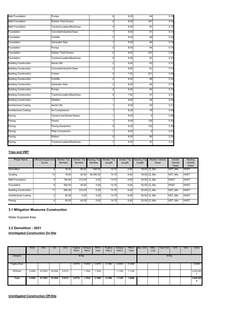| <b>Matt Foundation</b>       | Pumps                           | 6              | 8.00 | 84              | 0.74 |
|------------------------------|---------------------------------|----------------|------|-----------------|------|
| <b>Matt Foundation</b>       | <b>Rubber Tired Dozers</b>      | 0              | 8.00 | 247             | 0.40 |
| <b>Matt Foundation</b>       | Tractors/Loaders/Backhoes       | 0              | 8.00 | 97              | 0.37 |
| Foundation                   | Concrete/Industrial Saws        | 1              | 8.00 | 81              | 0.73 |
| Foundation                   | Forklifts                       | $\overline{2}$ | 8.00 | 89              | 0.20 |
| Foundation                   | <b>Generator Sets</b>           | 1              | 8.00 | 84              | 0.74 |
| Foundation                   | Pumps                           | $\overline{2}$ | 8.00 | 84              | 0.74 |
| Foundation                   | <b>Rubber Tired Dozers</b>      | 0              | 8.00 | 247             | 0.40 |
| Foundation                   | Tractors/Loaders/Backhoes       | 0              | 8.00 | 97              | 0.37 |
| <b>Building Construction</b> | <b>Aerial Lifts</b>             | 2 <sup>1</sup> | 8.00 | 63              | 0.31 |
| <b>Building Construction</b> | Concrete/Industrial Saws        | 2 <sub>1</sub> | 8.00 | 81              | 0.73 |
| <b>Building Construction</b> | Cranes                          | 0              | 7.00 | 231             | 0.29 |
| <b>Building Construction</b> | <b>Forklifts</b>                | 2 <sup>1</sup> | 8.00 | 89              | 0.20 |
| <b>Building Construction</b> | <b>Generator Sets</b>           | $\overline{2}$ | 8.00 | 84              | 0.74 |
| <b>Building Construction</b> | Pumps                           | 2 <sub>1</sub> | 8.00 | 84 <sup>5</sup> | 0.74 |
| <b>Building Construction</b> | Tractors/Loaders/Backhoes       | 0              | 7.00 | 97              | 0.37 |
| <b>Building Construction</b> | Welders                         | 1              | 8.00 | 46              | 0.45 |
| <b>Architectural Coating</b> | <b>Aerial Lifts</b>             | 1              | 8.00 | 63              | 0.31 |
| <b>Architectural Coating</b> | Air Compressors                 | 1              | 8.00 | 78              | 0.48 |
| Paving                       | <b>Cement and Mortar Mixers</b> | 1              | 8.00 | 9               | 0.56 |
| Paving                       | Pavers                          | 1              | 8.00 | 130             | 0.42 |
| Paving                       | Paving Equipment                | 0              | 8.00 | 132             | 0.36 |
| Paving                       | Plate Compactors                | 1              | 8.00 | 8               | 0.43 |
| Paving                       | Rollers                         | 0              | 6.00 | 80              | 0.38 |
| Paving                       | Tractors/Loaders/Backhoes       | 1              | 8.00 | 97              | 0.37 |

#### **Trips and VMT**

| Phase Name                   | <b>Offroad Equipment</b><br>Count | <b>Worker Trip</b><br>Number | Vendor Trip Hauling Trip<br><b>Number</b> | Number    | <b>Worker Trip</b><br>Length | <b>Vendor Trip</b><br>Length | <b>Hauling Trip</b><br>Length | <b>Worker Vehicle</b><br>Class | Vendor<br>Vehicle<br><b>Class</b> | Hauling<br>Vehicle<br><b>Class</b> |
|------------------------------|-----------------------------------|------------------------------|-------------------------------------------|-----------|------------------------------|------------------------------|-------------------------------|--------------------------------|-----------------------------------|------------------------------------|
| Demolition                   | 6.                                | 16.00                        | 20.00                                     | 440.00    | 14.70                        | 6.90                         |                               | 18.00 LD Mix                   | <b>HDT Mix</b>                    | <b>HHDT</b>                        |
| Grading                      | 14                                | 18.00                        | 20.00                                     | 38.550.00 | 14.70                        | 6.90                         |                               | 18.00 LD Mix                   | <b>HDT Mix</b>                    | <b>HHDT</b>                        |
| Matt Foundation              | 6.                                | 150.00                       | 312.00                                    | 0.00      | 14.70                        | 6.90                         |                               | 20.00 LD Mix                   | <b>HHDT</b>                       | <b>HHDT</b>                        |
| Foundation                   | 6.                                | 500.00                       | 40.00                                     | 0.00      | 14.70                        | 6.90                         |                               | 20.00 LD Mix                   | <b>HHDT</b>                       | <b>HHDT</b>                        |
| <b>Building Construction</b> | 111                               | 500.00                       | 272.00                                    | 0.00      | 14.70                        | 6.90                         |                               | 20.00 LD Mix                   | HDT Mix                           | <b>HHDT</b>                        |
| Architectural Coating        | 21                                | 92.00                        | 0.00                                      | 0.00      | 14.70                        | 6.90                         |                               | 20.00 LD Mix                   | HDT Mix                           | <b>HHDT</b>                        |
| Paving                       |                                   | 50.00                        | 40.00                                     | 0.00      | 14.70                        | 6.90                         |                               | 20.00 LD Mix                   | HDT Mix                           | <b>HHDT</b>                        |

#### **3.1 Mitigation Measures Construction**

Water Exposed Area

#### **3.2 Demolition - 2021**

#### **Unmitigated Construction On-Site**

|                      | <b>ROG</b> | <b>NOx</b> | <sub>CO</sub> | SO <sub>2</sub> | Fugitive<br><b>PM10</b> | Exhaust<br><b>PM10</b> | <b>PM10</b><br>Total | Fugitive<br>PM2.5 | Exhaust<br>PM2.5 | PM2.5<br>Total | Bio-CO <sub>2</sub> | NBio-<br>CO <sub>2</sub> | Total CO <sub>2</sub> | CH <sub>4</sub> | N2O | CO <sub>2e</sub> |
|----------------------|------------|------------|---------------|-----------------|-------------------------|------------------------|----------------------|-------------------|------------------|----------------|---------------------|--------------------------|-----------------------|-----------------|-----|------------------|
| Category             |            |            |               |                 | lb/day                  |                        |                      |                   |                  |                |                     |                          | lb/day                |                 |     |                  |
| <b>Fugitive Dust</b> |            |            |               |                 | 0.9774                  | 0.0000                 | 0.9774               | 0.1480            | 0.0000           | 0.1480         |                     |                          |                       |                 |     | 0.0000           |
| Off-Road             | 2.4406     | 23,7004    | 16.2544       | 0.0312          |                         | 1.1834                 | 1.1834               |                   | 1.1126           | 1.1126         |                     |                          |                       |                 |     | 3,020.260        |
| Total                | 2.4406     | 23.7004    | 16.2544       | 0.0312          | 0.9774                  | 1.1834                 | 2.1608               | 0.1480            | 1.1126           | .2606          |                     |                          |                       |                 |     | 3,020.260        |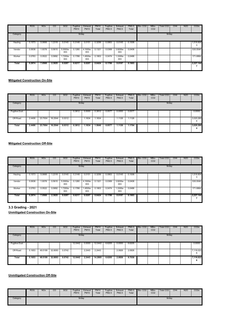|              | <b>ROG</b> | <b>NOx</b> | CO     | SO <sub>2</sub> | Fugitive<br><b>PM10</b> | Exhaust<br><b>PM10</b> | <b>PM10</b><br>Total | Fugitive<br>PM2.5 | Exhaust<br>PM2.5 | PM2.5<br>Total | Bio-CO <sub>2</sub> | NBio-<br>CO <sub>2</sub> | Total CO2 | CH <sub>4</sub> | N2O | CO <sub>2</sub> e |
|--------------|------------|------------|--------|-----------------|-------------------------|------------------------|----------------------|-------------------|------------------|----------------|---------------------|--------------------------|-----------|-----------------|-----|-------------------|
| Category     |            |            |        |                 | lb/day                  |                        |                      |                   |                  |                |                     |                          | lb/day    |                 |     |                   |
| Hauling      | 0.1573     | 5.0668     | .2318  | 0.0140          | 0.3148                  | 0.0151                 | 0.3299               | 0.0863            | 0.0145           | 0.1008         |                     |                          |           |                 |     | 1,519.904<br>3    |
| Vendor       | 0.0638     | 1.9378     | 0.5615 | 5.0000e-<br>003 | 0.1280                  | 4.1000e-<br>003        | 0.1321               | 0.0369            | 3.9200e-<br>003  | 0.0408         |                     |                          |           |                 |     | 535.5540          |
| Worker       | 0.0763     | 0.0522     | 0.5892 | 1.7200e-<br>003 | 0.1788                  | 1.4500e-<br>003        | 0.1803               | 0.0474            | 1.3300e-<br>003  | 0.0488         |                     |                          |           |                 |     | 171.6864          |
| <b>Total</b> | 0.2974     | 7.0568     | 2.3825 | 0.0207          | 0.6217                  | 0.0207                 | 0.6424               | 0.1706            | 0.0197           | 0.1903         |                     |                          |           |                 |     | 2.227.144         |

#### **Mitigated Construction On-Site**

|                      | <b>ROG</b> | <b>NOx</b> | CO      | SO <sub>2</sub> | Fugitive<br><b>PM10</b> | Exhaust<br><b>PM10</b> | PM <sub>10</sub><br>Total | Fugitive<br>PM2.5 | Exhaust<br>PM2.5 | PM2.5<br>Total | Bio-CO <sub>2</sub> | NBio-<br>CO <sub>2</sub> | Total CO <sub>2</sub> | CH <sub>4</sub> | N <sub>2</sub> O | CO <sub>2</sub> e |
|----------------------|------------|------------|---------|-----------------|-------------------------|------------------------|---------------------------|-------------------|------------------|----------------|---------------------|--------------------------|-----------------------|-----------------|------------------|-------------------|
| Category             |            |            |         |                 | lb/day                  |                        |                           |                   |                  |                |                     |                          | lb/day                |                 |                  |                   |
| <b>Fugitive Dust</b> |            |            |         |                 | 0.3812                  | 0.0000                 | 0.3812                    | 0.0577            | 0.0000           | 0.0577         |                     |                          |                       |                 |                  | 0.0000            |
| Off-Road             | 2.4406     | 23,7004    | 16.2544 | 0.0312          |                         | 1.1834                 | 1.1834                    |                   | 1.1126           | 1.1126         |                     |                          |                       |                 |                  | 3,020.260<br>4    |
| Total                | 2.4406     | 23.7004    | 16.2544 | 0.0312          | 0.3812                  | 1.1834                 | 1.5646                    | 0.0577            | 1.1126           | 1.1704         |                     |                          |                       |                 |                  | 3,020.260<br>4    |

#### **Mitigated Construction Off-Site**

|          | <b>ROG</b> | <b>NO<sub>x</sub></b> | CO     | SO <sub>2</sub> | Fugitive<br><b>PM10</b> | <b>Exhaust</b><br><b>PM10</b> | <b>PM10</b><br>Total | Fugitive<br>PM2.5 | Exhaust<br>PM2.5 | PM2.5<br>Total | Bio-CO <sub>2</sub> | NBio-<br>CO <sub>2</sub> | Total CO <sub>2</sub> | CH <sub>4</sub> | N <sub>2</sub> O | CO <sub>2e</sub> |
|----------|------------|-----------------------|--------|-----------------|-------------------------|-------------------------------|----------------------|-------------------|------------------|----------------|---------------------|--------------------------|-----------------------|-----------------|------------------|------------------|
| Category |            |                       |        |                 | lb/day                  |                               |                      |                   |                  |                |                     |                          | lb/day                |                 |                  |                  |
| Hauling  | 0.1573     | 5.0668                | 1.2318 | 0.0140          | 0.3148                  | 0.0151                        | 0.3299               | 0.0863            | 0.0145           | 0.1008         |                     |                          |                       |                 |                  | 1,519.904<br>3   |
| Vendor   | 0.0638     | 1.9378                | 0.5615 | 5.0000e-<br>003 | 0.1280                  | 4.1000e-<br>003               | 0.1321               | 0.0369            | 3.9200e-<br>003  | 0.0408         |                     |                          |                       |                 |                  | 535.5540         |
| Worker   | 0.0763     | 0.0522                | 0.5892 | 1.7200e-<br>003 | 0.1788                  | .4500e-<br>003                | 0.1803               | 0.0474            | 1.3300e-<br>003  | 0.0488         |                     |                          |                       |                 |                  | 171.6864         |
| Total    | 0.2974     | 7.0568                | 2.3825 | 0.0207          | 0.6217                  | 0.0207                        | 0.6424               | 0.1706            | 0.0197           | 0.1903         |                     |                          |                       |                 |                  | 2.227.144        |

**3.3 Grading - 2021**

**Unmitigated Construction On-Site**

|                      | <b>ROG</b> | <b>NO<sub>x</sub></b> | CO      | <b>SO2</b> | Fugitive<br><b>PM10</b> | Exhaust<br><b>PM10</b> | <b>PM10</b><br>Total | Fugitive<br>PM2.5 | Exhaust<br>PM2.5 | PM2.5<br>Total | Bio-CO <sub>2</sub> | NBio-<br>CO <sub>2</sub> | Total CO <sub>2</sub> | CH <sub>4</sub> | <b>N2O</b> | CO <sub>2e</sub> |
|----------------------|------------|-----------------------|---------|------------|-------------------------|------------------------|----------------------|-------------------|------------------|----------------|---------------------|--------------------------|-----------------------|-----------------|------------|------------------|
| Category             |            |                       |         |            | lb/day                  |                        |                      |                   |                  |                |                     |                          | lb/day                |                 |            |                  |
| <b>Fugitive Dust</b> |            |                       |         |            | 12.0442                 | 0.0000                 | 12.0442              | 6.6205            | 0.0000           | 6.6205         |                     |                          |                       |                 |            | 0.0000           |
| Off-Road             | 5.1653     | 49.5199               | 32,8093 | 0.0742     |                         | 2.2443                 | 2.2443               |                   | 2.0826           | 2.0826         |                     |                          |                       |                 |            | 7,116.022<br>6   |
| Total                | 5.1653     | 49.5199               | 32.8093 | 0.0742     | 12.0442                 | 2.2443                 | 14.2885              | 6.6205            | 2.0826           | 8.7030         |                     |                          |                       |                 |            | 7,116.022<br>6   |

#### **Unmitigated Construction Off-Site**

|          | <b>ROG</b> | <b>NO<sub>x</sub></b> | $_{\rm CO}$ | <b>SO2</b> | Fugitive<br><b>PM10</b> | Exhaust<br><b>PM10</b> | <b>PM10</b><br>Total | Fugitive<br>PM2.5 | Exhaust<br>PM2.5 | PM2.5<br>Total | Bio-CO <sub>2</sub> | NBio-<br>CO <sub>2</sub> | Total CO <sub>2</sub> | CH <sub>4</sub> | <b>N2O</b> | CO <sub>2e</sub> |
|----------|------------|-----------------------|-------------|------------|-------------------------|------------------------|----------------------|-------------------|------------------|----------------|---------------------|--------------------------|-----------------------|-----------------|------------|------------------|
| Category |            |                       |             |            | lb/day                  |                        |                      |                   |                  |                |                     |                          | lb/day                |                 |            |                  |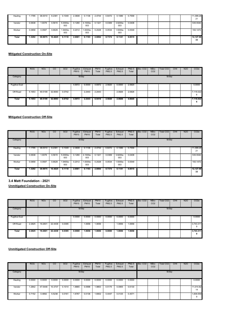| Hauling | i.1795 | 38.0010 | 9.2381  | 0.1049          | 2.3608 | 0.1136          | 2.4744 | 0.6472 | 0.1086          | 0.7558 |  |  | 11,399.28<br>21 |
|---------|--------|---------|---------|-----------------|--------|-----------------|--------|--------|-----------------|--------|--|--|-----------------|
| Vendor  | 0.0638 | 1.9378  | 0.5615  | 5.0000e-<br>003 | 0.1280 | 4.1000e-<br>003 | 0.1321 | 0.0369 | 3.9200e-<br>003 | 0.0408 |  |  | 535.5540        |
| Worker  | 0.0858 | 0.0587  | 0.6629  | 1.9400e-<br>003 | 0.2012 | .6300e-<br>003  | 0.2028 | 0.0534 | 1.5000e-<br>003 | 0.0549 |  |  | 193.1472        |
| Total   | 1.3292 | 39.9975 | 10.4625 | 0.1118          | 2.6901 | 0.1193          | 2.8094 | 0.7374 | 0.1141          | 0.8515 |  |  | 12,127.98<br>33 |

#### **Mitigated Construction On-Site**

|                      | <b>ROG</b> | <b>NO<sub>x</sub></b> | CO      | SO <sub>2</sub> | Fugitive<br><b>PM10</b> | Exhaust<br><b>PM10</b> | <b>PM10</b><br>Total | Fugitive<br>PM2.5 | Exhaust<br>PM2.5 | PM2.5<br>Total | Bio-CO <sub>2</sub> | NBio-<br>CO <sub>2</sub> | Total CO <sub>2</sub> | CH <sub>4</sub> | <b>N2O</b> | CO <sub>2e</sub> |  |  |  |
|----------------------|------------|-----------------------|---------|-----------------|-------------------------|------------------------|----------------------|-------------------|------------------|----------------|---------------------|--------------------------|-----------------------|-----------------|------------|------------------|--|--|--|
| Category             | lb/day     |                       |         |                 |                         |                        |                      |                   |                  |                |                     | lb/day                   |                       |                 |            |                  |  |  |  |
| <b>Fugitive Dust</b> |            |                       |         |                 | 4.6972                  | 0.0000                 | 4.6972               | 2.5820            | 0.0000           | 2.5820         |                     |                          |                       |                 |            | 0.0000           |  |  |  |
| Off-Road             | 5.1653     | 49.5199               | 32.8093 | 0.0742          |                         | 2.2443                 | 2.2443               |                   | 2.0826           | 2.0826         |                     |                          |                       |                 |            | 7,116.022<br>6   |  |  |  |
| Total                | 5.1653     | 49.5199               | 32.8093 | 0.0742          | 4.6972                  | 2.2443                 | 6.9416               | 2.5820            | 2.0826           | 4.6645         |                     |                          |                       |                 |            | 7,116.022<br>6   |  |  |  |

#### **Mitigated Construction Off-Site**

|          | <b>ROG</b> | <b>NOx</b> | CO      | SO <sub>2</sub> | Fugitive<br><b>PM10</b> | Exhaust<br><b>PM10</b> | <b>PM10</b><br>Total | Fugitive<br>PM2.5 | Exhaust<br>PM2.5 | PM2.5<br>Total | Bio-CO <sub>2</sub> | NBio-<br>CO <sub>2</sub> | Total CO2 | CH <sub>4</sub> | N2O | CO <sub>2</sub> e |  |  |
|----------|------------|------------|---------|-----------------|-------------------------|------------------------|----------------------|-------------------|------------------|----------------|---------------------|--------------------------|-----------|-----------------|-----|-------------------|--|--|
| Category | lb/day     |            |         |                 |                         |                        |                      |                   |                  |                |                     | lb/day                   |           |                 |     |                   |  |  |
| Hauling  | 1.1795     | 38,0010    | 9.2381  | 0.1049          | 2.3608                  | 0.1136                 | 2.4744               | 0.6472            | 0.1086           | 0.7558         |                     |                          |           |                 |     | 11,399.28<br>21   |  |  |
| Vendor   | 0.0638     | 1.9378     | 0.5615  | 5.0000e-<br>003 | 0.1280                  | 4.1000e-<br>003        | 0.1321               | 0.0369            | 3.9200e-<br>003  | 0.0408         |                     |                          |           |                 |     | 535,5540          |  |  |
| Worker   | 0.0858     | 0.0587     | 0.6629  | 1.9400e-<br>003 | 0.2012                  | 1.6300e-<br>003        | 0.2028               | 0.0534            | 1.5000e-<br>003  | 0.0549         |                     |                          |           |                 |     | 193.1472          |  |  |
| Total    | 1.3292     | 39.9975    | 10.4625 | 0.1118          | 2.6901                  | 0.1193                 | 2.8094               | 0.7374            | 0.1141           | 0.8515         |                     |                          |           |                 |     | 12,127.98<br>33   |  |  |

**3.4 Matt Foundation - 2021 Unmitigated Construction On-Site**

|                      | <b>ROG</b> | <b>NOx</b> | CO      | SO <sub>2</sub> | Fugitive<br><b>PM10</b> | Exhaust<br><b>PM10</b> | <b>PM10</b><br>Total | Fugitive<br>PM2.5 | Exhaust<br>PM2.5 | Total  | <b>PM2.5 Bio-CO2</b> | NBio-<br>CO <sub>2</sub> | Total CO <sub>2</sub> | CH <sub>4</sub> | N <sub>2</sub> O | CO <sub>2e</sub> |  |  |  |
|----------------------|------------|------------|---------|-----------------|-------------------------|------------------------|----------------------|-------------------|------------------|--------|----------------------|--------------------------|-----------------------|-----------------|------------------|------------------|--|--|--|
| Category             | lb/day     |            |         |                 |                         |                        |                      |                   |                  |        |                      | lb/day                   |                       |                 |                  |                  |  |  |  |
| <b>Fugitive Dust</b> |            |            |         |                 | 0.0000                  | 0.0000                 | 0.0000               | 0.0000            | 0.0000           | 0.0000 |                      |                          |                       |                 |                  | 0.0000           |  |  |  |
| Off-Road             | 2.2825     | 19.2601    | 22.4438 | 0.0395          |                         | 1.0656                 | 1.0656               |                   | 1.0656           | .0656  |                      |                          |                       |                 |                  | 3,743.311<br>9   |  |  |  |
| Total                | 2.2825     | 19.2601    | 22.4438 | 0.0395          | 0.0000                  | 1.0656                 | 1.0656               | 0.0000            | 1.0656           | 1.0656 |                      |                          |                       |                 |                  | 3,743.311<br>9   |  |  |  |

#### **Unmitigated Construction Off-Site**

|          | <b>ROG</b> | <b>NO<sub>x</sub></b> | CO      | SO <sub>2</sub> | Fugitive<br><b>PM10</b> | Exhaust<br><b>PM10</b> | <b>PM10</b><br>Total | Fugitive<br>PM2.5 | Exhaust<br>PM2.5 | PM2.5<br>Total | Bio-CO <sub>2</sub> | NBio-<br>CO <sub>2</sub> | Total CO <sub>2</sub> | CH <sub>4</sub> | <b>N2O</b> | CO <sub>2e</sub> |  |  |  |
|----------|------------|-----------------------|---------|-----------------|-------------------------|------------------------|----------------------|-------------------|------------------|----------------|---------------------|--------------------------|-----------------------|-----------------|------------|------------------|--|--|--|
| Category | lb/day     |                       |         |                 |                         |                        |                      |                   |                  |                |                     | lb/day                   |                       |                 |            |                  |  |  |  |
| Hauling  | 0.0000     | 0.0000                | 0.0000  | 0.0000          | 0.0000                  | 0.0000                 | 0.0000               | 0.0000            | 0.0000           | 0.0000         |                     |                          |                       |                 |            | 0.0000           |  |  |  |
| Vendor   | .2842      | 47.5448               | 10.3737 | 0.1014          | .8865                   | 0.0998                 | .9863                | 0.5175            | 0.0955           | 0.6130         |                     |                          |                       |                 |            | 11,014.82<br>14  |  |  |  |
| Worker   | 0.7152     | 0.4892                | 5.5238  | 0.0161          | 1.6767                  | 0.0136                 | .6902                | 0.4447            | 0.0125           | 0.4571         |                     |                          |                       |                 |            | 1,609.559<br>9   |  |  |  |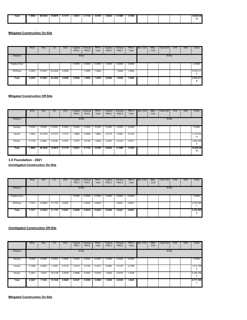| Total | .9994<br>. | 48.0340<br>. | 15.8975<br>. | 0.1175 | 3.5631<br>. | 0.1134 | 3.6765<br>. | 0.9627<br>. | 0.1080<br>. | .0702 |  |  | 12.624.38 |
|-------|------------|--------------|--------------|--------|-------------|--------|-------------|-------------|-------------|-------|--|--|-----------|
|       |            |              |              |        |             |        |             |             |             |       |  |  | ٠<br>     |
|       |            |              |              |        |             |        |             |             |             |       |  |  |           |

|                      | <b>ROG</b> | <b>NO<sub>x</sub></b> | CO      | SO <sub>2</sub> | Fugitive<br><b>PM10</b> | Exhaust<br><b>PM10</b> | <b>PM10</b><br>Total | Fugitive<br>PM2.5 | Exhaust<br>PM2.5 | PM2.5<br>Total | Bio-CO <sub>2</sub> | NBio-<br>CO <sub>2</sub> | Total CO <sub>2</sub> | CH <sub>4</sub> | <b>N2O</b> | CO <sub>2e</sub> |
|----------------------|------------|-----------------------|---------|-----------------|-------------------------|------------------------|----------------------|-------------------|------------------|----------------|---------------------|--------------------------|-----------------------|-----------------|------------|------------------|
| Category             |            |                       |         |                 | lb/day                  |                        |                      |                   |                  |                |                     |                          | lb/day                |                 |            |                  |
| <b>Fugitive Dust</b> |            |                       |         |                 | 0.0000                  | 0.0000                 | 0.0000               | 0.0000            | 0.0000           | 0.0000         |                     |                          |                       |                 |            | 0.0000           |
| Off-Road             | 2.2825     | 19.2601               | 22.4438 | 0.0395          |                         | 1.0656                 | .0656                |                   | 1.0656           | 1.0656         |                     |                          |                       |                 |            | 3,743.311<br>9   |
| <b>Total</b>         | 2.2825     | 19.2601               | 22.4438 | 0.0395          | 0.0000                  | 1.0656                 | 1.0656               | 0.0000            | 1.0656           | 1.0656         |                     |                          |                       |                 |            | 3,743.311<br>9   |

#### **Mitigated Construction Off-Site**

|          | <b>ROG</b> | <b>NO<sub>x</sub></b> | CO      | SO <sub>2</sub> | Fugitive<br><b>PM10</b> | Exhaust<br><b>PM10</b> | <b>PM10</b><br>Total | Fugitive<br>PM2.5 | Exhaust<br>PM2.5 | PM2.5<br>Total | Bio-CO <sub>2</sub> | NBio-<br>CO <sub>2</sub> | Total CO <sub>2</sub> | CH <sub>4</sub> | <b>N2O</b> | CO <sub>2e</sub> |
|----------|------------|-----------------------|---------|-----------------|-------------------------|------------------------|----------------------|-------------------|------------------|----------------|---------------------|--------------------------|-----------------------|-----------------|------------|------------------|
| Category |            |                       |         |                 | lb/day                  |                        |                      |                   |                  |                |                     |                          | lb/day                |                 |            |                  |
| Hauling  | 0.0000     | 0.0000                | 0.0000  | 0.0000          | 0.0000                  | 0.0000                 | 0.0000               | 0.0000            | 0.0000           | 0.0000         |                     |                          |                       |                 |            | 0.0000           |
| Vendor   | .2842      | 47.5448               | 10.3737 | 0.1014          | 1.8865                  | 0.0998                 | .9863                | 0.5175            | 0.0955           | 0.6130         |                     |                          |                       |                 |            | 11,014.82<br>14  |
| Worker   | 0.7152     | 0.4892                | 5.5238  | 0.0161          | 1.6767                  | 0.0136                 | .6902                | 0.4447            | 0.0125           | 0.4571         |                     |                          |                       |                 |            | 1,609.559<br>9   |
| Total    | 1.9994     | 48.0340               | 15.8975 | 0.1175          | 3.5631                  | 0.1134                 | 3.6765               | 0.9622            | 0.1080           | 1.0702         |                     |                          |                       |                 |            | 12,624.38<br>13  |

**3.5 Foundation - 2021**

**Unmitigated Construction On-Site**

|                      | <b>ROG</b> | <b>NO<sub>x</sub></b> | $\overline{c}$ | SO <sub>2</sub> | Fugitive<br><b>PM10</b> | Exhaust<br><b>PM10</b> | <b>PM10</b><br>Total | Fugitive<br>PM2.5 | Exhaust<br>PM2.5 | PM2.5<br>Total | Bio-CO <sub>2</sub> | NBio-<br>CO <sub>2</sub> | Total CO <sub>2</sub> | CH <sub>4</sub> | <b>N2O</b> | CO <sub>2e</sub> |
|----------------------|------------|-----------------------|----------------|-----------------|-------------------------|------------------------|----------------------|-------------------|------------------|----------------|---------------------|--------------------------|-----------------------|-----------------|------------|------------------|
| Category             |            |                       |                |                 | lb/day                  |                        |                      |                   |                  |                |                     |                          | lb/day                |                 |            |                  |
| <b>Fugitive Dust</b> |            |                       |                |                 | 0.0000                  | 0.0000                 | 0.0000               | 0.0000            | 0.0000           | 0.0000         |                     |                          |                       |                 |            | 0.0000           |
| Off-Road             | 1.7617     | 14.9823               | 17.1757        | 0.0291          |                         | 0.8635                 | 0.8635               |                   | 0.8501           | 0.8501         |                     |                          |                       |                 |            | 2,763.580        |
| Total                | 1.7617     | 14.9823               | 17.1757        | 0.0291          | 0.0000                  | 0.8635                 | 0.8635               | 0.0000            | 0.8501           | 0.8501         |                     |                          |                       |                 |            | 2,763.580        |

|          | <b>ROG</b> | <b>NOx</b> | CO      | SO <sub>2</sub> | Fugitive<br><b>PM10</b> | Exhaust<br><b>PM10</b> | <b>PM10</b><br>Total | Fugitive<br>PM2.5 | Exhaust<br>PM2.5 | PM2.5<br>Total | Bio-CO <sub>2</sub> | NBio-<br>CO <sub>2</sub> | Total CO <sub>2</sub> | CH <sub>4</sub> | N <sub>2</sub> O | CO <sub>2</sub> e |
|----------|------------|------------|---------|-----------------|-------------------------|------------------------|----------------------|-------------------|------------------|----------------|---------------------|--------------------------|-----------------------|-----------------|------------------|-------------------|
| Category |            |            |         |                 | lb/day                  |                        |                      |                   |                  |                |                     |                          | lb/day                |                 |                  |                   |
| Hauling  | 0.0000     | 0.0000     | 0.0000  | 0.0000          | 0.0000                  | 0.0000                 | 0.0000               | 0.0000            | 0.0000           | 0.0000         |                     |                          |                       |                 |                  | 0.0000            |
| Vendor   | 0.1646     | 6.0955     | 1.3300  | 0.0130          | 0.2419                  | 0.0128                 | 0.2547               | 0.0664            | 0.0123           | 0.0786         |                     |                          |                       |                 |                  | 1,412.156<br>6    |
| Worker   | 2.3841     | 1.6307     | 18.4128 | 0.0538          | 5.5888                  | 0.0452                 | 5.6340               | 1.4822            | 0.0416           | 1.5238         |                     |                          |                       |                 |                  | 5,365.199<br>5    |
| Total    | 2.5487     | 7.7262     | 19.7428 | 0.0668          | 5.8307                  | 0.0580                 | 5.8886               | 1.5485            | 0.0539           | 1.6024         |                     |                          |                       |                 |                  | 6,777.356         |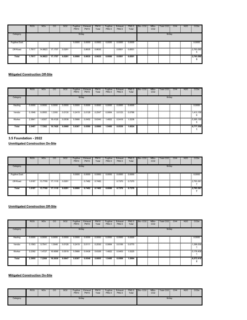|                      | <b>ROG</b> | <b>NOx</b> | <sub>co</sub> | SO <sub>2</sub> | Fugitive<br><b>PM10</b> | Exhaust<br><b>PM10</b> | <b>PM10</b><br>Total | Fugitive<br>PM2.5 | Exhaust<br>PM2.5 | PM2.5<br>Total | Bio-CO <sub>2</sub> | NBio-<br>CO <sub>2</sub> | Total CO2 | CH <sub>4</sub> | N2O | CO <sub>2e</sub> |
|----------------------|------------|------------|---------------|-----------------|-------------------------|------------------------|----------------------|-------------------|------------------|----------------|---------------------|--------------------------|-----------|-----------------|-----|------------------|
| Category             |            |            |               |                 | lb/day                  |                        |                      |                   |                  |                |                     |                          | lb/day    |                 |     |                  |
| <b>Fugitive Dust</b> |            |            |               |                 | 0.0000                  | 0.0000                 | 0.0000               | 0.0000            | 0.0000           | 0.0000         |                     |                          |           |                 |     | 0.0000           |
| Off-Road             | .7617      | 14.9823    | 17.1757       | 0.0291          |                         | 0.8635                 | 0.8635               |                   | 0.8501           | 0.8501         |                     |                          |           |                 |     | 2,763.580        |
| Total                | 1.7617     | 14.9823    | 17.1757       | 0.0291          | 0.0000                  | 0.8635                 | 0.8635               | 0.0000            | 0.8501           | 0.8501         |                     |                          |           |                 |     | 2,763.580        |

|          | <b>ROG</b> | <b>NO<sub>x</sub></b> | CO      | SO <sub>2</sub> | Fugitive<br><b>PM10</b> | Exhaust<br><b>PM10</b> | <b>PM10</b><br>Total | Fugitive<br>PM2.5 | Exhaust<br>PM2.5 | PM2.5<br>Total | Bio-CO <sub>2</sub> | NBio-<br>CO <sub>2</sub> | Total CO <sub>2</sub> | CH <sub>4</sub> | <b>N2O</b> | CO <sub>2</sub> e |
|----------|------------|-----------------------|---------|-----------------|-------------------------|------------------------|----------------------|-------------------|------------------|----------------|---------------------|--------------------------|-----------------------|-----------------|------------|-------------------|
| Category |            |                       |         |                 | lb/day                  |                        |                      |                   |                  |                |                     |                          | lb/day                |                 |            |                   |
| Hauling  | 0.0000     | 0.0000                | 0.0000  | 0.0000          | 0.0000                  | 0.0000                 | 0.0000               | 0.0000            | 0.0000           | 0.0000         |                     |                          |                       |                 |            | 0.0000            |
| Vendor   | 0.1646     | 6.0955                | 1.3300  | 0.0130          | 0.2419                  | 0.0128                 | 0.2547               | 0.0664            | 0.0123           | 0.0786         |                     |                          |                       |                 |            | 1,412.156<br>6    |
| Worker   | 2.3841     | 1.6307                | 18.4128 | 0.0538          | 5.5888                  | 0.0452                 | 5.6340               | 1.4822            | 0.0416           | 1.5238         |                     |                          |                       |                 |            | 5,365.199<br>5    |
| Total    | 2.5487     | 7.7262                | 19.7428 | 0.0668          | 5.8307                  | 0.0580                 | 5.8886               | 1.5485            | 0.0539           | 1.6024         |                     |                          |                       |                 |            | 6,777.356         |

**3.5 Foundation - 2022**

# **Unmitigated Construction On-Site**

|                      | <b>ROG</b> | <b>NO<sub>x</sub></b> | CO      | <b>SO2</b> | Fugitive<br><b>PM10</b> | Exhaust<br><b>PM10</b> | <b>PM10</b><br>Total | Fugitive<br>PM2.5 | Exhaust<br>PM2.5 | PM2.5<br>Total | Bio-CO <sub>2</sub> | NBio-<br>CO <sub>2</sub> | Total CO <sub>2</sub> | CH <sub>4</sub> | <b>N2O</b> | CO <sub>2</sub> e |
|----------------------|------------|-----------------------|---------|------------|-------------------------|------------------------|----------------------|-------------------|------------------|----------------|---------------------|--------------------------|-----------------------|-----------------|------------|-------------------|
| Category             |            |                       |         |            | lb/day                  |                        |                      |                   |                  |                |                     |                          | lb/day                |                 |            |                   |
| <b>Fugitive Dust</b> |            |                       |         |            | 0.0000                  | 0.0000                 | 0.0000               | 0.0000            | 0.0000           | 0.0000         |                     |                          |                       |                 |            | 0.0000            |
| Off-Road             | 1.6187     | 13.7769               | 17.1118 | 0.0291     |                         | 0.7482                 | 0.7482               |                   | 0.7370           | 0.7370         |                     |                          |                       |                 |            | 2,763.361         |
| <b>Total</b>         | 1.6187     | 13.7769               | 17.1118 | 0.0291     | 0.0000                  | 0.7482                 | 0.7482               | 0.0000            | 0.7370           | 0.7370         |                     |                          |                       |                 |            | 2,763.361         |

**Unmitigated Construction Off-Site**

|              | <b>ROG</b> | <b>NO<sub>x</sub></b> | CO      | SO <sub>2</sub> | Fugitive<br><b>PM10</b> | Exhaust<br><b>PM10</b> | <b>PM10</b><br>Total | Fugitive<br>PM2.5 | Exhaust<br>PM2.5 | <b>PM2.5</b><br>Total | Bio-CO <sub>2</sub> | NBio-<br>CO <sub>2</sub> | Total CO <sub>2</sub> | CH <sub>4</sub> | <b>N2O</b> | CO <sub>2e</sub>          |
|--------------|------------|-----------------------|---------|-----------------|-------------------------|------------------------|----------------------|-------------------|------------------|-----------------------|---------------------|--------------------------|-----------------------|-----------------|------------|---------------------------|
| Category     |            |                       |         |                 | lb/day                  |                        |                      |                   |                  |                       |                     |                          | lb/day                |                 |            |                           |
| Hauling      | 0.0000     | 0.0000                | 0.0000  | 0.0000          | 0.0000                  | 0.0000                 | 0.0000               | 0.0000            | 0.0000           | 0.0000                |                     |                          |                       |                 |            | 0.0000                    |
| Vendor       | 0.1563     | 5.7541                | 1.3048  | 0.0128          | 0.2419                  | 0.0111                 | 0.2530               | 0.0664            | 0.0106           | 0.0770                |                     |                          |                       |                 |            | 1,396.008                 |
| Worker       | 2.2392     | 1.4727                | 16.9588 | 0.0519          | 5.5888                  | 0.0438                 | 5.6326               | 1.4822            | 0.0403           | 1.5225                |                     |                          |                       |                 |            | 5,176.408                 |
| <b>Total</b> | 2.3955     | 7.2268                | 18.2636 | 0.0647          | 5.8307                  | 0.0548                 | 5.8855               | 1.5485            | 0.0509           | 1.5994                |                     |                          |                       |                 |            | 6,572.416<br>$\mathbf{2}$ |

|          | <b>ROG</b> | <b>NO<sub>x</sub></b> | CO. | <b>SO2</b> | Fugitive<br><b>PM10</b> | Exhaust<br><b>PM10</b> | <b>PM10</b><br>Total | Fugitive<br>PM2.5 | Exhaust<br>PM2.5 | <b>PM2.5</b><br>Total | Bio-CO <sub>2</sub> | NBio-<br>CO <sub>2</sub> | Total CO <sub>2</sub> | CH <sub>4</sub> | <b>N2O</b> | CO <sub>2e</sub> |
|----------|------------|-----------------------|-----|------------|-------------------------|------------------------|----------------------|-------------------|------------------|-----------------------|---------------------|--------------------------|-----------------------|-----------------|------------|------------------|
| Category |            |                       |     |            | lb/day                  |                        |                      |                   |                  |                       |                     |                          | lb/day                |                 |            |                  |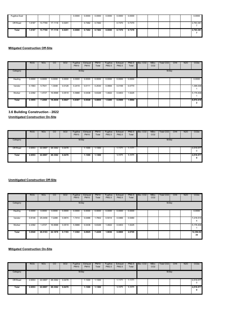| <b>Fugitive Dust</b> |        |         |         |        | 0.0000 | 0.0000 | 0.0000 | 0.0000 | 0.0000 | 0.0000 |  |  | 0.0000    |
|----------------------|--------|---------|---------|--------|--------|--------|--------|--------|--------|--------|--|--|-----------|
| Off-Road             | 1.6187 | 13.7769 | 17.1118 | 0.0291 |        | 0.7482 | 0.7482 |        | 0.7370 | 0.7370 |  |  | 2,763.361 |
| Total                | 1.6187 | 13.7769 | 17.1118 | 0.0291 | 0.0000 | 0.7482 | 0.7482 | 0.0000 | 0.7370 | 0.7370 |  |  | 2,763.361 |

|          | <b>ROG</b> | NO <sub>x</sub> | CO.     | SO <sub>2</sub> | Fugitive<br><b>PM10</b> | Exhaust<br><b>PM10</b> | <b>PM10</b><br>Total | Fugitive<br>PM2.5 | Exhaust<br>PM2.5 | PM2.5<br>Total | Bio-CO <sub>2</sub> | NBio-<br>CO <sub>2</sub> | Total CO2 | CH <sub>4</sub> | N2O | CO <sub>2e</sub> |
|----------|------------|-----------------|---------|-----------------|-------------------------|------------------------|----------------------|-------------------|------------------|----------------|---------------------|--------------------------|-----------|-----------------|-----|------------------|
| Category |            |                 |         |                 | lb/day                  |                        |                      |                   |                  |                |                     |                          | lb/day    |                 |     |                  |
| Hauling  | 0.0000     | 0.0000          | 0.0000  | 0.0000          | 0.0000                  | 0.0000                 | 0.0000               | 0.0000            | 0.0000           | 0.0000         |                     |                          |           |                 |     | 0.0000           |
| Vendor   | 0.1563     | 5.7541          | 1.3048  | 0.0128          | 0.2419                  | 0.0111                 | 0.2530               | 0.0664            | 0.0106           | 0.0770         |                     |                          |           |                 |     | 1,396.008        |
| Worker   | 2.2392     | 1.4727          | 16.9588 | 0.0519          | 5.5888                  | 0.0438                 | 5.6326               | 1.4822            | 0.0403           | 1.5225         |                     |                          |           |                 |     | 5,176.408        |
| Total    | 2.3955     | 7.2268          | 18.2636 | 0.0647          | 5.8307                  | 0.0548                 | 5.8855               | 1.5485            | 0.0509           | 1.5994         |                     |                          |           |                 |     | 6,572.416        |

**3.6 Building Construction - 2022**

**Unmitigated Construction On-Site**

|          | ROG    | NO <sub>x</sub> | CO      | SO <sub>2</sub> | Fugitive<br><b>PM10</b> | Exhaust<br><b>PM10</b> | <b>PM10</b><br>Total | Fugitive<br>PM2.5 | Exhaust<br>PM2.5 | PM2.5<br>Total | Bio-CO <sub>2</sub> | NBio-<br>CO <sub>2</sub> | Total CO2 | CH <sub>4</sub> | N <sub>2</sub> O | CO <sub>2</sub> e |
|----------|--------|-----------------|---------|-----------------|-------------------------|------------------------|----------------------|-------------------|------------------|----------------|---------------------|--------------------------|-----------|-----------------|------------------|-------------------|
| Category |        |                 |         |                 | lb/day                  |                        |                      |                   |                  |                |                     |                          | lb/day    |                 |                  |                   |
| Off-Road | 2.6553 | 22,0897         | 28.3362 | 0.0478          |                         | 1.1300                 | 1.1300               |                   | 1.1171           | 1.1171         |                     |                          |           |                 |                  | 4,516.577<br>0    |
| Total    | 2.6553 | 22.0897         | 28.3362 | 0.0478          |                         | 1.1300                 | 1.1300               |                   | 1.1171           | 1.1171         |                     |                          |           |                 |                  | 4,516.577<br>0    |

## **Unmitigated Construction Off-Site**

|              | <b>ROG</b> | <b>NO<sub>x</sub></b> | CO      | SO <sub>2</sub> | Fugitive<br><b>PM10</b> | Exhaust<br><b>PM10</b> | <b>PM10</b><br>Total | Fugitive<br>PM2.5 | Exhaust<br>PM2.5 | PM2.5<br>Total | Bio-CO <sub>2</sub> | NBio-<br>CO <sub>2</sub> | Total CO <sub>2</sub> | CH <sub>4</sub> | <b>N2O</b> | CO <sub>2</sub> e |
|--------------|------------|-----------------------|---------|-----------------|-------------------------|------------------------|----------------------|-------------------|------------------|----------------|---------------------|--------------------------|-----------------------|-----------------|------------|-------------------|
| Category     |            |                       |         |                 | lb/day                  |                        |                      |                   |                  |                |                     |                          | lb/day                |                 |            |                   |
| Hauling      | 0.0000     | 0.0000                | 0.0000  | 0.0000          | 0.0000                  | 0.0000                 | 0.0000               | 0.0000            | 0.0000           | 0.0000         |                     |                          |                       |                 |            | 0.0000            |
| Vendor       | 0.8148     | 25.0456               | 7.2289  | 0.0674          | 1.7414                  | 0.0488                 | .7902                | 0.5014            | 0.0466           | 0.5480         |                     |                          |                       |                 |            | 7,218.515<br>4    |
| Worker       | 2.2392     | 1.4727                | 16.9588 | 0.0519          | 5.5888                  | 0.0438                 | 5.6326               | 1.4822            | 0.0403           | 1.5225         |                     |                          |                       |                 |            | 5,176.408         |
| <b>Total</b> | 3.0540     | 26.5183               | 24.1878 | 0.1193          | 7.3302                  | 0.0925                 | 7.4228               | 1.9836            | 0.0869           | 2.0705         |                     |                          |                       |                 |            | 12,394.92<br>35   |

|          | <b>ROG</b> | <b>NO<sub>x</sub></b> | CO      | SO <sub>2</sub> | Fugitive<br><b>PM10</b> | Exhaust<br><b>PM10</b> | <b>PM10</b><br>Total | Fugitive<br>PM2.5 | Exhaust<br>PM2.5 | PM2.5<br>Total | Bio-CO <sub>2</sub> | NBio-<br>CO <sub>2</sub> | Total CO <sub>2</sub> | CH <sub>4</sub> | <b>N2O</b> | CO <sub>2</sub> e     |
|----------|------------|-----------------------|---------|-----------------|-------------------------|------------------------|----------------------|-------------------|------------------|----------------|---------------------|--------------------------|-----------------------|-----------------|------------|-----------------------|
| Category |            |                       |         |                 | lb/day                  |                        |                      |                   |                  |                |                     |                          | lb/day                |                 |            |                       |
| Off-Road | 2.6553     | 22,0897               | 28.3362 | 0.0478          |                         | 1.1300                 | 1.1300               |                   | 1.1171           | 1.1171         |                     |                          |                       |                 |            | 4,516.577<br>$\Omega$ |
| Total    | 2.6553     | 22.0897               | 28.3362 | 0.0478          |                         | 1.1300                 | 1.1300               |                   | 1.1171           | 1.1171         |                     |                          |                       |                 |            | 4,516.577<br>0        |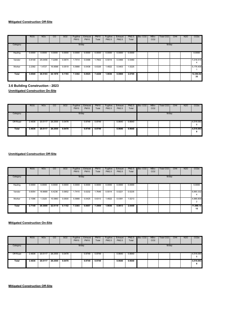|              | <b>ROG</b> | <b>NO<sub>x</sub></b> | CO      | <b>SO2</b> | Fugitive<br><b>PM10</b> | Exhaust<br><b>PM10</b> | <b>PM10</b><br>Total | Fugitive<br>PM2.5 | Exhaust<br>PM2.5 | PM2.5<br>Total | Bio-CO <sub>2</sub> | NBio-<br>CO <sub>2</sub> | Total CO <sub>2</sub> | CH <sub>4</sub> | <b>N2O</b> | CO <sub>2</sub> e |
|--------------|------------|-----------------------|---------|------------|-------------------------|------------------------|----------------------|-------------------|------------------|----------------|---------------------|--------------------------|-----------------------|-----------------|------------|-------------------|
| Category     |            |                       |         |            | lb/day                  |                        |                      |                   |                  |                |                     |                          | lb/day                |                 |            |                   |
| Hauling      | 0.0000     | 0.0000                | 0.0000  | 0.0000     | 0.0000                  | 0.0000                 | 0.0000               | 0.0000            | 0.0000           | 0.0000         |                     |                          |                       |                 |            | 0.0000            |
| Vendor       | 0.8148     | 25.0456               | 7.2289  | 0.0674     | 1.7414                  | 0.0488                 | .7902                | 0.5014            | 0.0466           | 0.5480         |                     |                          |                       |                 |            | 7,218.515<br>4    |
| Worker       | 2.2392     | 1.4727                | 16.9588 | 0.0519     | 5.5888                  | 0.0438                 | 5.6326               | 1.4822            | 0.0403           | 1.5225         |                     |                          |                       |                 |            | 5,176.408         |
| <b>Total</b> | 3.0540     | 26.5183               | 24.1878 | 0.1193     | 7.3302                  | 0.0925                 | 7.4228               | 1.9836            | 0.0869           | 2.0705         |                     |                          |                       |                 |            | 12,394.92<br>35   |

**3.6 Building Construction - 2023 Unmitigated Construction On-Site**

|          | <b>ROG</b> | <b>NO<sub>x</sub></b> | CO      | SO <sub>2</sub> | Fugitive<br><b>PM10</b> | Exhaust<br><b>PM10</b> | <b>PM10</b><br>Total | Fugitive<br>PM2.5 | Exhaust<br>PM2.5 | <b>PM2.5</b><br>Total | Bio-CO <sub>2</sub> | NBio-<br>CO <sub>2</sub> | Total CO <sub>2</sub> | CH <sub>4</sub> | <b>N2O</b> | CO <sub>2e</sub> |
|----------|------------|-----------------------|---------|-----------------|-------------------------|------------------------|----------------------|-------------------|------------------|-----------------------|---------------------|--------------------------|-----------------------|-----------------|------------|------------------|
| Category |            |                       |         |                 | lb/day                  |                        |                      |                   |                  |                       |                     |                          | lb/day                |                 |            |                  |
| Off-Road | 2.4636     | 20.5117               | 28.2555 | 0.0478          |                         | 0.9749                 | 0.9749               |                   | 0.9640           | 0.9640                |                     |                          |                       |                 |            | 4,516.093<br>8   |
| Total    | 2.4636     | 20.5117               | 28.2555 | 0.0478          |                         | 0.9749                 | 0.9749               |                   | 0.9640           | 0.9640                |                     |                          |                       |                 |            | 4,516.093<br>8   |

# **Unmitigated Construction Off-Site**

|              | <b>ROG</b> | <b>NO<sub>x</sub></b> | CO      | SO <sub>2</sub> | Fugitive<br><b>PM10</b> | Exhaust<br><b>PM10</b> | <b>PM10</b><br>Total | Fugitive<br>PM2.5 | Exhaust<br>PM2.5 | <b>PM2.5</b><br>Total | Bio-CO <sub>2</sub> | NBio-<br>CO <sub>2</sub> | <b>Total CO2</b> | CH <sub>4</sub> | <b>N2O</b> | CO <sub>2e</sub> |
|--------------|------------|-----------------------|---------|-----------------|-------------------------|------------------------|----------------------|-------------------|------------------|-----------------------|---------------------|--------------------------|------------------|-----------------|------------|------------------|
| Category     |            |                       |         |                 | lb/day                  |                        |                      |                   |                  |                       |                     |                          | lb/day           |                 |            |                  |
| Hauling      | 0.0000     | 0.0000                | 0.0000  | 0.0000          | 0.0000                  | 0.0000                 | 0.0000               | 0.0000            | 0.0000           | 0.0000                |                     |                          |                  |                 |            | 0.0000           |
| Vendor       | 0.6054     | 18.9689               | 6.4236  | 0.0652          | 1.7415                  | 0.0232                 | .7646                | 0.5014            | 0.0221           | 0.5235                |                     |                          |                  |                 |            | 6,993.332<br>4   |
| Worker       | 2.1096     | 1.3320                | 15.5883 | 0.0500          | 5.5888                  | 0.0425                 | 5.6313               | 1.4822            | 0.0391           | 1.5213                |                     |                          |                  |                 |            | 4,986.809<br>2   |
| <b>Total</b> | 2.7149     | 20.3009               | 22.0119 | 0.1152          | 7.3303                  | 0.0657                 | 7.3959               | 1.9836            | 0.0613           | 2.0449                |                     |                          |                  |                 |            | 11,980.14<br>15  |

#### **Mitigated Construction On-Site**

|              | <b>ROG</b> | <b>NO<sub>x</sub></b> | CO      | SO <sub>2</sub> | Fugitive<br><b>PM10</b> | Exhaust<br><b>PM10</b> | <b>PM10</b><br>Total | Fugitive<br>PM2.5 | Exhaust<br>PM2.5 | <b>PM2.5</b><br>Total | Bio-CO <sub>2</sub> | NBio-<br>CO <sub>2</sub> | Total CO2 | CH <sub>4</sub> | <b>N2O</b> | CO <sub>2</sub> e |
|--------------|------------|-----------------------|---------|-----------------|-------------------------|------------------------|----------------------|-------------------|------------------|-----------------------|---------------------|--------------------------|-----------|-----------------|------------|-------------------|
| Category     |            |                       |         |                 | lb/day                  |                        |                      |                   |                  |                       |                     |                          | lb/day    |                 |            |                   |
| Off-Road     | 2.4636     | 20.5117               | 28.2555 | 0.0478          |                         | 0.9749                 | 0.9749               |                   | 0.9640           | 0.9640                |                     |                          |           |                 |            | 4,516.093         |
| <b>Total</b> | 2.4636     | 20.5117               | 28.2555 | 0.0478          |                         | 0.9749                 | 0.9749               |                   | 0.9640           | 0.9640                |                     |                          |           |                 |            | 4,516.093         |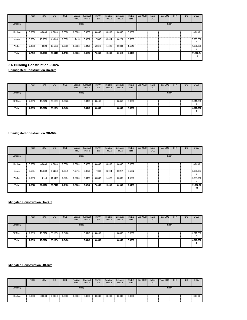|              | <b>ROG</b> | <b>NO<sub>x</sub></b> | CO      | SO <sub>2</sub> | Fugitive<br><b>PM10</b> | Exhaust<br><b>PM10</b> | <b>PM10</b><br>Total | Fugitive<br>PM2.5 | Exhaust<br>PM2.5 | PM2.5<br>Total | Bio-CO <sub>2</sub> | NBio-<br>CO <sub>2</sub> | Total CO <sub>2</sub> | CH <sub>4</sub> | <b>N2O</b> | CO <sub>2e</sub> |
|--------------|------------|-----------------------|---------|-----------------|-------------------------|------------------------|----------------------|-------------------|------------------|----------------|---------------------|--------------------------|-----------------------|-----------------|------------|------------------|
| Category     |            |                       |         |                 | lb/day                  |                        |                      |                   |                  |                |                     |                          | lb/day                |                 |            |                  |
| Hauling      | 0.0000     | 0.0000                | 0.0000  | 0.0000          | 0.0000                  | 0.0000                 | 0.0000               | 0.0000            | 0.0000           | 0.0000         |                     |                          |                       |                 |            | 0.0000           |
| Vendor       | 0.6054     | 18.9689               | 6.4236  | 0.0652          | 1.7415                  | 0.0232                 | 1.7646               | 0.5014            | 0.0221           | 0.5235         |                     |                          |                       |                 |            | 6,993.332        |
| Worker       | 2.1096     | 1.3320                | 15.5883 | 0.0500          | 5.5888                  | 0.0425                 | 5.6313               | 1.4822            | 0.0391           | 1.5213         |                     |                          |                       |                 |            | 4,986.809        |
| <b>Total</b> | 2.7149     | 20.3009               | 22.0119 | 0.1152          | 7.3303                  | 0.0657                 | 7.3959               | 1.9836            | 0.0613           | 2.0449         |                     |                          |                       |                 |            | 11,980.14<br>15  |

**3.6 Building Construction - 2024**

**Unmitigated Construction On-Site**

|          | <b>ROG</b> | <b>NO<sub>x</sub></b> | $_{\rm CO}$ | <b>SO2</b> | Fugitive<br><b>PM10</b> | Exhaust<br><b>PM10</b> | <b>PM10</b><br>Total | Fugitive<br>PM2.5 | Exhaust<br>PM2.5 | <b>PM2.5</b><br>Total | Bio-CO <sub>2</sub> | NBio-<br>CO <sub>2</sub> | Total CO <sub>2</sub> | CH4 | <b>N2O</b> | CO <sub>2e</sub> |
|----------|------------|-----------------------|-------------|------------|-------------------------|------------------------|----------------------|-------------------|------------------|-----------------------|---------------------|--------------------------|-----------------------|-----|------------|------------------|
| Category |            |                       |             |            | lb/day                  |                        |                      |                   |                  |                       |                     |                          | lb/day                |     |            |                  |
| Off-Road | 2.3010     | 19.2750               | 28.1954     | 0.0478     |                         | 0.8449                 | 0.8449               |                   | 0.8353           | 0.8353                |                     |                          |                       |     |            | 4,515.838<br>6   |
| Total    | 2.3010     | 19.2750               | 28.1954     | 0.0478     |                         | 0.8449                 | 0.8449               |                   | 0.8353           | 0.8353                |                     |                          |                       |     |            | 4,515.838<br>b   |

#### **Unmitigated Construction Off-Site**

|          | <b>ROG</b> | <b>NO<sub>x</sub></b> | CO      | SO <sub>2</sub> | Fugitive<br><b>PM10</b> | Exhaust<br><b>PM10</b> | <b>PM10</b><br>Total | Fugitive<br>PM2.5 | Exhaust<br>PM2.5 | PM2.5<br>Total | Bio-CO <sub>2</sub> | NBio-<br>CO <sub>2</sub> | <b>Total CO2</b> | CH <sub>4</sub> | <b>N2O</b> | CO <sub>2e</sub>                      |
|----------|------------|-----------------------|---------|-----------------|-------------------------|------------------------|----------------------|-------------------|------------------|----------------|---------------------|--------------------------|------------------|-----------------|------------|---------------------------------------|
| Category |            |                       |         |                 | lb/day                  |                        |                      |                   |                  |                |                     |                          | lb/day           |                 |            |                                       |
| Hauling  | 0.0000     | 0.0000                | 0.0000  | 0.0000          | 0.0000                  | 0.0000                 | 0.0000               | 0.0000            | 0.0000           | 0.0000         |                     |                          |                  |                 |            | 0.0000                                |
| Vendor   | 0.5904     | 18,9009               | 6.2288  | 0.0649          | .7415                   | 0.0228                 | .7643                | 0.5014            | 0.0217           | 0.5232         |                     |                          |                  |                 |            | 6,966.097<br>$\overline{\phantom{a}}$ |
| Worker   | 2.0018     | 1.2144                | 14.5121 | 0.0484          | 5.5888                  | 0.0419                 | 5.6307               | 1.4822            | 0.0386           | 1.5208         |                     |                          |                  |                 |            | 4,831.956                             |
| Total    | 2.5923     | 20.1152               | 20.7410 | 0.1133          | 7.3303                  | 0.0646                 | 7.3950               | 1.9836            | 0.0603           | 2.0439         |                     |                          |                  |                 |            | 11,798.05<br>39                       |

#### **Mitigated Construction On-Site**

|          | <b>ROG</b> | <b>NO<sub>x</sub></b> | CO      | SO <sub>2</sub> | Fugitive<br><b>PM10</b> | <b>Exhaust</b><br><b>PM10</b> | <b>PM10</b><br>Total | Fugitive<br>PM2.5 | Exhaust<br>PM2.5 | PM2.5<br>Total | Bio-CO <sub>2</sub> | NBio-<br>CO <sub>2</sub> | Total CO <sub>2</sub> | CH4 | <b>N2O</b> | CO <sub>2e</sub> |
|----------|------------|-----------------------|---------|-----------------|-------------------------|-------------------------------|----------------------|-------------------|------------------|----------------|---------------------|--------------------------|-----------------------|-----|------------|------------------|
| Category |            |                       |         |                 | lb/day                  |                               |                      |                   |                  |                |                     |                          | lb/day                |     |            |                  |
| Off-Road | 2.3010     | 19,2750               | 28.1954 | 0.0478          |                         | 0.8449                        | 0.8449               |                   | 0.8353           | 0.8353         |                     |                          |                       |     |            | 4,515.838<br>6   |
| Total    | 2.3010     | 19.2750               | 28.1954 | 0.0478          |                         | 0.8449                        | 0.8449               |                   | 0.8353           | 0.8353         |                     |                          |                       |     |            | 4,515.838<br>6   |

|          | <b>ROG</b> | <b>NO<sub>x</sub></b> | CO     | <b>SO2</b> | Fugitive<br><b>PM10</b> | Exhaust<br><b>PM10</b> | <b>PM10</b><br>Total | Fugitive<br>PM2.5 | Exhaust<br>PM2.5 | <b>PM2.5</b><br>Total | Bio-CO <sub>2</sub> | NBio-<br>CO <sub>2</sub> | Total CO <sub>2</sub> | CH <sub>4</sub> | <b>N2O</b> | CO <sub>2e</sub> |
|----------|------------|-----------------------|--------|------------|-------------------------|------------------------|----------------------|-------------------|------------------|-----------------------|---------------------|--------------------------|-----------------------|-----------------|------------|------------------|
| Category |            |                       |        |            | lb/day                  |                        |                      |                   |                  | lb/day                |                     |                          |                       |                 |            |                  |
| Hauling  | 0.0000     | 0.0000                | 0.0000 | 0.0000     | 0.0000                  | 0.0000                 | 0.0000               | 0.0000            | 0.0000           | 0.0000                |                     |                          |                       |                 |            | 0.0000           |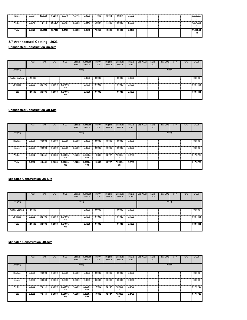| Vendor | 0.5904 | 18,9009 | 6.2288  | 0.0649 | .7415  | 0.0228 | 1.7643 | 0.5014 | 0.0217 | 0.5232 |  |  | 6.966.097       |
|--------|--------|---------|---------|--------|--------|--------|--------|--------|--------|--------|--|--|-----------------|
| Worker | 2.0018 | 1.2144  | 14.5121 | 0.0484 | 5.5888 | 0.0419 | 5.6307 | 1.4822 | 0.0386 | .5208  |  |  | 4,831.956       |
| Total  | 2.5923 | 20.1152 | 20.7410 | 0.1133 | 7.3303 | 0.0646 | 7.3950 | 1.9836 | 0.0603 | 2.0439 |  |  | 11.798.05<br>39 |

**3.7 Architectural Coating - 2023 Unmitigated Construction On-Site**

|                 | <b>ROG</b> | <b>NO<sub>x</sub></b> | CO     | SO <sub>2</sub> | Fugitive<br><b>PM10</b> | Exhaust<br><b>PM10</b> | <b>PM10</b><br>Total | Fugitive<br>PM2.5 | Exhaust<br>PM2.5 | <b>PM2.5</b><br>Total | Bio-CO <sub>2</sub> | NBio-<br>CO <sub>2</sub> | Total CO <sub>2</sub> | CH <sub>4</sub> | <b>N2O</b> | CO <sub>2e</sub> |
|-----------------|------------|-----------------------|--------|-----------------|-------------------------|------------------------|----------------------|-------------------|------------------|-----------------------|---------------------|--------------------------|-----------------------|-----------------|------------|------------------|
| Category        |            |                       |        |                 | lb/day                  |                        |                      |                   |                  |                       |                     |                          | lb/day                |                 |            |                  |
| Archit. Coating | 42.6648    |                       |        |                 |                         | 0.0000                 | 0.0000               |                   | 0.0000           | 0.0000                |                     |                          |                       |                 |            | 0.0000           |
| Off-Road        | 0.2902     | 2.2706                | 3.5068 | 5.6400e-<br>003 |                         | 0.1036                 | 0.1036               |                   | 0.1029           | 0.1029                |                     |                          |                       |                 |            | 539.7601         |
| Total           | 42.9549    | 2.2706                | 3.5068 | 5.6400e-<br>003 |                         | 0.1036                 | 0.1036               |                   | 0.1029           | 0.1029                |                     |                          |                       |                 |            | 539.7601         |

#### **Unmitigated Construction Off-Site**

|          | <b>ROG</b> | <b>NOx</b> | CO     | SO <sub>2</sub>    | Fugitive<br><b>PM10</b> | Exhaust<br><b>PM10</b> | <b>PM10</b><br>Total | Fugitive<br>PM2.5 | <b>Exhaust</b><br>PM2.5 | PM2.5<br>Total | Bio-CO <sub>2</sub> | NBio-<br>CO <sub>2</sub> | Total CO2 | CH <sub>4</sub> | N <sub>2</sub> O | CO <sub>2</sub> e |
|----------|------------|------------|--------|--------------------|-------------------------|------------------------|----------------------|-------------------|-------------------------|----------------|---------------------|--------------------------|-----------|-----------------|------------------|-------------------|
| Category |            |            |        |                    | lb/day                  |                        |                      |                   |                         |                |                     |                          | lb/day    |                 |                  |                   |
| Hauling  | 0.0000     | 0.0000     | 0.0000 | 0.0000             | 0.0000                  | 0.0000                 | 0.0000               | 0.0000            | 0.0000                  | 0.0000         |                     |                          |           |                 |                  | 0.0000            |
| Vendor   | 0.0000     | 0.0000     | 0.0000 | 0.0000             | 0.0000                  | 0.0000                 | 0.0000               | 0.0000            | 0.0000                  | 0.0000         |                     |                          |           |                 |                  | 0.0000            |
| Worker   | 0.3882     | 0.2451     | 2.8683 | 9.2000e-<br>003    | 1.0283                  | 7.8200e-<br>003        | 1.0362               | 0.2727            | 7.2000e-<br>003         | 0.2799         |                     |                          |           |                 |                  | 917,5729          |
| Total    | 0.3882     | 0.2451     | 2.8683 | $9.2000e -$<br>003 | 1.0283                  | 7.8200e-<br>003        | 1.0362               | 0.2727            | 7.2000e-<br>003         | 0.2799         |                     |                          |           |                 |                  | 917.5729          |

**Mitigated Construction On-Site**

|                       | <b>ROG</b> | <b>NOx</b> | CO     | SO <sub>2</sub> | Fugitive<br><b>PM10</b> | Exhaust<br><b>PM10</b> | <b>PM10</b><br>Total | Fugitive<br>PM2.5 | Exhaust<br>PM2.5 | PM <sub>2.5</sub><br>Total | Bio-CO <sub>2</sub> | NBio-<br>CO <sub>2</sub> | Total CO2 | CH <sub>4</sub> | N <sub>2</sub> O | CO <sub>2</sub> e |
|-----------------------|------------|------------|--------|-----------------|-------------------------|------------------------|----------------------|-------------------|------------------|----------------------------|---------------------|--------------------------|-----------|-----------------|------------------|-------------------|
| Category              |            |            |        |                 | lb/day                  |                        |                      |                   |                  |                            |                     |                          | lb/day    |                 |                  |                   |
| Archit. Coating<br>н. | 42.6648    |            |        |                 |                         | 0.0000                 | 0.0000               |                   | 0.0000           | 0.0000                     |                     |                          |           |                 |                  | 0.0000            |
| Off-Road              | 0.2902     | 2.2706     | 3.5068 | 5.6400e-<br>003 |                         | 0.1036                 | 0.1036               |                   | 0.1029           | 0.1029                     |                     |                          |           |                 |                  | 539.7601          |
| Total                 | 42.9549    | 2.2706     | 3.5068 | 5.6400e-<br>003 |                         | 0.1036                 | 0.1036               |                   | 0.1029           | 0.1029                     |                     |                          |           |                 |                  | 539.7601          |

|          | <b>ROG</b> | NO <sub>x</sub> | CO     | SO <sub>2</sub>    | Fugitive<br><b>PM10</b> | Exhaust<br><b>PM10</b> | <b>PM10</b><br>Total | Fugitive<br>PM2.5 | Exhaust<br>PM2.5 | PM <sub>2.5</sub><br>Total | Bio-CO <sub>2</sub> | NBio-<br>CO <sub>2</sub> | Total CO2 | CH <sub>4</sub> | N <sub>2</sub> O | CO <sub>2</sub> e |
|----------|------------|-----------------|--------|--------------------|-------------------------|------------------------|----------------------|-------------------|------------------|----------------------------|---------------------|--------------------------|-----------|-----------------|------------------|-------------------|
| Category |            |                 |        |                    | lb/day                  |                        |                      |                   |                  |                            |                     |                          | lb/day    |                 |                  |                   |
| Hauling  | 0.0000     | 0.0000          | 0.0000 | 0.0000             | 0.0000                  | 0.0000                 | 0.0000               | 0.0000            | 0.0000           | 0.0000                     |                     |                          |           |                 |                  | 0.0000            |
| Vendor   | 0.0000     | 0.0000          | 0.0000 | 0.0000             | 0.0000                  | 0.0000                 | 0.0000               | 0.0000            | 0.0000           | 0.0000                     |                     |                          |           |                 |                  | 0.0000            |
| Worker   | 0.3882     | 0.2451          | 2.8683 | 9.2000e-<br>003    | 1.0283                  | 7.8200e-<br>003        | 1.0362               | 0.2727            | 7.2000e-<br>003  | 0.2799                     |                     |                          |           |                 |                  | 917.5729          |
| Total    | 0.3882     | 0.2451          | 2.8683 | $9.2000e -$<br>003 | 1.0283                  | 7.8200e-<br>003        | 1.0362               | 0.2727            | 7.2000e-<br>003  | 0.2799                     |                     |                          |           |                 |                  | 917.5729          |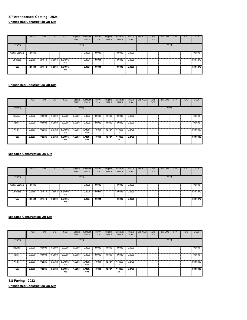|                 | <b>ROG</b> | <b>NO<sub>x</sub></b> | CO     | SO <sub>2</sub> | Fugitive<br><b>PM10</b> | Exhaust<br><b>PM10</b> | <b>PM10</b><br>Total | Fugitive<br>PM2.5 | Exhaust<br>PM2.5 | PM2.5<br>Total | Bio-CO <sub>2</sub> | NBio-<br>CO <sub>2</sub> | <b>Total CO2</b> | CH <sub>4</sub> | <b>N2O</b> | CO <sub>2e</sub> |
|-----------------|------------|-----------------------|--------|-----------------|-------------------------|------------------------|----------------------|-------------------|------------------|----------------|---------------------|--------------------------|------------------|-----------------|------------|------------------|
| Category        |            |                       |        |                 | lb/day                  |                        |                      |                   |                  |                |                     |                          | lb/day           |                 |            |                  |
| Archit. Coating | 42.6648    |                       |        |                 |                         | 0.0000                 | 0.0000               |                   | 0.0000           | 0.0000         |                     |                          |                  |                 |            | 0.0000           |
| Off-Road        | 0.2756     | 2.1514                | 3.5063 | 5.6400e-<br>003 |                         | 0.0904                 | 0.0904               |                   | 0.0896           | 0.0896         |                     |                          |                  |                 |            | 539.7270         |
| Total           | 42.9404    | 2.1514                | 3.5063 | 5.6400e-<br>003 |                         | 0.0904                 | 0.0904               |                   | 0.0896           | 0.0896         |                     |                          |                  |                 |            | 539.7270         |

|          | <b>ROG</b> | <b>NO<sub>x</sub></b> | $_{\rm CO}$ | SO <sub>2</sub> | Fugitive<br><b>PM10</b> | Exhaust<br><b>PM10</b> | <b>PM10</b><br>Total | Fugitive<br>PM2.5 | Exhaust<br>PM2.5 | PM2.5<br>Total | Bio-CO <sub>2</sub> | NBio-<br>CO <sub>2</sub> | Total CO <sub>2</sub> | CH <sub>4</sub> | <b>N2O</b> | CO <sub>2</sub> e |
|----------|------------|-----------------------|-------------|-----------------|-------------------------|------------------------|----------------------|-------------------|------------------|----------------|---------------------|--------------------------|-----------------------|-----------------|------------|-------------------|
| Category |            |                       |             |                 | lb/day                  |                        |                      |                   |                  |                |                     |                          | lb/day                |                 |            |                   |
| Hauling  | 0.0000     | 0.0000                | 0.0000      | 0.0000          | 0.0000                  | 0.0000                 | 0.0000               | 0.0000            | 0.0000           | 0.0000         |                     |                          |                       |                 |            | 0.0000            |
| Vendor   | 0.0000     | 0.0000                | 0.0000      | 0.0000          | 0.0000                  | 0.0000                 | 0.0000               | 0.0000            | 0.0000           | 0.0000         |                     |                          |                       |                 |            | 0.0000            |
| Worker   | 0.3683     | 0.2235                | 2.6702      | 8.9100e-<br>003 | 1.0283                  | 7.7100e-<br>003        | 1.0361               | 0.2727            | 7.1000e-<br>003  | 0.2798         |                     |                          |                       |                 |            | 889,0800          |
| Total    | 0.3683     | 0.2235                | 2.6702      | 8.9100e-<br>003 | 1.0283                  | 7.7100e-<br>003        | 1.0361               | 0.2727            | 7.1000e-<br>003  | 0.2798         |                     |                          |                       |                 |            | 889.0800          |

# **Mitigated Construction On-Site**

|                      | <b>ROG</b> | <b>NO<sub>x</sub></b> | CO     | SO <sub>2</sub> | Fugitive<br><b>PM10</b> | Exhaust<br><b>PM10</b> | <b>PM10</b><br>Total | Fugitive<br>PM2.5 | Exhaust<br>PM2.5 | <b>PM2.5</b><br>Total | Bio-CO <sub>2</sub> | NBio-<br>CO <sub>2</sub> | Total CO <sub>2</sub> | CH <sub>4</sub> | <b>N2O</b> | CO <sub>2e</sub> |
|----------------------|------------|-----------------------|--------|-----------------|-------------------------|------------------------|----------------------|-------------------|------------------|-----------------------|---------------------|--------------------------|-----------------------|-----------------|------------|------------------|
| Category             |            |                       |        |                 | lb/day                  |                        |                      |                   |                  |                       |                     |                          | lb/day                |                 |            |                  |
| Archit. Coating<br>m | 42.6648    |                       |        |                 |                         | 0.0000                 | 0.0000               |                   | 0.0000           | 0.0000                |                     |                          |                       |                 |            | 0.0000           |
| Off-Road             | 0.2756     | 2.1514                | 3.5063 | 5.6400e-<br>003 |                         | 0.0904                 | 0.0904               |                   | 0.0896           | 0.0896                |                     |                          |                       |                 |            | 539.7270         |
| Total                | 42.9404    | 2.1514                | 3.5063 | 5.6400e-<br>003 |                         | 0.0904                 | 0.0904               |                   | 0.0896           | 0.0896                |                     |                          |                       |                 |            | 539.7270         |

#### **Mitigated Construction Off-Site**

|              | <b>ROG</b> | <b>NO<sub>x</sub></b> | CO     | SO <sub>2</sub> | Fugitive<br><b>PM10</b> | Exhaust<br><b>PM10</b> | <b>PM10</b><br>Total | Fugitive<br>PM2.5 | Exhaust<br>PM2.5 | PM2.5<br>Total | Bio-CO <sub>2</sub> | NBio-<br>CO <sub>2</sub> | <b>Total CO2</b> | CH <sub>4</sub> | <b>N2O</b> | CO <sub>2</sub> e |
|--------------|------------|-----------------------|--------|-----------------|-------------------------|------------------------|----------------------|-------------------|------------------|----------------|---------------------|--------------------------|------------------|-----------------|------------|-------------------|
| Category     |            |                       |        |                 | lb/day                  |                        |                      |                   |                  |                |                     |                          | lb/day           |                 |            |                   |
| Hauling      | 0.0000     | 0.0000                | 0.0000 | 0.0000          | 0.0000                  | 0.0000                 | 0.0000               | 0.0000            | 0.0000           | 0.0000         |                     |                          |                  |                 |            | 0.0000            |
| Vendor       | 0.0000     | 0.0000                | 0.0000 | 0.0000          | 0.0000                  | 0.0000                 | 0.0000               | 0.0000            | 0.0000           | 0.0000         |                     |                          |                  |                 |            | 0.0000            |
| Worker       | 0.3683     | 0.2235                | 2.6702 | 8.9100e-<br>003 | 1.0283                  | 7.7100e-<br>003        | 1.0361               | 0.2727            | 7.1000e-<br>003  | 0.2798         |                     |                          |                  |                 |            | 889.0800          |
| <b>Total</b> | 0.3683     | 0.2235                | 2.6702 | 8.9100e-<br>003 | 1.0283                  | 7.7100e-<br>003        | 1.0361               | 0.2727            | 7.1000e-<br>003  | 0.2798         |                     |                          |                  |                 |            | 889,0800          |

**3.8 Paving - 2023 Unmitigated Construction On-Site**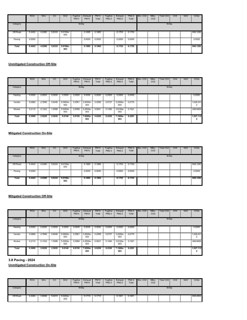|              | <b>ROG</b> | <b>NO<sub>x</sub></b> | CO     | SO <sub>2</sub>   | Fugitive<br><b>PM10</b> | Exhaust<br><b>PM10</b> | <b>PM10</b><br>Total | Fugitive<br>PM2.5 | Exhaust<br>PM2.5 | PM2.5<br>Total | Bio-CO <sub>2</sub> | NBio-<br>CO <sub>2</sub> | Total CO <sub>2</sub> | CH <sub>4</sub> | N <sub>2</sub> O | CO <sub>2</sub> e |
|--------------|------------|-----------------------|--------|-------------------|-------------------------|------------------------|----------------------|-------------------|------------------|----------------|---------------------|--------------------------|-----------------------|-----------------|------------------|-------------------|
| Category     |            |                       |        |                   | lb/day                  |                        |                      |                   |                  |                |                     |                          | lb/day                |                 |                  |                   |
| Off-Road     | 0.4422     | 4.0380                | 5.6333 | 9.0100e-<br>003   |                         | 0.1885                 | 0.1885               |                   | 0.1753           | 0.1753         |                     |                          |                       |                 |                  | 848.1292          |
| Paving       | 0.0000     |                       |        |                   |                         | 0.0000                 | 0.0000               |                   | 0.0000           | 0.0000         |                     |                          |                       |                 |                  | 0.0000            |
| <b>Total</b> | 0.4422     | 4.0380                | 5.6333 | $9.0100e-$<br>003 |                         | 0.1885                 | 0.1885               |                   | 0.1753           | 0.1753         |                     |                          |                       |                 |                  | 848.1292          |

|              | <b>ROG</b> | <b>NO<sub>x</sub></b> | CO     | S <sub>O</sub> 2 | Fugitive<br><b>PM10</b> | Exhaust<br><b>PM10</b> | <b>PM10</b><br>Total | Fugitive<br>PM2.5 | Exhaust<br>PM2.5 | <b>PM2.5</b><br>Total | Bio-CO <sub>2</sub> | NBio-<br>CO <sub>2</sub> | Total CO <sub>2</sub> | CH <sub>4</sub> | <b>N2O</b> | CO <sub>2e</sub>                      |
|--------------|------------|-----------------------|--------|------------------|-------------------------|------------------------|----------------------|-------------------|------------------|-----------------------|---------------------|--------------------------|-----------------------|-----------------|------------|---------------------------------------|
| Category     |            |                       |        |                  | lb/day                  |                        |                      |                   |                  |                       |                     |                          | lb/day                |                 |            |                                       |
| Hauling      | 0.0000     | 0.0000                | 0.0000 | 0.0000           | 0.0000                  | 0.0000                 | 0.0000               | 0.0000            | 0.0000           | 0.0000                |                     |                          |                       |                 |            | 0.0000                                |
| Vendor       | 0.0890     | 2.7896                | 0.9446 | 9.5900e-<br>003  | 0.2561                  | 3.4000e-<br>003        | 0.2595               | 0.0737            | 3.2500e-<br>003  | 0.0770                |                     |                          |                       |                 |            | 1,028.431<br>$\overline{\phantom{a}}$ |
| Worker       | 0.2110     | 0.1332                | 1.5588 | 5.0000e-<br>003  | 0.5589                  | 4.2500e-<br>003        | 0.5631               | 0.1482            | 3.9100e-<br>003  | 0.1521                |                     |                          |                       |                 |            | 498,6809                              |
| <b>Total</b> | 0.3000     | 2.9228                | 2.5035 | 0.0146           | 0.8150                  | 7.6500e-<br>003        | 0.8226               | 0.2220            | 7.1600e-<br>003  | 0.2291                |                     |                          |                       |                 |            | 1,527.112<br>$\overline{\mathbf{2}}$  |

#### **Mitigated Construction On-Site**

|              | <b>ROG</b> | <b>NO<sub>x</sub></b> | CO     | SO <sub>2</sub>   | Fugitive<br><b>PM10</b> | Exhaust<br><b>PM10</b> | <b>PM10</b><br>Total | Fugitive<br>PM2.5 | Exhaust<br>PM2.5 | PM2.5<br>Total | Bio-CO <sub>2</sub> | NBio-<br>CO <sub>2</sub> | Total CO <sub>2</sub> | CH <sub>4</sub> | <b>N2O</b> | CO <sub>2e</sub> |
|--------------|------------|-----------------------|--------|-------------------|-------------------------|------------------------|----------------------|-------------------|------------------|----------------|---------------------|--------------------------|-----------------------|-----------------|------------|------------------|
| Category     |            |                       |        |                   | lb/day                  |                        |                      |                   |                  |                |                     |                          | lb/day                |                 |            |                  |
| Off-Road     | 0.4422     | 4.0380                | 5.6333 | 9.0100e-<br>003   |                         | 0.1885                 | 0.1885               |                   | 0.1753           | 0.1753         |                     |                          |                       |                 |            | 848.1292         |
| Paving       | 0.0000     |                       |        |                   |                         | 0.0000                 | 0.0000               |                   | 0.0000           | 0.0000         |                     |                          |                       |                 |            | 0.0000           |
| <b>Total</b> | 0.4422     | 4.0380                | 5.6333 | $9.0100e-$<br>003 |                         | 0.1885                 | 0.1885               |                   | 0.1753           | 0.1753         |                     |                          |                       |                 |            | 848.1292         |

# **Mitigated Construction Off-Site**

|          | <b>ROG</b> | <b>NO<sub>x</sub></b> | CO     | SO <sub>2</sub> | Fugitive<br><b>PM10</b> | Exhaust<br><b>PM10</b> | <b>PM10</b><br>Total | Fugitive<br>PM2.5 | Exhaust<br>PM2.5 | PM2.5<br>Total | Bio-CO <sub>2</sub> | NBio-<br>CO <sub>2</sub> | Total CO <sub>2</sub> | CH <sub>4</sub> | N <sub>2</sub> O | CO <sub>2e</sub> |
|----------|------------|-----------------------|--------|-----------------|-------------------------|------------------------|----------------------|-------------------|------------------|----------------|---------------------|--------------------------|-----------------------|-----------------|------------------|------------------|
| Category |            |                       |        |                 | lb/day                  |                        |                      |                   |                  |                |                     |                          | lb/day                |                 |                  |                  |
| Hauling  | 0.0000     | 0.0000                | 0.0000 | 0.0000          | 0.0000                  | 0.0000                 | 0.0000               | 0.0000            | 0.0000           | 0.0000         |                     |                          |                       |                 |                  | 0.0000           |
| Vendor   | 0.0890     | 2.7896                | 0.9446 | 9.5900e-<br>003 | 0.2561                  | 3.4000e-<br>003        | 0.2595               | 0.0737            | 3.2500e-<br>003  | 0.0770         |                     |                          |                       |                 |                  | 1,028.431        |
| Worker   | 0.2110     | 0.1332                | 1.5588 | 5.0000e-<br>003 | 0.5589                  | 4.2500e-<br>003        | 0.5631               | 0.1482            | 3.9100e-<br>003  | 0.1521         |                     |                          |                       |                 |                  | 498.6809         |
| Total    | 0.3000     | 2.9228                | 2.5035 | 0.0146          | 0.8150                  | 7.6500e-<br>003        | 0.8226               | 0.2220            | 7.1600e-<br>003  | 0.2291         |                     |                          |                       |                 |                  | 1,527.112<br>2   |

**3.8 Paving - 2024**

|          | <b>ROG</b> | <b>NO<sub>x</sub></b> | $\overline{c}$ | <b>SO2</b>        | Fugitive<br><b>PM10</b> | Exhaust<br><b>PM10</b> | <b>PM10</b><br>Total | Fugitive<br>PM2.5 | Exhaust<br>PM2.5 | PM2.5<br>Total | Bio-CO <sub>2</sub> | NBio-<br>CO <sub>2</sub> | Total CO <sub>2</sub> | CH <sub>4</sub> | <b>N2O</b> | CO <sub>2</sub> e |
|----------|------------|-----------------------|----------------|-------------------|-------------------------|------------------------|----------------------|-------------------|------------------|----------------|---------------------|--------------------------|-----------------------|-----------------|------------|-------------------|
| Category |            |                       |                |                   | lb/day                  |                        |                      |                   |                  |                |                     |                          | lb/day                |                 |            |                   |
| Off-Road | 0.4264     | 3.8096                | 5.6474         | $9.0200e-$<br>003 |                         | 0.1719                 | 0.1719               |                   | 0.1601           | 0.1601         |                     |                          |                       |                 |            | 848.2654          |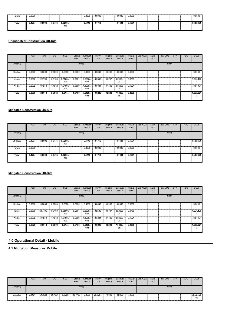| Paving | 0.0000 |        |        |                   | 0.0000 | 0.0000<br>. | 0.0000 | 0.0000 |  |  | 0.0000   |
|--------|--------|--------|--------|-------------------|--------|-------------|--------|--------|--|--|----------|
| Total  | 0.4264 | 3.8096 | 5.6474 | $9.0200e-$<br>003 | 0.1719 | 0.1719      | 0.1601 | 0.1601 |  |  | 848.2654 |

|          | <b>ROG</b> | <b>NO<sub>x</sub></b> | CO     | SO <sub>2</sub> | Fugitive<br><b>PM10</b> | Exhaust<br><b>PM10</b> | <b>PM10</b><br>Total | Fugitive<br>PM2.5 | Exhaust<br>PM2.5 | PM2.5<br>Total | Bio-CO <sub>2</sub> | NBio-<br>CO <sub>2</sub> | Total CO2 | CH <sub>4</sub> | <b>N2O</b> | CO <sub>2e</sub> |
|----------|------------|-----------------------|--------|-----------------|-------------------------|------------------------|----------------------|-------------------|------------------|----------------|---------------------|--------------------------|-----------|-----------------|------------|------------------|
| Category |            |                       |        |                 | lb/day                  |                        |                      |                   |                  |                |                     |                          | lb/day    |                 |            |                  |
| Hauling  | 0.0000     | 0.0000                | 0.0000 | 0.0000          | 0.0000                  | 0.0000                 | 0.0000               | 0.0000            | 0.0000           | 0.0000         |                     |                          |           |                 |            | 0.0000           |
| Vendor   | 0.0868     | 2.7795                | 0.9160 | 9.5500e-<br>003 | 0.2561                  | 3.3500e-<br>003        | 0.2595               | 0.0737            | 3.2000e-<br>003  | 0.0769         |                     |                          |           |                 |            | 1,024.426        |
| Worker   | 0.2002     | 0.1214                | 1.4512 | 4.8400e-<br>003 | 0.5589                  | 4.1900e-<br>003        | 0.5631               | 0.1482            | 3.8600e-<br>003  | 0.1521         |                     |                          |           |                 |            | 483.1957         |
| Total    | 0.2870     | 2.9010                | 2.3672 | 0.0144          | 0.8150                  | 7.5400e-<br>003        | 0.8225               | 0.2220            | 7.0600e-<br>003  | 0.2290         |                     |                          |           |                 |            | 1,507.621        |

#### **Mitigated Construction On-Site**

|          | <b>ROG</b> | <b>NOx</b> | CO     | SO <sub>2</sub>   | Fugitive<br><b>PM10</b> | Exhaust<br><b>PM10</b> | PM10<br>Total | Fugitive<br>PM2.5 | Exhaust<br>PM2.5 | PM2.5<br>Total | Bio-CO <sub>2</sub> | NBio-<br>CO <sub>2</sub> | Total CO2 | CH <sub>4</sub> | N <sub>2</sub> O | CO <sub>2</sub> e |
|----------|------------|------------|--------|-------------------|-------------------------|------------------------|---------------|-------------------|------------------|----------------|---------------------|--------------------------|-----------|-----------------|------------------|-------------------|
| Category |            |            |        |                   | lb/day                  |                        |               |                   |                  |                |                     |                          | lb/day    |                 |                  |                   |
| Off-Road | 0.4264     | 3.8096     | 5.6474 | 9.0200e-<br>003   |                         | 0.1719                 | 0.1719        |                   | 0.1601           | 0.1601         |                     |                          |           |                 |                  | 848.2654          |
| Paving   | 0.0000     |            |        |                   |                         | 0.0000                 | 0.0000        |                   | 0.0000           | 0.0000         |                     |                          |           |                 |                  | 0.0000            |
| Total    | 0.4264     | 3.8096     | 5.6474 | $9.0200e-$<br>003 |                         | 0.1719                 | 0.1719        |                   | 0.1601           | 0.1601         |                     |                          |           |                 |                  | 848.2654          |

# **Mitigated Construction Off-Site**

|          | <b>ROG</b> | <b>NOx</b> | CO     | SO <sub>2</sub> | Fugitive<br><b>PM10</b> | Exhaust<br><b>PM10</b> | <b>PM10</b><br>Total | Fugitive<br>PM2.5 | Exhaust<br>PM2.5 | PM2.5<br>Total | Bio-CO <sub>2</sub> | NBio-<br>CO <sub>2</sub> | Total CO <sub>2</sub> | CH <sub>4</sub> | N <sub>2</sub> O | CO <sub>2</sub> e |
|----------|------------|------------|--------|-----------------|-------------------------|------------------------|----------------------|-------------------|------------------|----------------|---------------------|--------------------------|-----------------------|-----------------|------------------|-------------------|
| Category |            |            |        |                 | lb/day                  |                        |                      |                   |                  |                |                     |                          | lb/day                |                 |                  |                   |
| Hauling  | 0.0000     | 0.0000     | 0.0000 | 0.0000          | 0.0000                  | 0.0000                 | 0.0000               | 0.0000            | 0.0000           | 0.0000         |                     |                          |                       |                 |                  | 0.0000            |
| Vendor   | 0.0868     | 2.7795     | 0.9160 | 9.5500e-<br>003 | 0.2561                  | 3.3500e-<br>003        | 0.2595               | 0.0737            | 3.2000e-<br>003  | 0.0769         |                     |                          |                       |                 |                  | 1,024.426         |
| Worker   | 0.2002     | 0.1214     | 1.4512 | 4.8400e-<br>003 | 0.5589                  | 4.1900e-<br>003        | 0.5631               | 0.1482            | 3.8600e-<br>003  | 0.1521         |                     |                          |                       |                 |                  | 483.1957          |
| Total    | 0.2870     | 2.9010     | 2.3672 | 0.0144          | 0.8150                  | 7.5400e-<br>003        | 0.8225               | 0.2220            | 7.0600e-<br>003  | 0.2290         |                     |                          |                       |                 |                  | 1.507.621         |

# **4.0 Operational Detail - Mobile**

**4.1 Mitigation Measures Mobile**

|           | <b>ROG</b> | <b>NO<sub>x</sub></b> | CО      | <b>SO2</b> | Fugitive<br><b>PM10</b> | Exhaust<br><b>PM10</b> | <b>PM10</b><br>Total | Fugitive<br>PM2.5 | Exhaust<br>PM2.5 | PM2.5<br>Total | Bio-CO <sub>2</sub> | NBio-<br>CO <sub>2</sub> | Total CO <sub>2</sub> | CH <sub>4</sub> | <b>N2O</b> | CO <sub>2e</sub> |
|-----------|------------|-----------------------|---------|------------|-------------------------|------------------------|----------------------|-------------------|------------------|----------------|---------------------|--------------------------|-----------------------|-----------------|------------|------------------|
| Category  |            |                       |         |            | lb/day                  |                        |                      |                   |                  |                |                     |                          | lb/day                |                 |            |                  |
| Mitigated | .1121      | 31.1683               | 84.7894 | 0.3233     | 28,7727                 | 0.2538                 | 29.0264              | .6992             | 0.2359           | .9350          |                     |                          |                       |                 |            | 33,024.20<br>00  |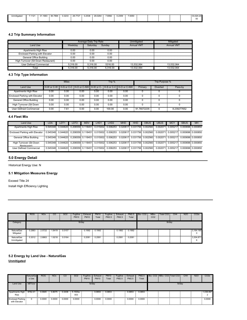| <br>Unmitigatec | .1121 | 31.1683    | 84.7894<br>xa | 0.3233 | 28,7727 | 0.2538 | 29.0264 | .6992 | 0.2359 | 7 0350     |  |  | 33.024.20     |
|-----------------|-------|------------|---------------|--------|---------|--------|---------|-------|--------|------------|--|--|---------------|
|                 |       | . ا ت<br>. |               | .      |         | .      |         | .     | .      | .9999<br>. |  |  |               |
|                 |       |            |               |        |         |        |         |       |        |            |  |  | <sub>00</sub> |
|                 |       |            |               |        |         |        |         |       |        |            |  |  |               |
|                 |       |            |               |        |         |        |         |       |        |            |  |  |               |

#### **4.2 Trip Summary Information**

|                                     |          | Average Daily Trip Rate |          | Unmitigated       | Mitigated         |
|-------------------------------------|----------|-------------------------|----------|-------------------|-------------------|
| Land Use                            | Weekdav  | Saturdav                | Sundav   | <b>Annual VMT</b> | <b>Annual VMT</b> |
| Apartments High Rise                | 0.00     | 0.00                    | 0.00     |                   |                   |
| Enclosed Parking with Elevator      | 0.00     | 0.00                    | 0.00     |                   |                   |
| General Office Building             | 0.00     | 0.00                    | 0.00     |                   |                   |
| High Turnover (Sit Down Restaurant) | 0.00     | 0.00                    | 0.00     |                   |                   |
| User Defined Commercial             | 5.316.00 | 5.316.00                | 5316.00  | 13.532.064        | 13.532.064        |
| Total                               | 5.316.00 | 5.316.00                | 5.316.00 | 13.532.064        | 13.532.064        |

#### **4.3 Trip Type Information**

|                                                  |                          | <b>Miles</b> |      |      | Trip % |                                                                 |             | Trip Purpose %  |             |
|--------------------------------------------------|--------------------------|--------------|------|------|--------|-----------------------------------------------------------------|-------------|-----------------|-------------|
| Land Use                                         | $H-W$ or C-W $\parallel$ |              |      |      |        | H-S or C-C I H-O or C-NW I H-W or C- I H-S or C-C I H-O or C-NW | Primary     | <b>Diverted</b> | Pass-by     |
| <b>Apartments High Rise</b>                      | 0.00                     | 0.00         | 0.00 | 0.00 | 0.00   | 0.00                                                            |             |                 |             |
| <b>Enclosed Parking with Elevator</b>            | 0.00                     | 0.00         | 0.00 | 0.00 | 0.00   | 0.00                                                            |             |                 |             |
| General Office Building                          | 0.00                     | 0.00         | 0.00 | 0.00 | 0.00   | 0.00                                                            |             |                 |             |
| High Turnover (Sit Down<br>$P_1 = 1 - 1 - 1 - 1$ | 0.00                     | 0.00         | 0.00 | 0.00 | 0.00   | 0.00                                                            |             |                 |             |
| <b>User Defined Commercial</b>                   | 0.00                     | 7.61         | 0.00 | 0.00 | 100.00 | 0.00                                                            | 91.76072235 | n               | 8.239277652 |

#### **4.4 Fleet Mix**

| Land Use                                                                                                                                                                   | LDA      | LDT <sub>1</sub> | LDT <sub>2</sub> | <b>MDV</b> | LHD <sub>1</sub>                                                                                                      | LHD <sub>2</sub> | <b>MHD</b> | <b>HHD</b> | <b>OBUS</b> | <b>UBUS</b> | <b>MCY</b>                                   | <b>SBUS</b>                                                    | MH |
|----------------------------------------------------------------------------------------------------------------------------------------------------------------------------|----------|------------------|------------------|------------|-----------------------------------------------------------------------------------------------------------------------|------------------|------------|------------|-------------|-------------|----------------------------------------------|----------------------------------------------------------------|----|
| Apartments High Rise                                                                                                                                                       | 0.545348 |                  |                  |            | 0.044620 0.206559 0.118451 0.015002 0.006253                                                                          |                  |            |            |             |             | 0.020617 0.031756 0.002560 0.002071 0.005217 | 0.000696 0.000850                                              |    |
| Enclosed Parking with Elevator   0.545348  0.044620  0.206559  0.118451  0.015002  0.006253 0.020617  0.031756  0.002560  0.002601  0.002071  0.005217  0.000696  0.000850 |          |                  |                  |            |                                                                                                                       |                  |            |            |             |             |                                              |                                                                |    |
| General Office Building                                                                                                                                                    |          |                  |                  |            |                                                                                                                       |                  |            |            |             |             |                                              |                                                                |    |
| High Turnover (Sit Down<br>Restaurant)                                                                                                                                     |          |                  |                  |            | 0.0545348 0.044620 0.206559 0.118451 0.015002 0.006253 0.020617 0.031756 0.002560 0.002071 0.005217 0.000696 0.000850 |                  |            |            |             |             |                                              |                                                                |    |
| User Defined Commercial                                                                                                                                                    |          |                  |                  |            | 0.545348 0.044620 0.206559 0.118451 0.015002 0.006253                                                                 |                  |            |            |             |             |                                              | 0.020617 0.031756 0.002560 0.002071 0.005217 0.000696 0.000850 |    |

# **5.0 Energy Detail**

Historical Energy Use: N

# **5.1 Mitigation Measures Energy**

Exceed Title 24 Install High Efficiency Lighting

|                           | <b>ROG</b> | <b>NO<sub>x</sub></b> | CO     | SO <sub>2</sub> | Fugitive<br><b>PM10</b> | Exhaust<br><b>PM10</b> | <b>PM10</b><br>Total | Fugitive<br>PM2.5 | Exhaust<br>PM2.5 | PM2.5<br>Total | Bio-CO <sub>2</sub> | NBio-<br>CO <sub>2</sub> | Total CO <sub>2</sub> | CH <sub>4</sub> | <b>N2O</b> | CO <sub>2e</sub> |
|---------------------------|------------|-----------------------|--------|-----------------|-------------------------|------------------------|----------------------|-------------------|------------------|----------------|---------------------|--------------------------|-----------------------|-----------------|------------|------------------|
| Category                  |            |                       |        |                 | lb/day                  |                        |                      |                   |                  |                |                     |                          | lb/day                |                 |            |                  |
| NaturalGas<br>Mitigated   | 0.2883     | 2.5722                | 1.8419 | 0.0157          |                         | 0.1992                 | 0.1992               |                   | 0.1992           | 0.1992         |                     |                          |                       |                 |            | 3,164.190<br>0   |
| NaturalGas<br>Unmitigated | 0.3012     | 2.6863                | 1.9218 | 0.0164          |                         | 0.2081                 | 0.2081               |                   | 0.2081           | 0.2081         |                     |                          |                       |                 |            | 3,304.871<br>6   |

#### **5.2 Energy by Land Use - NaturalGas Unmitigated**

|                                            | <b>NaturalGa</b><br>s Use | <b>ROG</b> | <b>NO<sub>x</sub></b> | CO     | SO <sub>2</sub>   | Fugitive<br><b>PM10</b> | Exhaust<br><b>PM10</b> | <b>PM10</b><br>Total | Fugitive<br>PM2.5 | Exhaust<br>PM2.5 | PM2.5<br>Total | Bio- CO2 NBio- CO2 Total CO2 |        | CH <sub>4</sub> | <b>N2O</b> | CO <sub>2e</sub> |
|--------------------------------------------|---------------------------|------------|-----------------------|--------|-------------------|-------------------------|------------------------|----------------------|-------------------|------------------|----------------|------------------------------|--------|-----------------|------------|------------------|
| Land Use                                   | kBTU/yr                   |            |                       |        |                   | lb/day                  |                        |                      |                   |                  |                |                              | lb/day |                 |            |                  |
| Apartments High   8762.41   0.0945<br>Rise |                           |            | 0.8075                | 0.3436 | ■ 5.1500e-<br>003 |                         | 0.0653                 | 0.0653               |                   | 0.0653           | 0.0653         |                              |        |                 |            | 1,036.997        |
| <b>Enclosed Parking</b><br>with Elevator   | $\Omega$                  | 0.0000     | 0.0000                | 0.0000 | 0.0000            |                         | 0.0000                 | 0.0000               |                   | 0.0000           | 0.0000         |                              |        |                 |            | 0.0000           |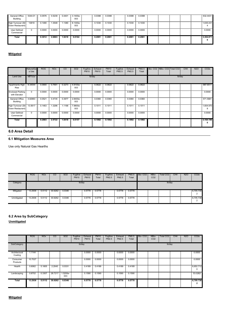| General Office<br>Building             | 5344.01 | 0.0576 | 0.5239 | 0.4401 | 3.1400e-<br>003 | 0.0398 | 0.0398 | 0.0398 | 0.0398 |  |  | 632.4431       |
|----------------------------------------|---------|--------|--------|--------|-----------------|--------|--------|--------|--------|--|--|----------------|
| High Turnover (Sit<br>Down Restaurant) | 13819   | 0.1490 | 1.3548 | 1.1380 | 8.1300e-<br>003 | 0.1030 | 0.1030 | 0.1030 | 0.1030 |  |  | 1,635.431      |
| User Defined<br>Commercial             | 0       | 0.0000 | 0.0000 | 0.0000 | 0.0000          | 0.0000 | 0.0000 | 0.0000 | 0.0000 |  |  | 0.0000         |
| Total                                  |         | 0.3012 | 2.6863 | 1.9218 | 0.0164          | 0.2081 | 0.2081 | 0.2081 | 0.2081 |  |  | 3.304.871<br>n |

# **Mitigated**

|                                        | NaturalGa<br>s Use | <b>ROG</b> | <b>NO<sub>x</sub></b> | <sub>co</sub> | SO <sub>2</sub> | Fugitive<br><b>PM10</b> | Exhaust<br><b>PM10</b> | <b>PM10</b><br>Total | Fugitive<br>PM2.5 | Exhaust<br>PM2.5 | PM2.5<br>Total | Bio- CO2   NBio- CO2   Total CO2 |        | CH <sub>4</sub> | <b>N2O</b> | CO <sub>2</sub> e |
|----------------------------------------|--------------------|------------|-----------------------|---------------|-----------------|-------------------------|------------------------|----------------------|-------------------|------------------|----------------|----------------------------------|--------|-----------------|------------|-------------------|
| Land Use                               | kBTU/yr            |            |                       |               |                 | lb/day                  |                        |                      |                   |                  |                |                                  | lb/day |                 |            |                   |
| Apartments High<br>Rise                | 8.34544            | 0.0900     | 0.7691                | 0.3273        | 4.9100e-<br>003 |                         | 0.0622                 | 0.0622               |                   | 0.0622           | 0.0622         |                                  |        |                 |            | 987.6511          |
| Enclosed Parking<br>with Elevator      | $\mathbf 0$        | 0.0000     | 0.0000                | 0.0000        | 0.0000          |                         | 0.0000                 | 0.0000               |                   | 0.0000           | 0.0000         |                                  |        |                 |            | 0.0000            |
| General Office<br>Building             | 4.82963            | 0.0521     | 0.4735                | 0.3977        | 2.8400e-<br>003 |                         | 0.0360                 | 0.0360               |                   | 0.0360           | 0.0360         |                                  |        |                 |            | 571.5681          |
| High Turnover (Sit<br>Down Restaurant) | 13.5617            | 0.1463     | 1.3296                | 1.1168        | 7.9800e-<br>003 |                         | 0.1011                 | 0.1011               |                   | 0.1011           | 0.1011         |                                  |        |                 |            | 1,604.970<br>8    |
| User Defined<br>Commercial             | $\mathbf 0$        | 0.0000     | 0.0000                | 0.0000        | 0.0000          |                         | 0.0000                 | 0.0000               |                   | 0.0000           | 0.0000         |                                  |        |                 |            | 0.0000            |
| Total                                  |                    | 0.2883     | 2.5722                | 1.8418        | 0.0157          |                         | 0.1992                 | 0.1992               |                   | 0.1992           | 0.1992         |                                  |        |                 |            | 3,164.190         |

#### **6.0 Area Detail**

#### **6.1 Mitigation Measures Area**

Use only Natural Gas Hearths

|             | <b>ROG</b> | <b>NO<sub>x</sub></b> | CO      | SO <sub>2</sub> | Fugitive<br><b>PM10</b> | Exhaust<br><b>PM10</b> | <b>PM10</b><br>Total | Fugitive<br>PM2.5 | Exhaust<br>PM2.5 | PM2.5<br>Total | Bio-CO <sub>2</sub> | NBio-<br>CO <sub>2</sub> | Total CO <sub>2</sub> | CH <sub>4</sub> | <b>N2O</b> | CO <sub>2</sub> e |
|-------------|------------|-----------------------|---------|-----------------|-------------------------|------------------------|----------------------|-------------------|------------------|----------------|---------------------|--------------------------|-----------------------|-----------------|------------|-------------------|
| Category    |            |                       |         |                 | lb/day                  |                        |                      |                   |                  |                |                     |                          | lb/day                |                 |            |                   |
| Mitigated   | 13.2936    | 5.5112                | 30.9262 | 0.0346          |                         | 0.5778                 | 0.5778               |                   | 0.5778           | 0.5778         |                     |                          |                       |                 |            | 6,705.738         |
| Unmitigated | 13.2936    | 5.5112                | 30.9262 | 0.0346          |                         | 0.5778                 | 0.5778               |                   | 0.5778           | 0.5778         |                     |                          |                       |                 |            | 6,705.738         |

# **6.2 Area by SubCategory**

**Unmitigated**

|                          | <b>ROG</b> | <b>NO<sub>x</sub></b> | $\overline{c}$ | <b>SO2</b>      | Fugitive<br><b>PM10</b> | Exhaust<br><b>PM10</b> | <b>PM10</b><br>Total | Fugitive<br>PM2.5 | Exhaust<br><b>PM2.5</b> | PM2.5<br>Total | Bio-CO <sub>2</sub> | NBio-<br>CO <sub>2</sub> | Total CO <sub>2</sub> | CH <sub>4</sub> | <b>N2O</b> | CO <sub>2</sub> e |
|--------------------------|------------|-----------------------|----------------|-----------------|-------------------------|------------------------|----------------------|-------------------|-------------------------|----------------|---------------------|--------------------------|-----------------------|-----------------|------------|-------------------|
| SubCategory              |            |                       |                |                 | lb/day                  |                        |                      |                   |                         |                |                     |                          | lb/day                |                 |            |                   |
| Architectural<br>Coating | 1.1144     |                       |                |                 |                         | 0.0000                 | 0.0000               |                   | 0.0000                  | 0.0000         |                     |                          |                       |                 |            | 0.0000            |
| Consumer<br>Products     | 10.7027    |                       |                |                 |                         | 0.0000                 | 0.0000               |                   | 0.0000                  | 0.0000         |                     |                          |                       |                 |            | 0.0000            |
| Hearth                   | 0.6062     | 5.1805                | 2.2045         | 0.0331          |                         | 0.4189                 | 0.4189               |                   | 0.4189                  | 0.4189         |                     |                          |                       |                 |            | 6,652.712<br>0    |
| Landscaping              | 0.8702     | 0.3307                | 28.7217        | 1.5200e-<br>003 |                         | 0.1590                 | 0.1590               |                   | 0.1590                  | 0.1590         |                     |                          |                       |                 |            | 53.0262           |
| Total                    | 13.2936    | 5.5112                | 30.9262        | 0.0346          |                         | 0.5778                 | 0.5778               |                   | 0.5778                  | 0.5778         |                     |                          |                       |                 |            | 6.705.738         |

#### **Mitigated**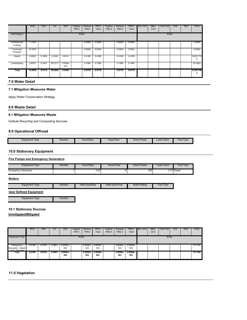|                          | <b>ROG</b> | <b>NOx</b> | CO.     | SO <sub>2</sub> | Fugitive<br><b>PM10</b> | Exhaust<br><b>PM10</b> | <b>PM10</b><br>Total | Fugitive<br>PM2.5 | Exhaust<br>PM2.5 | PM2.5<br>Total | Bio-CO <sub>2</sub> | NBio-<br>CO <sub>2</sub> | Total CO2 | CH <sub>4</sub> | N <sub>2</sub> O | CO <sub>2</sub> e |
|--------------------------|------------|------------|---------|-----------------|-------------------------|------------------------|----------------------|-------------------|------------------|----------------|---------------------|--------------------------|-----------|-----------------|------------------|-------------------|
| SubCategory              |            |            |         |                 | lb/day                  |                        |                      |                   |                  |                |                     |                          | lb/day    |                 |                  |                   |
| Architectural<br>Coating | 1.1144     |            |         |                 |                         | 0.0000                 | 0.0000               |                   | 0.0000           | 0.0000         |                     |                          |           |                 |                  | 0.0000            |
| Consumer<br>Products     | 10.7027    |            |         |                 |                         | 0.0000                 | 0.0000               |                   | 0.0000           | 0.0000         |                     |                          |           |                 |                  | 0.0000            |
| Hearth                   | 0.6062     | 5.1805     | 2.2045  | 0.0331          |                         | 0.4189                 | 0.4189               |                   | 0.4189           | 0.4189         |                     |                          |           |                 |                  | 6,652.712<br>0    |
| Landscaping              | 0.8702     | 0.3307     | 28,7217 | 1.5200e-<br>003 |                         | 0.1590                 | 0.1590               |                   | 0.1590           | 0.1590         |                     |                          |           |                 |                  | 53.0262           |
| Total                    | 13.2936    | 5.5112     | 30.9262 | 0.0346          |                         | 0.5778                 | 0.5778               |                   | 0.5778           | 0.5778         |                     |                          |           |                 |                  | 6,705.738         |

#### **7.0 Water Detail**

#### **7.1 Mitigation Measures Water**

Apply Water Conservation Strategy

#### **8.0 Waste Detail**

#### **8.1 Mitigation Measures Waste**

Institute Recycling and Composting Services

# **9.0 Operational Offroad**

| Equipment Type | Number<br>Hours/Dav<br> | Davs/Year | Horse F<br>: Power | <b>Load Factor</b> | <b>Fuel Type</b> |
|----------------|-------------------------|-----------|--------------------|--------------------|------------------|

#### **10.0 Stationary Equipment**

#### **Fire Pumps and Emergency Generators**

| Equipment Type             | Number | Hours/Dav | Hours/Year | Horse Power | Load Factor | Fuel Type              |
|----------------------------|--------|-----------|------------|-------------|-------------|------------------------|
| <b>Emergency Generator</b> |        | 0.25      |            | 350         |             | े <sup>73</sup> Diesel |

#### **Boilers**

| Equipment Type | Number<br>------- | Heat Input/Dav | Heat Input/Year | <b>Boiler Rating</b> | 'Tvpe<br>Fuel |
|----------------|-------------------|----------------|-----------------|----------------------|---------------|
|                |                   |                |                 |                      |               |

#### **User Defined Equipment**

Equipment Type **Number** 

#### **10.1 Stationary Sources**

**Unmitigated/Mitigated**

|                                                            | <b>ROG</b> | <b>NO<sub>x</sub></b> | $_{\rm CO}$ | SO <sub>2</sub> | Fugitive<br><b>PM10</b> | Exhaust<br><b>PM10</b> | <b>PM10</b><br>Total | Fugitive<br>PM2.5 | Exhaust<br>PM2.5  | PM2.5<br>Total  | Bio-CO <sub>2</sub> | NBio-<br>CO <sub>2</sub> | Total CO <sub>2</sub> | CH <sub>4</sub> | <b>N2O</b> | CO <sub>2e</sub> |
|------------------------------------------------------------|------------|-----------------------|-------------|-----------------|-------------------------|------------------------|----------------------|-------------------|-------------------|-----------------|---------------------|--------------------------|-----------------------|-----------------|------------|------------------|
| <b>Equipment Type</b>                                      |            |                       |             |                 | lb/day                  |                        |                      |                   |                   |                 |                     |                          | lb/day                |                 |            |                  |
| Emergency<br>Generator - Diesel<br>$(200, 800 \text{ Hz})$ | 0.0198     | 0.0704                | 0.3661      | 6.9000e-<br>004 |                         | 2.8200e-<br>003        | 2.8200e-<br>003      |                   | 2.8200e-<br>003   | 2.8200e-<br>003 |                     |                          |                       |                 |            | 73.7150          |
| Total                                                      | 0.0198     | 0.0704                | 0.3661      | 6.9000e-<br>004 |                         | 2.8200e-<br>003        | 2.8200e-<br>003      |                   | $2.8200e-$<br>003 | 2.8200e-<br>003 |                     |                          |                       |                 |            | 73.7150          |

#### **11.0 Vegetation**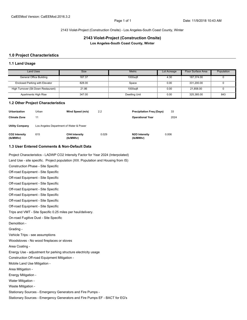2143 Violet-Project (Construction Onsite) - Los Angeles-South Coast County, Winter

**2143 Violet-Project (Construction Onsite) Los Angeles-South Coast County, Winter**

#### **1.0 Project Characteristics**

#### **1.1 Land Usage**

| Land Uses                             | <b>Size</b> | Metric        | Lot Acreage | Floor Surface Area | Population |
|---------------------------------------|-------------|---------------|-------------|--------------------|------------|
| <b>General Office Building</b>        | 187.37      | 1000sqft      | 4.30        | 187.374.00         |            |
| <b>Enclosed Parking with Elevator</b> | 828.00      | Space         | 0.00        | 331.200.00         |            |
| High Turnover (Sit Down Restaurant)   | 21.86       | 1000sqft      | 0.00        | 21.858.00          |            |
| Apartments High Rise                  | 347.00      | Dwelling Unit | 0.00        | 325.385.00         | 843        |

#### **1.2 Other Project Characteristics**

| Urbanization               | Urban                                   | Wind Speed (m/s)                  | 2.2   | <b>Precipitation Freg (Days)</b>        | 33    |
|----------------------------|-----------------------------------------|-----------------------------------|-------|-----------------------------------------|-------|
| <b>Climate Zone</b>        | 11                                      |                                   |       | <b>Operational Year</b>                 | 2024  |
| <b>Utility Company</b>     | Los Angeles Department of Water & Power |                                   |       |                                         |       |
| CO2 Intensity<br>(lb/MWhr) | 615                                     | <b>CH4 Intensity</b><br>(lb/MWhr) | 0.029 | N <sub>2</sub> O Intensity<br>(lb/MWhr) | 0.006 |

### **1.3 User Entered Comments & Non-Default Data**

Project Characteristics - LADWP CO2 Intensity Factor for Year 2024 (Interpolated)

Land Use - site specific. Project population (XIII. Population and Housing from IS)

Construction Phase - Site Specific Off-road Equipment - Site Specific Off-road Equipment - Site Specific Off-road Equipment - Site Specific Off-road Equipment - Site Specific Off-road Equipment - Site Specific Off-road Equipment - Site Specific Off-road Equipment - Site Specific Trips and VMT - Site Specific 0.25 miles per haul/delivery. On-road Fugitive Dust - Site Specific Demolition - Grading - Vehicle Trips - see assumptions Woodstoves - No wood fireplaces or stoves Area Coating - Energy Use - adjustment for parking structure electricity usage Construction Off-road Equipment Mitigation - Mobile Land Use Mitigation - Area Mitigation - Energy Mitigation - Water Mitigation - Waste Mitigation - Stationary Sources - Emergency Generators and Fire Pumps - Stationary Sources - Emergency Generators and Fire Pumps EF - BACT for EG's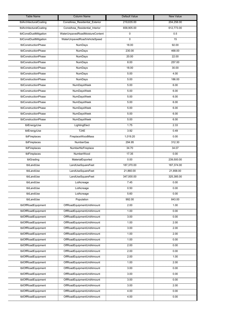| <b>Table Name</b>                                             | <b>Column Name</b>                             | Default Value                 | <b>New Value</b>         |
|---------------------------------------------------------------|------------------------------------------------|-------------------------------|--------------------------|
| tblArchitecturalCoating                                       | ConstArea Residential Exterior                 | 219,635.00                    | 204,258.00               |
| tblArchitecturalCoating                                       | ConstArea_Residential_Interior                 | 658,905.00                    | 612,773.00               |
| tblConstDustMitigation                                        | waterUnpavedRoadMoistureContent                | $\overline{0}$                | 0.5                      |
| tblConstDustMitigation                                        | WaterUnpavedRoadVehicleSpeed                   | 0                             | 15                       |
| tblConstructionPhase                                          | NumDays                                        | <br>18.00                     | <br>92.00                |
| tblConstructionPhase                                          | NumDays                                        | 230.00                        | 468.00                   |
| tblConstructionPhase                                          | NumDays                                        | 20.00                         | 22.00                    |
| tblConstructionPhase                                          | NumDays                                        | 8.00                          | 257.00                   |
| tblConstructionPhase                                          | ,,,,,,,,,,,,,,,,,,,,,,,,,<br>NumDays           | ,,,,,,,,,,,,,<br>18.00        | ,,,,,,,,,,,,,,,<br>30.00 |
| tblConstructionPhase                                          | NumDays                                        | 5.00                          | 4.00                     |
| tblConstructionPhase                                          | ,,,,,,,,,,,,,,,,,,,,,,,,,<br>NumDays           | 5.00                          | 186.00                   |
| tblConstructionPhase                                          | <b>NumDaysWeek</b>                             | 5.00                          | 6.00                     |
| tblConstructionPhase                                          | 0000000000000000000000<br>NumDaysWeek          | 5.00                          | 6.00                     |
| tblConstructionPhase                                          | ,,,,,,,,,,,,,,,,,,,,,,,,,,,,,<br>NumDaysWeek   | 5.00                          | <br>6.00                 |
| tblConstructionPhase                                          | NumDaysWeek                                    | 5.00                          | 6.00                     |
| tblConstructionPhase                                          | NumDaysWeek                                    | ,,,,,,,,,,,,<br>5.00          | <br>6.00                 |
| tblConstructionPhase                                          | NumDaysWeek                                    | 5.00                          | 6.00                     |
| ,,,,,,,,,,,,,,,,,,,,,,,,,,,,,,,,,,<br>tblConstructionPhase    | ,,,,,,,,,,,,,,,,,,,,,,,,,,,,,,,<br>NumDaysWeek | ,,,,,,,,,,<br>5.00            | ,,,,,,,,,,<br>6.00       |
| tblEnergyUse                                                  | LightingElect                                  | 7.75                          | 2.33                     |
| tblEnergyUse                                                  | T24E                                           | ,,,,,,,,,,,,,<br>3.92         | ,,,,,,,,,,,<br>0.49      |
| ,,,,,,,,,,,,,,,,,,,,,,<br>tblFireplaces                       | <b>FireplaceWoodMass</b>                       | ,,,,,,,,,,,,,,,,,<br>1,019.20 | 0.00                     |
| tblFireplaces                                                 | ,,,,,,,,,,,,,,,,,,,,,,,,<br>NumberGas          | 294.95                        | 312.30                   |
| ,,,,,,,,,,,,,,,,,,,,,,,,,<br>tblFireplaces                    | NumberNoFireplace                              | 34.70                         | ,,,,,,,,,,,,<br>34.07    |
| tblFireplaces                                                 | NumberWood                                     | 17.35                         | 0.00                     |
| tblGrading                                                    | MaterialExported                               | 0.00                          | 239,500.00               |
| tblLandUse                                                    | LandUseSquareFeet                              | 187,370.00                    | 187,374.00               |
| mangananangguna<br>tblLandUse                                 | LandUseSquareFeet                              | 21,860.00                     | 21,858.00                |
| tblLandUse                                                    | LandUseSquareFeet                              | 347,000.00                    | 325,385.00               |
| tblLandUse                                                    | LotAcreage<br>                                 | 7.45<br>                      | 0.00<br>                 |
| tblLandUse                                                    | LotAcreage                                     | 0.50                          | 0.00                     |
| magnananggunan<br>tblLandUse                                  | LotAcreage                                     | 5.60                          | 0.00                     |
| tblLandUse                                                    | Population                                     | 992.00                        | 843.00                   |
| tblOffRoadEquipment                                           | OffRoadEquipmentUnitAmount                     | 2.00                          | 1.00                     |
| tblOffRoadEquipment                                           | OffRoadEquipmentUnitAmount                     | ,,,,,,,,,,,,<br>1.00          | ,,,,,,,,,,,,,<br>0.00    |
| tblOffRoadEquipment                                           | OffRoadEquipmentUnitAmount                     | 3.00                          | 0.00                     |
| tblOffRoadEquipment                                           | OffRoadEquipmentUnitAmount                     | 1.00                          | 2.00                     |
| tblOffRoadEquipment                                           | OffRoadEquipmentUnitAmount                     | 3.00                          | 2.00                     |
| tblOffRoadEquipment                                           | OffRoadEquipmentUnitAmount                     | 1.00                          | 2.00                     |
| tblOffRoadEquipment                                           | OffRoadEquipmentUnitAmount                     | 1.00                          | 0.00                     |
| tblOffRoadEquipment<br>,,,,,,,,,,,,,,,,,,,,,,,,,,,,,,,,,,,,,  | OffRoadEquipmentUnitAmount                     | 2.00                          | 0.00                     |
| tblOffRoadEquipment                                           | OffRoadEquipmentUnitAmount                     | 2.00                          | 0.00                     |
| tblOffRoadEquipment                                           | OffRoadEquipmentUnitAmount                     | 2.00                          | 1.00                     |
| tblOffRoadEquipment                                           | OffRoadEquipmentUnitAmount                     | 1.00                          | 2.00                     |
| tblOffRoadEquipment                                           | OffRoadEquipmentUnitAmount                     | 3.00                          | 0.00                     |
| tblOffRoadEquipment<br>,,,,,,,,,,,,,,,,,,,,,,,,,,,            | OffRoadEquipmentUnitAmount                     | 3.00                          | 0.00                     |
| tblOffRoadEquipment                                           | OffRoadEquipmentUnitAmount                     | 3.00                          | 0.00                     |
| tblOffRoadEquipment<br>,,,,,,,,,,,,,,,,,,,,,,,,,,,,,,,,,,,,,, | OffRoadEquipmentUnitAmount                     | 3.00                          | 2.00                     |
| tblOffRoadEquipment                                           | OffRoadEquipmentUnitAmount                     | 4.00                          | 0.00                     |
| tblOffRoadEquipment                                           | OffRoadEquipmentUnitAmount                     | 4.00                          | 0.00                     |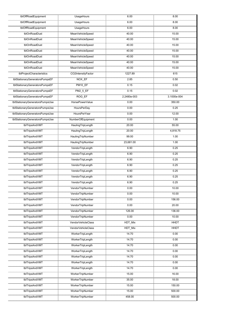| tblOffRoadEquipment                                                                | UsageHours                                                 | 6.00                          | 8.00                       |
|------------------------------------------------------------------------------------|------------------------------------------------------------|-------------------------------|----------------------------|
| tblOffRoadEquipment                                                                | UsageHours                                                 | <br>6.00                      | <br>8.00                   |
| tblOffRoadEquipment                                                                | UsageHours                                                 | 6.00                          | <br>8.00                   |
| tblOnRoadDust                                                                      | MeanVehicleSpeed                                           | ,,,,,,,,,,,,,,<br>40.00       | 15.00                      |
| tblOnRoadDust                                                                      | MeanVehicleSpeed                                           | 40.00                         | 15.00                      |
| ,,,,,,,,,,,,,,,,,,,,,,,,,,,,,,,,,,<br>tblOnRoadDust                                | MeanVehicleSpeed                                           | 40.00                         | 15.00                      |
| ,,,,,,,,,,,,,,,,,,,,,,,,,,,,,<br>tblOnRoadDust                                     | MeanVehicleSpeed                                           | 40.00                         | 15.00                      |
| tblOnRoadDust                                                                      | MeanVehicleSpeed                                           | 40.00                         | 15.00                      |
| tblOnRoadDust                                                                      | MeanVehicleSpeed                                           | 40.00                         | 15.00                      |
| tblOnRoadDust                                                                      | MeanVehicleSpeed                                           | 40.00                         | 15.00                      |
| tblProjectCharacteristics                                                          | www.gigaanaanagaan.com<br>CO2IntensityFactor               | 1227.89                       | 615                        |
| tblStationaryGeneratorsPumpsEF                                                     | NOX_EF                                                     | 2.85                          | 0.50                       |
| tblStationaryGeneratorsPumpsEF                                                     | PM10_EF                                                    | <br>0.15                      | <br>0.02                   |
| tblStationaryGeneratorsPumpsEF                                                     | <b>PM2 5 EF</b>                                            | <br>0.15                      | 0.02                       |
| www.www.www.www.journal.com/www.journal.com/www.<br>tblStationaryGeneratorsPumpsEF | ROG EF                                                     | 2.2480e-003                   | 3.1000e-004                |
| tblStationaryGeneratorsPumpsUse                                                    | HorsePowerValue                                            | <br>0.00                      | ,,,,,,,,,,,,,,,,<br>350.00 |
| tblStationaryGeneratorsPumpsUse                                                    | HoursPerDay                                                | 0.00                          | 0.25                       |
| tblStationaryGeneratorsPumpsUse                                                    | ,,,,,,,,,,,,,,,,,,,,,,,,,,,,,<br><b>HoursPerYear</b>       | 0.00                          | 12.00                      |
| tblStationaryGeneratorsPumpsUse                                                    | NumberOfEquipment                                          | <br>0.00                      | <br>1.00                   |
| tblTripsAndVMT                                                                     | HaulingTripLength                                          | ,,,,,,,,,,,,,,<br>20.00       | 55.00                      |
| tblTripsAndVMT                                                                     | HaulingTripLength                                          | 20.00                         | 4,818.75                   |
| ,,,,,,,,,,,,,,,,,,,,,,<br>tblTripsAndVMT                                           | ,,,,,,,,,,,,,,,,,,,,,,<br>HaulingTripNumber                | 99.00                         | 1.00                       |
| ,,,,,,,,,,,,,,,,,,,,,,,,,,,,,,,,,,,,,<br>tblTripsAndVMT                            | HaulingTripNumber                                          | <br>23,681.00                 | <br>1.00                   |
| tblTripsAndVMT                                                                     | VendorTripLength                                           | 6.90                          | 0.25                       |
| tblTripsAndVMT                                                                     | VendorTripLength                                           | 6.90                          | 0.25                       |
| tblTripsAndVMT                                                                     | VendorTripLength                                           | 6.90                          | 0.25                       |
| ,,,,,,,,,,,,,,,,,,,,,,,,,,,,,,,,,,,,,<br>tblTripsAndVMT                            | VendorTripLength                                           | ,,,,,,,,,,,<br>6.90           | <br>0.25                   |
| tblTripsAndVMT                                                                     | www.www.www.www.www.www.www.www.www.w<br>VendorTripLength  | 6.90                          | 0.25                       |
| ,,,,,,,,,,,,,,,,,,,,,,,,,,<br>tblTripsAndVMT                                       | ,,,,,,,,,,,,,,,,,,,,,,,,,,,,,,,,,,<br>VendorTripLength     | 6.90                          | 0.25                       |
| tblTripsAndVMT                                                                     | VendorTripLength                                           | 6.90                          | 0.25                       |
| ,,,,,,,,,,,,,,,,,,<br>tblTripsAndVMT                                               | VendorTripNumber                                           | 0.00                          | 10.00                      |
| ,,,,,,,,,,,,,,,,,,,,,,,,,,,,,,,<br>tblTripsAndVMT                                  | VendorTripNumber                                           | 0.00                          | 10.00                      |
| <u>maninanan'ny fivondron</u><br>tblTripsAndVMT                                    | <u>maninani minimini mamini man</u><br>VendorTripNumber    | 0.00                          | 156.00                     |
| tblTripsAndVMT                                                                     | VendorTripNumber                                           | 0.00                          | 20.00                      |
| tblTripsAndVMT                                                                     | VendorTripNumber                                           | 126.00                        | 136.00                     |
| tblTripsAndVMT                                                                     | VendorTripNumber                                           | 0.00                          | 10.00                      |
| tblTripsAndVMT                                                                     | VendorVehicleClass                                         | HDT_Mix                       | HHDT                       |
| ,,,,,,,,,,,,,,,,,,,,,,,,,,<br>tblTripsAndVMT                                       | ,,,,,,,,,,,,,,,,,,,,,,,,,,,,,,,,,,,,<br>VendorVehicleClass | ,,,,,,,,,,,,,,,,,,<br>HDT Mix | HHDT                       |
| tblTripsAndVMT                                                                     | <br>WorkerTripLength                                       | 14.70                         | 0.00                       |
| tblTripsAndVMT                                                                     | WorkerTripLength                                           | 14.70                         | 0.00                       |
| ,,,,,,,,,,,,,,,,,,,,,,,,,,,,,,,,,<br>tblTripsAndVMT                                | ,,,,,,,,,,,,,,,,,,,,,,,,,,,,,,,,,,,,<br>WorkerTripLength   | 14.70                         | 0.00                       |
| tblTripsAndVMT                                                                     | <br>WorkerTripLength                                       | 14.70                         | 0.00                       |
| ,,,,,,,,,,,,,,,,,,,,,,,,,<br>tblTripsAndVMT                                        | WorkerTripLength                                           | 14.70                         | 0.00                       |
| tblTripsAndVMT                                                                     | WorkerTripLength                                           | 14.70                         | 0.00                       |
| ,,,,,,,,,,,,,,,,,<br>tblTripsAndVMT                                                | ,,,,,,,,,,,,,,,,,,,,,,,,,,,,,,,,,,,,,<br>WorkerTripLength  | ,,,,,,,,,,,,,<br>14.70        | 0.00                       |
| tblTripsAndVMT                                                                     | WorkerTripNumber                                           | 15.00                         | 16.00                      |
| tblTripsAndVMT                                                                     | ,,,,,,,,,,,,,,,,,,,,,,,,,,,<br>WorkerTripNumber            | 35.00                         | 18.00                      |
| ,,,,,,,,,,,,,,,,,,,,,,,,,,<br>tblTripsAndVMT                                       | WorkerTripNumber                                           | ,,,,,,,,,,,,,<br>15.00        | 150.00                     |
| tblTripsAndVMT                                                                     | WorkerTripNumber                                           | 15.00                         | 500.00                     |
| ,,,,,,,,,,,,,,,,,,,,,,,,,,<br>tblTripsAndVMT                                       | ,,,,,,,,,,,,,,,,,,,,,,,,,,,,,,,,,,<br>WorkerTripNumber     | 458.00                        | ,,,,,,,,,,,,,,,<br>500.00  |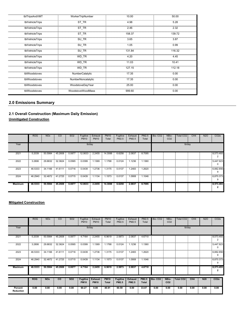| tblTripsAndVMT  | WorkerTripNumber   | 10.00  | 50.00  |
|-----------------|--------------------|--------|--------|
| tblVehicleTrips | ST_TR              | 4.98   | 5.28   |
| tblVehicleTrips | ST TR              | 2.46   | 2.32   |
| tblVehicleTrips | ST TR              | 158.37 | 139.72 |
| tblVehicleTrips | SU_TR              | 3.65   | 3.87   |
| tblVehicleTrips | SU TR              | 1.05   | 0.99   |
| tblVehicleTrips | SU TR              | 131.84 | 116.32 |
| tblVehicleTrips | WD_TR              | 4.20   | 4.45   |
| tblVehicleTrips | WD TR              | 11.03  | 10.41  |
| tblVehicleTrips | WD TR              | 127.15 | 112.18 |
| tblWoodstoves   | NumberCatalytic    | 17.35  | 0.00   |
| tblWoodstoves   | NumberNoncatalytic | 17.35  | 0.00   |
| tblWoodstoves   | WoodstoveDayYear   | 25.00  | 0.00   |
| tblWoodstoves   | WoodstoveWoodMass  | 999.60 | 0.00   |

# **2.0 Emissions Summary**

# **2.1 Overall Construction (Maximum Daily Emission) Unmitigated Construction**

|                | <b>ROG</b> | <b>NO<sub>x</sub></b> | CO              | SO <sub>2</sub> | Fugitive<br><b>PM10</b> | Exhaust<br><b>PM10</b> | <b>PM10</b><br>Total | Fugitive<br>PM2.5 | Exhaust<br>PM2.5 | PM2.5<br>Total | Bio-CO <sub>2</sub> | NBio-<br>CO <sub>2</sub> | Total CO <sub>2</sub> | CH <sub>4</sub> | <b>N2O</b> | CO <sub>2</sub> e |
|----------------|------------|-----------------------|-----------------|-----------------|-------------------------|------------------------|----------------------|-------------------|------------------|----------------|---------------------|--------------------------|-----------------------|-----------------|------------|-------------------|
| Year           |            |                       |                 |                 | lb/day                  |                        |                      |                   |                  |                |                     |                          | lb/day                |                 |            |                   |
| 2021           | 5.2039     | 50,5984<br>- 8        | 45,2608         | 0.0877          | 12.0633 2.2455          |                        | 14.3088              | 6.6258            | 2.0837           | 8.7095         |                     |                          |                       |                 |            | 8,573.493         |
| 2022           | 3.2806     | 29.8832               | 32.3624         | 0.0565          | 0.0399                  | 1.1369                 | 1.1768               | 0.0124            | 1.1236           | 1.1360         |                     |                          |                       |                 |            | 5,447.923<br>0    |
| 2023           | 46.5333    | 34.1166               | 41.6111         | 0.0716          | 0.0439                  | 1.2736                 | 1.3175               | 0.0137            | 1.2483           | 1.2620         |                     |                          |                       |                 |            | 6,882.856<br>9    |
| 2024           | 46.2940    |                       | 32.4872 41.2725 | 0.0715          | 0.0439                  | 1.1134                 | 1.1573               | 0.0137            | 1.0908           | 1.1046         |                     |                          |                       |                 |            | 6,870.373<br>9    |
| <b>Maximum</b> | 46.5333    | 50.5984               | 45.2608         | 0.0877          | 12.0633                 | 2.2455                 | 14.3088              | 6.6258            | 2.0837           | 8.7095         |                     |                          |                       |                 |            | 8,573.493         |

# **Mitigated Construction**

|                      | <b>ROG</b> | <b>NO<sub>x</sub></b> | CO              | SO <sub>2</sub> | Fugitive<br><b>PM10</b>        | Exhaust<br><b>PM10</b>        | <b>PM10</b><br>Total        | Fugitive<br>PM2.5               | Exhaust<br>PM2.5        | PM2.5<br>Total               | Bio-CO <sub>2</sub> | NBio-<br>CO <sub>2</sub> | <b>Total CO2</b> | CH <sub>4</sub> | <b>N2O</b> | CO <sub>2</sub> e     |
|----------------------|------------|-----------------------|-----------------|-----------------|--------------------------------|-------------------------------|-----------------------------|---------------------------------|-------------------------|------------------------------|---------------------|--------------------------|------------------|-----------------|------------|-----------------------|
| Year                 |            |                       |                 |                 |                                | lb/day                        |                             |                                 |                         |                              | lb/day              |                          |                  |                 |            |                       |
| 2021                 | 5.2039     | 50.5984               | 45.2608         | 0.0877          | 4.7164                         | 2.2455                        | 6.9619                      | 2.5873                          | 2.0837                  | 4.6710                       |                     |                          |                  |                 |            | 8,573.493<br>2        |
| 2022                 | 3.2806     | 29.8832               | 32.3624         | 0.0565          | 0.0399                         | 1.1369                        | 1.1768                      | 0.0124                          | 1.1236                  | 1.1360                       |                     |                          |                  |                 |            | 5,447.923<br>$\Omega$ |
| 2023                 | 46.5333    | 34.1166               | 41.6111         | 0.0716          | 0.0439                         | 1.2736                        | 1.3175                      | 0.0137                          | 1.2483                  | 1.2620                       |                     |                          |                  |                 |            | 6,882.856<br>9        |
| 2024                 | 46.2940    |                       | 32.4872 41.2725 | 0.0715          | 0.0439                         | 1.1134                        | 1.1573                      | 0.0137                          | 1.0908                  | 1.1046                       |                     |                          |                  |                 |            | 6,870.373<br>9        |
| <b>Maximum</b>       | 46.5333    | 50.5984               | 45.2608         | 0.0877          | 4.7164                         | 2.2455                        | 6.9619                      | 2.5873                          | 2.0837                  | 4.6710                       |                     |                          |                  |                 |            | 8,573.493<br>2        |
|                      | <b>ROG</b> | <b>NO<sub>x</sub></b> | <b>CO</b>       | <b>SO2</b>      | <b>Fugitive</b><br><b>PM10</b> | <b>Exhaust</b><br><b>PM10</b> | <b>PM10</b><br><b>Total</b> | <b>Fugitive</b><br><b>PM2.5</b> | <b>Exhaust</b><br>PM2.5 | <b>PM2.5</b><br><b>Total</b> | Bio-CO <sub>2</sub> | NBio-<br>CO <sub>2</sub> | <b>Total CO2</b> | CH <sub>4</sub> | <b>N20</b> | CO <sub>2e</sub>      |
| Percent<br>Reduction | 0.00       | 0.00                  | 0.00            | 0.00            | 60.27                          | 0.00                          | 40.91                       | 60.59                           | 0.00                    | 33.07                        | 0.00                | 0.00                     | 0.00             | 0.00            | 0.00       | 0.00                  |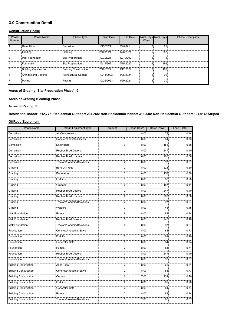# **3.0 Construction Detail**

#### **Construction Phase**

| Phase<br><b>Number</b> | Phase Name            | Phase Type                   | <b>Start Date</b> | End Date   | Num Days Num Days<br>Week |                 | <b>Phase Description</b> |
|------------------------|-----------------------|------------------------------|-------------------|------------|---------------------------|-----------------|--------------------------|
|                        | :Demolition           | <b>Demolition</b>            | 1/15/2021         | 2/9/2021   |                           | 22              |                          |
| 2                      | Grading               | Grading                      | 2/10/2021         | 12/6/2021  | 6.                        | 257             |                          |
| 3                      | Matt Foundation       | Site Preparation             | 12/7/2021         | 12/10/2021 | հ։                        |                 |                          |
| 4                      | Foundation            | Site Preparation             | 12/11/2021        | 7/15/2022  |                           | 186             |                          |
| 5                      | Building Construction | <b>Building Construction</b> | 7/16/2022         | 1/12/2024  | h.                        | 468             |                          |
| 6                      | Architectural Coating | Architectural Coating        | 10/11/2023        | 1/25/2024  |                           | 92              |                          |
|                        | Paving                | Paving                       | 12/26/2023        | 1/29/2024  |                           | 30 <sup>3</sup> |                          |

#### **Acres of Grading (Site Preparation Phase): 0**

**Acres of Grading (Grading Phase): 0**

#### **Acres of Paving: 0**

**Residential Indoor: 612,773; Residential Outdoor: 204,258; Non-Residential Indoor: 313,848; Non-Residential Outdoor: 104,616; Striped** 

#### **OffRoad Equipment**

| <b>Phase Name</b>                                             | <b>Offroad Equipment Type</b>                                        | Amount           | <b>Usage Hours</b> | <b>Horse Power</b> | Load Factor         |
|---------------------------------------------------------------|----------------------------------------------------------------------|------------------|--------------------|--------------------|---------------------|
| Demolition                                                    | Air Compressors                                                      | 11               | 8.00               | 78.                | 0.48                |
| <br>Demolition                                                | Concrete/Industrial Saws                                             |                  | 8.00               | 81                 | <br>0.73            |
| Demolition                                                    | Excavators                                                           | ամս<br>0         | mmmnð<br>8.00      | <br>158            | <br>0.38            |
| <br>Demolition                                                | ———————————<br>Rubber Tired Dozers                                   | 1                | យយាយជុំ<br>8.00    | minin<br>247       | 0.40                |
| <u>na mail</u><br>Demolition                                  | ———————————<br>Rubber Tired Loaders                                  |                  | 8.00               | 203                | 0.36                |
| Demolition                                                    | Tractors/Loaders/Backhoes                                            | $\mathbf{2}$     | 8.00               | mm<br>97           | <br>0.37            |
| <br>Grading                                                   | <b>Bore/Drill Rigs</b>                                               | 2                | 8.00               | 221                | 0.50                |
| gaanagaana<br>Grading                                         | ,,,,,,,,,,,,,,,,,,,,,,,,,,,,,<br>Excavators                          | $\frac{1}{2}$    | 8.00               | <br>158            | 0.38                |
| <br>Grading                                                   | <br><b>Forklifts</b>                                                 |                  | 8.00               | mm<br>89           | 0.20                |
| .<br>Grading                                                  | Graders                                                              | 0                | 8.00               | 187                | 0.41                |
| <br>Grading                                                   | <b>Rubber Tired Dozers</b>                                           | $\overline{2}$   | 8.00               | 247                | <br>0.40            |
| ,,,,,,,,,,,,,,<br>Grading                                     | <b>Rubber Tired Loaders</b>                                          | 2.               | 8.00.              | 203                | 0.36                |
| <br>Grading                                                   | Tractors/Loaders/Backhoes                                            | 2:               | 8.001              | mm<br>97           | $\overline{0.37}$   |
| Grading                                                       | Welders                                                              | 3                | 8.00               | 46                 | 0.45                |
| Matt Foundation                                               | <br>Pumps                                                            | 6                | <br>8.00           | mm<br>84           | <br>0.74            |
| Matt Foundation                                               | ———————————<br>Rubber Tired Dozers                                   | $\Omega$         | 8.00               | 247                | 0.40                |
| ————————<br>Matt Foundation                                   |                                                                      | $\mathbf{0}$     | 8.00.              | 97                 | 0.37                |
| Foundation                                                    | Concrete/Industrial Saws                                             | 11               | 8.00               | 81                 | 0.73                |
| Foundation                                                    | <b>Forklifts</b>                                                     | 2.               | 8.00               | 89                 | ,,,,,,,,,,<br>0.20  |
| Foundation                                                    | Generator Sets                                                       | 11               | 8.00               | <br>84             | 0.74                |
| Foundation                                                    | <br>Pumps                                                            | 2                | 8.00               | 84                 | 0.74                |
| Foundation                                                    | ,,,,,,,,,,,,,,,,,,,,,,,,,,,,,,,,,,,,,,<br><b>Rubber Tired Dozers</b> | ung<br>$\Omega$  | 8.00               | <br>247            | <br>0.40            |
| <br>Foundation                                                | Tractors/Loaders/Backhoes                                            | $\Omega$         | .<br>8.00          | mm<br>97           | <br>0.37            |
| ,,,,,,,,,,,,,,,,,,,,,,,,,,,,,,,,,,,,<br>Building Construction | <b>Aerial Lifts</b>                                                  | 2                | 8.00.              | 63                 | 0.31                |
| Building Construction                                         | Concrete/Industrial Saws                                             | 2:               | 8.00               | 81                 | 0.73                |
|                                                               | Cranes                                                               | 0                | 7.00               | 231                | 0.29                |
| Building Construction                                         | <br>Forklifts                                                        | mnā.<br>2        | <br>8.00           | mm<br>89           | ,,,,,,,,,,,<br>0.20 |
| <b>Building Construction</b>                                  | <br>Generator Sets                                                   | 2                | อื<br>8.00         | 84                 | minin<br>0.74       |
| Building Construction                                         | <br>Pumps                                                            | $\overline{2}$ : | 8.00               | 84                 | 0.74                |
| <b>Building Construction</b>                                  | Tractors/Loaders/Backhoes                                            | 0                | 7.00.              | 97                 | 0.37                |
|                                                               |                                                                      |                  |                    |                    |                     |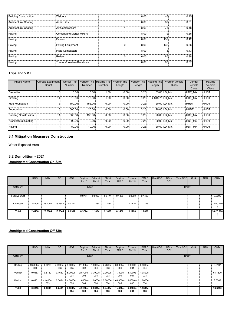| <b>Building Construction</b> | <b>Welders</b>            | 8.00  | 46               | 0.45 |
|------------------------------|---------------------------|-------|------------------|------|
| <b>Architectural Coating</b> | <b>Aerial Lifts</b>       | 8.00: | 63               | 0.31 |
| <b>Architectural Coating</b> | Air Compressors           | 8.00  | 78               | 0.48 |
| Paving                       | Cement and Mortar Mixers  | 8.00: |                  | 0.56 |
| Paving                       | :Pavers                   | 8.00  | 130              | 0.42 |
| Paving                       | Paving Equipment          | 8.00  | 132 <sup>3</sup> | 0.36 |
| Paving                       | Plate Compactors          | 8.00  |                  | 0.43 |
| Paving                       | Rollers                   | 6.00  | 80               | 0.38 |
| Paving                       | Tractors/Loaders/Backhoes | 8.00  | 97               | 0.37 |

# **Trips and VMT**

| Phase Name                   | <b>Offroad Equipment</b> | <b>Worker Trip</b> | Vendor Trip Hauling Trip |        | <b>Worker Trip</b> | <b>Vendor Trip</b> | <b>Hauling Trip</b> | <b>Worker Vehicle</b> | Vendor         | Hauling     |
|------------------------------|--------------------------|--------------------|--------------------------|--------|--------------------|--------------------|---------------------|-----------------------|----------------|-------------|
|                              | Count                    | Number             | <b>Number</b>            | Number | Length             | Length             | Length              | Class                 | Vehicle        | Vehicle     |
|                              |                          |                    |                          |        |                    |                    |                     |                       | <b>Class</b>   | Class       |
| Demolition                   | 6.                       | 16.00              | 10.00                    | 1.00:  | 0.00               | 0.25               |                     | 55.00 LD Mix          | HDT Mix        | <b>HHDT</b> |
| Grading                      | 14:                      | 18.00              | 10.00                    | 1.00.  | 0.001              | 0.25               | 4,818.75 LD Mix     |                       | HDT Mix        | <b>HHDT</b> |
| <b>Matt Foundation</b>       | 6.                       | 150.00             | 156.00                   | 0.00.  | 0.001              | 0.25               |                     | 20.00 LD Mix          | <b>HHDT</b>    | <b>HHDT</b> |
| Foundation                   | 6.                       | 500.00             | 20.00                    | 0.00   | 0.00               | 0.25               |                     | 20.00 LD Mix          | <b>HHDT</b>    | <b>HHDT</b> |
| <b>Building Construction</b> | 111                      | 500.00             | 136.00                   | 0.00.  | 0.00               | 0.25               |                     | 20.00 LD Mix          | <b>HDT Mix</b> | <b>HHDT</b> |
| Architectural Coating        | 21                       | 92.00              | 0.00:                    | 0.00:  | 0.001              | 0.25               |                     | 20.00 LD Mix          | <b>HDT Mix</b> | HHDT        |
| Paving                       | 4.                       | 50.00              | 10.00                    | 0.00.  | 0.00               | 0.25               |                     | 20.00 LD Mix          | HDT Mix        | <b>HHDT</b> |

# **3.1 Mitigation Measures Construction**

Water Exposed Area

# **3.2 Demolition - 2021**

**Unmitigated Construction On-Site**

|                           | <b>ROG</b> | <b>NO<sub>x</sub></b> | CO        | SO <sub>2</sub> | Fugitive    | Exhaust     | <b>PM10</b> | Fugitive | Exhaust | <b>PM2.5</b> | Bio-CO <sub>2</sub> | NBio-           | Total CO <sub>2</sub> | CH <sub>4</sub> | <b>N2O</b> | CO <sub>2</sub> e |
|---------------------------|------------|-----------------------|-----------|-----------------|-------------|-------------|-------------|----------|---------|--------------|---------------------|-----------------|-----------------------|-----------------|------------|-------------------|
|                           |            |                       |           |                 | <b>PM10</b> | <b>PM10</b> | Total       | PM2.5    | PM2.5   | Total        |                     | CO <sub>2</sub> |                       |                 |            |                   |
|                           |            |                       |           |                 |             |             |             |          |         |              |                     |                 |                       |                 |            |                   |
| Category                  |            |                       |           |                 | lb/day      |             |             |          |         |              |                     |                 | lb/day                |                 |            |                   |
|                           |            |                       |           |                 |             |             |             |          |         |              |                     |                 |                       |                 |            |                   |
| <b>Fugitive Dust</b><br>B |            |                       |           |                 | 0.9774      | 0.0000      | 0.9774      | 0.1480   | 0.0000  | 0.1480       |                     |                 |                       |                 |            | 0.0000            |
|                           |            |                       |           |                 |             |             |             |          |         |              |                     |                 |                       |                 |            |                   |
| Off-Road                  | 2.4406     | 23.7004               | 16.2544 : | 0.0312          |             | .1834       | 1.1834      |          | 1.1126  | 1.1126       |                     |                 |                       |                 |            | 3,020.260         |
|                           |            |                       |           |                 |             |             |             |          |         |              |                     |                 |                       |                 |            | 5.                |
| Total                     | 2.4406     | 23.7004               | 16.2544   | 0.0312          | 0.9774      | 1.1834      | 2.1608      | 0.1480   | 1.1126  | 1.2606       |                     |                 |                       |                 |            | 3,020.260         |
|                           |            |                       |           |                 |             |             |             |          |         |              |                     |                 |                       |                 |            | л                 |
|                           |            |                       |           |                 |             |             |             |          |         |              |                     |                 |                       |                 |            |                   |

|          | <b>ROG</b>      | <b>NO<sub>x</sub></b> | CO              | SO <sub>2</sub> | Fugitive<br><b>PM10</b> | Exhaust<br><b>PM10</b> | <b>PM10</b><br>Total | Fugitive<br>PM2.5                       | Exhaust<br>PM2.5 | PM2.5<br>Total  | Bio-CO <sub>2</sub> | NBio-<br>CO <sub>2</sub> | Total CO <sub>2</sub> | CH <sub>4</sub> | <b>N2O</b> | CO <sub>2e</sub> |
|----------|-----------------|-----------------------|-----------------|-----------------|-------------------------|------------------------|----------------------|-----------------------------------------|------------------|-----------------|---------------------|--------------------------|-----------------------|-----------------|------------|------------------|
| Category |                 |                       |                 |                 | lb/day                  |                        |                      |                                         |                  |                 |                     |                          | lb/day                |                 |            |                  |
| Hauling  | 9.3000e-<br>004 | 0.0268                | 7.0900e-<br>003 | 9.0000e-<br>005 | 2.1800e-<br>003         | 1.0000e-<br>004        | 2.2800e-<br>003      | 6.0000e-<br>004                         | 1.0000e-<br>004  | 6.9000e-<br>004 |                     |                          |                       |                 |            | 9.6197           |
| Vendor   | 0.0153          | 0.5780                | 0.1650          | 5.7000e-<br>004 | 2.5700e-<br>003         | 3.3000e-<br>004        | 2.9000e-<br>003      | 7.7000e-<br>004                         | 3.1000e-<br>004  | 1.0800e-<br>003 |                     |                          |                       |                 |            | 61.1520          |
| Worker   | 0.0151          | 4.4400e-<br>003       | 0.0684          | 4.0000e-<br>005 | 1.6000e-<br>004         | 004                    | 004                  | 1.0000e- : 2.6000e- : 6.0000e- :<br>005 | 9.0000e-<br>005  | 1.6000e-<br>004 |                     |                          |                       |                 |            | 3.5363           |
| Total    | 0.0313          | 0.6093                | 0.2405          | 7.0000e-<br>004 | 4.9100e-<br>003         | 5.3000e-<br>004        | 5.4400e-<br>003      | 1.4300e-<br>003                         | 5.0000e-<br>004  | 1.9300e-<br>003 |                     |                          |                       |                 |            | 74.3080          |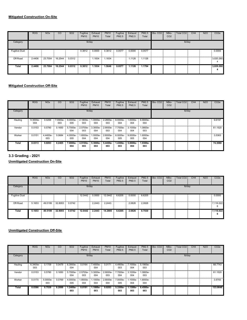|                      | <b>ROG</b> | <b>NO<sub>x</sub></b> | CO      | SO <sub>2</sub> | Fugitive<br><b>PM10</b> | Exhaust<br><b>PM10</b> | <b>PM10</b><br>Total | Fugitive<br>PM2.5 | Exhaust<br>PM2.5 | <b>PM2.5</b><br>Total | Bio-CO <sub>2</sub> | NBio-<br>CO <sub>2</sub> | Total CO <sub>2</sub> | CH <sub>4</sub> | <b>N2O</b> | CO <sub>2</sub> e |
|----------------------|------------|-----------------------|---------|-----------------|-------------------------|------------------------|----------------------|-------------------|------------------|-----------------------|---------------------|--------------------------|-----------------------|-----------------|------------|-------------------|
| Category             |            |                       |         |                 | lb/day                  |                        |                      |                   |                  |                       |                     |                          | lb/day                |                 |            |                   |
| <b>Fugitive Dust</b> |            |                       |         |                 | 0.3812                  | 0.0000                 | 0.3812               | 0.0577            | 0.0000           | 0.0577                |                     |                          |                       |                 |            | 0.0000            |
| Off-Road             | 2.4406     | 23.7004               | 16.2544 | 0.0312          |                         | .1834                  | 1.1834               |                   | 1.1126           | 1.1126                |                     |                          |                       |                 |            | 3,020.260         |
| Total                | 2.4406     | 23.7004               | 16.2544 | 0.0312          | 0.3812                  | 1.1834                 | 1.5646               | 0.0577            | 1.1126           | 1.1704                |                     |                          |                       |                 |            | 3,020.260         |

|          | <b>ROG</b>      | <b>NO<sub>x</sub></b> | CO              | SO <sub>2</sub> | Fugitive<br><b>PM10</b>  | Exhaust<br><b>PM10</b> | <b>PM10</b><br>Total | Fugitive<br>PM2.5 | Exhaust<br><b>PM2.5</b> | <b>PM2.5</b><br>Total | Bio-CO <sub>2</sub> | NBio-<br>CO <sub>2</sub> | Total CO <sub>2</sub> | CH <sub>4</sub> | <b>N2O</b> | CO <sub>2e</sub> |
|----------|-----------------|-----------------------|-----------------|-----------------|--------------------------|------------------------|----------------------|-------------------|-------------------------|-----------------------|---------------------|--------------------------|-----------------------|-----------------|------------|------------------|
| Category |                 |                       |                 |                 | lb/day                   |                        |                      |                   |                         |                       |                     |                          | lb/day                |                 |            |                  |
| Hauling  | 9.3000e-<br>004 | 0.0268                | 7.0900e-<br>003 | 9.0000e-<br>005 | 2.1800e- 1.0000e-<br>003 | 004                    | 2.2800e-<br>003      | 6.0000e-<br>004   | 1.0000e-<br>004         | 6.9000e-<br>004       |                     |                          |                       |                 |            | 9.6197           |
| Vendor   | 0.0153          | 0.5780                | 0.1650          | 5.7000e-<br>004 | 2.5700e-<br>003          | 3.3000e-<br>004        | 2.9000e-<br>003      | 7.7000e-<br>004   | 3.1000e-<br>004         | 1.0800e-<br>003       |                     |                          |                       |                 |            | 61.1520          |
| Worker   | 0.0151          | 4.4400e-<br>003       | 0.0684          | 4.0000e-<br>005 | 1.6000e-<br>004          | $.0000e-$<br>004       | 2.6000e-<br>004      | 6.0000e-<br>005   | 9.0000e-<br>005         | 1.6000e-<br>004       |                     |                          |                       |                 |            | 3.5363           |
| Total    | 0.0313          | 0.6093                | 0.2405          | 7.0000e-<br>004 | 4.9100e-<br>003          | 5.3000e-<br>004        | 5.4400e-<br>003      | 1.4300e-<br>003   | 5.0000e-<br>004         | 1.9300e-<br>003       |                     |                          |                       |                 |            | 74.3080          |

# **3.3 Grading - 2021**

**Unmitigated Construction On-Site**

|                      | <b>ROG</b> | <b>NOx</b> | CO           | SO <sub>2</sub> | Fugitive<br><b>PM10</b> | Exhaust<br><b>PM10</b> | <b>PM10</b><br>Total | Fugitive<br>PM2.5 | Exhaust<br>PM2.5 | <b>PM2.5</b><br>Total | Bio-CO <sub>2</sub> | NBio-<br>CO <sub>2</sub> | Total CO <sub>2</sub> | CH <sub>4</sub> | <b>N2O</b> | CO <sub>2</sub> e |
|----------------------|------------|------------|--------------|-----------------|-------------------------|------------------------|----------------------|-------------------|------------------|-----------------------|---------------------|--------------------------|-----------------------|-----------------|------------|-------------------|
| Category             |            |            |              |                 |                         | lb/day                 |                      |                   |                  |                       |                     |                          | lb/day                |                 |            |                   |
| <b>Fugitive Dust</b> |            |            |              |                 | 12.0442                 | 0.0000                 | 12.0442              | 6.6205            | 0.0000           | 6.6205                |                     |                          |                       |                 |            | 0.0000            |
| Off-Road             | 5.1653     | 49.5199    | 32.8093<br>÷ | 0.0742          |                         | 2.2443                 | 2.2443               |                   | 2.0826           | 2.0826                |                     |                          |                       |                 |            | 7,116.022<br>6    |
| Total                | 5.1653     | 49.5199    | 32.8093      | 0.0742          | 12.0442                 | 2.2443                 | 14.2885              | 6.6205            | 2.0826           | 8.7030                |                     |                          |                       |                 |            | 7,116.022<br>6    |

|          | ROG             | <b>NO<sub>x</sub></b> | <b>CO</b> | SO <sub>2</sub> | Fugitive<br><b>PM10</b> | Exhaust<br><b>PM10</b> | <b>PM10</b><br>Total | Fugitive<br><b>PM2.5</b> | Exhaust<br>PM2.5 | PM2.5<br>Total  | Bio-CO <sub>2</sub> | NBio-<br>CO <sub>2</sub> | Total CO <sub>2</sub> | CH <sub>4</sub> | <b>N2O</b> | CO <sub>2</sub> e |
|----------|-----------------|-----------------------|-----------|-----------------|-------------------------|------------------------|----------------------|--------------------------|------------------|-----------------|---------------------|--------------------------|-----------------------|-----------------|------------|-------------------|
| Category |                 |                       |           |                 | lb/day                  |                        |                      |                          |                  |                 |                     |                          | lb/day                |                 |            |                   |
| Hauling  | 6.3400e-<br>003 | 0.1709                | 0.0479    | 6.3000e-<br>004 | 0.0164                  | .4000e-<br>004         | 0.0171               | 4.4900e-<br>003          | 7.1000e-<br>004  | 5.1900e-<br>003 |                     |                          |                       |                 |            | 68,7743           |
| Vendor   | 0.0153          | 0.5780                | 0.1650    | 5.7000e-<br>004 | 2.5700e-<br>003         | 3.3000e-<br>004        | 2.9000e-<br>003      | 7.7000e-<br>004          | 3.1000e-<br>004  | 1.0800e-<br>003 |                     |                          |                       |                 |            | 61.1520           |
| Worker   | 0.0170          | 5.0000e-<br>003       | 0.0769    | 4.0000e-<br>005 | 1.8000e-<br>004         | .1000e-<br>004         | 2.9000e-<br>004      | 7.0000e-<br>005          | 1.1000e-<br>004  | 1.8000e-<br>004 |                     |                          |                       |                 |            | 3.9783            |
| Total    | 0.0386          | 0.7539                | 0.2899    | 1.2400e-<br>003 | 0.0191                  | 1.1800e-<br>003        | 0.0203               | 5.3300e-<br>003          | 1.1300e-<br>003  | 6.4500e-<br>003 |                     |                          |                       |                 |            | 133.9046          |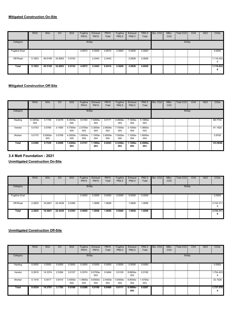|                      | <b>ROG</b> | <b>NO<sub>x</sub></b> | CO      | SO <sub>2</sub> | Fugitive<br><b>PM10</b> | Exhaust<br><b>PM10</b> | <b>PM10</b><br>Total | Fugitive<br>PM2.5 | Exhaust<br>PM2.5 | <b>PM2.5</b><br>Total | Bio-CO <sub>2</sub> | NBio-<br>CO <sub>2</sub> | Total CO <sub>2</sub> | CH <sub>4</sub> | <b>N2O</b> | CO <sub>2</sub> e |
|----------------------|------------|-----------------------|---------|-----------------|-------------------------|------------------------|----------------------|-------------------|------------------|-----------------------|---------------------|--------------------------|-----------------------|-----------------|------------|-------------------|
| Category             |            |                       |         |                 | lb/day                  |                        |                      |                   |                  |                       |                     |                          | lb/day                |                 |            |                   |
| <b>Fugitive Dust</b> |            |                       |         |                 | 4.6972                  | 0.0000                 | 4.6972               | 2.5820            | 0.0000           | 2.5820                |                     |                          |                       |                 |            | 0.0000            |
| Off-Road             | 5.1653     | 49.5199               | 32.8093 | 0.0742          |                         | 2.2443                 | 2.2443               |                   | 2.0826           | 2.0826                |                     |                          |                       |                 |            | 7,116.022<br>6    |
| Total                | 5.1653     | 49.5199               | 32.8093 | 0.0742          | 4.6972                  | 2.2443                 | 6.9416               | 2.5820            | 2.0826           | 4.6645                |                     |                          |                       |                 |            | 7,116.022<br>6    |

|          | <b>ROG</b>      | <b>NO<sub>x</sub></b> | CO     | SO <sub>2</sub> | Fugitive<br><b>PM10</b> | Exhaust<br><b>PM10</b> | <b>PM10</b><br>Total | Fugitive<br>PM2.5 | Exhaust<br><b>PM2.5</b> | <b>PM2.5</b><br>Total | Bio-CO <sub>2</sub> | NBio-<br>CO <sub>2</sub> | Total CO <sub>2</sub> | CH <sub>4</sub> | <b>N2O</b> | CO <sub>2e</sub> |
|----------|-----------------|-----------------------|--------|-----------------|-------------------------|------------------------|----------------------|-------------------|-------------------------|-----------------------|---------------------|--------------------------|-----------------------|-----------------|------------|------------------|
| Category |                 |                       |        |                 | lb/day                  |                        |                      |                   |                         |                       |                     |                          | lb/day                |                 |            |                  |
| Hauling  | 6.3400e-<br>003 | 0.1709                | 0.0479 | 6.3000e-<br>004 | 0.0164                  | 7.4000e-<br>004        | 0.0171               | 4.4900e-<br>003   | 7.1000e-<br>004         | 5.1900e-<br>003       |                     |                          |                       |                 |            | 68,7743          |
| Vendor   | 0.0153          | 0.5780                | 0.1650 | 5.7000e-<br>004 | 2.5700e-<br>003         | 3.3000e-<br>004        | 2.9000e-<br>003      | 7.7000e-<br>004   | 3.1000e-<br>004         | 1.0800e-<br>003       |                     |                          |                       |                 |            | 61.1520          |
| Worker   | 0.0170          | 5.0000e-<br>003       | 0.0769 | 4.0000e-<br>005 | 1.8000e-<br>004         | $.1000e-$<br>004       | 2.9000e-<br>004      | 7.0000e-<br>005   | 1.1000e-<br>004         | 1.8000e-<br>004       |                     |                          |                       |                 |            | 3.9783           |
| Total    | 0.0386          | 0.7539                | 0.2899 | 1.2400e-<br>003 | 0.0191                  | $1.1800e-$<br>003      | 0.0203               | 5.3300e-<br>003   | 1.1300e-<br>003         | 6.4500e-<br>003       |                     |                          |                       |                 |            | 133.9046         |

# **3.4 Matt Foundation - 2021**

**Unmitigated Construction On-Site**

|                            | <b>ROG</b> | <b>NOx</b> | CO      | SO <sub>2</sub> | Fugitive<br><b>PM10</b> | Exhaust<br><b>PM10</b> | <b>PM10</b><br>Total | Fugitive<br>PM2.5 | Exhaust<br>PM2.5 | <b>PM2.5</b><br>Total | Bio-CO <sub>2</sub> | NBio-<br>CO <sub>2</sub> | Total CO <sub>2</sub> | CH <sub>4</sub> | <b>N2O</b> | CO <sub>2</sub> e |
|----------------------------|------------|------------|---------|-----------------|-------------------------|------------------------|----------------------|-------------------|------------------|-----------------------|---------------------|--------------------------|-----------------------|-----------------|------------|-------------------|
| Category                   |            |            |         |                 |                         | lb/day                 |                      |                   |                  |                       |                     |                          | lb/day                |                 |            |                   |
| <b>Fugitive Dust</b><br>з, |            |            |         |                 | 0.0000                  | 0.0000                 | 0.0000               | 0.0000            | 0.0000           | 0.0000                |                     |                          |                       |                 |            | 0.0000            |
| Off-Road                   | 2.2825     | 19.2601    | 22.4438 | 0.0395          |                         | 1.0656                 | 1.0656               |                   | .0656            | 1.0656                |                     |                          |                       |                 |            | 3,743.311<br>9    |
| Total                      | 2.2825     | 19.2601    | 22.4438 | 0.0395          | 0.0000                  | 1.0656                 | 1.0656               | 0.0000            | 1.0656           | 1.0656                |                     |                          |                       |                 |            | 3,743.311<br>9    |

|              | ROG    | <b>NO<sub>x</sub></b> | CO     | SO <sub>2</sub>        | Fugitive<br><b>PM10</b> | Exhaust<br><b>PM10</b>   | <b>PM10</b><br>Total | Fugitive<br><b>PM2.5</b> | Exhaust<br><b>PM2.5</b> | PM2.5<br>Total  | Bio-CO <sub>2</sub> | NBio-<br>CO <sub>2</sub> | Total CO <sub>2</sub> | CH <sub>4</sub> | <b>N2O</b> | CO <sub>2e</sub> |
|--------------|--------|-----------------------|--------|------------------------|-------------------------|--------------------------|----------------------|--------------------------|-------------------------|-----------------|---------------------|--------------------------|-----------------------|-----------------|------------|------------------|
| Category     |        |                       |        |                        | lb/day                  |                          |                      |                          |                         |                 |                     |                          | lb/day                |                 |            |                  |
| Hauling      | 0.0000 | 0.0000                | 0.0000 | 0.0000                 | 0.0000                  | 0.0000                   | 0.0000               | 0.0000                   | 0.0000                  | 0.0000          |                     |                          |                       |                 |            | 0.0000           |
| Vendor       | 0.2919 | 14.3374               | 2.5384 | 0.0157                 | 0.0374                  | 9.0700e-<br>003          | 0.0464               | 0.0105                   | 8.6800e-<br>003         | 0.0192          |                     |                          |                       |                 |            | 1.704.423<br>9   |
| Worker       | 0.1416 | 0.0417                |        | 0.6410 3.4000e-<br>004 | 1.4800e-<br>003         | 9.6000e- 2.4400e-<br>004 | 003                  | 5.9000e-<br>004          | 8.8000e-<br>004         | 1.4700e-<br>003 |                     |                          |                       |                 |            | 33.1526          |
| <b>Total</b> | 0.4334 | 14.3791               | 3.1793 | 0.0160                 | 0.0388                  | 0.0100                   | 0.0489               | 0.0111                   | $9.5600e -$<br>003      | 0.0207          |                     |                          |                       |                 |            | 1.737.576        |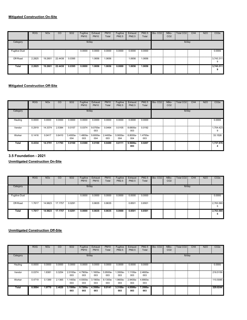|                      | <b>ROG</b> | <b>NO<sub>x</sub></b> | CO      | SO <sub>2</sub> | Fugitive<br><b>PM10</b> | Exhaust<br><b>PM10</b> | <b>PM10</b><br>Total | Fugitive<br>PM2.5 | Exhaust<br>PM2.5 | <b>PM2.5</b><br>Total | Bio-CO <sub>2</sub> | NBio-<br>CO <sub>2</sub> | Total CO <sub>2</sub> | CH <sub>4</sub> | <b>N2O</b> | CO <sub>2</sub> e |
|----------------------|------------|-----------------------|---------|-----------------|-------------------------|------------------------|----------------------|-------------------|------------------|-----------------------|---------------------|--------------------------|-----------------------|-----------------|------------|-------------------|
| Category             |            |                       |         |                 | lb/day                  |                        |                      |                   |                  |                       |                     |                          | lb/day                |                 |            |                   |
| <b>Fugitive Dust</b> |            |                       |         |                 | 0.0000                  | 0.0000                 | 0.0000               | 0.0000            | 0.0000           | 0.0000                |                     |                          |                       |                 |            | 0.0000            |
| Off-Road             | 2.2825     | 19.2601<br>œ          | 22.4438 | 0.0395          |                         | 1.0656                 | 1.0656               |                   | 1.0656           | 1.0656                |                     |                          |                       |                 |            | 3,743.311<br>9    |
| Total                | 2.2825     | 19.2601               | 22,4438 | 0.0395          | 0.0000                  | 1.0656                 | 1.0656               | 0.0000            | 1.0656           | 1.0656                |                     |                          |                       |                 |            | 3,743.311         |

|          | <b>ROG</b> | <b>NO<sub>x</sub></b> | CO     | SO <sub>2</sub> | Fugitive<br><b>PM10</b> | Exhaust<br><b>PM10</b> | <b>PM10</b><br>Total | Fugitive<br>PM2.5 | Exhaust<br><b>PM2.5</b> | <b>PM2.5</b><br>Total | Bio-CO <sub>2</sub> | NBio-<br>CO <sub>2</sub> | Total CO <sub>2</sub> | CH <sub>4</sub> | <b>N2O</b> | CO <sub>2e</sub> |
|----------|------------|-----------------------|--------|-----------------|-------------------------|------------------------|----------------------|-------------------|-------------------------|-----------------------|---------------------|--------------------------|-----------------------|-----------------|------------|------------------|
| Category |            |                       |        |                 | lb/day                  |                        |                      |                   |                         |                       |                     |                          | lb/day                |                 |            |                  |
| Hauling  | 0.0000     | 0.0000                | 0.0000 | 0.0000          | 0.0000                  | 0.0000                 | 0.0000               | 0.0000            | 0.0000                  | 0.0000                |                     |                          |                       |                 |            | 0.0000           |
| Vendor   | 0.2919     | 14.3374               | 2.5384 | 0.0157          | 0.0374                  | 9.0700e-<br>003        | 0.0464               | 0.0105            | 8.6800e-<br>003         | 0.0192                |                     |                          |                       |                 |            | 1,704.423<br>9   |
| Worker   | 0.1416     | 0.0417                | 0.6410 | 3.4000e-<br>004 | 1.4800e-<br>003         | 9.6000e-<br>004        | 2.4400e-<br>003      | 5.9000e-<br>004   | 8.8000e-<br>004         | 1.4700e-<br>003       |                     |                          |                       |                 |            | 33.1526          |
| Total    | 0.4334     | 14.3791               | 3.1793 | 0.0160          | 0.0388                  | 0.0100                 | 0.0489               | 0.0111            | $9.5600e -$<br>003      | 0.0207                |                     |                          |                       |                 |            | 1.737.576<br>а   |

# **3.5 Foundation - 2021**

**Unmitigated Construction On-Site**

|                      | <b>ROG</b> | <b>NO<sub>x</sub></b> | CO              | <b>SO2</b> | Fugitive<br><b>PM10</b> | Exhaust<br><b>PM10</b> | <b>PM10</b><br>Total | Fugitive<br>PM2.5 | Exhaust<br>PM2.5 | <b>PM2.5</b><br>Total | Bio-CO <sub>2</sub> | NBio-<br>CO <sub>2</sub> | Total CO <sub>2</sub> | CH <sub>4</sub> | <b>N2O</b> | CO <sub>2</sub> e |
|----------------------|------------|-----------------------|-----------------|------------|-------------------------|------------------------|----------------------|-------------------|------------------|-----------------------|---------------------|--------------------------|-----------------------|-----------------|------------|-------------------|
| Category             |            |                       |                 |            | lb/day                  |                        |                      |                   |                  |                       |                     |                          | lb/day                |                 |            |                   |
| <b>Fugitive Dust</b> |            |                       |                 |            | 0.0000                  | 0.0000                 | 0.0000               | 0.0000            | 0.0000           | 0.0000                |                     |                          |                       |                 |            | 0.0000            |
| Off-Road<br>E        | .7617      |                       | 14.9823 17.1757 | 0.0291     |                         | 0.8635                 | 0.8635               |                   | 0.8501           | 0.8501                |                     |                          |                       |                 |            | 2,763.580         |
| Total                | 1.7617     | 14.9823               | 17.1757         | 0.0291     | 0.0000                  | 0.8635                 | 0.8635               | 0.0000            | 0.8501           | 0.8501                |                     |                          |                       |                 |            | 2,763.580<br>n    |

|              | <b>ROG</b> | <b>NO<sub>x</sub></b> | CO     | SO <sub>2</sub> | Fugitive<br><b>PM10</b> | Exhaust<br><b>PM10</b>            | <b>PM10</b><br>Total | Fugitive<br>PM2.5 | Exhaust<br>PM2.5 | PM2.5<br>Total  | Bio-CO <sub>2</sub> | NBio-<br>CO <sub>2</sub> | <b>Total CO2</b> | CH <sub>4</sub> | <b>N2O</b> | CO <sub>2</sub> e |
|--------------|------------|-----------------------|--------|-----------------|-------------------------|-----------------------------------|----------------------|-------------------|------------------|-----------------|---------------------|--------------------------|------------------|-----------------|------------|-------------------|
| Category     |            |                       |        |                 |                         | lb/day                            |                      |                   |                  |                 |                     |                          | lb/day           |                 |            |                   |
| Hauling      | 0.0000     | 0.0000                | 0.0000 | 0.0000          | 0.0000                  | 0.0000                            | 0.0000               | 0.0000            | 0.0000           | 0.0000          |                     |                          |                  |                 |            | 0.0000            |
| Vendor       | 0.0374     | 1.8381                | 0.3254 | 2.0100e-<br>003 | 4.7900e-<br>003         | $.1600e-$<br>003                  | 5.9500e-<br>003      | .3500e-<br>003    | 1.1100e-<br>003  | 2.4600e-<br>003 |                     |                          |                  |                 |            | 218,5159          |
| Worker       | 0.4719     | 0.1389                | 2.1365 | 1.1400e-<br>003 | 003                     | 4.9300e- 3.1900e- 8.1300e-<br>003 | 003                  | .9600e-<br>003    | 2.9400e-<br>003  | 4.8900e-<br>003 |                     |                          |                  |                 |            | 110,5085          |
| <b>Total</b> | 0.5094     | 1.9770                | 2.4620 | 3.1500e<br>003  | 9.7200e-<br>003         | 4.3500e-<br>003                   | 0.0141               | 3.3100e-<br>003   | 4.0500e-<br>003  | 7.3500e-<br>003 |                     |                          |                  |                 |            | 329.0244          |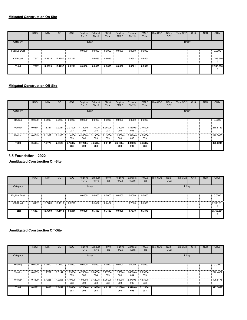|                      | <b>ROG</b> | <b>NO<sub>x</sub></b> | CO      | SO <sub>2</sub> | Fugitive<br><b>PM10</b> | Exhaust<br><b>PM10</b> | <b>PM10</b><br>Total | Fugitive<br>PM2.5 | Exhaust<br>PM2.5 | <b>PM2.5</b><br>Total | Bio-CO <sub>2</sub> | NBio-<br>CO <sub>2</sub> | Total CO <sub>2</sub> | CH <sub>4</sub> | <b>N2O</b> | CO <sub>2</sub> e |
|----------------------|------------|-----------------------|---------|-----------------|-------------------------|------------------------|----------------------|-------------------|------------------|-----------------------|---------------------|--------------------------|-----------------------|-----------------|------------|-------------------|
| Category             |            |                       |         |                 | lb/day                  |                        |                      |                   |                  |                       |                     |                          | lb/day                |                 |            |                   |
| <b>Fugitive Dust</b> |            |                       |         |                 | 0.0000                  | 0.0000                 | 0.0000               | 0.0000            | 0.0000           | 0.0000                |                     |                          |                       |                 |            | 0.0000            |
| Off-Road<br>Е        | .7617      | 14.9823               | 17.1757 | 0.0291          |                         | 0.8635                 | 0.8635               |                   | 0.8501           | 0.8501                |                     |                          |                       |                 |            | 2,763.580         |
| Total                | 1.7617     | 14.9823               | 17.1757 | 0.0291          | 0.0000                  | 0.8635                 | 0.8635               | 0.0000            | 0.8501           | 0.8501                |                     |                          |                       |                 |            | 2,763.580<br>5    |

|          | <b>ROG</b> | <b>NO<sub>x</sub></b> | CO     | SO <sub>2</sub> | Fugitive<br><b>PM10</b> | Exhaust<br><b>PM10</b>            | <b>PM10</b><br>Total | Fugitive<br>PM2.5 | Exhaust<br><b>PM2.5</b> | <b>PM2.5</b><br>Total | Bio-CO <sub>2</sub> | NBio-<br>CO <sub>2</sub> | Total CO <sub>2</sub> | CH4 | <b>N2O</b> | CO <sub>2e</sub> |
|----------|------------|-----------------------|--------|-----------------|-------------------------|-----------------------------------|----------------------|-------------------|-------------------------|-----------------------|---------------------|--------------------------|-----------------------|-----|------------|------------------|
| Category |            |                       |        |                 | lb/day                  |                                   |                      |                   |                         |                       |                     |                          | lb/day                |     |            |                  |
| Hauling  | 0.0000     | 0.0000                | 0.0000 | 0.0000          | 0.0000                  | 0.0000                            | 0.0000               | 0.0000            | 0.0000                  | 0.0000                |                     |                          |                       |     |            | 0.0000           |
| Vendor   | 0.0374     | 1.8381                | 0.3254 | 2.0100e-<br>003 | 4.7900e-<br>003         | .1600e-<br>003                    | 5.9500e-<br>003      | .3500e-<br>003    | 1.1100e-<br>003         | 2.4600e-<br>003       |                     |                          |                       |     |            | 218.5159         |
| Worker   | 0.4719     | 0.1389                | 2.1365 | 1.1400e-<br>003 | 003                     | 4.9300e- 3.1900e- 8.1300e-<br>003 | 003                  | -.9600e<br>003    | 2.9400e-<br>003         | 4.8900e-<br>003       |                     |                          |                       |     |            | 110,5085         |
| Total    | 0.5094     | 1.9770                | 2.4620 | 3.1500e-<br>003 | 9.7200e-<br>003         | 4.3500e-<br>003                   | 0.0141               | 3.3100e-<br>003   | 4.0500e-<br>003         | 7.3500e-<br>003       |                     |                          |                       |     |            | 329.0244         |

# **3.5 Foundation - 2022**

**Unmitigated Construction On-Site**

|                      | <b>ROG</b>  | <b>NO<sub>x</sub></b> | CO                     | SO <sub>2</sub> | Fugitive<br><b>PM10</b> | Exhaust<br><b>PM10</b> | <b>PM10</b><br>Total | Fugitive<br>PM2.5 | Exhaust<br>PM2.5 | <b>PM2.5</b><br>Total | Bio-CO <sub>2</sub> | NBio-<br>CO <sub>2</sub> | Total CO <sub>2</sub> | CH4 | <b>N2O</b> | CO <sub>2</sub> e |
|----------------------|-------------|-----------------------|------------------------|-----------------|-------------------------|------------------------|----------------------|-------------------|------------------|-----------------------|---------------------|--------------------------|-----------------------|-----|------------|-------------------|
| Category             |             |                       |                        |                 |                         | lb/day                 |                      |                   |                  |                       |                     |                          | lb/day                |     |            |                   |
| <b>Fugitive Dust</b> | æ           |                       |                        |                 | 0.0000                  | 0.0000                 | 0.0000               | 0.0000            | 0.0000           | 0.0000                |                     |                          |                       |     |            | 0.0000            |
| Off-Road             | 1.6187<br>E |                       | 13.7769 17.1118 0.0291 |                 |                         | 0.7482                 | 0.7482               |                   | 0.7370           | 0.7370                |                     |                          |                       |     |            | 2,763.361         |
| Total                | 1.6187      | 13.7769               | 17.1118                | 0.0291          | 0.0000                  | 0.7482                 | 0.7482               | 0.0000            | 0.7370           | 0.7370                |                     |                          |                       |     |            | 2,763.361         |

|              | ROG    | <b>NO<sub>x</sub></b> | <b>CO</b> | SO <sub>2</sub> | Fugitive<br><b>PM10</b> | Exhaust<br><b>PM10</b>            | <b>PM10</b><br>Total | Fugitive<br><b>PM2.5</b> | Exhaust<br>PM2.5 | PM2.5<br>Total  | Bio-CO <sub>2</sub> | NBio-<br>CO <sub>2</sub> | Total CO <sub>2</sub> | CH <sub>4</sub> | <b>N2O</b> | CO <sub>2</sub> e |
|--------------|--------|-----------------------|-----------|-----------------|-------------------------|-----------------------------------|----------------------|--------------------------|------------------|-----------------|---------------------|--------------------------|-----------------------|-----------------|------------|-------------------|
| Category     |        |                       |           |                 | lb/day                  |                                   |                      |                          |                  |                 |                     |                          | lb/day                |                 |            |                   |
| Hauling      | 0.0000 | 0.0000                | 0.0000    | 0.0000          | 0.0000                  | 0.0000                            | 0.0000               | 0.0000                   | 0.0000           | 0.0000          |                     |                          |                       |                 |            | 0.0000            |
| Vendor       | 0.0353 | 1.7787                | 0.3147    | .9900e-<br>003  | 4.7900e-<br>003         | 9.8000e-<br>004                   | 5.7700e-<br>003      | .3500e-<br>003           | 9.4000e-<br>004  | 2.2900e-<br>003 |                     |                          |                       |                 |            | 216,4857          |
| Worker       | 0.4329 | 0.1225                | 1.9295    | 1.1000e-<br>003 | 003                     | 4.9300e- 3.1200e- 8.0500e-<br>003 | 003                  | .9600e-<br>003           | 2.8700e-<br>003  | 4.8300e-<br>003 |                     |                          |                       |                 |            | 106,8175          |
| <b>Total</b> | 0.4682 | 1.9013                | 2.2442    | 3.0900e-<br>003 | 9.7200e-<br>003         | 4.1000e-<br>003                   | 0.0138               | 3.3100e-<br>003          | 3.8100e-<br>003  | 7.1200e-<br>003 |                     |                          |                       |                 |            | 323.3032          |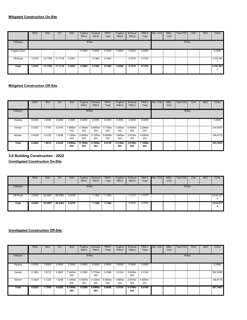|                      | <b>ROG</b> | <b>NO<sub>x</sub></b> | CO              | SO <sub>2</sub> | Fugitive<br><b>PM10</b> | Exhaust<br><b>PM10</b> | <b>PM10</b><br>Total | Fugitive<br>PM2.5 | Exhaust<br>PM2.5 | PM2.5<br>Total | Bio-CO <sub>2</sub> | NBio-<br>CO <sub>2</sub> | Total CO <sub>2</sub> | CH <sub>4</sub> | <b>N2O</b> | CO <sub>2</sub> e |
|----------------------|------------|-----------------------|-----------------|-----------------|-------------------------|------------------------|----------------------|-------------------|------------------|----------------|---------------------|--------------------------|-----------------------|-----------------|------------|-------------------|
| Category             |            |                       |                 |                 | lb/day                  |                        |                      |                   |                  |                |                     |                          | lb/day                |                 |            |                   |
| <b>Fugitive Dust</b> |            |                       |                 |                 | 0.0000                  | 0.0000                 | 0.0000               | 0.0000            | 0.0000           | 0.0000         |                     |                          |                       |                 |            | 0.0000            |
| Off-Road<br>Е        | 1.6187     |                       | 13.7769 17.1118 | 0.0291          |                         | 0.7482                 | 0.7482               |                   | 0.7370           | 0.7370         |                     |                          |                       |                 |            | 2,763.361         |
| Total                | 1.6187     | 13.7769               | 17.1118         | 0.0291          | 0.0000                  | 0.7482                 | 0.7482               | 0.0000            | 0.7370           | 0.7370         |                     |                          |                       |                 |            | 2,763.361         |

|              | <b>ROG</b> | <b>NO<sub>x</sub></b> | CO     | SO <sub>2</sub> | Fugitive<br><b>PM10</b> | Exhaust<br><b>PM10</b> | <b>PM10</b><br>Total | Fugitive<br>PM2.5 | Exhaust<br><b>PM2.5</b> | <b>PM2.5</b><br>Total | Bio-CO <sub>2</sub> | NBio-<br>CO <sub>2</sub> | Total CO <sub>2</sub> | CH <sub>4</sub> | <b>N2O</b> | CO <sub>2e</sub> |
|--------------|------------|-----------------------|--------|-----------------|-------------------------|------------------------|----------------------|-------------------|-------------------------|-----------------------|---------------------|--------------------------|-----------------------|-----------------|------------|------------------|
| Category     |            |                       |        |                 | lb/day                  |                        |                      |                   |                         |                       |                     |                          | lb/day                |                 |            |                  |
| Hauling<br>æ | 0.0000     | 0.0000                | 0.0000 | 0.0000          | 0.0000                  | 0.0000                 | 0.0000               | 0.0000            | 0.0000                  | 0.0000                |                     |                          |                       |                 |            | 0.0000           |
| Vendor       | 0.0353     | 1.7787                | 0.3147 | 1.9900e-<br>003 | 4.7900e-<br>003         | 9.8000e-<br>004        | 5.7700e-<br>003      | .3500e-<br>003    | 9.4000e-<br>004         | 2.2900e-<br>003       |                     |                          |                       |                 |            | 216,4857         |
| Worker       | 0.4329     | 0.1225                | 1.9295 | 1.1000e-<br>003 | 4.9300e-<br>003         | 3.1200e-<br>003        | 8.0500e-<br>003      | .9600e-<br>003    | 2.8700e-<br>003         | 4.8300e-<br>003       |                     |                          |                       |                 |            | 106.8175         |
| Total        | 0.4682     | 1.9013                | 2.2442 | 3.0900e-<br>003 | $9.7200e -$<br>003      | 4.1000e-<br>003        | 0.0138               | 3.3100e-<br>003   | 3.8100e-<br>003         | 7.1200e-<br>003       |                     |                          |                       |                 |            | 323.3032         |

# **3.6 Building Construction - 2022**

**Unmitigated Construction On-Site**

|              | <b>ROG</b>   | <b>NO<sub>x</sub></b> | CO      | <b>SO2</b> | Fugitive<br><b>PM10</b> | Exhaust<br><b>PM10</b> | <b>PM10</b><br>Total | Fugitive<br>PM2.5 | Exhaust<br>PM2.5 | <b>PM2.5</b><br>Total | Bio-CO <sub>2</sub> | NBio-<br>CO <sub>2</sub> | Total CO <sub>2</sub> | CH <sub>4</sub> | N2O | CO <sub>2</sub> e |
|--------------|--------------|-----------------------|---------|------------|-------------------------|------------------------|----------------------|-------------------|------------------|-----------------------|---------------------|--------------------------|-----------------------|-----------------|-----|-------------------|
| Category     |              |                       |         |            | lb/day                  |                        |                      |                   |                  |                       |                     |                          | lb/day                |                 |     |                   |
| Off-Road     | 2.6553<br>н. | 22.0897               | 28.3362 | 0.0478     |                         | 1.1300                 | .1300                |                   | 1.1171           | 1.1171                |                     |                          |                       |                 |     | 4,516.577<br>0    |
| <b>Total</b> | 2.6553       | 22.0897               | 28.3362 | 0.0478     |                         | 1.1300                 | 1.1300               |                   | 1.1171           | 1.1171                |                     |                          |                       |                 |     | 4,516.577<br>0    |

|          | <b>ROG</b> | <b>NO<sub>x</sub></b> | CO     | SO <sub>2</sub> | Fugitive<br><b>PM10</b> | Exhaust<br><b>PM10</b> | <b>PM10</b><br>Total              | Fugitive<br>PM2.5 | Exhaust<br>PM2.5 | PM2.5<br>Total  | Bio-CO <sub>2</sub> | NBio-<br>CO <sub>2</sub> | Total CO <sub>2</sub> | CH <sub>4</sub> | <b>N2O</b> | CO <sub>2</sub> e |
|----------|------------|-----------------------|--------|-----------------|-------------------------|------------------------|-----------------------------------|-------------------|------------------|-----------------|---------------------|--------------------------|-----------------------|-----------------|------------|-------------------|
| Category |            |                       |        |                 | lb/day                  |                        |                                   |                   |                  |                 |                     |                          | lb/day                |                 |            |                   |
| Hauling  | 0.0000     | 0.0000                | 0.0000 | 0.0000          | 0.0000                  | 0.0000                 | 0.0000                            | 0.0000            | 0.0000           | 0.0000          |                     |                          |                       |                 |            | 0.0000            |
| Vendor   | 0.1924     | 7.6710                | 2.0967 | 7.6400e-<br>003 | 0.0350                  | 3.7700e-<br>003        | 0.0388                            | 0.0104            | 3.6000e-<br>003  | 0.0140          |                     |                          |                       |                 |            | 824.5285          |
| Worker   | 0.4329     | 0.1225                | 1.9295 | 1.1000e-<br>003 | 003                     | 003                    | 4.9300e- 3.1200e- 8.0500e-<br>003 | -.9600e<br>003    | 2.8700e-<br>003  | 4.8300e-<br>003 |                     |                          |                       |                 |            | 106,8175          |
| Total    | 0.6253     | 7.7935                | 4.0262 | 8.7400e-<br>003 | 0.0399                  | 6.8900e-<br>003        | 0.0468                            | 0.0124            | 6.4700e-<br>003  | 0.0189          |                     |                          |                       |                 |            | 931.3461          |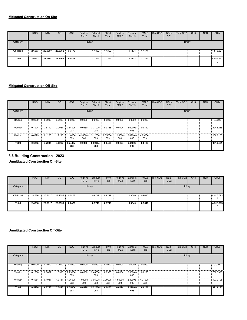|          | <b>ROG</b>   | <b>NO<sub>x</sub></b> | CO      | <b>SO2</b> | Fugitive<br><b>PM10</b> | Exhaust<br><b>PM10</b> | <b>PM10</b><br>Total | Fugitive<br>PM2.5 | Exhaust<br>PM2.5 | <b>PM2.5</b><br>Total | Bio-CO <sub>2</sub> | NBio-<br>CO <sub>2</sub> | Total CO <sub>2</sub> | CH <sub>4</sub> | <b>N2O</b> | CO <sub>2</sub> e |
|----------|--------------|-----------------------|---------|------------|-------------------------|------------------------|----------------------|-------------------|------------------|-----------------------|---------------------|--------------------------|-----------------------|-----------------|------------|-------------------|
| Category |              |                       |         |            | lb/day                  |                        |                      |                   |                  |                       |                     |                          | lb/day                |                 |            |                   |
| Off-Road | 2.6553<br>Ξ. | 22.0897               | 28.3362 | 0.0478     |                         | 1.1300                 | 1.1300               |                   | 1.1171           | 1.1171                |                     |                          |                       |                 |            | 4,516.577<br>0    |
| Total    | 2.6553       | 22.0897               | 28.3362 | 0.0478     |                         | 1.1300                 | 1.1300               |                   | 1.1171           | 1.1171                |                     |                          |                       |                 |            | 4,516.577<br>0    |

|          | <b>ROG</b> | <b>NO<sub>x</sub></b> | CO     | <b>SO2</b>      | Fugitive<br><b>PM10</b> | Exhaust<br><b>PM10</b> | <b>PM10</b><br>Total | Fugitive<br>PM2.5 | Exhaust<br><b>PM2.5</b> | <b>PM2.5</b><br>Total | Bio-CO <sub>2</sub> | NBio-<br>CO <sub>2</sub> | Total CO <sub>2</sub> | CH <sub>4</sub> | <b>N2O</b> | CO <sub>2e</sub> |
|----------|------------|-----------------------|--------|-----------------|-------------------------|------------------------|----------------------|-------------------|-------------------------|-----------------------|---------------------|--------------------------|-----------------------|-----------------|------------|------------------|
| Category |            |                       |        |                 | lb/day                  |                        |                      |                   |                         |                       |                     |                          | lb/day                |                 |            |                  |
| Hauling  | 0.0000     | 0.0000                | 0.0000 | 0.0000          | 0.0000                  | 0.0000                 | 0.0000               | 0.0000            | 0.0000                  | 0.0000                |                     |                          |                       |                 |            | 0.0000           |
| Vendor   | 0.1924     | 7.6710                | 2.0967 | 7.6400e-<br>003 | 0.0350                  | 3.7700e-<br>003        | 0.0388               | 0.0104            | 3.6000e-<br>003         | 0.0140                |                     |                          |                       |                 |            | 824.5285         |
| Worker   | 0.4329     | 0.1225                | 1.9295 | .1000e-<br>003  | 4.9300e-<br>003         | 3.1200e-<br>003        | B.0500e-<br>003      | -.9600e<br>003    | 2.8700e-<br>003         | 4.8300e-<br>003       |                     |                          |                       |                 |            | 106,8175         |
| Total    | 0.6253     | 7.7935                | 4.0262 | 8.7400e-<br>003 | 0.0399                  | 6.8900e-<br>003        | 0.0468               | 0.0124            | 6.4700e-<br>003         | 0.0189                |                     |                          |                       |                 |            | 931.3461         |

# **3.6 Building Construction - 2023**

**Unmitigated Construction On-Site**

|          | <b>ROG</b>   | <b>NO<sub>x</sub></b> | $\overline{c}$ | <b>SO2</b> | Fugitive<br><b>PM10</b> | Exhaust<br><b>PM10</b> | <b>PM10</b><br>Total | Fugitive<br>PM2.5 | Exhaust<br>PM2.5 | <b>PM2.5</b><br>Total | Bio-CO <sub>2</sub> | NBio-<br>CO <sub>2</sub> | Total CO <sub>2</sub> | CH4 | <b>N2O</b> | CO <sub>2</sub> e |
|----------|--------------|-----------------------|----------------|------------|-------------------------|------------------------|----------------------|-------------------|------------------|-----------------------|---------------------|--------------------------|-----------------------|-----|------------|-------------------|
| Category |              |                       |                |            | lb/day                  |                        |                      |                   |                  |                       |                     |                          | lb/day                |     |            |                   |
| Off-Road | 2.4636<br>Œ. | 20.5117<br>÷.         | 28.2555        | 0.0478     |                         | 0.9749                 | 0.9749               |                   | 0.9640           | 0.9640                |                     |                          |                       |     |            | 4,516.093<br>8    |
| Total    | 2.4636       | 20.5117               | 28.2555        | 0.0478     |                         | 0.9749                 | 0.9749               |                   | 0.9640           | 0.9640                |                     |                          |                       |     |            | 4,516.093<br>8    |

|          | ROG    | <b>NO<sub>x</sub></b> | CO     | SO <sub>2</sub> | Fugitive<br><b>PM10</b> | Exhaust<br><b>PM10</b>            | <b>PM10</b><br>Total | Fugitive<br>PM2.5 | Exhaust<br><b>PM2.5</b> | PM2.5<br>Total  | Bio-CO <sub>2</sub> | NBio-<br>CO <sub>2</sub> | Total CO <sub>2</sub> | CH <sub>4</sub> | <b>N2O</b> | CO <sub>2e</sub> |
|----------|--------|-----------------------|--------|-----------------|-------------------------|-----------------------------------|----------------------|-------------------|-------------------------|-----------------|---------------------|--------------------------|-----------------------|-----------------|------------|------------------|
| Category |        |                       |        |                 | lb/day                  |                                   |                      |                   |                         |                 |                     |                          | lb/day                |                 |            |                  |
| Hauling  | 0.0000 | 0.0000                | 0.0000 | 0.0000          | 0.0000                  | 0.0000                            | 0.0000               | 0.0000            | 0.0000                  | 0.0000          |                     |                          |                       |                 |            | 0.0000           |
| Vendor   | 0.1506 | 6.6667                | 1.8395 | 7.2900e-<br>003 | 0.0350                  | 2.4600e-<br>003                   | 0.0375               | 0.0104            | 2.3500e-<br>003         | 0.0128          |                     |                          |                       |                 |            | 788.5390         |
| Worker   | 0.3981 | 0.1087                | 1.7451 | 1.0600e-<br>003 | 003                     | 4.9300e- 3.0600e- 7.9900e-<br>003 | 003                  | -.9600e<br>003    | 2.8200e-<br>003         | 4.7700e-<br>003 |                     |                          |                       |                 |            | 103.0795         |
| Total    | 0.5486 | 6.7753                | 3.5846 | 8.3500e-<br>003 | 0.0399                  | 5.5200e-<br>003                   | 0.0455               | 0.0124            | 5.1700e-<br>003         | 0.0176          |                     |                          |                       |                 |            | 891.6185         |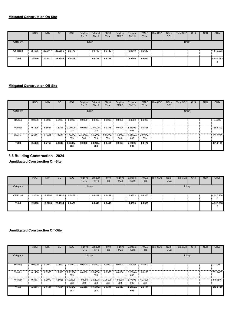|          | <b>ROG</b>   | <b>NO<sub>x</sub></b> | CO      | <b>SO2</b> | Fugitive<br><b>PM10</b> | Exhaust<br><b>PM10</b> | <b>PM10</b><br>Total | Fugitive<br>PM2.5 | Exhaust<br>PM2.5 | <b>PM2.5</b><br>Total | Bio-CO <sub>2</sub> | NBio-<br>CO <sub>2</sub> | Total CO <sub>2</sub> | CH <sub>4</sub> | <b>N2O</b> | CO <sub>2</sub> e |
|----------|--------------|-----------------------|---------|------------|-------------------------|------------------------|----------------------|-------------------|------------------|-----------------------|---------------------|--------------------------|-----------------------|-----------------|------------|-------------------|
| Category |              |                       |         |            | lb/day                  |                        |                      |                   |                  |                       |                     |                          | lb/day                |                 |            |                   |
| Off-Road | 2.4636<br>Ξ. | 20.5117<br>÷.         | 28.2555 | 0.0478     |                         | 0.9749                 | 0.9749               |                   | 0.9640           | 0.9640                |                     |                          |                       |                 |            | 4,516.093<br>8    |
| Total    | 2.4636       | 20.5117               | 28.2555 | 0.0478     |                         | 0.9749                 | 0.9749               |                   | 0.9640           | 0.9640                |                     |                          |                       |                 |            | 4,516.093<br>o    |

|          | <b>ROG</b> | <b>NO<sub>x</sub></b> | CO     | SO <sub>2</sub> | Fugitive<br><b>PM10</b> | Exhaust<br><b>PM10</b> | <b>PM10</b><br>Total | Fugitive<br>PM2.5 | Exhaust<br><b>PM2.5</b> | <b>PM2.5</b><br>Total | Bio-CO <sub>2</sub> | NBio-<br>CO <sub>2</sub> | <b>Total CO2</b> | CH4 | <b>N2O</b> | CO <sub>2e</sub> |
|----------|------------|-----------------------|--------|-----------------|-------------------------|------------------------|----------------------|-------------------|-------------------------|-----------------------|---------------------|--------------------------|------------------|-----|------------|------------------|
| Category |            |                       |        |                 | lb/day                  |                        |                      |                   |                         |                       |                     |                          | lb/day           |     |            |                  |
| Hauling  | 0.0000     | 0.0000                | 0.0000 | 0.0000          | 0.0000                  | 0.0000                 | 0.0000               | 0.0000            | 0.0000                  | 0.0000                |                     |                          |                  |     |            | 0.0000           |
| Vendor   | 0.1506     | 6.6667                | 1.8395 | 7.2900e-<br>003 | 0.0350                  | 2.4600e-<br>003        | 0.0375               | 0.0104            | 2.3500e-<br>003         | 0.0128                |                     |                          |                  |     |            | 788.5390         |
| Worker   | 0.3981     | 0.1087                | 1.7451 | 1.0600e-<br>003 | 4.9300e-<br>003         | 3.0600e-<br>003        | 7.9900e-<br>003      | -.9600e<br>003    | 2.8200e-<br>003         | 4.7700e-<br>003       |                     |                          |                  |     |            | 103,0795         |
| Total    | 0.5486     | 6.7753                | 3.5846 | 8.3500e-<br>003 | 0.0399                  | 5.5200e-<br>003        | 0.0455               | 0.0124            | 5.1700e<br>003          | 0.0176                |                     |                          |                  |     |            | 891.6185         |

# **3.6 Building Construction - 2024**

**Unmitigated Construction On-Site**

|          | <b>ROG</b>   | <b>NO<sub>x</sub></b> | CO      | <b>SO2</b> | Fugitive<br><b>PM10</b> | Exhaust<br><b>PM10</b> | <b>PM10</b><br>Total | Fugitive<br>PM2.5 | Exhaust<br>PM2.5 | <b>PM2.5</b><br>Total | Bio-CO <sub>2</sub> | NBio-<br>CO <sub>2</sub> | Total CO <sub>2</sub> | CH4 | <b>N2O</b> | CO <sub>2</sub> e |
|----------|--------------|-----------------------|---------|------------|-------------------------|------------------------|----------------------|-------------------|------------------|-----------------------|---------------------|--------------------------|-----------------------|-----|------------|-------------------|
| Category |              |                       |         |            | lb/day                  |                        |                      |                   |                  |                       |                     |                          | lb/day                |     |            |                   |
| Off-Road | 2.3010<br>Œ. | 19.2750               | 28.1954 | 0.0478     |                         | 0.8449                 | 0.8449               |                   | 0.8353           | 0.8353                |                     |                          |                       |     |            | 4,515.838<br>6    |
| Total    | 2.3010       | 19.2750               | 28.1954 | 0.0478     |                         | 0.8449                 | 0.8449               |                   | 0.8353           | 0.8353                |                     |                          |                       |     |            | 4,515.838<br>6    |

|          | ROG    | <b>NO<sub>x</sub></b> | CO     | SO <sub>2</sub> | Fugitive<br><b>PM10</b> | Exhaust<br><b>PM10</b>            | <b>PM10</b><br>Total | Fugitive<br>PM2.5 | Exhaust<br><b>PM2.5</b> | PM2.5<br>Total  | Bio-CO <sub>2</sub> | NBio-<br>CO <sub>2</sub> | Total CO <sub>2</sub> | CH <sub>4</sub> | <b>N2O</b> | CO <sub>2e</sub> |
|----------|--------|-----------------------|--------|-----------------|-------------------------|-----------------------------------|----------------------|-------------------|-------------------------|-----------------|---------------------|--------------------------|-----------------------|-----------------|------------|------------------|
| Category |        |                       |        |                 | lb/day                  |                                   |                      |                   |                         |                 |                     |                          | lb/day                |                 |            |                  |
| Hauling  | 0.0000 | 0.0000                | 0.0000 | 0.0000          | 0.0000                  | 0.0000                            | 0.0000               | 0.0000            | 0.0000                  | 0.0000          |                     |                          |                       |                 |            | 0.0000           |
| Vendor   | 0.1436 | 6.6385                | 1.7500 | .2200e-<br>003  | 0.0350                  | 2.2600e-<br>003                   | 0.0373               | 0.0104            | 2.1600e-<br>003         | 0.0126          |                     |                          |                       |                 |            | 781.2603         |
| Worker   | 0.3677 | 0.0970                | 1.5925 | 1.0200e-<br>003 | 003                     | 4.9300e- 3.0200e- 7.9500e-<br>003 | 003                  | -.9600e<br>003    | 2.7700e-<br>003         | 4.7300e-<br>003 |                     |                          |                       |                 |            | 99.5616          |
| Total    | 0.5113 | 6.7356                | 3.3425 | 8.2400e-<br>003 | 0.0399                  | 5.2800e-<br>003                   | 0.0452               | 0.0124            | 4.9300e-<br>003         | 0.0173          |                     |                          |                       |                 |            | 880.8218         |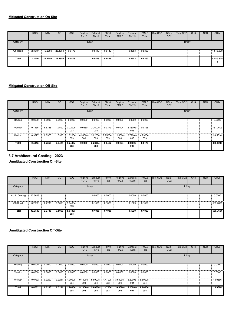|          | <b>ROG</b>   | <b>NO<sub>x</sub></b> | <b>CO</b> | <b>SO2</b> | Fugitive<br><b>PM10</b> | Exhaust<br><b>PM10</b> | <b>PM10</b><br>Total | Fugitive<br>PM2.5 | Exhaust<br>PM2.5 | <b>PM2.5</b><br>Total | Bio-CO <sub>2</sub> | NBio-<br>CO <sub>2</sub> | Total CO <sub>2</sub> | CH <sub>4</sub> | <b>N2O</b> | CO <sub>2</sub> e |
|----------|--------------|-----------------------|-----------|------------|-------------------------|------------------------|----------------------|-------------------|------------------|-----------------------|---------------------|--------------------------|-----------------------|-----------------|------------|-------------------|
| Category |              |                       |           |            | lb/day                  |                        |                      |                   |                  |                       |                     |                          | lb/day                |                 |            |                   |
| Off-Road | 2.3010<br>Œ. | 19.2750 28.1954       |           | 0.0478     |                         | 0.8449                 | 0.8449               |                   | 0.8353           | 0.8353                |                     |                          |                       |                 |            | 4,515.838<br>6    |
| Total    | 2.3010       | 19.2750               | 28.1954   | 0.0478     |                         | 0.8449                 | 0.8449               |                   | 0.8353           | 0.8353                |                     |                          |                       |                 |            | 4,515.838<br>6    |

|          | <b>ROG</b> | <b>NO<sub>x</sub></b> | CO     | SO <sub>2</sub> | Fugitive<br><b>PM10</b> | Exhaust<br><b>PM10</b> | <b>PM10</b><br>Total | Fugitive<br>PM2.5 | Exhaust<br><b>PM2.5</b> | <b>PM2.5</b><br>Total | Bio-CO <sub>2</sub> | NBio-<br>CO <sub>2</sub> | Total CO <sub>2</sub> | CH4 | <b>N2O</b> | CO <sub>2e</sub> |
|----------|------------|-----------------------|--------|-----------------|-------------------------|------------------------|----------------------|-------------------|-------------------------|-----------------------|---------------------|--------------------------|-----------------------|-----|------------|------------------|
| Category |            |                       |        |                 | lb/day                  |                        |                      |                   |                         |                       |                     |                          | lb/day                |     |            |                  |
| Hauling  | 0.0000     | 0.0000                | 0.0000 | 0.0000          | 0.0000                  | 0.0000                 | 0.0000               | 0.0000            | 0.0000                  | 0.0000                |                     |                          |                       |     |            | 0.0000           |
| Vendor   | 0.1436     | 6.6385                | 1.7500 | 7.2200e-<br>003 | 0.0350                  | 2.2600e-<br>003        | 0.0373               | 0.0104            | 2.1600e-<br>003         | 0.0126                |                     |                          |                       |     |            | 781.2603         |
| Worker   | 0.3677     | 0.0970                | 1.5925 | 1.0200e-<br>003 | 4.9300e-<br>003         | 3.0200e-<br>003        | 7.9500e-<br>003      | 1.9600e-<br>003   | 2.7700e-<br>003         | 4.7300e-<br>003       |                     |                          |                       |     |            | 99.5616          |
| Total    | 0.5113     | 6.7356                | 3.3425 | 8.2400e-<br>003 | 0.0399                  | 5.2800e-<br>003        | 0.0452               | 0.0124            | 4.9300e-<br>003         | 0.0173                |                     |                          |                       |     |            | 880.8218         |

# **3.7 Architectural Coating - 2023**

**Unmitigated Construction On-Site**

|                 | <b>ROG</b>  | <b>NO<sub>x</sub></b> | CO     | SO <sub>2</sub> | Fugitive<br><b>PM10</b> | Exhaust<br><b>PM10</b> | <b>PM10</b><br>Total | Fugitive<br>PM2.5 | Exhaust<br>PM2.5 | <b>PM2.5</b><br>Total | Bio-CO <sub>2</sub> | NBio-<br>CO <sub>2</sub> | Total CO <sub>2</sub> | CH <sub>4</sub> | <b>N2O</b> | CO <sub>2</sub> e |
|-----------------|-------------|-----------------------|--------|-----------------|-------------------------|------------------------|----------------------|-------------------|------------------|-----------------------|---------------------|--------------------------|-----------------------|-----------------|------------|-------------------|
| Category        |             |                       |        |                 |                         | lb/day                 |                      |                   |                  |                       |                     |                          | lb/day                |                 |            |                   |
| Archit. Coating | 42.6648     |                       |        |                 |                         | 0.0000                 | 0.0000               |                   | 0.0000           | 0.0000                |                     |                          |                       |                 |            | 0.0000            |
| Off-Road        | 0.2902<br>Е | 2.2706                | 3.5068 | 5.6400e-<br>003 |                         | 0.1036                 | 0.1036               |                   | 0.1029           | 0.1029                |                     |                          |                       |                 |            | 539.7601          |
| Total           | 42.9549     | 2.2706                | 3.5068 | 5.6400e-<br>003 |                         | 0.1036                 | 0.1036               |                   | 0.1029           | 0.1029                |                     |                          |                       |                 |            | 539.7601          |

|          | <b>ROG</b> | <b>NO<sub>x</sub></b> | CO     | SO <sub>2</sub> | Fugitive<br><b>PM10</b>  | Exhaust<br><b>PM10</b> | <b>PM10</b><br>Total | Fugitive<br><b>PM2.5</b>       | Exhaust<br>PM2.5 | PM2.5<br>Total  | Bio-CO <sub>2</sub> | NBio-<br>CO <sub>2</sub> | Total CO <sub>2</sub> | CH <sub>4</sub> | <b>N2O</b> | CO <sub>2</sub> e |
|----------|------------|-----------------------|--------|-----------------|--------------------------|------------------------|----------------------|--------------------------------|------------------|-----------------|---------------------|--------------------------|-----------------------|-----------------|------------|-------------------|
| Category |            |                       |        |                 | lb/day                   |                        |                      |                                |                  |                 |                     |                          | lb/day                |                 |            |                   |
| Hauling  | 0.0000     | 0.0000                | 0.0000 | 0.0000          | 0.0000                   | 0.0000                 | 0.0000               | 0.0000                         | 0.0000           | 0.0000          |                     |                          |                       |                 |            | 0.0000            |
| Vendor   | 0.0000     | 0.0000                | 0.0000 | 0.0000          | 0.0000                   | 0.0000                 | 0.0000               | 0.0000                         | 0.0000           | 0.0000          |                     |                          |                       |                 |            | 0.0000            |
| Worker   | 0.0732     | 0.0200                | 0.3211 | 1.9000e-<br>004 | 9.1000e- 5.6000e-<br>004 | 004                    | 003                  | 1.4700e- 3.6000e-<br>п.<br>004 | 5.2000e-<br>004  | 8.8000e-<br>004 |                     |                          |                       |                 |            | 18.9666           |
| Total    | 0.0732     | 0.0200                | 0.3211 | 1.9000e-<br>004 | 9.1000e-<br>004          | 5.6000e-<br>004        | 1.4700e-<br>003      | 3.6000e-<br>004                | 5.2000e-<br>004  | 8.8000e-<br>004 |                     |                          |                       |                 |            | 18.9666           |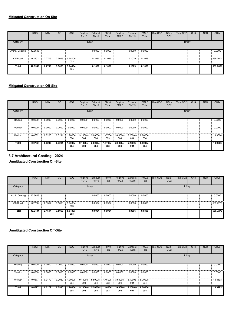|                 | <b>ROG</b>   | <b>NO<sub>x</sub></b> | CO     | SO <sub>2</sub> | Fugitive<br><b>PM10</b> | Exhaust<br><b>PM10</b> | <b>PM10</b><br>Total | Fugitive<br><b>PM2.5</b> | Exhaust<br>PM2.5 | <b>PM2.5</b><br>Total | Bio-CO <sub>2</sub> | NBio-<br>CO <sub>2</sub> | Total CO <sub>2</sub> | CH <sub>4</sub> | <b>N2O</b> | CO <sub>2</sub> e |
|-----------------|--------------|-----------------------|--------|-----------------|-------------------------|------------------------|----------------------|--------------------------|------------------|-----------------------|---------------------|--------------------------|-----------------------|-----------------|------------|-------------------|
| Category        |              |                       |        |                 | lb/day                  |                        |                      |                          |                  |                       |                     |                          | lb/day                |                 |            |                   |
| Archit. Coating | 42.6648<br>B |                       |        |                 |                         | 0.0000                 | 0.0000               |                          | 0.0000           | 0.0000                |                     |                          |                       |                 |            | 0.0000            |
| Off-Road        | 0.2902<br>m  | 2.2706                | 3.5068 | 5.6400e-<br>003 |                         | 0.1036                 | 0.1036               |                          | 0.1029           | 0.1029                |                     |                          |                       |                 |            | 539.7601          |
| Total           | 42.9549      | 2.2706                | 3.5068 | 5.6400e-<br>003 |                         | 0.1036                 | 0.1036               |                          | 0.1029           | 0.1029                |                     |                          |                       |                 |            | 539.7601          |

|              | <b>ROG</b> | <b>NO<sub>x</sub></b> | CO     | SO <sub>2</sub> | Fugitive<br><b>PM10</b> | Exhaust<br><b>PM10</b> | <b>PM10</b><br>Total | Fugitive<br>PM2.5  | Exhaust<br><b>PM2.5</b> | <b>PM2.5</b><br>Total | Bio-CO <sub>2</sub> | NBio-<br>CO <sub>2</sub> | Total CO <sub>2</sub> | CH4 | <b>N2O</b> | CO <sub>2e</sub> |
|--------------|------------|-----------------------|--------|-----------------|-------------------------|------------------------|----------------------|--------------------|-------------------------|-----------------------|---------------------|--------------------------|-----------------------|-----|------------|------------------|
| Category     |            |                       |        |                 | lb/day                  |                        |                      |                    |                         |                       |                     |                          | lb/day                |     |            |                  |
| Hauling<br>Ŧ | 0.0000     | 0.0000                | 0.0000 | 0.0000          | 0.0000                  | 0.0000                 | 0.0000               | 0.0000             | 0.0000                  | 0.0000                |                     |                          |                       |     |            | 0.0000           |
| Vendor       | 0.0000     | 0.0000                | 0.0000 | 0.0000          | 0.0000                  | 0.0000                 | 0.0000               | 0.0000             | 0.0000                  | 0.0000                |                     |                          |                       |     |            | 0.0000           |
| Worker       | 0.0732     | 0.0200                | 0.3211 | 1.9000e-<br>004 | 9.1000e-<br>004         | 5.6000e-<br>004        | 1.4700e-<br>003      | 3.6000e-<br>004    | 5.2000e-<br>004         | 8.8000e-<br>004       |                     |                          |                       |     |            | 18.9666          |
| Total        | 0.0732     | 0.0200                | 0.3211 | 1.9000e-<br>004 | $9.1000e -$<br>004      | $5.6000e-$<br>004      | 1.4700e-<br>003      | $3.6000e -$<br>004 | 5.2000e-<br>004         | 8.8000e-<br>004       |                     |                          |                       |     |            | 18.9666          |

# **3.7 Architectural Coating - 2024**

**Unmitigated Construction On-Site**

|                 | <b>ROG</b>  | <b>NO<sub>x</sub></b> | CO     | SO <sub>2</sub> | Fugitive<br><b>PM10</b> | Exhaust<br><b>PM10</b> | <b>PM10</b><br>Total | Fugitive<br>PM2.5 | Exhaust<br>PM2.5 | <b>PM2.5</b><br>Total | Bio-CO <sub>2</sub> | NBio-<br>CO <sub>2</sub> | Total CO <sub>2</sub> | CH <sub>4</sub> | <b>N2O</b> | CO <sub>2</sub> e |
|-----------------|-------------|-----------------------|--------|-----------------|-------------------------|------------------------|----------------------|-------------------|------------------|-----------------------|---------------------|--------------------------|-----------------------|-----------------|------------|-------------------|
| Category        |             |                       |        |                 |                         | lb/day                 |                      |                   |                  |                       |                     |                          | lb/day                |                 |            |                   |
| Archit. Coating | 42.6648     |                       |        |                 |                         | 0.0000                 | 0.0000               |                   | 0.0000           | 0.0000                |                     |                          |                       |                 |            | 0.0000            |
| Off-Road        | 0.2756<br>Е | 2.1514                | 3.5063 | 5.6400e-<br>003 |                         | 0.0904                 | 0.0904               |                   | 0.0896           | 0.0896                |                     |                          |                       |                 |            | 539,7270          |
| Total           | 42.9404     | 2.1514                | 3.5063 | 5.6400e-<br>003 |                         | 0.0904                 | 0.0904               |                   | 0.0896           | 0.0896                |                     |                          |                       |                 |            | 539.7270          |

|          | <b>ROG</b> | <b>NO<sub>x</sub></b> | CO     | <b>SO2</b>        | Fugitive<br><b>PM10</b> | Exhaust<br><b>PM10</b> | <b>PM10</b><br>Total | Fugitive<br>PM2.5    | Exhaust<br>PM2.5 | PM2.5<br>Total  | Bio-CO <sub>2</sub> | NBio-<br>CO <sub>2</sub> | Total CO <sub>2</sub> | CH <sub>4</sub> | <b>N2O</b> | CO <sub>2</sub> e |
|----------|------------|-----------------------|--------|-------------------|-------------------------|------------------------|----------------------|----------------------|------------------|-----------------|---------------------|--------------------------|-----------------------|-----------------|------------|-------------------|
| Category |            |                       |        |                   | lb/day                  |                        |                      |                      |                  |                 |                     |                          | lb/day                |                 |            |                   |
| Hauling  | 0.0000     | 0.0000                | 0.0000 | 0.0000            | 0.0000                  | 0.0000                 | 0.0000               | 0.0000               | 0.0000           | 0.0000          |                     |                          |                       |                 |            | 0.0000            |
| Vendor   | 0.0000     | 0.0000                | 0.0000 | 0.0000            | 0.0000                  | 0.0000                 | 0.0000               | 0.0000               | 0.0000           | 0.0000          |                     |                          |                       |                 |            | 0.0000            |
| Worker   | 0.0677     | 0.0179                | 0.2930 | 1.9000e-<br>004   | 9.1000e-<br>004         | 5.5000e-<br>004        | .4600e-<br>003       | $3.6000e - 1$<br>004 | 5.1000e-<br>004  | 8.7000e-<br>004 |                     |                          |                       |                 |            | 18.3193           |
| Total    | 0.0677     | 0.0179                | 0.2930 | $1.9000e-$<br>004 | $9.1000e -$<br>004      | $5.5000e-$<br>004      | $.4600e -$<br>003    | $3.6000e -$<br>004   | 5.1000e-<br>004  | 8.7000e-<br>004 |                     |                          |                       |                 |            | 18.3193           |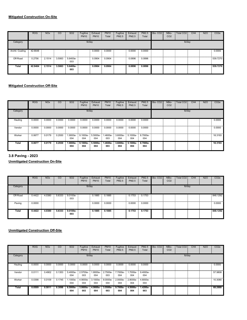|                 | <b>ROG</b>    | <b>NO<sub>x</sub></b> | CO     | SO <sub>2</sub> | Fugitive<br><b>PM10</b> | Exhaust<br><b>PM10</b> | <b>PM10</b><br>Total | Fugitive<br><b>PM2.5</b> | Exhaust<br>PM2.5 | <b>PM2.5</b><br>Total | Bio-CO <sub>2</sub> | NBio-<br>CO <sub>2</sub> | Total CO <sub>2</sub> | CH <sub>4</sub> | <b>N2O</b> | CO <sub>2e</sub> |
|-----------------|---------------|-----------------------|--------|-----------------|-------------------------|------------------------|----------------------|--------------------------|------------------|-----------------------|---------------------|--------------------------|-----------------------|-----------------|------------|------------------|
| Category        |               |                       |        |                 | lb/day                  |                        |                      |                          |                  |                       |                     |                          | lb/day                |                 |            |                  |
| Archit. Coating | 42.6648<br>H. |                       |        |                 |                         | 0.0000                 | 0.0000               |                          | 0.0000           | 0.0000                |                     |                          |                       |                 |            | 0.0000           |
| Off-Road        | 0.2756<br>m   | 2.1514                | 3.5063 | 5.6400e-<br>003 |                         | 0.0904                 | 0.0904               |                          | 0.0896           | 0.0896                |                     |                          |                       |                 |            | 539.7270         |
| Total           | 42.9404       | 2.1514                | 3.5063 | 5.6400e-<br>003 |                         | 0.0904                 | 0.0904               |                          | 0.0896           | 0.0896                |                     |                          |                       |                 |            | 539.7270         |

|          | <b>ROG</b> | <b>NO<sub>x</sub></b> | CO     | SO <sub>2</sub> | Fugitive<br><b>PM10</b>      | Exhaust<br><b>PM10</b> | <b>PM10</b><br>Total | Fugitive<br>PM2.5 | Exhaust<br><b>PM2.5</b>                                            | <b>PM2.5</b><br>Total | Bio-CO <sub>2</sub> | NBio-<br>CO <sub>2</sub> | Total CO <sub>2</sub> | CH4 | <b>N2O</b> | CO <sub>2e</sub> |
|----------|------------|-----------------------|--------|-----------------|------------------------------|------------------------|----------------------|-------------------|--------------------------------------------------------------------|-----------------------|---------------------|--------------------------|-----------------------|-----|------------|------------------|
| Category |            |                       |        |                 | lb/day                       |                        |                      |                   |                                                                    |                       |                     |                          | lb/day                |     |            |                  |
| Hauling  | 0.0000     | 0.0000                | 0.0000 | 0.0000          | 0.0000                       | 0.0000                 | 0.0000               | 0.0000            | 0.0000                                                             | 0.0000                |                     |                          |                       |     |            | 0.0000           |
| Vendor   | 0.0000     | 0.0000                | 0.0000 | 0.0000          | 0.0000                       | 0.0000                 | 0.0000               | 0.0000            | 0.0000                                                             | 0.0000                |                     |                          |                       |     |            | 0.0000           |
| Worker   | 0.0677     | 0.0179                | 0.2930 | 1.9000e-<br>004 | $9.1000e-$ : 5.5000e-<br>004 | 004                    | 1.4600e-<br>003      | 004               | $\frac{1}{2}$ 3.6000e- $\frac{1}{2}$ 5.1000e- $\frac{1}{2}$<br>004 | 8.7000e-<br>004       |                     |                          |                       |     |            | 18.3193          |
| Total    | 0.0677     | 0.0179                | 0.2930 | 1.9000e-<br>004 | 9.1000e-<br>004              | 5.5000e-<br>004        | 1.4600e-<br>003      | 3.6000e-<br>004   | 5.1000e-<br>004                                                    | 8.7000e-<br>004       |                     |                          |                       |     |            | 18.3193          |

# **3.8 Paving - 2023**

**Unmitigated Construction On-Site**

|          | <b>ROG</b>  | <b>NOx</b> | CO     | <b>SO2</b>        | Fugitive<br><b>PM10</b> | Exhaust<br><b>PM10</b> | <b>PM10</b><br>Total | Fugitive<br>PM2.5 | Exhaust<br>PM2.5 | <b>PM2.5</b><br>Total | Bio-CO <sub>2</sub> | NBio-<br>CO <sub>2</sub> | Total CO <sub>2</sub> | CH4 | <b>N2O</b> | CO <sub>2</sub> e |
|----------|-------------|------------|--------|-------------------|-------------------------|------------------------|----------------------|-------------------|------------------|-----------------------|---------------------|--------------------------|-----------------------|-----|------------|-------------------|
| Category |             |            |        |                   |                         | lb/day                 |                      |                   |                  |                       |                     |                          | lb/day                |     |            |                   |
| Off-Road | 0.4422<br>Ξ | 4.0380     | 5.6333 | $9.0100e-$<br>003 |                         | 0.1885                 | 0.1885               |                   | 0.1753           | 0.1753                |                     |                          |                       |     |            | 848.1292          |
| Paving   | B<br>0.0000 |            |        |                   |                         | 0.0000                 | 0.0000               |                   | 0.0000           | 0.0000                |                     |                          |                       |     |            | 0.0000            |
| Total    | 0.4422      | 4.0380     | 5.6333 | 9.0100e-<br>003   |                         | 0.1885                 | 0.1885               |                   | 0.1753           | 0.1753                |                     |                          |                       |     |            | 848.1292          |

|          | <b>ROG</b> | <b>NO<sub>x</sub></b> | CO     | SO <sub>2</sub>    | Fugitive<br><b>PM10</b> | Exhaust<br><b>PM10</b> | <b>PM10</b><br>Total | Fugitive<br><b>PM2.5</b> | Exhaust<br><b>PM2.5</b> | <b>PM2.5</b><br>Total | Bio-CO <sub>2</sub> | NBio-<br>CO <sub>2</sub> | <b>Total CO2</b> | CH <sub>4</sub> | <b>N2O</b> | CO <sub>2e</sub> |
|----------|------------|-----------------------|--------|--------------------|-------------------------|------------------------|----------------------|--------------------------|-------------------------|-----------------------|---------------------|--------------------------|------------------|-----------------|------------|------------------|
| Category |            |                       |        |                    | lb/day                  |                        |                      |                          |                         |                       |                     |                          | lb/day           |                 |            |                  |
| Hauling  | 0.0000     | 0.0000                | 0.0000 | 0.0000             | 0.0000                  | 0.0000                 | 0.0000               | 0.0000                   | 0.0000                  | 0.0000                |                     |                          |                  |                 |            | 0.0000           |
| Vendor   | 0.0111     | 0.4902                | 0.1353 | 5.4000e-<br>004    | 2.5700e-<br>003         | -.8000e<br>004         | 2.7500e-<br>003      | 7.7000e-<br>004          | 1.7000e-<br>004         | 9.4000e-<br>004       |                     |                          |                  |                 |            | 57.9808          |
| Worker   | 0.0398     | 0.0109                | 0.1745 | 1.1000e-<br>004    | 4.9000e-<br>004         | 3.1000e-<br>004        | 8.0000e-<br>004      | 2.0000e-<br>004          | 2.8000e-<br>004         | 4.8000e-<br>004       |                     |                          |                  |                 |            | 10.3080          |
| Total    | 0.0509     | 0.5011                | 0.3098 | $6.5000e -$<br>004 | 3.0600e-<br>003         | 4.9000e-<br>004        | 3.5500e-<br>003      | $9.7000e -$<br>004       | 4.5000e-<br>004         | 1.4200e-<br>003       |                     |                          |                  |                 |            | 68.2888          |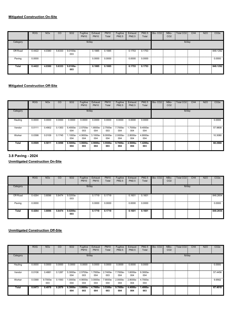|          | <b>ROG</b>  | <b>NO<sub>x</sub></b> | CO     | SO <sub>2</sub> | Fugitive<br><b>PM10</b> | Exhaust<br><b>PM10</b> | <b>PM10</b><br>Total | Fugitive<br>PM2.5 | Exhaust<br>PM2.5 | <b>PM2.5</b><br>Total | Bio-CO <sub>2</sub> | NBio-<br>CO <sub>2</sub> | Total CO <sub>2</sub> | CH <sub>4</sub> | <b>N2O</b> | CO <sub>2</sub> e |
|----------|-------------|-----------------------|--------|-----------------|-------------------------|------------------------|----------------------|-------------------|------------------|-----------------------|---------------------|--------------------------|-----------------------|-----------------|------------|-------------------|
| Category |             |                       |        |                 | lb/day                  |                        |                      |                   |                  |                       |                     |                          | lb/day                |                 |            |                   |
| Off-Road | 0.4422<br>÷ | 4.0380                | 5.6333 | 9.0100e-<br>003 |                         | 0.1885                 | 0.1885               |                   | 0.1753           | 0.1753                |                     |                          |                       |                 |            | 848.1292          |
| Paving   | 표<br>0.0000 |                       |        |                 |                         | 0.0000                 | 0.0000               |                   | 0.0000           | 0.0000                |                     |                          |                       |                 |            | 0.0000            |
| Total    | 0.4422      | 4.0380                | 5.6333 | 9.0100e-<br>003 |                         | 0.1885                 | 0.1885               |                   | 0.1753           | 0.1753                |                     |                          |                       |                 |            | 848.1292          |

|          | <b>ROG</b> | <b>NO<sub>x</sub></b> | CO     | SO <sub>2</sub> | Fugitive<br><b>PM10</b> | Exhaust<br><b>PM10</b>            | <b>PM10</b><br>Total | Fugitive<br>PM2.5 | Exhaust<br><b>PM2.5</b> | PM2.5<br>Total  | Bio-CO <sub>2</sub> | NBio-<br>CO <sub>2</sub> | Total CO <sub>2</sub> | CH <sub>4</sub> | <b>N2O</b> | CO <sub>2</sub> e |
|----------|------------|-----------------------|--------|-----------------|-------------------------|-----------------------------------|----------------------|-------------------|-------------------------|-----------------|---------------------|--------------------------|-----------------------|-----------------|------------|-------------------|
| Category |            |                       |        |                 | lb/day                  |                                   |                      |                   |                         |                 |                     |                          | lb/day                |                 |            |                   |
| Hauling  | 0.0000     | 0.0000                | 0.0000 | 0.0000          | 0.0000                  | 0.0000                            | 0.0000               | 0.0000            | 0.0000                  | 0.0000          |                     |                          |                       |                 |            | 0.0000            |
| Vendor   | 0.0111     | 0.4902                | 0.1353 | 5.4000e-<br>004 | 2.5700e-<br>003         | $.8000e-$<br>004                  | 2.7500e-<br>003      | 7.7000e-<br>004   | 1.7000e-<br>004         | 9.4000e-<br>004 |                     |                          |                       |                 |            | 57,9808           |
| Worker   | 0.0398     | 0.0109                | 0.1745 | 1.1000e-<br>004 | 004                     | 4.9000e- 3.1000e- 8.0000e-<br>004 | 004                  | $2.0000e-$<br>004 | 2.8000e-<br>004         | 4.8000e-<br>004 |                     |                          |                       |                 |            | 10.3080           |
| Total    | 0.0509     | 0.5011                | 0.3098 | 6.5000e-<br>004 | 3.0600e-<br>003         | 4.9000e-<br>004                   | 3.5500e-<br>003      | 9.7000e-<br>004   | 4.5000e-<br>004         | 1.4200e<br>003  |                     |                          |                       |                 |            | 68.2888           |

# **3.8 Paving - 2024**

**Unmitigated Construction On-Site**

|          | <b>ROG</b>  | <b>NOx</b> | CO     | <b>SO2</b>        | Fugitive<br><b>PM10</b> | Exhaust<br><b>PM10</b> | <b>PM10</b><br>Total | Fugitive<br>PM2.5 | Exhaust<br>PM2.5 | <b>PM2.5</b><br>Total | Bio-CO <sub>2</sub> | NBio-<br>CO <sub>2</sub> | Total CO <sub>2</sub> | CH4 | <b>N2O</b> | CO <sub>2</sub> e |
|----------|-------------|------------|--------|-------------------|-------------------------|------------------------|----------------------|-------------------|------------------|-----------------------|---------------------|--------------------------|-----------------------|-----|------------|-------------------|
| Category |             |            |        |                   |                         | lb/day                 |                      |                   |                  |                       |                     |                          | lb/day                |     |            |                   |
| Off-Road | 0.4264<br>Ξ | 3.8096     | 5.6474 | $9.0200e-$<br>003 |                         | 0.1719                 | 0.1719<br>÷          |                   | 0.1601           | 0.1601                |                     |                          |                       |     |            | 848.2654          |
| Paving   | B<br>0.0000 |            |        |                   |                         | 0.0000                 | 0.0000               |                   | 0.0000           | 0.0000                |                     |                          |                       |     |            | 0.0000            |
| Total    | 0.4264      | 3.8096     | 5.6474 | 9.0200e-<br>003   |                         | 0.1719                 | 0.1719               |                   | 0.1601           | 0.1601                |                     |                          |                       |     |            | 848.2654          |

|          | <b>ROG</b> | <b>NO<sub>x</sub></b> | CO     | SO <sub>2</sub> | Fugitive<br><b>PM10</b> | Exhaust<br><b>PM10</b> | <b>PM10</b><br>Total | Fugitive<br><b>PM2.5</b> | Exhaust<br><b>PM2.5</b> | <b>PM2.5</b><br>Total | Bio-CO <sub>2</sub> | NBio-<br>CO <sub>2</sub> | <b>Total CO2</b> | CH <sub>4</sub> | <b>N2O</b> | CO <sub>2e</sub> |
|----------|------------|-----------------------|--------|-----------------|-------------------------|------------------------|----------------------|--------------------------|-------------------------|-----------------------|---------------------|--------------------------|------------------|-----------------|------------|------------------|
| Category |            |                       |        |                 | lb/day                  |                        |                      |                          |                         |                       |                     |                          | lb/day           |                 |            |                  |
| Hauling  | 0.0000     | 0.0000                | 0.0000 | 0.0000          | 0.0000                  | 0.0000                 | 0.0000               | 0.0000                   | 0.0000                  | 0.0000                |                     |                          |                  |                 |            | 0.0000           |
| Vendor   | 0.0106     | 0.4881                | 0.1287 | 5.3000e-<br>004 | 2.5700e-<br>003         | .7000e-<br>004         | 2.7400e-<br>003      | 7.7000e-<br>004          | 1.6000e-<br>004         | 9.3000e-<br>004       |                     |                          |                  |                 |            | 57.4456          |
| Worker   | 0.0368     | 9.7000e-<br>003       | 0.1593 | 1.0000e-<br>004 | 4.9000e-<br>004         | 3.0000e-<br>004        | 7.9000e-<br>004      | 2.0000e-<br>004          | 2.8000e-<br>004         | 4.7000e-<br>004       |                     |                          |                  |                 |            | 9.9562           |
| Total    | 0.0473     | 0.4978                | 0.2879 | 6.3000e-<br>004 | 3.0600e-<br>003         | 4.7000e-<br>004        | 3.5300e-<br>003      | $9.7000e -$<br>004       | 4.4000e-<br>004         | 1.4000e-<br>003       |                     |                          |                  |                 |            | 67.4018          |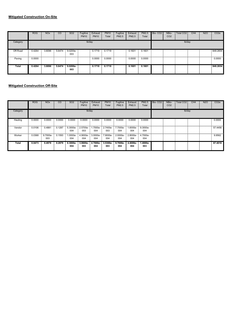|          | <b>ROG</b>  | <b>NO<sub>x</sub></b> | CO     | SO <sub>2</sub>        | Fugitive<br><b>PM10</b> | Exhaust<br><b>PM10</b> | <b>PM10</b><br>Total | Fugitive<br>PM2.5 | Exhaust<br>PM2.5 | <b>PM2.5</b><br>Total | Bio-CO <sub>2</sub> | NBio-<br>CO <sub>2</sub> | Total CO <sub>2</sub> | CH <sub>4</sub> | <b>N2O</b> | CO <sub>2</sub> e |
|----------|-------------|-----------------------|--------|------------------------|-------------------------|------------------------|----------------------|-------------------|------------------|-----------------------|---------------------|--------------------------|-----------------------|-----------------|------------|-------------------|
| Category |             |                       |        |                        | lb/day                  |                        |                      |                   |                  |                       |                     |                          | lb/day                |                 |            |                   |
| Off-Road | 0.4264<br>÷ | 3.8096                |        | 5.6474 9.0200e-<br>003 |                         | 0.1719                 | 0.1719               |                   | 0.1601           | 0.1601                |                     |                          |                       |                 |            | 848.2654          |
| Paving   | 표<br>0.0000 |                       |        |                        |                         | 0.0000                 | 0.0000               |                   | 0.0000           | 0.0000                |                     |                          |                       |                 |            | 0.0000            |
| Total    | 0.4264      | 3.8096                | 5.6474 | 9.0200e-<br>003        |                         | 0.1719                 | 0.1719               |                   | 0.1601           | 0.1601                |                     |                          |                       |                 |            | 848.2654          |

|          | <b>ROG</b> | <b>NO<sub>x</sub></b> | CO     | SO <sub>2</sub> | Fugitive<br><b>PM10</b> | Exhaust<br><b>PM10</b>                               | <b>PM10</b><br>Total                          | Fugitive<br>PM2.5 | Exhaust<br>PM2.5 | PM2.5<br>Total  | Bio-CO <sub>2</sub> | NBio-<br>CO <sub>2</sub> | Total CO <sub>2</sub> | CH <sub>4</sub> | <b>N2O</b> | CO <sub>2e</sub> |
|----------|------------|-----------------------|--------|-----------------|-------------------------|------------------------------------------------------|-----------------------------------------------|-------------------|------------------|-----------------|---------------------|--------------------------|-----------------------|-----------------|------------|------------------|
| Category |            |                       |        |                 | lb/day                  |                                                      |                                               |                   |                  |                 |                     |                          | lb/day                |                 |            |                  |
| Hauling  | 0.0000     | 0.0000                | 0.0000 | 0.0000          | 0.0000                  | 0.0000                                               | 0.0000                                        | 0.0000            | 0.0000           | 0.0000          |                     |                          |                       |                 |            | 0.0000           |
| Vendor   | 0.0106     | 0.4881                | 0.1287 | 5.3000e-<br>004 | 003                     | 004                                                  | 2.5700e-: 1.7000e-: 2.7400e-: 7.7000e-<br>003 | 004               | 1.6000e-<br>004  | 9.3000e-<br>004 |                     |                          |                       |                 |            | 57.4456          |
| Worker   | 0.0368     | 9.7000e-<br>003       | 0.1593 | 1.0000e-<br>004 | 4.9000e-<br>004         | $\frac{1}{2}$ 3.0000e- $\frac{1}{2}$ 7.9000e-<br>004 | 004                                           | 2.0000e-<br>004   | 2.8000e-<br>004  | 4.7000e-<br>004 |                     |                          |                       |                 |            | 9.9562           |
| Total    | 0.0473     | 0.4978                | 0.2879 | 6.3000e-<br>004 | $3.0600e -$<br>003      | 4.7000e-<br>004                                      | 3.5300e-<br>003                               | 9.7000e-<br>004   | 4.4000e-<br>004  | 1.4000e-<br>003 |                     |                          |                       |                 |            | 67.4018          |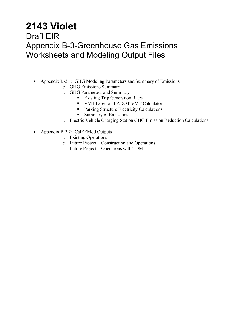# **2143 Violet**

# Draft EIR Appendix B-3-Greenhouse Gas Emissions Worksheets and Modeling Output Files

- Appendix B-3.1: GHG Modeling Parameters and Summary of Emissions
	- o GHG Emissions Summary
	- o GHG Parameters and Summary
		- **Existing Trip Generation Rates**
		- VMT based on LADOT VMT Calculator
		- **Parking Structure Electricity Calculations**
		- **Summary of Emissions**
	- o Electric Vehicle Charging Station GHG Emission Reduction Calculations
- Appendix B-3.2: CalEEMod Outputs
	- o Existing Operations
	- o Future Project—Construction and Operations
	- o Future Project—Operations with TDM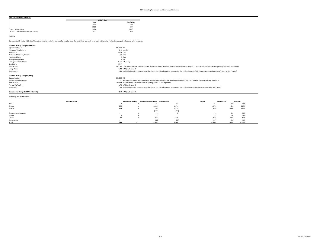| <b>GHG SOURCE CALCULATIONS:</b>                                                                                                                                                           |                   |                                 |                                                                                                                                                                      |                |         |                |        |           |
|-------------------------------------------------------------------------------------------------------------------------------------------------------------------------------------------|-------------------|---------------------------------|----------------------------------------------------------------------------------------------------------------------------------------------------------------------|----------------|---------|----------------|--------|-----------|
|                                                                                                                                                                                           | <b>LADWP Data</b> |                                 |                                                                                                                                                                      |                |         |                |        |           |
|                                                                                                                                                                                           | Year              | lbs./MWh                        |                                                                                                                                                                      |                |         |                |        |           |
|                                                                                                                                                                                           | 2015              | 1132                            |                                                                                                                                                                      |                |         |                |        |           |
|                                                                                                                                                                                           | 2026              | 500                             |                                                                                                                                                                      |                |         |                |        |           |
| Project Buildout Year                                                                                                                                                                     | 2024              | 2018                            |                                                                                                                                                                      |                |         |                |        |           |
| LADWP CO2 Intensity Factor (lbs./MWh)                                                                                                                                                     | 615               | 960                             |                                                                                                                                                                      |                |         |                |        |           |
| <b>ENERGY</b>                                                                                                                                                                             |                   |                                 |                                                                                                                                                                      |                |         |                |        |           |
| Consistent with Section 120.6(c), Mandatory Requirements for Enclosed Parking Garages, the ventilation rate shall be at least 0.15 cfm/sq. f when the garage is scheduled to be occupied. |                   |                                 |                                                                                                                                                                      |                |         |                |        |           |
| <b>Buildout Parking Garage Ventilation</b>                                                                                                                                                |                   |                                 |                                                                                                                                                                      |                |         |                |        |           |
| Square Footage =                                                                                                                                                                          |                   | 331,200 ft2                     |                                                                                                                                                                      |                |         |                |        |           |
| Minimum Ventilation =                                                                                                                                                                     |                   | 0.15 cfm/ft2                    |                                                                                                                                                                      |                |         |                |        |           |
| $Flowrate =$                                                                                                                                                                              |                   | 49680 cfm                       |                                                                                                                                                                      |                |         |                |        |           |
| Number of Fans (11,000 cfm)                                                                                                                                                               |                   | 5.0 fans                        |                                                                                                                                                                      |                |         |                |        |           |
| Number of Fans                                                                                                                                                                            |                   | 5 fans                          |                                                                                                                                                                      |                |         |                |        |           |
| Horsepower per Fan                                                                                                                                                                        |                   | 9 hp                            |                                                                                                                                                                      |                |         |                |        |           |
| Horsepower to kW Conv.                                                                                                                                                                    |                   | 0.746 kW per hp                 |                                                                                                                                                                      |                |         |                |        |           |
| Total $kW =$                                                                                                                                                                              |                   | 33.57                           |                                                                                                                                                                      |                |         |                |        |           |
| Annual kW =                                                                                                                                                                               |                   |                                 | 147,037 Operational approx. 50% of the time. Only operational when CO sensors read in excess of 25 ppm CO concentrations (2013 Building Energy Efficiency Standards) |                |         |                |        |           |
| Usage Rate:                                                                                                                                                                               |                   | 0.44 kWh/sq. ft annual          |                                                                                                                                                                      |                |         |                |        |           |
| Adjustment:                                                                                                                                                                               |                   |                                 | 0.49 (CalEEMod applies mitigation to all land uses. So, this adjustment accounts for the 10% reduction in Title 24 standards associated with Project Design Feature) |                |         |                |        |           |
| <b>Buildout Parking Garage Lighting</b>                                                                                                                                                   |                   |                                 |                                                                                                                                                                      |                |         |                |        |           |
| Square Footage =                                                                                                                                                                          |                   | 331.200 ft2                     |                                                                                                                                                                      |                |         |                |        |           |
| Allowed Lighting Power =                                                                                                                                                                  |                   |                                 | 0.2 watts per ft2 (Table 140.6 (Complete Building Method Lighting Power Density Value) of the 2013 Building Energy Efficiency Standards)                             |                |         |                |        |           |
| Annual $kW =$                                                                                                                                                                             |                   |                                 | 578,812 conservatively assumes maximum lighting power 24 hours per day)                                                                                              |                |         |                |        |           |
| Annual kW/sq. ft =                                                                                                                                                                        |                   | 1.75 kWh/sq. ft annual          |                                                                                                                                                                      |                |         |                |        |           |
| Adjustment:                                                                                                                                                                               |                   |                                 | 2.33 (CalEEMod applies mitigation to all land uses. So, this adjustment accounts for the 25% reduction in lighting associated with LEED Silver)                      |                |         |                |        |           |
|                                                                                                                                                                                           |                   |                                 |                                                                                                                                                                      |                |         |                |        |           |
| Elevator (no change CalEEMod Default)                                                                                                                                                     |                   | 0.19 kWh/sq. ft annual          |                                                                                                                                                                      |                |         |                |        |           |
| <b>Summary of GHG Emissions</b>                                                                                                                                                           |                   |                                 |                                                                                                                                                                      |                |         |                |        |           |
|                                                                                                                                                                                           | Baseline (2016)   | <b>Baseline (Buildout)</b>      | <b>Buildout-No MXD PDFs</b> Buildout-PDFs                                                                                                                            |                | Project | % Reduction    |        | % Project |
| Area                                                                                                                                                                                      |                   | $\overline{2}$                  | 81<br>$\mathbf{0}$                                                                                                                                                   | 81             |         | 81             | 0%     | 1.0%      |
| Energy                                                                                                                                                                                    |                   | 266                             | $\mathbf{0}$<br>2,105                                                                                                                                                | 1,971          |         | 1,971          | $-6%$  | 24.5%     |
| Mobile                                                                                                                                                                                    |                   | 529                             | 7,169<br>$\mathbf{0}$                                                                                                                                                | 5,533          |         | 5,350          | $-23%$ | 66.5%     |
|                                                                                                                                                                                           |                   |                                 | (183)                                                                                                                                                                | (183)          |         |                |        |           |
| <b>Emergency Generators</b>                                                                                                                                                               |                   |                                 | $\mathbf{0}$<br>$\overline{2}$                                                                                                                                       | $\overline{2}$ |         | $\overline{2}$ | 0%     | 0.0%      |
| Waste                                                                                                                                                                                     |                   | 5                               | 72<br>$\mathbf{0}$                                                                                                                                                   | 72             |         | 72             | 0%     | 0.9%      |
| Water                                                                                                                                                                                     |                   | 42                              | $\circ$<br>422                                                                                                                                                       | 338            |         | 338            | $-20%$ | 4.2%      |
| Construction                                                                                                                                                                              |                   | $\sim$                          | 227                                                                                                                                                                  | 227            |         | 227            | 0%     | 2.8%      |
| Total                                                                                                                                                                                     |                   | 844<br>$\overline{\phantom{a}}$ | 9.895                                                                                                                                                                | 8.040          |         | 8.040          | $-19%$ | 100.0%    |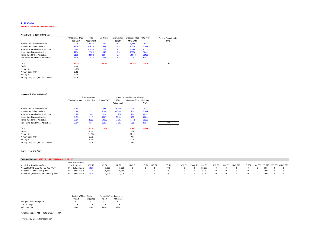#### **2143 Violet**

#### **VMT Calculations for CalEEMod Inputs**

#### **Project without TDM (MXD Data)**

|                                      | <b>Unadjusted Trips</b> | <b>MXD</b> | <b>MXD Trips</b> | Average Trip | <b>Unadjusted Pre</b> | MXD VMT | Percent Reduction for |
|--------------------------------------|-------------------------|------------|------------------|--------------|-----------------------|---------|-----------------------|
|                                      | Pre MXD                 | Adjustment |                  | Length       | <b>MXD VMT</b>        |         | <b>MXD</b>            |
| Home Based Work Production           | 470                     | $-25.7%$   | 349              | 7.3          | 3.431                 | 2548    |                       |
| Home Based Other Production          | 1258                    | $-25.1%$   | 942              | 5.3          | 6,667                 | 4,993   |                       |
| Non-Home Based Other Production      | 863                     | $-10.9%$   | 769              | 8.1          | 6990                  | 6229    |                       |
| Home-Based Work Attraction           | 1214                    | $-22.0%$   | 947              | 8.3          | 10076                 | 7860    |                       |
| Home-Based Other Attraction          | 2135                    | $-24.9%$   | 1604             | 6.5          | 13,878                | 10426   |                       |
| Non-Home Based Other Attraction      | 989                     | $-10.7%$   | 883              | 7.2          | 7121                  | 6358    |                       |
| Total                                | 6,929                   |            | 5,494            |              | 48,163                | 38,414  | 20%                   |
| Passby                               | 438                     |            |                  |              |                       |         |                       |
| Primary %                            | 93.7%                   |            |                  |              |                       |         |                       |
| Primary Daily VMT                    | 7.41                    |            |                  |              |                       |         |                       |
| Pass-by %                            | 6.3%                    |            |                  |              |                       |         |                       |
| Pass-by Daily VMT (passby 0.1 miles) | 43.8                    |            |                  |              |                       |         |                       |

#### **Project with TDM (MXD Data)**

|                                      |                       | <b>Proposed Project</b> |             |            | <b>Project with Mitigation Measures</b> |            |
|--------------------------------------|-----------------------|-------------------------|-------------|------------|-----------------------------------------|------------|
|                                      | <b>TDM Adjustment</b> | <b>Project Trips</b>    | Project VMT | <b>TDM</b> | <b>Mitigated Trips</b>                  | Mitigated  |
|                                      |                       |                         |             | Adjustment |                                         | <b>VMT</b> |
| Home Based Work Production           | $-3.2%$               | 338                     | 2466        | $-20.0%$   | 279                                     | 2038       |
| Home Based Other Production          | $-3.2%$               | 912                     | 4,832       | $-20.0%$   | 754                                     | 3,994      |
| Non-Home Based Other Production      | $-3.2%$               | 744                     | 6028        | $-3.2%$    | 744                                     | 6028       |
| Home-Based Work Attraction           | $-3.2%$               | 917                     | 7607        | $-20.0%$   | 758                                     | 6288       |
| Home-Based Other Attraction          | $-3.2%$               | 1552                    | 10090       | $-3.2%$    | 1552                                    | 10090      |
| Non-Home Based Other Attraction      | $-3.2%$               | 855                     | 6153        | $-3.2%$    | 855                                     | 6153       |
| Total                                |                       | 5,316                   | 37,176      |            | 4,926                                   | 34,480     |
| Passby                               |                       | 438                     |             |            | 438                                     |            |
| Primary %                            |                       | 91.8%                   |             |            | 91.1%                                   |            |
| Primary Daily VMT                    |                       | 7.61                    |             |            | 7.67                                    |            |
| Pass-by %                            |                       | 8.2%                    |             |            | 8.9%                                    |            |
| Pass-by Daily VMT (passby 0.1 miles) |                       | 43.8                    |             |            | 43.8                                    |            |

#### Source: Fehr and Peers.

#### **CalEEMod Inputs ‐ PASTE THIS INTO CALEEMOD INPUT FILE**

|                                        | VehicleTripsLandU |       |       |       |       |       |       |      |       |        |       |       |       |        |  |     |                                     |
|----------------------------------------|-------------------|-------|-------|-------|-------|-------|-------|------|-------|--------|-------|-------|-------|--------|--|-----|-------------------------------------|
| VehicleTripsLandUseSubType             | seSizeMetric      | WD TR |       | SU TR | HW TL | HS TL | HO TL |      | CW TL | CNW TL | PR TP | DV TP | PB TP | HW TTP |  |     | HS TTP HO TTP CC TTP CW TTP CNW TTP |
| Project No MXD User Defined Res. (VMT) | User Defined Unit | 6.929 | 6,929 | 6.929 |       |       |       | 7.41 |       |        | 93.7% |       |       |        |  | 100 |                                     |
| Project User Defined Res. (VMT)        | User Defined Unit | 5.316 | 5.316 | 5.316 |       |       |       | 7.61 |       |        | 91.8  |       |       |        |  | 100 |                                     |
| Project TDM/MM User Defined Res. (VMT) | User Defined Unit | 4,926 | 4,926 | 4.926 |       |       |       | 7.67 |       |        | 91.1  |       |       |        |  | 100 |                                     |

|                            | Project VMT per Capita |           | Project VMT per Employee |           |  |
|----------------------------|------------------------|-----------|--------------------------|-----------|--|
|                            | Project                | Mitigated | Project                  | Mitigated |  |
| VMT per Capita (Mitigated) | 9.3                    | 7.7       | 9.1                      | 7.5       |  |
| SCAG Average               | 22.8                   | 22.8      | 22.8                     | 22.8      |  |
| Reduction (%)              | $-59%$                 | $-66%$    | $-60%$                   | $-67%$    |  |

(Total Population: 782) (Total Employee: 837)

<sup>a</sup> Provided by Gibson Transportation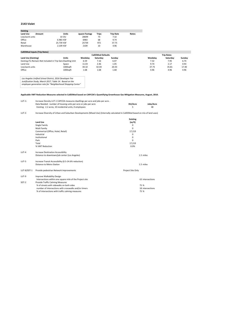#### **2143 Violet**

| <b>Existing</b> |        |            |                |       |                  |              |
|-----------------|--------|------------|----------------|-------|------------------|--------------|
| <b>Land Use</b> | Amount | Units      | iquare Footage | Trips | <b>Trip Rate</b> | <b>Notes</b> |
| Live/work units |        | 10 DU      | 28699          | 73    | 7.32             |              |
| Office          |        | 6.983 KSF  | 6983           | 68    | 9.74             |              |
| Retail          |        | 25.739 KSF | 25739          | 972   | 37.75            |              |
| Warehouse       |        | 2.109 KSF  | 2109           | 10    | 4.96             |              |

|                                                            |          | <b>CalEEMod Defaults</b> |          |        |         | <b>Trip Rates</b> |        |  |  |
|------------------------------------------------------------|----------|--------------------------|----------|--------|---------|-------------------|--------|--|--|
| Land Use (Existing)                                        | Units    | Weekdav                  | Saturdav | Sundav | Weekdav | Saturdav          | Sundav |  |  |
| Existing (To Remain-Not Included in Trip Gen Dwelling Unit |          | 6.59                     | 7.16     | 6.07   | 7.32    | 7.95              | 6.74   |  |  |
| Land Use                                                   | Space    | 11.03                    | 2.46     | 1.05   | 9.74    | 2.17              | 0.93   |  |  |
| Live/work units                                            | 1000saft | 44.32                    | 42.04    | 20.43  | 37.75   | 35.81             | 17.40  |  |  |
| Office                                                     | 1000saft | 1.68                     | 1.68     | 1.68   | 4.96    | 4.96              | 4.96   |  |  |

Los Angeles Unified School District, 2016 Developer Fee<br>Justification Study, March 2017, Table 14. Based on the<br>employee generation rate for "Neighborhood Shopping Center"

#### Applicable VMT Reduction Measures selected in CalEEMod based on CAPCOA's Quantifying Greenhouse Gas Mitigation Measures, August, 2010.

| LUT-1: | Increase Density LUT-1 CAPCOA measures dwellings per acre and jobs per acre. |         |           |
|--------|------------------------------------------------------------------------------|---------|-----------|
|        | Data Needed: number of housing units per acre or jobs per acre               | DU/Acre | Jobs/Acre |
|        | Existing: 2.2 acres, 10 residential units, 0 employees                       |         | 48        |

LUT‐3 Increase Diversity of Urban and Suburban Developments (Mixed Use) (Internally calculated in CalEEMod based on mix of land uses)

|             |                                                                                        | <b>Existing</b>   |
|-------------|----------------------------------------------------------------------------------------|-------------------|
|             | Land Use                                                                               | (sq ft)           |
|             | Single Family                                                                          | 0                 |
|             | Multi Family                                                                           | 0                 |
|             | Commerical (Office, Hotel, Retail)                                                     | 17,219            |
|             | Industrial                                                                             | 0                 |
|             | Institutional                                                                          | $\Omega$          |
|             | Park                                                                                   | 0                 |
|             | Total                                                                                  | 17,219            |
|             | % VMT Reduction                                                                        | 0.0%              |
| $LUT-4$     | <b>Increase Destination Accessibility</b>                                              |                   |
|             | Distance to downtown/job center (Los Angeles)                                          | 1.5 miles         |
| LUT-5       | Increase Transit Accessibility (0.5-24.6% reduction)                                   |                   |
|             | Distance to Metro Station                                                              | 1.5 miles         |
| LUT-8/SDT-1 | Provide pedestrian Network Improvements                                                | Project Site Only |
| LUT-9       | Improve Walkability Design<br>Intersections within one square mile of the Project site | 63 intersections  |
| SDT-2       | Provide Traffic Calming Measures                                                       |                   |
|             | % of streets with sidewalks on both sides                                              | 75 %              |
|             | number of intersections with crosswalks and/or timers                                  | 18 intersections  |
|             | % of intersections with traffic calming measures                                       | 75 %              |
|             |                                                                                        |                   |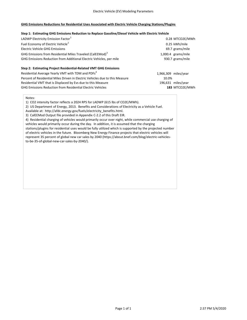#### **GHG Emissions Reductions for Residential Uses Associated with Electric Vehicle Charging Stations/Plugins**

#### **Step 1: Estimating GHG Emissions Reduction to Replace Gasoline/Diesel Vehicle with Electric Vehicle**

| LADWP Electricity Emission Factor <sup>1</sup>                               | 0.28 MTCO2E/MWh      |
|------------------------------------------------------------------------------|----------------------|
| Fuel Economy of Electric Vehicle <sup>2</sup>                                | 0.25 kWh/mile        |
| Electric Vehicle GHG Emissions                                               | 69.7 grams/mile      |
| GHG Emissions from Residential Miles Traveled (CalEEMod) <sup>3</sup>        | 1,000.4 grams/mile   |
| GHG Emissions Reduction from Additional Electric Vehicles, per mile          | 930.7 grams/mile     |
| Step 2: Estimating Project Residential-Related VMT GHG Emissions             |                      |
| Residential Average Yearly VMT with TDM and PDFs <sup>4</sup>                | 1,966,309 miles/year |
| Percent of Residential Miles Driven in Electric Vehicles due to this Measure | 10.0%                |
| Residential VMT that is Displaced by Evs due to this Measure                 | 196,631 miles/year   |
| <b>GHG Emissions Reduction from Residential Electric Vehicles</b>            | 183 MTCO2E/MWh       |

Notes:

1) CO2 intensity factor reflects a 2024 RPS for LADWP (615 lbs of CO2E/MWh).

2) US Department of Energy, 2013. Benefits and Considerations of Electricity as a Vehicle Fuel.

Available at: http://afdc.energy.gov/fuels/electricity\_benefits.html.

3) CalEEMod Output file provided in Appendix C‐2.2 of this Draft EIR.

4) Residential charging of vehicles would primarily occur over night, while commercial use charging of vehicles would primarily occur during the day. In addition, it is assumed that the charging stations/plugins for residential uses would be fully utilized which is supported by the projected number of electric vehicles in the future. Bloomberg New Energy Finance projects that electric vehicles will represent 35 percent of global new car sales by 2040 (https://about.bnef.com/blog/electric‐vehicles‐

to‐be‐35‐of‐global‐new‐car‐sales‐by‐2040/).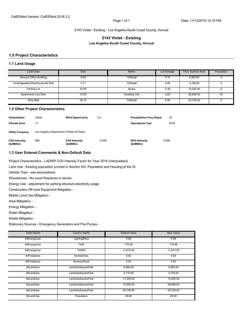#### 2143 Violet - Existing - Los Angeles-South Coast County, Annual

#### **2143 Violet - Existing**

**Los Angeles-South Coast County, Annual**

#### **1.0 Project Characteristics**

#### **1.1 Land Usage**

| <b>Land Uses</b>                 | <b>Size</b> | <b>Metric</b>        | Lot Acreage | Floor Surface Area | Population |
|----------------------------------|-------------|----------------------|-------------|--------------------|------------|
| General Office Building          | 6.98        | 1000sqft             | 0.16        | 6,983.00           |            |
| Unrefrigerated Warehouse-No Rail | 2.11        | 1000sqft             | 0.05        | 2.109.00           |            |
| Parking Lot                      | 43.00       | Space                | 0.39        | 15,000.00          |            |
| Apartments Low Rise              | 10.00       | <b>Dwelling Unit</b> | 0.63        | 28.699.00          | 24         |
| <b>Strip Mall</b>                | 25.74       | 1000sqft             | 0.59        | 25.739.00          |            |

#### **1.2 Other Project Characteristics**

| <b>Urbanization</b>        | Urban                                   | Wind Speed (m/s)                  | 2.2   | <b>Precipitation Freg (Days)</b> | 33    |
|----------------------------|-----------------------------------------|-----------------------------------|-------|----------------------------------|-------|
| <b>Climate Zone</b>        | 11                                      |                                   |       | <b>Operational Year</b>          | 2018  |
| <b>Utility Company</b>     | Los Angeles Department of Water & Power |                                   |       |                                  |       |
| CO2 Intensity<br>(lb/MWhr) | 960                                     | <b>CH4 Intensity</b><br>(lb/MWhr) | 0.029 | N2O Intensity<br>(lb/MWhr)       | 0.006 |

#### **1.3 User Entered Comments & Non-Default Data**

Project Characteristics - LADWP CO2 Intensity Factor for Year 2018 (Interpolated)

Land Use - Existing population provied in Section XIII. Population and Housing of the IS.

Vehicle Trips - see assumptions

Woodstoves - No wood fireplaces or stoves

Energy Use - adjustment for parking structure electricity usage

Construction Off-road Equipment Mitigation -

Mobile Land Use Mitigation -

Area Mitigation -

Energy Mitigation -

Water Mitigation -

Waste Mitigation -

Stationary Sources - Emergency Generators and Fire Pumps -

| <b>Table Name</b> | <b>Column Name</b>             | <b>Default Value</b> | <b>New Value</b> |
|-------------------|--------------------------------|----------------------|------------------|
| tblEnergyUse      | LightingElect                  | 0.88                 | 0.88             |
| tblEnergyUse      | <b>T24E</b>                    | 170.99               | 170.99           |
| tblEnergyUse      | T <sub>24</sub> N <sub>G</sub> | 11,673.00            | 11,673.00        |
| tblFireplaces     | <b>NumberGas</b>               | 8.50                 | 9.00             |
| tblFireplaces     | <b>NumberWood</b>              | 0.50                 | 0.00             |
| tblLandUse        | LandUseSquareFeet              | 6,980.00             | 6,983.00         |
| tblLandUse        | LandUseSquareFeet              | 2,110.00             | 2,109.00         |
| tblLandUse        | LandUseSquareFeet              | 17,200.00            | 15,000.00        |
| tblLandUse        | LandUseSquareFeet              | 10,000.00            | 28,699.00        |
| tblLandUse        | LandUseSquareFeet              | 25,740.00            | 25,739.00        |
| tblLandUse        | Population                     | 29.00                | 24.00            |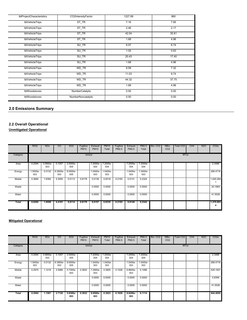| tblProjectCharacteristics | CO2IntensityFactor     | 1227.89 | 960   |
|---------------------------|------------------------|---------|-------|
| tblVehicleTrips           | ST_TR                  | 7.16    | 7.95  |
| tblVehicleTrips           | ST_TR                  | 2.46    | 2.17  |
| tblVehicleTrips           | ST_TR                  | 42.04   | 35.81 |
| tblVehicleTrips           | ST_TR                  | 1.68    | 4.96  |
| tblVehicleTrips           | SU_TR                  | 6.07    | 6.74  |
| tblVehicleTrips           | $SU$ <sub>TR</sub>     | 1.05    | 0.93  |
| tblVehicleTrips           | SU_TR                  | 20.43   | 17.40 |
| tblVehicleTrips           | SU_TR                  | 1.68    | 4.96  |
| tblVehicleTrips           | WD TR                  | 6.59    | 7.32  |
| tblVehicleTrips           | WD_TR                  | 11.03   | 9.74  |
| tblVehicleTrips           | WD TR                  | 44.32   | 37.75 |
| tblVehicleTrips           | WD TR                  | 1.68    | 4.96  |
| tblWoodstoves             | <b>NumberCatalytic</b> | 0.50    | 0.00  |
| tblWoodstoves             | NumberNoncatalytic     | 0.50    | 0.00  |

# **2.0 Emissions Summary**

# **2.2 Overall Operational**

**Unmitigated Operational**

|          | <b>ROG</b>      | <b>NO<sub>x</sub></b> | CO              | SO <sub>2</sub> | Fugitive<br><b>PM10</b> | Exhaust<br><b>PM10</b> | <b>PM10</b><br>Total | Fugitive<br>PM2.5 | Exhaust<br>PM2.5 | <b>PM2.5</b><br>Total | Bio-CO <sub>2</sub> | NBio-<br>CO <sub>2</sub> | Total CO <sub>2</sub> | CH <sub>4</sub> | <b>N2O</b> | CO <sub>2</sub> e |
|----------|-----------------|-----------------------|-----------------|-----------------|-------------------------|------------------------|----------------------|-------------------|------------------|-----------------------|---------------------|--------------------------|-----------------------|-----------------|------------|-------------------|
| Category |                 |                       |                 |                 | tons/yr                 |                        |                      |                   |                  |                       |                     |                          | MT/yr                 |                 |            |                   |
| Area     | 0.2594          | 3.0800e-<br>003       | 0.1057          | 2.0000e-<br>005 |                         | 7.2000e-<br>004        | 7.2000e-<br>004      |                   | 7.2000e-<br>004  | 7.2000e-<br>004       |                     |                          |                       |                 |            | 2.3488            |
| Energy   | 1.5000e-<br>003 | 0.0132                | 8.3900e-<br>003 | 8.0000e-<br>005 |                         | 1.0400e-<br>003        | 1.0400e-<br>003      |                   | 1.0400e-<br>003  | 1.0400e-<br>003       |                     |                          |                       |                 |            | 266,4716          |
| Mobile   | 0.3684          | 1.6394                | 4.3050          | 0.0113          | 0.8178                  | 0.0139                 | 0.8318               | 0.2193            | 0.0131           | 0.2324                |                     |                          |                       |                 |            | 1,040.264         |
| Waste    |                 |                       |                 |                 |                         | 0.0000                 | 0.0000               |                   | 0.0000           | 0.0000                |                     |                          |                       |                 |            | 20.1664           |
| Water    |                 |                       |                 |                 |                         | 0.0000                 | 0.0000               |                   | 0.0000           | 0.0000                |                     |                          |                       |                 |            | 41.5526           |
| Total    | 0.6292          | 1.6558                | 4.4191          | 0.0114          | 0.8178                  | 0.0157                 | 0.8335               | 0.2193            | 0.0149           | 0.2342                |                     |                          |                       |                 |            | 1,370.803         |

# **Mitigated Operational**

|               | <b>ROG</b>      | <b>NOx</b>      | CO.             | SO <sub>2</sub>   | Fugitive<br><b>PM10</b> | Exhaust<br><b>PM10</b> | <b>PM10</b><br>Total | Fugitive<br>PM2.5 | Exhaust<br>PM2.5 | PM2.5<br>Total  | Bio-CO <sub>2</sub> | NBio-<br>CO <sub>2</sub> | Total CO2 | CH <sub>4</sub> | N2O | CO <sub>2e</sub> |
|---------------|-----------------|-----------------|-----------------|-------------------|-------------------------|------------------------|----------------------|-------------------|------------------|-----------------|---------------------|--------------------------|-----------|-----------------|-----|------------------|
| Category      |                 |                 |                 |                   | tons/yr                 |                        |                      |                   |                  |                 |                     |                          | MT/yr     |                 |     |                  |
| Area          | 0.2594          | 3.0800e-<br>003 | 0.1057          | 2.0000e-<br>005   |                         | 7.2000e-<br>004        | 7.2000e-<br>004      |                   | 7.2000e-<br>004  | 7.2000e-<br>004 |                     |                          |           |                 |     | 2.3488           |
| Energy        | 1.5000e-<br>003 | 0.0132          | 8.3900e-<br>003 | 8.0000e-<br>005   |                         | 1.0400e-<br>003        | $.0400e-$<br>003     |                   | 1.0400e-<br>003  | 1.0400e-<br>003 |                     |                          |           |                 |     | 266.4716         |
| <b>Mobile</b> | 0.2975          | 1.1418          | 2.5980          | 5.7300e-<br>003   | 0.3832                  | 7.2900e-<br>003        | 0.3905               | 0.1028            | 6.8600e-<br>003  | 0.1096          |                     |                          |           |                 |     | 529.1927         |
| Waste         |                 |                 |                 |                   |                         | 0.0000                 | 0.0000               |                   | 0.0000           | 0.0000          |                     |                          |           |                 |     | 4.8399           |
| Water         |                 |                 |                 |                   |                         | 0.0000                 | 0.0000               |                   | 0.0000           | 0.0000          |                     |                          |           |                 |     | 41.5526          |
| <b>Total</b>  | 0.5584          | 1.1581          | 2.7120          | $5.8300e-$<br>003 | 0.3832                  | $9.0500e -$<br>003     | 0.3923               | 0.1028            | 8.6200e-<br>003  | 0.1114          |                     |                          |           |                 |     | 844.4055         |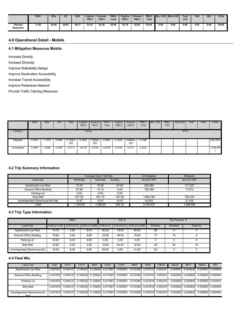|                             | <b>ROG</b> | <b>NOx</b> | $_{\rm co}$ | <b>SO2</b> | Fugitive<br><b>PM10</b> | <b>Exhaust</b><br><b>PM10</b> | <b>PM10</b><br><b>Total</b> | <b>Fugitive</b><br><b>PM2.5</b> | <b>Exhaust</b><br><b>PM2.5</b> | <b>PM2.5</b><br><b>Total</b> |      | Bio-CO2 NBio-CO2 | <b>Total</b><br>CO <sub>2</sub> | CH <sub>4</sub> | N <sub>20</sub> | CO <sub>2e</sub> |
|-----------------------------|------------|------------|-------------|------------|-------------------------|-------------------------------|-----------------------------|---------------------------------|--------------------------------|------------------------------|------|------------------|---------------------------------|-----------------|-----------------|------------------|
| Percent<br><b>Reduction</b> | 1.26       | 30.06      | 38.63       | 48.77      | 53.14                   | 42.36                         | 52.94                       | 53.14                           | 42.03                          | 52.44                        | 0.00 | 0.00             | 0.00                            | 0.00            | 0.00            | 38.40            |

# **4.0 Operational Detail - Mobile**

#### **4.1 Mitigation Measures Mobile**

Increase Density

Increase Diversity

Improve Walkability Design

Improve Destination Accessibility

Increase Transit Accessibility

Improve Pedestrian Network

Provide Traffic Calming Measures

|             | <b>ROG</b> | <b>NOx</b> | CO     | SO <sub>2</sub> | Fugitive<br><b>PM10</b> | Exhaust<br><b>PM10</b> | PM10<br>Total | Fugitive<br>PM2.5 | Exhaust<br>PM2.5 | Total  | <b>PM2.5 Bio-CO2</b> | NBio-<br>CO <sub>2</sub> | Total CO2 | CH4 | N <sub>2</sub> O | CO <sub>2e</sub> |
|-------------|------------|------------|--------|-----------------|-------------------------|------------------------|---------------|-------------------|------------------|--------|----------------------|--------------------------|-----------|-----|------------------|------------------|
| Category    |            |            |        |                 | tons/yr                 |                        |               |                   |                  |        |                      |                          | MT/yr     |     |                  |                  |
| Mitigated   | 0.2975     | 1.1418     | 2.5980 | 5.7300e-<br>003 | 0.3832                  | .2900e-<br>003         | 0.3905        | 0.1028            | 6.8600e-<br>003  | 0.1096 |                      |                          |           |     |                  | 529.1927         |
| Unmitigated | 0.3684     | 1.6394     | 4.3050 | 0.0113          | 0.8178                  | 0.0139                 | 0.8318        | 0.2193            | 0.0131           | 0.2324 |                      |                          |           |     |                  | 1,040.264        |

#### **4.2 Trip Summary Information**

|                                  |         | Average Daily Trip Rate |        | Unmitigated       | Mitigated         |
|----------------------------------|---------|-------------------------|--------|-------------------|-------------------|
| Land Use                         | Weekdav | Saturdav                | Sundav | <b>Annual VMT</b> | <b>Annual VMT</b> |
| Apartments Low Rise              | 73.20   | 79.50                   | 67.40  | 250.380           | 117.327           |
| General Office Building          | 67.99   | 15.15                   | 6.49   | 166.395           | 77.972            |
| Parking Lot                      | 0.00    | 0.00                    | 0.00   |                   |                   |
| <b>Strip Mall</b>                | 971.69  | 921.75                  | 447.88 | 1.692.780         | 793.233           |
| Unrefrigerated Warehouse-No Rail | 10.47   | 10.47                   | 10.47  | 44.853            | 21.018            |
| Total                            | .123.34 | 1.026.86                | 532.23 | 2.154.407         | 1.009.550         |

### **4.3 Trip Type Information**

|                             |       | <b>Miles</b> |      |       | Trip % |                                                                               |         | Trip Purpose %  |         |
|-----------------------------|-------|--------------|------|-------|--------|-------------------------------------------------------------------------------|---------|-----------------|---------|
| <b>Land Use</b>             |       |              |      |       |        | H-W or C-W I H-S or C-C I H-O or C-NW I H-W or C-I H-S or C-C I H-O or C-NW I | Primary | <b>Diverted</b> | Pass-by |
| Apartments Low Rise         | 14.70 | 5.90         | 8.70 | 40.20 | 19.20  | 40.60                                                                         | 86      | 11              |         |
| General Office Building     | 16.60 | 8.40         | 6.90 | 33.00 | 48.00  | 19.00                                                                         | 77      | 19              |         |
| Parking Lot                 | 16.60 | 8.40         | 6.90 | 0.00  | 0.00   | 0.00                                                                          |         |                 |         |
| Strip Mall                  | 16.60 | 8.40         | 6.90 | 16.60 | 64.40  | 19.00                                                                         | 45      | 40              | 15      |
| Unrefrigerated Warehouse-No | 16.60 | 8.40         | 6.90 | 59.00 | 0.00   | 41.00                                                                         | 92      |                 |         |

### **4.4 Fleet Mix**

| Land Use                                   | LDA      | LDT1     | LDT2 | <b>MDV</b> | LHD <sub>1</sub>                    | LHD <sub>2</sub>                                                                        | <b>MHD</b> | <b>HHD</b>                          | <b>OBUS</b> | <b>UBUS</b> | <b>MCY</b>                          | <b>SBUS</b> | <b>MH</b>         |
|--------------------------------------------|----------|----------|------|------------|-------------------------------------|-----------------------------------------------------------------------------------------|------------|-------------------------------------|-------------|-------------|-------------------------------------|-------------|-------------------|
| Apartments Low Rise                        | 0.547972 | 0.046127 |      |            |                                     |                                                                                         |            |                                     |             |             | 0.002583   0.004804                 |             | 0.000667 0.000944 |
| General Office Building                    | 0.547972 |          |      |            |                                     | $0.046127$ 0.199330 0.125604 0.017697 0.005953 0.018360 0.027618 0.002341               |            |                                     |             |             | 0.002583 0.004804 0.000667 0.000944 |             |                   |
| Parking Lot                                | 0.547972 |          |      |            |                                     | $0.046127$ $0.199330$ $0.125604$ $0.017697$ $0.005953$ $0.018360$ $0.027618$ $0.002341$ |            |                                     |             |             | 0.002583 0.004804 0.000667 0.000944 |             |                   |
| <b>Strip Mall</b>                          | 0.547972 |          |      |            | 0.046127 0.199330 0.125604 0.017697 |                                                                                         |            | 0.005953 0.018360 0.027618 0.002341 |             |             | 0.002583 0.004804 0.000667 0.000944 |             |                   |
| Unrefrigerated Warehouse-No<br><b>Dail</b> | 0.547972 |          |      |            |                                     | 0.046127 0.199330 0.125604 0.017697 0.005953 0.018360 0.027618 0.002341                 |            |                                     |             |             | 0.002583 0.004804 0.000667 0.000944 |             |                   |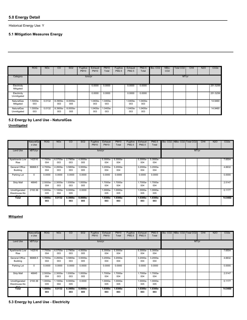# **5.0 Energy Detail**

Historical Energy Use: Y

# **5.1 Mitigation Measures Energy**

|                                  | <b>ROG</b>     | <b>NO<sub>x</sub></b> | CO              | SO <sub>2</sub> | Fugitive<br><b>PM10</b> | Exhaust<br><b>PM10</b> | <b>PM10</b><br>Total | Fugitive<br>PM2.5 | Exhaust<br>PM2.5 | PM2.5<br>Total  | Bio-CO <sub>2</sub> | NBio-<br>CO <sub>2</sub> | Total CO <sub>2</sub> | CH <sub>4</sub> | <b>N2O</b> | CO <sub>2e</sub> |
|----------------------------------|----------------|-----------------------|-----------------|-----------------|-------------------------|------------------------|----------------------|-------------------|------------------|-----------------|---------------------|--------------------------|-----------------------|-----------------|------------|------------------|
| Category                         |                |                       |                 |                 | tons/yr                 |                        |                      |                   |                  |                 |                     |                          | MT/yr                 |                 |            |                  |
| Electricity<br>Mitigated         |                |                       |                 |                 |                         | 0.0000                 | 0.0000               |                   | 0.0000           | 0.0000          |                     |                          |                       |                 |            | 251.5256         |
| Electricity<br>Unmitigated       |                |                       |                 |                 |                         | 0.0000                 | 0.0000               |                   | 0.0000           | 0.0000          |                     |                          |                       |                 |            | 251.5256         |
| <b>NaturalGas</b><br>Mitigated   | .5000e-<br>003 | 0.0132                | 8.3900e-<br>003 | 8.0000e-<br>005 |                         | 1.0400e-<br>003        | $.0400e-$<br>003     |                   | 1.0400e-<br>003  | 1.0400e-<br>003 |                     |                          |                       |                 |            | 14.9460          |
| <b>NaturalGas</b><br>Unmitigated | .5000e-<br>003 | 0.0132                | 8.3900e-<br>003 | 8.0000e-<br>005 |                         | 1.0400e-<br>003        | $.0400e-$<br>003     |                   | 1.0400e-<br>003  | 1.0400e-<br>003 |                     |                          |                       |                 |            | 14,9460          |

# **5.2 Energy by Land Use - NaturalGas**

# **Unmitigated**

|                                          | NaturalGa<br>s Use | <b>ROG</b>        | <b>NO<sub>x</sub></b> | CO              | SO <sub>2</sub>   | Fugitive<br><b>PM10</b> | Exhaust<br><b>PM10</b> | <b>PM10</b><br>Total | Fugitive<br>PM2.5 | Exhaust<br>PM2.5   | <b>PM2.5</b><br>Total | Bio- CO2 NBio- CO2 Total CO2 | CH <sub>4</sub> | <b>N2O</b> | CO <sub>2e</sub> |
|------------------------------------------|--------------------|-------------------|-----------------------|-----------------|-------------------|-------------------------|------------------------|----------------------|-------------------|--------------------|-----------------------|------------------------------|-----------------|------------|------------------|
| <b>Land Use</b>                          | kBTU/yr            |                   |                       |                 |                   |                         | tons/yr                |                      |                   |                    |                       |                              | MT/yr           |            |                  |
| Apartments Low<br>Rise                   | 142516             | 7.7000e-<br>004   | 6.5700e-<br>003       | 2.7900e-<br>003 | 4.0000e-<br>005   |                         | 5.3000e-<br>004        | 5.3000e-<br>004      |                   | 5.3000e-<br>004    | 5.3000e-<br>004       |                              |                 |            | 7.6504           |
| <b>General Office</b><br><b>Building</b> | 86868.5            | 4.7000e-<br>004   | 4.2600e-<br>003       | 3.5800e-<br>003 | 3.0000e-<br>005   |                         | 3.2000e-<br>004        | 3.2000e-<br>004      |                   | 3.2000e-<br>004    | 3.2000e-<br>004       |                              |                 |            | 4.6632           |
| Parking Lot                              | $\mathbf 0$        | 0.0000            | 0.0000                | 0.0000          | 0.0000            |                         | 0.0000                 | 0.0000               |                   | 0.0000             | 0.0000                |                              |                 |            | 0.0000           |
| Strip Mall                               | 46845              | 2.5000e-<br>004   | 2.3000e-<br>003       | 1.9300e-<br>003 | 1.0000e-<br>005   |                         | 1.7000e-<br>004        | .7000e-<br>004       |                   | 1.7000e-<br>004    | .7000e-<br>004        |                              |                 |            | 2.5147           |
| Unrefrigerated<br>Warehouse-No<br>لتحت   | 2193.36            | 1.0000e-<br>005   | 1.1000e-<br>004       | 9.0000e-<br>005 | 0.0000            |                         | 1.0000e-<br>005        | $.0000e-$<br>005     |                   | 1.0000e-<br>005    | $.0000e-$<br>005      |                              |                 |            | 0.1177           |
| Total                                    |                    | $1.5000e-$<br>003 | 0.0132                | 8.3900e-<br>003 | $8.0000e-$<br>005 |                         | 1.0300e<br>003         | $.0300e-$<br>003     |                   | $1.0300e -$<br>003 | $1.0300e-$<br>003     |                              |                 |            | 14.9460          |

### **Mitigated**

|                                          | NaturalGa<br>s Use | <b>ROG</b>        | <b>NO<sub>x</sub></b> | <sub>CO</sub>   | SO <sub>2</sub>   | Fugitive<br><b>PM10</b> | Exhaust<br><b>PM10</b> | <b>PM10</b><br>Total | Fugitive<br>PM2.5 | Exhaust<br>PM2.5  | PM2.5<br>Total    | Bio- CO2 NBio- CO2 Total CO2 |       | CH <sub>4</sub> | N <sub>2</sub> O | CO <sub>2</sub> e |
|------------------------------------------|--------------------|-------------------|-----------------------|-----------------|-------------------|-------------------------|------------------------|----------------------|-------------------|-------------------|-------------------|------------------------------|-------|-----------------|------------------|-------------------|
| Land Use                                 | kBTU/yr            |                   |                       |                 |                   |                         | tons/yr                |                      |                   |                   |                   |                              | MT/yr |                 |                  |                   |
| Apartments Low<br>Rise                   | 142516             | 7.7000e-<br>004   | 6.5700e-<br>003       | 2.7900e-<br>003 | 4.0000e-<br>005   |                         | 5.3000e-<br>004        | 5.3000e-<br>004      |                   | 5.3000e-<br>004   | 5.3000e-<br>004   |                              |       |                 |                  | 7.6504            |
| <b>General Office</b><br><b>Building</b> | 86868.5            | 4.7000e-<br>004   | 4.2600e-<br>003       | 3.5800e-<br>003 | 3.0000e-<br>005   |                         | 3.2000e-<br>004        | 3.2000e-<br>004      |                   | 3.2000e-<br>004   | 3.2000e-<br>004   |                              |       |                 |                  | 4.6632            |
| Parking Lot                              | 0                  | 0.0000            | 0.0000                | 0.0000          | 0.0000            |                         | 0.0000                 | 0.0000               |                   | 0.0000            | 0.0000            |                              |       |                 |                  | 0.0000            |
| <b>Strip Mall</b>                        | 46845              | 2.5000e-<br>004   | 2.3000e-<br>003       | 1.9300e-<br>003 | 1.0000e-<br>005   |                         | 1.7000e-<br>004        | 1.7000e-<br>004      |                   | 1.7000e-<br>004   | 1.7000e-<br>004   |                              |       |                 |                  | 2.5147            |
| Unrefrigerated<br>Warehouse-No<br>لتحت   | 2193.36            | 1.0000e-<br>005   | .1000e-<br>004        | 9.0000e-<br>005 | 0.0000            |                         | 1.0000e-<br>005        | -.0000e<br>005       |                   | 1.0000e-<br>005   | 1.0000e-<br>005   |                              |       |                 |                  | 0.1177            |
| <b>Total</b>                             |                    | $1.5000e-$<br>003 | 0.0132                | 8.3900e-<br>003 | $8.0000e-$<br>005 |                         | $1.0300e-$<br>003      | $1.0300e-$<br>003    |                   | $1.0300e-$<br>003 | $1.0300e-$<br>003 |                              |       |                 |                  | 14.9460           |

**5.3 Energy by Land Use - Electricity**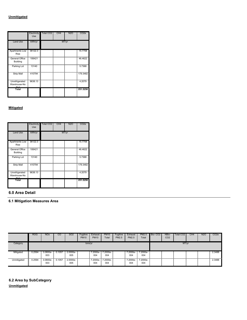|                                                                         | Electricity<br>Use                        | Total CO <sub>2</sub>                 | CH <sub>4</sub> | N2O   | CO <sub>2e</sub>                        |
|-------------------------------------------------------------------------|-------------------------------------------|---------------------------------------|-----------------|-------|-----------------------------------------|
| <b>Land Use</b>                                                         | kWh/yr                                    |                                       |                 | MT/yr |                                         |
| Apartments Low<br><b>Rise</b>                                           | 36122.3<br>I<br>,,,,,,,,,,,,,,,,,,,,,,,,, | i<br>India                            |                 |       | 15.7706                                 |
| General Office<br><b>Building</b><br>,,,,,,,,,,,,,,,,,,,,,,,,,,,,,,,,,, | 106421<br>,,,,,,,,,,,,,,,,,,,,            | I                                     |                 |       | 46.4622<br>,,,,,,,,,,,,,,,,,,,,,,,,,,,, |
| Parking Lot<br>,,,,,,,,,,,,,,,,                                         | 13140                                     | in a film and the film                |                 |       | 5.7368                                  |
| <b>Strip Mall</b>                                                       | 410794                                    | $\begin{array}{c} \hline \end{array}$ |                 |       | 179.3482                                |
| Unrefrigerated<br>Warehouse-No                                          | 9638.13                                   | i<br>India                            |                 |       | 4.2079                                  |
| Total                                                                   |                                           |                                       |                 |       | 251.5256                                |

|                                | Electricity<br>Use | Total CO <sub>2</sub> | CH <sub>4</sub> | N2O   | CO2e     |
|--------------------------------|--------------------|-----------------------|-----------------|-------|----------|
| <b>Land Use</b>                | kWh/yr             |                       |                 | MT/yr |          |
| Apartments Low<br><b>Rise</b>  | 36122.3            |                       |                 |       | 15,7706  |
| General Office<br>Building     | 106421             |                       |                 |       | 46.4622  |
| Parking Lot                    | 13140              |                       |                 |       | 5.7368   |
| <b>Strip Mall</b>              | 410794             | İ                     |                 |       | 179.3482 |
| Unrefrigerated<br>Warehouse-No | 9638.13            |                       |                 |       | 4.2079   |
| Total                          |                    |                       |                 |       | 251.5256 |

# **6.0 Area Detail**

**6.1 Mitigation Measures Area**

|             | <b>ROG</b> | <b>NOx</b>      | CO     | SO <sub>2</sub> | Fugitive<br><b>PM10</b> | Exhaust<br><b>PM10</b> | <b>PM10</b><br>Total | Fugitive<br>PM2.5 | Exhaust<br>PM2.5 | PM2.5<br>Total    | Bio-CO <sub>2</sub> | NBio-<br>CO <sub>2</sub> | Total CO <sub>2</sub> | CH4 | N <sub>2</sub> O | CO <sub>2e</sub> |
|-------------|------------|-----------------|--------|-----------------|-------------------------|------------------------|----------------------|-------------------|------------------|-------------------|---------------------|--------------------------|-----------------------|-----|------------------|------------------|
| Category    |            |                 |        |                 | tons/yr                 |                        |                      |                   |                  |                   |                     |                          | MT/yr                 |     |                  |                  |
| Mitigated   | 0.2594     | 3.0800e-<br>003 | 0.1057 | 2.0000e-<br>005 |                         | 7.2000e-<br>004        | $7.2000e-$<br>004    |                   | 7.2000e-<br>004  | $7.2000e-$<br>004 |                     |                          |                       |     |                  | 2.3488           |
| Unmitigated | 0.2594     | 3.0800e-<br>003 | 0.1057 | 2.0000e-<br>005 |                         | 7.2000e-<br>004        | 7.2000e-<br>004      |                   | 7.2000e-<br>004  | 7.2000e-<br>004   |                     |                          |                       |     |                  | 2.3488           |

**6.2 Area by SubCategory Unmitigated**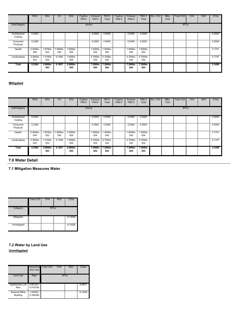|                          | <b>ROG</b>      | <b>NOx</b>        | CO              | SO <sub>2</sub>   | Fugitive<br><b>PM10</b> | Exhaust<br><b>PM10</b> | <b>PM10</b><br>Total | Fugitive<br>PM2.5 | Exhaust<br>PM2.5 | PM2.5<br>Total  | Bio-CO <sub>2</sub> | NBio-<br>CO <sub>2</sub> | Total CO <sub>2</sub> | CH <sub>4</sub> | N <sub>2</sub> O | CO <sub>2</sub> e |
|--------------------------|-----------------|-------------------|-----------------|-------------------|-------------------------|------------------------|----------------------|-------------------|------------------|-----------------|---------------------|--------------------------|-----------------------|-----------------|------------------|-------------------|
| SubCategory              |                 |                   |                 |                   | tons/yr                 |                        |                      |                   |                  |                 |                     |                          | MT/yr                 |                 |                  |                   |
| Architectural<br>Coating | 0.0253          |                   |                 |                   |                         | 0.0000                 | 0.0000               |                   | 0.0000           | 0.0000          |                     |                          |                       |                 |                  | 0.0000            |
| Consumer<br>Products     | 0.2305          |                   |                 |                   |                         | 0.0000                 | 0.0000               |                   | 0.0000           | 0.0000          |                     |                          |                       |                 |                  | 0.0000            |
| Hearth                   | 2.2000e-<br>004 | 1.8700e-<br>003   | 7.9000e-<br>004 | 1.0000e-<br>005   |                         | 1.5000e-<br>004        | -.5000e<br>004       |                   | 1.5000e-<br>004  | 1.5000e-<br>004 |                     |                          |                       |                 |                  | 2.1741            |
| Landscaping              | 3.3000e-<br>003 | 1.2100e-<br>003   | 0.1049          | 1.0000e-<br>005   |                         | 5.7000e-<br>004        | 5.7000e-<br>004      |                   | 5.7000e-<br>004  | 5.7000e-<br>004 |                     |                          |                       |                 |                  | 0.1747            |
| <b>Total</b>             | 0.2594          | $3.0800e-$<br>003 | 0.1057          | $2.0000e-$<br>005 |                         | 7.2000e-<br>004        | 7.2000e-<br>004      |                   | 7.2000e<br>004   | 7.2000e-<br>004 |                     |                          |                       |                 |                  | 2.3488            |

|                          | <b>ROG</b>      | <b>NO<sub>x</sub></b> | CO              | SO <sub>2</sub>   | Fugitive<br><b>PM10</b> | Exhaust<br><b>PM10</b> | <b>PM10</b><br>Total | Fugitive<br>PM2.5 | Exhaust<br>PM2.5 | PM2.5<br>Total  | Bio-CO <sub>2</sub> | NBio-<br>CO <sub>2</sub> | <b>Total CO2</b> | CH <sub>4</sub> | <b>N2O</b> | CO <sub>2e</sub> |
|--------------------------|-----------------|-----------------------|-----------------|-------------------|-------------------------|------------------------|----------------------|-------------------|------------------|-----------------|---------------------|--------------------------|------------------|-----------------|------------|------------------|
| SubCategory              | tons/yr         |                       |                 |                   |                         | MT/yr                  |                      |                   |                  |                 |                     |                          |                  |                 |            |                  |
| Architectural<br>Coating | 0.0253          |                       |                 |                   |                         | 0.0000                 | 0.0000               |                   | 0.0000           | 0.0000          |                     |                          |                  |                 |            | 0.0000           |
| Consumer<br>Products     | 0.2305          |                       |                 |                   |                         | 0.0000                 | 0.0000               |                   | 0.0000           | 0.0000          |                     |                          |                  |                 |            | 0.0000           |
| Hearth                   | 2.2000e-<br>004 | .8700e-<br>003        | 7.9000e-<br>004 | -.0000e<br>005    |                         | 1.5000e-<br>004        | .5000e-<br>004       |                   | 1.5000e-<br>004  | 1.5000e-<br>004 |                     |                          |                  |                 |            | 2.1741           |
| Landscaping              | 3.3000e-<br>003 | .2100e-<br>003        | 0.1049          | -.0000e<br>005    |                         | 5.7000e-<br>004        | 5.7000e-<br>004      |                   | 5.7000e-<br>004  | 5.7000e-<br>004 |                     |                          |                  |                 |            | 0.1747           |
| <b>Total</b>             | 0.2594          | $3.0800e -$<br>003    | 0.1057          | $2.0000e-$<br>005 |                         | 7.2000e-<br>004        | 7.2000e-<br>004      |                   | 7.2000e-<br>004  | 7.2000e-<br>004 |                     |                          |                  |                 |            | 2.3488           |
| 7.0 Water Detail         |                 |                       |                 |                   |                         |                        |                      |                   |                  |                 |                     |                          |                  |                 |            |                  |

# **7.1 Mitigation Measures Water**

|             | Total CO <sub>2</sub>                                                                                     | CH <sub>4</sub> | CO <sub>2</sub> e                       |
|-------------|-----------------------------------------------------------------------------------------------------------|-----------------|-----------------------------------------|
| Category    |                                                                                                           | MT/yr           |                                         |
| Mitigated   | m                                                                                                         |                 | 41.5526<br>,,,,,,,,,,,,,,,,,,,,,,,,,,,, |
| Unmitigated | <b>The Contract of Contract of Contract of Contract of Contract of Contract of Contract of Contract o</b> |                 | 41.5526                                 |

# **7.2 Water by Land Use Unmitigated**

|                            | Indoor/Out<br>door Use          | CH <sub>4</sub><br>Total CO <sub>2</sub> | N2O                                    | CO2e                                         |
|----------------------------|---------------------------------|------------------------------------------|----------------------------------------|----------------------------------------------|
| Land Use                   | Mgal                            |                                          | MT/vr                                  |                                              |
| Apartments Low<br>Rise     | 0.65154/<br>I<br>I<br>0.410754  |                                          | ,,,,,,,,,,,,,,,,,,,,,,,,,,,,,,,,,,,,,, | 6.5831                                       |
| General Office<br>Building | I<br>1.24058 /<br>0.760356<br>I |                                          |                                        | ,,,,,,,,,,,,,,,,,,,,,,,,,,,,,,,,,<br>12.4292 |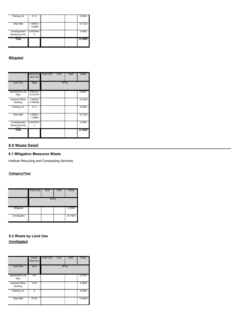| Parking Lot    | $\sqrt{0}$         |  | 0.0000                                     |
|----------------|--------------------|--|--------------------------------------------|
| Strip Mall     | 1.90663<br>1.16858 |  | 19.1022<br>,,,,,,,,,,,,,,,,,,,,,,,,,,,,,,, |
| Unrefrigerated | 0.487938<br>ı      |  | 3.4380                                     |
| Warehouse-No   |                    |  |                                            |
| Total          |                    |  | 41.5526                                    |

|                            | door Use                   | Indoor/Out Total CO2<br>CH <sub>4</sub> | N2O   | CO2e                            |
|----------------------------|----------------------------|-----------------------------------------|-------|---------------------------------|
| <b>Land Use</b>            | Mgal                       |                                         | MT/yr |                                 |
| Apartments Low   0.65154 / |                            |                                         |       | 6.5831                          |
| Rise                       | 0.410754                   |                                         |       |                                 |
| General Office             | 1.24058/                   |                                         |       | 12.4292                         |
| Building                   | 0.760356                   |                                         |       | ,,,,,,,,,,,,,,,,,,,,,,,,,,,,,,  |
| Parking Lot                | $\sqrt{2}$<br><sup>n</sup> |                                         |       | 0.0000                          |
| <b>Strip Mall</b>          | 1.90663/<br>Ē              |                                         |       | 19.1022                         |
|                            | 1.16858                    |                                         |       | ,,,,,,,,,,,,,,,,,,,,,,,,,,,,,,, |
| Unrefrigerated             | 0.487938                   |                                         |       | 3.4380                          |
| Warehouse-No               |                            |                                         |       |                                 |
| Total                      |                            |                                         |       | 41.5526                         |
|                            |                            |                                         |       |                                 |

### **8.0 Waste Detail**

# **8.1 Mitigation Measures Waste**

Institute Recycling and Composting Services

# **Category/Year**

|             | Total CO <sub>2</sub>                  | CH <sub>4</sub> | <b>N2O</b> | CO <sub>2</sub> e                        |
|-------------|----------------------------------------|-----------------|------------|------------------------------------------|
|             |                                        | MT/yr           |            |                                          |
| Mitigated   | <b>The Contract of Security Assess</b> |                 |            | į<br>4.8399                              |
| Unmitigated | m<br>i<br>Hillian                      |                 |            | ,,,,,,,,,,,,,,,,,,,,,,,,,,,,,<br>20.1664 |

# **8.2 Waste by Land Use Unmitigated**

|                                                                    | Waste<br>Disposed | Total CO2<br>CH4 | N <sub>2</sub> O | CO <sub>2</sub> e                             |
|--------------------------------------------------------------------|-------------------|------------------|------------------|-----------------------------------------------|
| <b>Land Use</b>                                                    | tons              |                  | MT/yr            |                                               |
| <b>Apartments Low</b><br>Rise                                      | 4.6               |                  |                  | 2.3134                                        |
| ,,,,,,,,,,,,,,,,,,,,,,,,,,,,,,,,,,,,<br>General Office<br>Building | 6.49              |                  |                  | 3.2638                                        |
| Parking Lot                                                        |                   |                  |                  | ,,,,,,,,,,,,,,,,,,,,,,,,,,,,,,,,,,,<br>0.0000 |
| <b>Strip Mall</b>                                                  | 27.03             | ത്സധധ            |                  | 13.5934                                       |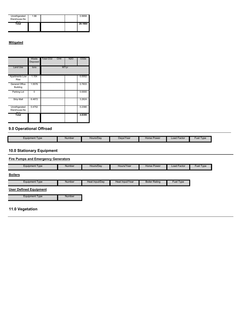| Unrefrigerated           | 1.98 | m | 0.9958  |
|--------------------------|------|---|---------|
| Warehouse-No<br>$D - 11$ |      |   |         |
| Total                    |      |   | 20.1664 |
|                          |      |   |         |

|                                   | Waste<br>Disposed | Total CO <sub>2</sub><br>CH4 | N2O   |                                           |
|-----------------------------------|-------------------|------------------------------|-------|-------------------------------------------|
| <b>Land Use</b>                   | tons              |                              | MT/yr |                                           |
| <b>Apartments Low</b><br>Rise     | 1.104<br>I        |                              |       | 0.5552                                    |
| General Office<br><b>Building</b> | 1.5576            |                              |       | 0.7833<br>,,,,,,,,,,,,,,,,,,,,,,,,,,,,,,, |
| Parking Lot                       |                   |                              |       | 0.0000<br>mmmmmmmmmmmm                    |
| <b>Strip Mall</b>                 | 6.4872            |                              |       | 3.2624                                    |
| Unrefrigerated<br>Warehouse-No    | 0.4752            |                              |       | 0.2390                                    |
| Total                             |                   |                              |       | 4.8399                                    |

# **9.0 Operational Offroad**

| Equipment Type | <b>Number</b> | Hours/Dav | Davs/Year | : Power<br>Horse | -actor<br>Load l | Lue.<br>I vpe |
|----------------|---------------|-----------|-----------|------------------|------------------|---------------|

# **10.0 Stationary Equipment**

| <b>Fire Pumps and Emergency Generators</b> |        |                |                 |                      |                  |           |
|--------------------------------------------|--------|----------------|-----------------|----------------------|------------------|-----------|
| <b>Equipment Type</b>                      | Number | Hours/Day      | Hours/Year      | <b>Horse Power</b>   | Load Factor      | Fuel Type |
| <b>Boilers</b>                             |        |                |                 |                      |                  |           |
| <b>Equipment Type</b>                      | Number | Heat Input/Day | Heat Input/Year | <b>Boiler Rating</b> | <b>Fuel Type</b> |           |
| <b>User Defined Equipment</b>              |        |                |                 |                      |                  |           |
| <b>Equipment Type</b>                      | Number |                |                 |                      |                  |           |
|                                            |        |                |                 |                      |                  |           |
| 11.0 Vegetation                            |        |                |                 |                      |                  |           |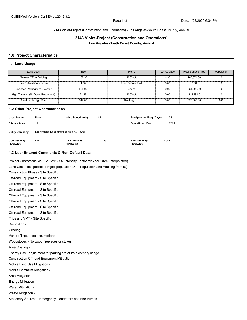#### 2143 Violet-Project (Construction and Operations) - Los Angeles-South Coast County, Annual

### **2143 Violet-Project (Construction and Operations) Los Angeles-South Coast County, Annual**

#### **1.0 Project Characteristics**

#### **1.1 Land Usage**

| <b>Land Uses</b>                      | <b>Size</b> | <b>Metric</b>        | Lot Acreage | Floor Surface Area | Population |
|---------------------------------------|-------------|----------------------|-------------|--------------------|------------|
| General Office Building               | 187.37      | 1000sqft             | 4.30        | 187.374.00         |            |
| User Defined Commercial               | 1.00        | User Defined Unit    | 0.00        | 0.00               |            |
| <b>Enclosed Parking with Elevator</b> | 828.00      | Space                | 0.00        | 331.200.00         |            |
| High Turnover (Sit Down Restaurant)   | 21.86       | 1000sqft             | 0.00        | 21.858.00          |            |
| Apartments High Rise                  | 347.00      | <b>Dwelling Unit</b> | 0.00        | 325,385.00         | 843        |

#### **1.2 Other Project Characteristics**

| <b>Urbanization</b>        | Urban                                   | Wind Speed (m/s)                  | 2.2   | <b>Precipitation Freg (Days)</b> | 33    |  |  |  |  |  |
|----------------------------|-----------------------------------------|-----------------------------------|-------|----------------------------------|-------|--|--|--|--|--|
| <b>Climate Zone</b>        | 11                                      |                                   |       | <b>Operational Year</b>          | 2024  |  |  |  |  |  |
| <b>Utility Company</b>     | Los Angeles Department of Water & Power |                                   |       |                                  |       |  |  |  |  |  |
| CO2 Intensity<br>(lb/MWhr) | 615                                     | <b>CH4 Intensity</b><br>(lb/MWhr) | 0.029 | N2O Intensity<br>(lb/MWhr)       | 0.006 |  |  |  |  |  |

#### **1.3 User Entered Comments & Non-Default Data**

Project Characteristics - LADWP CO2 Intensity Factor for Year 2024 (Interpolated)

Land Use - site specific. Project population (XIII. Population and Housing from IS) Construction Phase - Site Specific Off-road Equipment - Site Specific Off-road Equipment - Site Specific Off-road Equipment - Site Specific Off-road Equipment - Site Specific Off-road Equipment - Site Specific Off-road Equipment - Site Specific Off-road Equipment - Site Specific Trips and VMT - Site Specific Demolition - Grading - Vehicle Trips - see assumptions Woodstoves - No wood fireplaces or stoves Area Coating - Energy Use - adjustment for parking structure electricity usage Construction Off-road Equipment Mitigation - Mobile Land Use Mitigation - Mobile Commute Mitigation - Area Mitigation - Energy Mitigation - Water Mitigation - Waste Mitigation - Stationary Sources - Emergency Generators and Fire Pumps -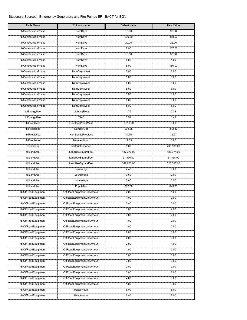# Stationary Sources - Emergency Generators and Fire Pumps EF - BACT for EG's

| Table Name           | Column Name                | Default Value | <b>New Value</b> |
|----------------------|----------------------------|---------------|------------------|
| tblConstructionPhase | <b>NumDays</b>             | 18.00         | 92.00            |
| tblConstructionPhase | NumDays                    | 230.00        | 468.00           |
| tblConstructionPhase | NumDays                    | 20.00         | 22.00            |
| tblConstructionPhase | NumDays                    | 8.00          | 257.00           |
| tblConstructionPhase | NumDays                    | 18.00         | 30.00            |
| tblConstructionPhase | NumDays                    | 5.00          | 4.00             |
| tblConstructionPhase | NumDays                    | 5.00          | 186.00           |
| tblConstructionPhase | NumDaysWeek                | 5.00          | 6.00             |
| tblConstructionPhase | NumDaysWeek                | 5.00          | 6.00             |
| tblConstructionPhase | <b>NumDaysWeek</b>         | 5.00          | 6.00             |
| tblConstructionPhase | <b>NumDaysWeek</b>         | 5.00          | 6.00             |
| tblConstructionPhase | <b>NumDaysWeek</b>         | 5.00          | 6.00             |
| tblConstructionPhase | <b>NumDaysWeek</b>         | 5.00          | 6.00             |
| tblConstructionPhase | <b>NumDaysWeek</b>         | 5.00          | 6.00             |
| tblEnergyUse         | LightingElect              | 1.75          | 2.33             |
| tblEnergyUse         | <b>T24E</b>                | 3.92          | 0.49             |
| tblFireplaces        | <b>FireplaceWoodMass</b>   | 1,019.20      | 0.00             |
| tblFireplaces        | <b>NumberGas</b>           | 294.95        | 312.30           |
| tblFireplaces        | NumberNoFireplace          | 34.70         | 34.07            |
| tblFireplaces        | <b>NumberWood</b>          | 17.35         | 0.00             |
| tblGrading           | MaterialExported           | 0.00          | 239,500.00       |
| tblLandUse           | LandUseSquareFeet          | 187,370.00    | 187,374.00       |
| tblLandUse           | LandUseSquareFeet          | 21,860.00     | 21,858.00        |
| tblLandUse           | <b>LandUseSquareFeet</b>   | 347,000.00    | 325,385.00       |
| tblLandUse           | LotAcreage                 | 7.45          | 0.00             |
| tblLandUse           | LotAcreage                 | 0.50          | 0.00             |
| tblLandUse           | LotAcreage                 | 5.60          | 0.00             |
| tblLandUse           | Population                 | 992.00        | 843.00           |
| tblOffRoadEquipment  | OffRoadEquipmentUnitAmount | 2.00          | 1.00             |
| tblOffRoadEquipment  | OffRoadEquipmentUnitAmount | 1.00          | 0.00             |
| tblOffRoadEquipment  | OffRoadEquipmentUnitAmount | 3.00          | 0.00             |
| tblOffRoadEquipment  | OffRoadEquipmentUnitAmount | 1.00          | 2.00             |
| tblOffRoadEquipment  | OffRoadEquipmentUnitAmount | 3.00          | 2.00             |
| tblOffRoadEquipment  | OffRoadEquipmentUnitAmount | 1.00          | 2.00             |
| tblOffRoadEquipment  | OffRoadEquipmentUnitAmount | 1.00          | 0.00             |
| tblOffRoadEquipment  | OffRoadEquipmentUnitAmount | 2.00          | 0.00             |
| tblOffRoadEquipment  | OffRoadEquipmentUnitAmount | 2.00          | 0.00             |
| tblOffRoadEquipment  | OffRoadEquipmentUnitAmount | 2.00          | 1.00             |
| tblOffRoadEquipment  | OffRoadEquipmentUnitAmount | 1.00          | 2.00             |
| tblOffRoadEquipment  | OffRoadEquipmentUnitAmount | 3.00          | 0.00             |
| tblOffRoadEquipment  | OffRoadEquipmentUnitAmount | 3.00          | 0.00             |
| tblOffRoadEquipment  | OffRoadEquipmentUnitAmount | 3.00          | 0.00             |
| tblOffRoadEquipment  | OffRoadEquipmentUnitAmount | 3.00          | 2.00             |
| tblOffRoadEquipment  | OffRoadEquipmentUnitAmount | 4.00          | 0.00             |
| tblOffRoadEquipment  | OffRoadEquipmentUnitAmount | 4.00          | 0.00             |
| tblOffRoadEquipment  | UsageHours                 | 6.00          | 8.00             |
| tblOffRoadEquipment  | <b>UsageHours</b>          | 6.00          | 8.00             |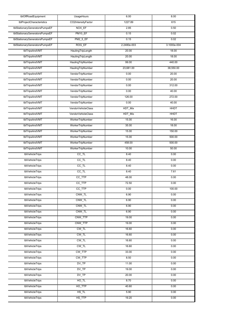| tblOffRoadEquipment            | <b>UsageHours</b>        | 6.00        | 8.00        |
|--------------------------------|--------------------------|-------------|-------------|
| tblProjectCharacteristics      | CO2IntensityFactor       | 1227.89     | 615         |
| tblStationaryGeneratorsPumpsEF | NOX EF                   | 2.85        | 0.50        |
| tblStationaryGeneratorsPumpsEF | PM10_EF                  | 0.15        | 0.02        |
| tblStationaryGeneratorsPumpsEF | <b>PM2_5_EF</b>          | 0.15        | 0.02        |
| tblStationaryGeneratorsPumpsEF | <b>ROG EF</b>            | 2.2480e-003 | 3.1000e-004 |
| tblTripsAndVMT                 | HaulingTripLength        | 20.00       | 18.00       |
| tblTripsAndVMT                 | HaulingTripLength        | 20.00       | 18.00       |
| tblTripsAndVMT                 | <b>HaulingTripNumber</b> | 99.00       | 440.00      |
| tblTripsAndVMT                 | HaulingTripNumber        | 23,681.00   | 38,550.00   |
| tblTripsAndVMT                 | VendorTripNumber         | 0.00        | 20.00       |
| tblTripsAndVMT                 | VendorTripNumber         | 0.00        | 20.00       |
| tblTripsAndVMT                 | VendorTripNumber         | 0.00        | 312.00      |
| tblTripsAndVMT                 | VendorTripNumber         | 0.00        | 40.00       |
| tblTripsAndVMT                 | VendorTripNumber         | 126.00      | 272.00      |
| tblTripsAndVMT                 | VendorTripNumber         | 0.00        | 40.00       |
| tblTripsAndVMT                 | VendorVehicleClass       | HDT_Mix     | <b>HHDT</b> |
| tblTripsAndVMT                 | VendorVehicleClass       | HDT_Mix     | <b>HHDT</b> |
| tblTripsAndVMT                 | WorkerTripNumber         | 15.00       | 16.00       |
| tblTripsAndVMT                 | WorkerTripNumber         | 35.00       | 18.00       |
| tblTripsAndVMT                 | WorkerTripNumber         | 15.00       | 150.00      |
| tblTripsAndVMT                 | WorkerTripNumber         | 15.00       | 500.00      |
| tblTripsAndVMT                 | WorkerTripNumber         | 458.00      | 500.00      |
| tblTripsAndVMT                 | WorkerTripNumber         | 10.00       | 50.00       |
| tblVehicleTrips                | $CC$ _TL                 | 8.40        | 0.00        |
| tblVehicleTrips                | $\overline{CC\_TL}$      | 8.40        | 0.00        |
| tblVehicleTrips                | $CC$ _TL                 | 8.40        | 0.00        |
| tblVehicleTrips                | $CC$ _TL                 | 8.40        | 7.61        |
| tblVehicleTrips                | CC_TTP                   | 48.00       | 0.00        |
| tblVehicleTrips                | CC_TTP                   | 72.50       | 0.00        |
| tblVehicleTrips                | CC_TTP                   | 0.00        | 100.00      |
| tblVehicleTrips                | CNW TL                   | 6.90        | 0.00        |
| tblVehicleTrips                | CNW_TL                   | 6.90        | 0.00        |
| tblVehicleTrips                | CNW TL                   | 6.90        | 0.00        |
| tblVehicleTrips                | CNW_TL                   | 6.90        | 0.00        |
| tblVehicleTrips                | CNW_TTP                  | 19.00       | 0.00        |
| tblVehicleTrips                | CNW TTP                  | 19.00       | 0.00        |
| tblVehicleTrips                | CW_TL                    | 16.60       | 0.00        |
| tblVehicleTrips                | CW_TL                    | 16.60       | 0.00        |
| tblVehicleTrips                | $CW_TL$                  | 16.60       | 0.00        |
| tblVehicleTrips                | $CW_TL$                  | 16.60       | 0.00        |
| tblVehicleTrips                | CW_TTP                   | 33.00       | 0.00        |
| tblVehicleTrips                | CW_TTP                   | 8.50        | 0.00        |
| tblVehicleTrips                | $DV_TP$                  | 11.00       | 0.00        |
| tblVehicleTrips                | DV_TP                    | 19.00       | 0.00        |
| tblVehicleTrips                | $DV_TP$                  | 20.00       | 0.00        |
| tblVehicleTrips                | $HO$ _TL                 | 8.70        | 0.00        |
| tblVehicleTrips                | HO TTP                   | 40.60       | 0.00        |
| tblVehicleTrips                | HS_TL                    | 5.90        | 0.00        |
| tblVehicleTrips                | HS_TTP                   | 19.20       | 0.00        |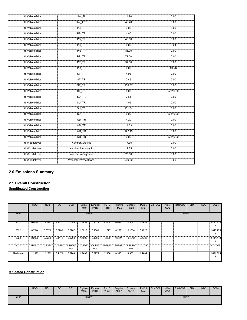| tblVehicleTrips | HW TL              | 14.70  | 0.00     |
|-----------------|--------------------|--------|----------|
| tblVehicleTrips | HW_TTP             | 40.20  | 0.00     |
| tblVehicleTrips | PB_TP              | 3.00   | 0.00     |
| tblVehicleTrips | PB_TP              | 4.00   | 0.00     |
| tblVehicleTrips | PB                 | 43.00  | 0.00     |
| tblVehicleTrips | PB                 | 0.00   | 8.24     |
| tblVehicleTrips | PR_TP              | 86.00  | 0.00     |
| tblVehicleTrips | PR_TP              | 77.00  | 0.00     |
| tblVehicleTrips | PR_TP              | 37.00  | 0.00     |
| tblVehicleTrips | PR_TP              | 0.00   | 91.76    |
| tblVehicleTrips | $ST_T$ $R$         | 4.98   | 0.00     |
| tblVehicleTrips | $ST_T$ $R$         | 2.46   | 0.00     |
| tblVehicleTrips | $ST_TR$            | 158.37 | 0.00     |
| tblVehicleTrips | $ST_T$ $R$         | 0.00   | 5,316.00 |
| tblVehicleTrips | SU_TR              | 3.65   | 0.00     |
| tblVehicleTrips | <b>SU TR</b>       | 1.05   | 0.00     |
| tblVehicleTrips | $SU_T$ TR          | 131.84 | 0.00     |
| tblVehicleTrips | $SU_T$ TR          | 0.00   | 5,316.00 |
| tblVehicleTrips | $WD_TR$            | 4.20   | 0.00     |
| tblVehicleTrips | WD_TR              | 11.03  | 0.00     |
| tblVehicleTrips | WD TR              | 127.15 | 0.00     |
| tblVehicleTrips | WD_TR              | 0.00   | 5,316.00 |
| tblWoodstoves   | NumberCatalytic    | 17.35  | 0.00     |
| tblWoodstoves   | NumberNoncatalytic | 17.35  | 0.00     |
| tblWoodstoves   | WoodstoveDayYear   | 25.00  | 0.00     |
| tblWoodstoves   | WoodstoveWoodMass  | 999.60 | 0.00     |

# **2.0 Emissions Summary**

# **2.1 Overall Construction**

**Unmitigated Construction**

|                | <b>ROG</b> | <b>NO<sub>x</sub></b> | CO     | <b>SO2</b>      | Fugitive<br><b>PM10</b> | Exhaust<br><b>PM10</b> | <b>PM10</b><br>Total | Fugitive<br>PM2.5 | Exhaust<br>PM2.5 | <b>PM2.5</b><br>Total | Bio-CO <sub>2</sub> | NBio-<br>CO <sub>2</sub> | <b>Total CO2</b> | CH <sub>4</sub> | N <sub>2</sub> O | CO <sub>2e</sub> |
|----------------|------------|-----------------------|--------|-----------------|-------------------------|------------------------|----------------------|-------------------|------------------|-----------------------|---------------------|--------------------------|------------------|-----------------|------------------|------------------|
| Year           |            | tons/yr               |        |                 |                         |                        |                      |                   |                  |                       |                     |                          | MT/yr            |                 |                  |                  |
| 2021           | 0.9060     | 2.2862                | 6.1337 | 0.0258          | 1.9633                  | 0.3275                 | 2.2908               | 0.9631            | 0.3051           | .2681                 |                     |                          |                  |                 |                  | 2,421.325        |
| 2022           | 0.7144     | 5.3379                | 6.8200 | 0.0202          | 1.0017                  | 0.1560                 | 1.1577               | 0.2691            | 0.1534           | 0.4225                |                     |                          |                  |                 |                  | 1,846.275        |
| 2023           | 2.2895     | 6.5250                | 8.1171 | 0.0263          | 1.1593                  | 0.1666                 | 1.3259               | 0.3141            | 0.1642           | 0.4782                |                     |                          |                  |                 |                  | 2.414.448<br>6   |
| 2024           | 0.5103     | 0.3291                | 0.4391 | 1.3500e-<br>003 | 0.0607                  | 8.3200e-<br>003        | 0.0690               | 0.0164            | 8.0700e-<br>003  | 0.0245                |                     |                          |                  |                 |                  | 123.7544         |
| <b>Maximum</b> | 2.2895     | 12.2862               | 8.1171 | 0.0263          | 1.9633                  | 0.3275                 | 2.2908               | 0.9631            | 0.3051           | 1.2681                |                     |                          |                  |                 |                  | 2,421.325<br>я   |

# **Mitigated Construction**

|      | <b>ROG</b> | <b>NOx</b> | $\cdot$ $\cdot$<br>UU. | SO <sub>2</sub> | Fugitive<br><b>PM10</b> | Exhaust<br><b>PM10</b> | <b>PM10</b><br>Total | Fugitive<br><b>PM2.5</b> | Exhaust<br>PM2.5 | PM2.5<br>Total | Bio-CO <sub>2</sub> | NBio-<br>CO <sub>2</sub> | Total CO <sub>2</sub> | CH <sub>4</sub> | N <sub>2</sub> O | CO <sub>2e</sub> |
|------|------------|------------|------------------------|-----------------|-------------------------|------------------------|----------------------|--------------------------|------------------|----------------|---------------------|--------------------------|-----------------------|-----------------|------------------|------------------|
| Year |            |            |                        |                 | tons/yr                 |                        |                      |                          |                  |                |                     |                          | MT/yr                 |                 |                  |                  |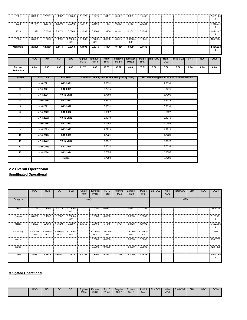| 2021                 | 0.9060     | 12.2861           | 6.1337         | 0.0258          | 1.0127                         | 0.3275                                       | 1.3401                      | 0.4431                          | 0.3051                         | 0.7482                       |                |                          |                                            |      |            | 2,421.324<br>8   |
|----------------------|------------|-------------------|----------------|-----------------|--------------------------------|----------------------------------------------|-----------------------------|---------------------------------|--------------------------------|------------------------------|----------------|--------------------------|--------------------------------------------|------|------------|------------------|
| 2022                 | 0.7144     | 5.3379            | 6.8200         | 0.0202          | 1.0017                         | 0.1560                                       | 1.1577                      | 0.2691                          | 0.1534                         | 0.4225                       |                |                          |                                            |      |            | 1,846.274<br>8   |
| 2023                 | 2.2895     | 6.5250            | 8.1171         | 0.0263          | 1.1593                         | 0.1666                                       | 1.3259                      | 0.3141                          | 0.1642                         | 0.4782                       |                |                          |                                            |      |            | 2,414.447<br>9   |
| 2024                 | 0.5103     | 0.3291            | 0.4391         | 1.3500e-<br>003 | 0.0607                         | 8.3200e-<br>003                              | 0.0690                      | 0.0164                          | 8.0700e-<br>003                | 0.0245                       |                |                          |                                            |      |            | 123.7544         |
| <b>Maximum</b>       | 2.2895     | 12.2861           | 8.1171         | 0.0263          | 1.1593                         | 0.3275                                       | 1.3401                      | 0.4431                          | 0.3051                         | 0.7482                       |                |                          |                                            |      |            | 2,421.324<br>8   |
|                      | <b>ROG</b> | <b>NOx</b>        | $\overline{c}$ | <b>SO2</b>      | <b>Fugitive</b><br><b>PM10</b> | <b>Exhaust</b><br><b>PM10</b>                | <b>PM10</b><br><b>Total</b> | <b>Fugitive</b><br><b>PM2.5</b> | <b>Exhaust</b><br><b>PM2.5</b> | <b>PM2.5</b><br><b>Total</b> | <b>Bio-CO2</b> | NBio-<br>CO <sub>2</sub> | <b>Total CO2</b>                           | CH4  | <b>N20</b> | CO <sub>2e</sub> |
| Percent<br>Reduction | 0.00       | 0.00              | 0.00           | 0.00            | 22.72                          | 0.00                                         | 19.63                       | 33.27                           | 0.00                           | 23.71                        | 0.00           | 0.00                     | 0.00                                       | 0.00 | 0.00       | 0.00             |
| Quarter              |            | <b>Start Date</b> |                | <b>End Date</b> |                                | Maximum Unmitigated ROG + NOX (tons/quarter) |                             |                                 |                                |                              |                |                          | Maximum Mitigated ROG + NOX (tons/quarter) |      |            |                  |
| 1                    |            | 1-14-2021         |                | 4-13-2021       | 2.9631                         |                                              |                             |                                 |                                |                              |                | 2.9631                   |                                            |      |            |                  |
| $\overline{2}$       |            | 4-14-2021         |                | 7-13-2021       | 3.7275                         |                                              |                             |                                 |                                | 3.7275                       |                |                          |                                            |      |            |                  |
| 3                    |            | 7-14-2021         |                | 10-13-2021      |                                | 3.7709                                       |                             |                                 |                                |                              |                |                          |                                            |      |            |                  |
| 4                    |            | 10-14-2021        |                | 1-13-2022       |                                |                                              | 3.3714                      |                                 |                                |                              |                | 3.3714                   |                                            |      |            |                  |
| 5                    |            | 1-14-2022         |                | 4-13-2022       |                                |                                              | 0.9631                      |                                 |                                |                              |                | 0.9631                   |                                            |      |            |                  |
| 6                    |            | 4-14-2022         |                | 7-13-2022       |                                |                                              | 0.9627                      |                                 |                                |                              |                | 0.9627                   |                                            |      |            |                  |
| $\overline{7}$       |            | 7-14-2022         |                | 10-13-2022      |                                |                                              | 2.1049                      |                                 |                                |                              |                | 2.1049                   |                                            |      |            |                  |
| 8                    |            | 10-14-2022        |                | 1-13-2023       |                                |                                              | 2.0953                      |                                 |                                |                              |                | 2.0953                   |                                            |      |            |                  |
| 9                    |            | 1-14-2023         |                | 4-13-2023       |                                |                                              | 1.7723                      |                                 |                                |                              |                | 1.7723                   |                                            |      |            |                  |
| 10                   |            | 4-14-2023         |                | 7-13-2023       |                                |                                              | 1.7821                      |                                 |                                |                              |                | 1.7821                   |                                            |      |            |                  |
| 11                   |            | 7-14-2023         |                | 10-13-2023      |                                |                                              | 1.8623                      |                                 |                                |                              |                | 1.8623                   |                                            |      |            |                  |
| 12                   |            | 10-14-2023        |                | 1-13-2024       |                                |                                              | 3.6532                      |                                 |                                |                              |                | 3.6532                   |                                            |      |            |                  |
| 13                   |            | 1-14-2024         |                | 4-13-2024       |                                |                                              | 0.2859                      |                                 |                                |                              |                | 0.2859                   |                                            |      |            |                  |
|                      |            |                   |                | Highest         |                                |                                              | 3.7709                      |                                 |                                |                              |                | 3.7709                   |                                            |      |            |                  |

**2.2 Overall Operational**

**Unmitigated Operational**

|            | <b>ROG</b>      | <b>NOx</b>      | $\overline{c}$  | <b>SO2</b>      | Fugitive<br><b>PM10</b> | Exhaust<br><b>PM10</b> | <b>PM10</b><br>Total | Fugitive<br>PM2.5 | Exhaust<br>PM2.5 | PM2.5<br>Total  | Bio-CO <sub>2</sub> | NBio-<br>CO <sub>2</sub> | Total CO <sub>2</sub> | CH <sub>4</sub> | N <sub>2</sub> O | CO <sub>2</sub> e |
|------------|-----------------|-----------------|-----------------|-----------------|-------------------------|------------------------|----------------------|-------------------|------------------|-----------------|---------------------|--------------------------|-----------------------|-----------------|------------------|-------------------|
| Category   |                 |                 |                 |                 | tons/yr                 |                        |                      |                   |                  |                 |                     |                          | MT/yr                 |                 |                  |                   |
| Area       | 2.2730          | 0.1061          | 3.6178          | 6.0000e-<br>004 |                         | 0.0251                 | 0.0251               |                   | 0.0251           | 0.0251          |                     |                          |                       |                 |                  | 81.4536           |
| Energy     | 0.0550          | 0.4902          | 0.3507          | 3.0000e-<br>003 |                         | 0.0380                 | 0.0380               |                   | 0.0380           | 0.0380          |                     |                          |                       |                 |                  | 2,163.291         |
| Mobile     | 1.2603          | 5.7664          | 15.6245         | 0.0597          | 5.1355                  | 0.0460                 | 5.1815               | 1.3764            | 0.0428           | 1.4192          |                     |                          |                       |                 |                  | 5,532.586<br>6    |
| Stationary | 4.8000e-<br>004 | 1.6900e-<br>003 | 8.7900e-<br>003 | 2.0000e-<br>005 |                         | 7.0000e-<br>005        | 7.0000e-<br>005      |                   | 7.0000e-<br>005  | 7.0000e-<br>005 |                     |                          |                       |                 |                  | 1.6050            |
| Waste      |                 |                 |                 |                 |                         | 0.0000                 | 0.0000               |                   | 0.0000           | 0.0000          |                     |                          |                       |                 |                  | 298.7235          |
| Water      |                 |                 |                 |                 |                         | 0.0000                 | 0.0000               |                   | 0.0000           | 0.0000          |                     |                          |                       |                 |                  | 422,4386          |
| Total      | 3.5887          | 6.3644          | 19.6017         | 0.0633          | 5.1355                  | 0.1091                 | 5.2447               | 1.3764            | 0.1059           | 1.4823          |                     |                          |                       |                 |                  | 8,500.098<br>9    |

# **Mitigated Operational**

| <b>ROG</b><br><b>NO<sub>x</sub></b><br>$\sim$<br>UU | <b>SO2</b><br>$\overline{\phantom{0}}$<br>Fugitive<br><b>PM10</b> | <b>PM10</b><br>Exhaust<br><b>PM10</b><br>Total | Fugitive<br>Exhaust<br><b>PM2.5</b><br><b>PM2.5</b> | <b>PM2.5</b><br>Total | Bio-CO <sub>2</sub> | NBio-<br>CO <sub>2</sub> | Total CO <sub>2</sub> | CH <sub>4</sub> | <b>N2O</b> | CO <sub>2</sub> e |
|-----------------------------------------------------|-------------------------------------------------------------------|------------------------------------------------|-----------------------------------------------------|-----------------------|---------------------|--------------------------|-----------------------|-----------------|------------|-------------------|
|-----------------------------------------------------|-------------------------------------------------------------------|------------------------------------------------|-----------------------------------------------------|-----------------------|---------------------|--------------------------|-----------------------|-----------------|------------|-------------------|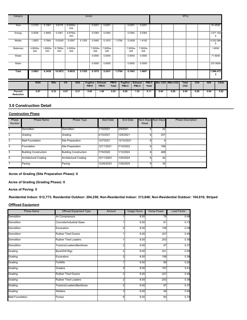| Category                    |                 |                 |                 |                 |            | tons/yr                        |                               |                             |                          |                         |                              |      |                   | MT/yr                           |      |            |                           |
|-----------------------------|-----------------|-----------------|-----------------|-----------------|------------|--------------------------------|-------------------------------|-----------------------------|--------------------------|-------------------------|------------------------------|------|-------------------|---------------------------------|------|------------|---------------------------|
| Area                        | 2.2730          | 0.1061          | 3.6178          | 6.0000e-<br>004 |            | 0.0251                         | 0.0251                        |                             | 0.0251                   |                         | 0.0251                       |      |                   |                                 |      |            | 81.4536                   |
| Energy                      | 0.0526          | 0.4694          | 0.3361          | 2.8700e-<br>003 |            | 0.0364                         | 0.0364                        |                             | 0.0364                   |                         | 0.0364                       |      |                   |                                 |      |            | 1,971.182<br>6            |
| Mobile                      | 1.2603          | 5.7664          | 15.6245         | 0.0597          | 5.1355     | 0.0460                         | 5.1815                        | 1.3764                      | 0.0428                   |                         | 1.4192                       |      |                   |                                 |      |            | 5,532.586<br>6            |
| Stationary                  | 4.8000e-<br>004 | 1.6900e-<br>003 | 8.7900e-<br>003 | 2.0000e-<br>005 |            | 7.0000e-<br>005                | 7.0000e-<br>005               |                             | 7.0000e-<br>005          |                         | 7.0000e-<br>005              |      |                   |                                 |      |            | 1.6050                    |
| Waste                       |                 |                 |                 |                 |            | 0.0000                         | 0.0000                        |                             | 0.0000                   |                         | 0.0000                       |      |                   |                                 |      |            | 71.6936                   |
| Water                       |                 |                 |                 |                 |            | 0.0000                         | 0.0000                        |                             | 0.0000                   |                         | 0.0000                       |      |                   |                                 |      |            | 337.9509                  |
| <b>Total</b>                | 3.5863          | 6.3436          | 19.5872         | 0.0632          | 5.1355     | 0.1075                         | 5.2431                        | 1.3764                      | 0.1043                   |                         | 1.4807                       |      |                   |                                 |      |            | 7,996.472<br>$\mathbf{2}$ |
|                             | <b>ROG</b>      |                 | <b>NOx</b>      | co              | <b>SO2</b> | <b>Fugitive</b><br><b>PM10</b> | <b>Exhaust</b><br><b>PM10</b> | <b>PM10</b><br><b>Total</b> | <b>Fugitive</b><br>PM2.5 | <b>Exhaust</b><br>PM2.5 | <b>PM2.5</b><br><b>Total</b> |      | Bio-CO2 INBio-CO2 | <b>Total</b><br>CO <sub>2</sub> | CH4  | <b>N20</b> | CO <sub>2e</sub>          |
| Percent<br><b>Reduction</b> | 0.07            |                 | 0.33            | 0.07            | 0.21       | 0.00                           | 1.48                          | 0.03                        | 0.00                     | 1.52                    | 0.11                         | 0.00 | 0.00              | 0.00                            | 0.00 | 0.00       | 5.92                      |

# **3.0 Construction Detail**

### **Construction Phase**

| Phase<br>Number | <b>Phase Name</b>            | Phase Type                   | <b>Start Date</b> | End Date   | Week | Num Days Num Days | <b>Phase Description</b> |
|-----------------|------------------------------|------------------------------|-------------------|------------|------|-------------------|--------------------------|
|                 | Demolition                   | Demolition                   | 1/15/2021         | 2/9/2021   | 6.   | 22 <sup>1</sup>   |                          |
| 2               | Grading                      | Grading                      | 2/10/2021         | 12/6/2021  | 6.   | 257               |                          |
| 3               | Matt Foundation              | Site Preparation             | 12/7/2021         | 12/10/2021 | 6.   |                   |                          |
| 4               | Foundation                   | Site Preparation             | 12/11/2021        | 7/15/2022  | 6.   | 186               |                          |
| 5               | <b>Building Construction</b> | <b>Building Construction</b> | 7/16/2022         | 1/12/2024  | 6.   | 468               |                          |
| 6               | <b>Architectural Coating</b> | Architectural Coating        | 10/11/2023        | 1/25/2024  | 6    | 92                |                          |
| 7               | Paving                       | Paving                       | 12/26/2023        | 1/29/2024  | 6.   | 30 <sup>3</sup>   |                          |

### **Acres of Grading (Site Preparation Phase): 0**

#### **Acres of Grading (Grading Phase): 0**

**Acres of Paving: 0**

**Residential Indoor: 612,773; Residential Outdoor: 204,258; Non-Residential Indoor: 313,848; Non-Residential Outdoor: 104,616; Striped** 

# **OffRoad Equipment**

| <b>Phase Name</b>      | Offroad Equipment Type      | Amount            | <b>Usage Hours</b> | <b>Horse Power</b> | <b>Load Factor</b> |
|------------------------|-----------------------------|-------------------|--------------------|--------------------|--------------------|
| Demolition             | Air Compressors             | 11                | 8.00               | 78                 | 0.48               |
| <b>Demolition</b>      | Concrete/Industrial Saws    | 1!                | 8.00               | 81                 | 0.73               |
| <b>Demolition</b>      | Excavators                  | 0                 | 8.00               | 158                | 0.38               |
| Demolition             | <b>Rubber Tired Dozers</b>  |                   | 8.00               | 247                | 0.40               |
| Demolition             | <b>Rubber Tired Loaders</b> | H                 | 8.00               | 203                | 0.36               |
| Demolition             | Tractors/Loaders/Backhoes   | 2 <sup>1</sup>    | 8.00               | 97 <sup>1</sup>    | 0.37               |
| Grading                | Bore/Drill Rigs             | $2^{\frac{1}{2}}$ | 8.00               | 221                | 0.50               |
| Grading                | Excavators                  | 2                 | 8.00               | 158                | 0.38               |
| Grading                | Forklifts                   | 1Ī                | 8.00               | 89                 | 0.20               |
| Grading                | Graders                     | $\overline{0}$    | 8.00               | 187                | 0.41               |
| Grading                | <b>Rubber Tired Dozers</b>  | $\overline{2}$    | 8.00               | 247                | 0.40               |
| Grading                | <b>Rubber Tired Loaders</b> | 21                | 8.00               | 203                | 0.36               |
| Grading                | Tractors/Loaders/Backhoes   | 2 <sup>1</sup>    | 8.00               | 97 <sup>5</sup>    | 0.37               |
| Grading                | <b>Welders</b>              | 3                 | 8.00               | 46                 | 0.45               |
| <b>Matt Foundation</b> | Pumps                       | 6.                | 8.00               | 84                 | 0.74               |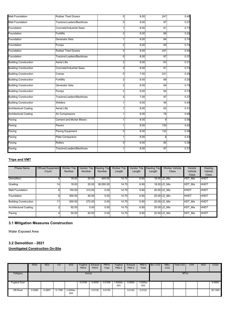| <b>Matt Foundation</b>       | <b>Rubber Tired Dozers</b>      | 0              | 8.00 | 247 | 0.40 |
|------------------------------|---------------------------------|----------------|------|-----|------|
| <b>Matt Foundation</b>       | Tractors/Loaders/Backhoes       | 0              | 8.00 | 97  | 0.37 |
| Foundation                   | Concrete/Industrial Saws        | 1              | 8.00 | 81  | 0.73 |
| Foundation                   | Forklifts                       | 2 <sup>1</sup> | 8.00 | 89  | 0.20 |
| Foundation                   | Generator Sets                  | 1              | 8.00 | 84  | 0.74 |
| Foundation                   | Pumps                           | 2              | 8.00 | 84  | 0.74 |
| Foundation                   | <b>Rubber Tired Dozers</b>      | $\overline{0}$ | 8.00 | 247 | 0.40 |
| Foundation                   | Tractors/Loaders/Backhoes       | $\Omega$       | 8.00 | 97  | 0.37 |
| <b>Building Construction</b> | <b>Aerial Lifts</b>             | 2 <sup>1</sup> | 8.00 | 63  | 0.31 |
| <b>Building Construction</b> | <b>Concrete/Industrial Saws</b> | $\overline{2}$ | 8.00 | 81  | 0.73 |
| <b>Building Construction</b> | Cranes                          | $\overline{0}$ | 7.00 | 231 | 0.29 |
| <b>Building Construction</b> | Forklifts                       | 2 <sup>1</sup> | 8.00 | 89  | 0.20 |
| <b>Building Construction</b> | <b>Generator Sets</b>           | 2 <sup>1</sup> | 8.00 | 84  | 0.74 |
| <b>Building Construction</b> | Pumps                           | $\overline{2}$ | 8.00 | 84  | 0.74 |
| <b>Building Construction</b> | Tractors/Loaders/Backhoes       | 0              | 7.00 | 97  | 0.37 |
| <b>Building Construction</b> | <b>Welders</b>                  | 1              | 8.00 | 46  | 0.45 |
| <b>Architectural Coating</b> | <b>Aerial Lifts</b>             | 1              | 8.00 | 63  | 0.31 |
| <b>Architectural Coating</b> | Air Compressors                 | 1              | 8.00 | 78  | 0.48 |
| Paving                       | Cement and Mortar Mixers        |                | 8.00 | 9   | 0.56 |
| Paving                       | Pavers                          | 11             | 8.00 | 130 | 0.42 |
| Paving                       | Paving Equipment                | 0              | 8.00 | 132 | 0.36 |
| Paving                       | Plate Compactors                | 1              | 8.00 | 8   | 0.43 |
| Paving                       | Rollers                         | 0              | 6.00 | 80  | 0.38 |
| Paving                       | Tractors/Loaders/Backhoes       | 11             | 8.00 | 97  | 0.37 |

# **Trips and VMT**

| <b>Phase Name</b>            | <b>Offroad Equipment</b> | <b>Worker Trip</b> | <b>Vendor Trip</b> | <b>Hauling Trip</b> | <b>Worker Trip</b> | <b>Vendor Trip</b> | <b>Hauling Trip</b> | <b>Worker Vehicle</b> | Vendor         | Hauling      |
|------------------------------|--------------------------|--------------------|--------------------|---------------------|--------------------|--------------------|---------------------|-----------------------|----------------|--------------|
|                              | Count                    | Number             | <b>Number</b>      | <b>Number</b>       | Length             | Length             | Length              | Class                 | Vehicle        | Vehicle      |
|                              |                          |                    |                    |                     |                    |                    |                     |                       | <b>Class</b>   | <b>Class</b> |
| Demolition                   | 6                        | 16.00              | 20.00              | 440.00              | 14.70              | 6.90               |                     | 18.00 LD Mix          | <b>HDT Mix</b> | <b>HHDT</b>  |
| Grading                      | 14                       | 18.00              | 20.00              | 38.550.00           | 14.70              | 6.90               |                     | 18.00 LD Mix          | HDT Mix        | HHDT         |
| Matt Foundation              | 6.                       | 150.00             | 312.00             | 0.00                | 14.70              | 6.90               |                     | 20.00 LD Mix          | HHDT           | HHDT         |
| Foundation                   | 6                        | 500.00             | 40.00              | 0.00                | 14.70              | 6.90               |                     | 20.00 LD Mix          | HHDT           | HHDT         |
| <b>Building Construction</b> | 11                       | 500.00             | 272.00             | 0.00                | 14.70              | 6.90               |                     | 20.00 LD Mix          | HDT Mix        | HHDT         |
| Architectural Coating        |                          | 92.00              | 0.00               | 0.00                | 14.70              | 6.90               |                     | 20.00 LD Mix          | HDT Mix        | HHDT         |
| Paving                       |                          | 50.00              | 40.00              | 0.00                | 14.70              | 6.90               |                     | 20.00 LD Mix          | HDT Mix        | HHDT         |

# **3.1 Mitigation Measures Construction**

Water Exposed Area

# **3.2 Demolition - 2021**

|                      | <b>ROG</b> | <b>NO<sub>x</sub></b> | $_{\rm CO}$ | <b>SO2</b>      | Fugitive<br><b>PM10</b> | Exhaust<br><b>PM10</b> | <b>PM10</b><br>Total | Fugitive<br><b>PM2.5</b> | Exhaust<br><b>PM2.5</b> | <b>PM2.5</b><br>Total | Bio-CO <sub>2</sub> | NBio-<br>CO <sub>2</sub>             | Total CO <sub>2</sub>            | CH <sub>4</sub>                | <b>N2O</b> | CO <sub>2e</sub>             |
|----------------------|------------|-----------------------|-------------|-----------------|-------------------------|------------------------|----------------------|--------------------------|-------------------------|-----------------------|---------------------|--------------------------------------|----------------------------------|--------------------------------|------------|------------------------------|
| Category             |            |                       |             |                 | tons/yr                 |                        |                      |                          |                         |                       |                     |                                      | MT/yr                            |                                |            |                              |
| <b>Fugitive Dust</b> |            |                       |             |                 | 0.0108                  | 0.0000                 | 0.0108               | .6300e-<br>003           | 0.0000                  | 1.6300e-<br>003       |                     | ,,,,,,,,,,,,,,,,,,,,,,,,,,,,,,,,,,,, | ,,,,,,,,,,,,,,,,,,,,,,,,,,,,,,,, | ,,,,,,,,,,,,,,,,,,,,,,,,,,,,,, |            | 0.0000<br>,,,,,,,,,,,,,,,,,, |
| Off-Road             | 0.0269     | 0.2607                | 0.1788      | 3.4000e-<br>004 |                         | 0.0130                 | 0.0130               |                          | 0.0122                  | 0.0122                |                     |                                      |                                  |                                |            | 30.1393                      |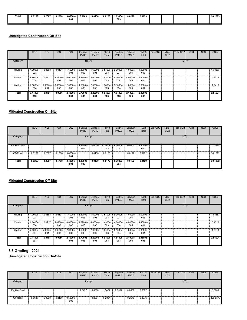| Total | .0269 | 0.2607<br>. | 0.1788 | 3.4000e- | 0.0108<br>. | 0.0130<br>. | 0.0238<br>$\sim$ $\sim$ $\sim$ | 1.6300e | 0.0122 | 0.0139<br>. |  |  | 30.1393 |
|-------|-------|-------------|--------|----------|-------------|-------------|--------------------------------|---------|--------|-------------|--|--|---------|
|       |       |             |        | 004      |             |             |                                | 003     |        |             |  |  |         |
|       |       |             |        |          |             |             |                                |         |        |             |  |  |         |

|          | <b>ROG</b>      | <b>NO<sub>x</sub></b> | CO              | SO <sub>2</sub> | Fugitive<br><b>PM10</b> | Exhaust<br><b>PM10</b> | <b>PM10</b><br>Total | Fugitive<br>PM2.5 | Exhaust<br>PM2.5 | <b>PM2.5</b><br>Total | Bio-CO <sub>2</sub> | NBio-<br>CO <sub>2</sub> | Total CO <sub>2</sub> | CH <sub>4</sub> | <b>N2O</b> | CO <sub>2e</sub> |
|----------|-----------------|-----------------------|-----------------|-----------------|-------------------------|------------------------|----------------------|-------------------|------------------|-----------------------|---------------------|--------------------------|-----------------------|-----------------|------------|------------------|
| Category |                 |                       |                 |                 | tons/yr                 |                        |                      |                   |                  |                       |                     |                          | MT/yr                 |                 |            |                  |
| Hauling  | .7000e-<br>003  | 0.0568                | 0.0131          | 1.6000e-<br>004 | 3.4000e-<br>003         | .6000e-<br>004         | 3.5700e-<br>003      | 9.3000e-<br>004   | 1.6000e-<br>004  | -.0900e<br>003        |                     |                          |                       |                 |            | 15.3363          |
| Vendor   | 6.8000e-<br>004 | 0.0217                | 5.8900e-<br>003 | 6.0000e-<br>005 | 1.3900e-<br>003         | 4.0000e-<br>005        | .4300e-<br>003       | 4.0000e-<br>004   | 4.0000e-<br>005  | 4.4000e-<br>004       |                     |                          |                       |                 |            | 5.4312           |
| Worker   | 7.6000e-<br>004 | 5.9000e-<br>004       | 6.6600e-<br>003 | 2.0000e-<br>005 | 1.9300e-<br>003         | 2.0000e-<br>005        | .9400e-<br>003       | 5.1000e-<br>004   | 1.0000e-<br>005  | 5.3000e-<br>004       |                     |                          |                       |                 |            | 1.7418           |
| Total    | 3.1400e-<br>003 | 0.0791                | 0.0256          | 2.4000e-<br>004 | 6.7200e-<br>003         | 2.2000e-<br>004        | 6.9400e-<br>003      | 1.8400e-<br>003   | 2.1000e-<br>004  | 2.0600e-<br>003       |                     |                          |                       |                 |            | 22.5094          |

# **Mitigated Construction On-Site**

|                      | <b>ROG</b> | <b>NO<sub>x</sub></b> | CO     | SO <sub>2</sub> | Fugitive<br><b>PM10</b> | Exhaust<br><b>PM10</b> | <b>PM10</b><br>Total | Fugitive<br>PM2.5 | Exhaust<br>PM2.5 | PM2.5<br>Total  | Bio-CO <sub>2</sub> | NBio-<br>CO <sub>2</sub> | <b>Total CO2</b> | CH <sub>4</sub> | <b>N2O</b> | CO <sub>2e</sub> |
|----------------------|------------|-----------------------|--------|-----------------|-------------------------|------------------------|----------------------|-------------------|------------------|-----------------|---------------------|--------------------------|------------------|-----------------|------------|------------------|
| Category             |            |                       |        |                 | tons/yr                 |                        |                      |                   |                  |                 |                     |                          | MT/yr            |                 |            |                  |
| <b>Fugitive Dust</b> |            |                       |        |                 | 4.1900e-<br>003         | 0.0000                 | 4.1900e-<br>003      | 6.3000e-<br>004   | 0.0000           | 6.3000e-<br>004 |                     |                          |                  |                 |            | 0.0000           |
| Off-Road             | 0.0269     | 0.2607                | 0.1788 | 3.4000e-<br>004 |                         | 0.0130                 | 0.0130               |                   | 0.0122           | 0.0122          |                     |                          |                  |                 |            | 30.1392          |
| Total                | 0.0269     | 0.2607                | 0.1788 | 3.4000e-<br>004 | 4.1900e-<br>003         | 0.0130                 | 0.0172               | 6.3000e-<br>004   | 0.0122           | 0.0129          |                     |                          |                  |                 |            | 30.1392          |

# **Mitigated Construction Off-Site**

|          | <b>ROG</b>         | <b>NO<sub>x</sub></b> | <sub>CO</sub>   | SO <sub>2</sub>   | Fugitive<br><b>PM10</b> | Exhaust<br><b>PM10</b> | <b>PM10</b><br>Total | Fugitive<br>PM2.5 | Exhaust<br>PM2.5  | <b>PM2.5</b><br>Total | Bio-CO <sub>2</sub> | NBio-<br>CO <sub>2</sub> | <b>Total CO2</b> | CH <sub>4</sub> | <b>N2O</b> | CO <sub>2e</sub> |
|----------|--------------------|-----------------------|-----------------|-------------------|-------------------------|------------------------|----------------------|-------------------|-------------------|-----------------------|---------------------|--------------------------|------------------|-----------------|------------|------------------|
| Category |                    |                       |                 |                   | tons/yr                 |                        |                      |                   |                   |                       |                     |                          | MT/yr            |                 |            |                  |
| Hauling  | .7000e-<br>003     | 0.0568                | 0.0131          | 1.6000e-<br>004   | 3.4000e-<br>003         | 1.6000e-<br>004        | 3.5700e-<br>003      | 9.3000e-<br>004   | 1.6000e-<br>004   | 1.0900e-<br>003       |                     |                          |                  |                 |            | 15.3363          |
| Vendor   | 6.8000e-<br>004    | 0.0217                | 5.8900e-<br>003 | 6.0000e-<br>005   | 1.3900e-<br>003         | 4.0000e-<br>005        | .4300e-<br>003       | 4.0000e-<br>004   | 4.0000e-<br>005   | 4.4000e-<br>004       |                     |                          |                  |                 |            | 5.4312           |
| Worker   | 7.6000e-<br>004    | 5.9000e-<br>004       | 6.6600e-<br>003 | 2.0000e-<br>005   | 1.9300e-<br>003         | 2.0000e-<br>005        | .9400e-<br>003       | 5.1000e-<br>004   | 1.0000e-<br>005   | 5.3000e-<br>004       |                     |                          |                  |                 |            | 1.7418           |
| Total    | $3.1400e -$<br>003 | 0.0791                | 0.0256          | $2.4000e-$<br>004 | 6.7200e-<br>003         | 2.2000e-<br>004        | 6.9400e-<br>003      | 1.8400e-<br>003   | $2.1000e-$<br>004 | $2.0600e -$<br>003    |                     |                          |                  |                 |            | 22.5094          |

# **3.3 Grading - 2021**

|                      | <b>ROG</b> | <b>NO<sub>x</sub></b> | CO     | SO <sub>2</sub> | Fugitive<br><b>PM10</b> | Exhaust<br><b>PM10</b> | <b>PM10</b><br>Total | Fugitive<br>PM2.5 | Exhaust<br>PM2.5 | <b>PM2.5</b><br>Total | Bio-CO <sub>2</sub> | NBio-<br>CO <sub>2</sub> | Total CO <sub>2</sub> | CH <sub>4</sub> | <b>N2O</b> | CO <sub>2e</sub> |
|----------------------|------------|-----------------------|--------|-----------------|-------------------------|------------------------|----------------------|-------------------|------------------|-----------------------|---------------------|--------------------------|-----------------------|-----------------|------------|------------------|
| Category             |            |                       |        |                 | tons/yr                 |                        |                      |                   |                  |                       |                     |                          | MT/yr                 |                 |            |                  |
| <b>Fugitive Dust</b> |            |                       |        |                 | 1.5477                  | 0.0000                 | .5477                | 0.8507            | 0.0000           | 0.8507                |                     |                          |                       |                 |            | 0.0000           |
| Off-Road             | 0.6637     | 6.3633                | 4.2160 | 9.5300e-<br>003 |                         | 0.2884                 | 0.2884               |                   | 0.2676           | 0.2676                |                     |                          |                       |                 |            | 829.5378         |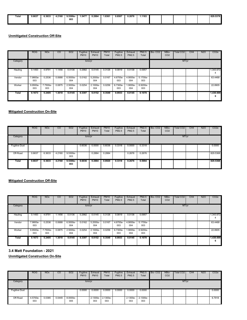| Total | 5.6637 | 6.3633 | 4.2160               | $9.5300e-$ | .5477                           | 0.2884               | 1.8361 | 0.8507 | 0.2676 | .1183         |  |  | 829.5378 |
|-------|--------|--------|----------------------|------------|---------------------------------|----------------------|--------|--------|--------|---------------|--|--|----------|
|       |        | .      | $\sim$ $\sim$ $\sim$ | .          | the contract of the contract of | $\sim$ $\sim$ $\sim$ | .      | .      |        | $\sim$ $\sim$ |  |  |          |
|       |        |        |                      | 003        |                                 |                      |        |        |        |               |  |  |          |
|       |        |        |                      |            |                                 |                      |        |        |        |               |  |  |          |
|       |        |        |                      |            |                                 |                      |        |        |        |               |  |  |          |
|       |        |        |                      |            |                                 |                      |        |        |        |               |  |  |          |

|          | <b>ROG</b>      | <b>NO<sub>x</sub></b> | CO     | <b>SO2</b>      | Fugitive<br><b>PM10</b> | Exhaust<br><b>PM10</b> | <b>PM10</b><br>Total | Fugitive<br>PM2.5 | Exhaust<br>PM2.5 | <b>PM2.5</b><br>Total | Bio-CO <sub>2</sub> | NBio-<br>CO <sub>2</sub> | Total CO <sub>2</sub> | CH <sub>4</sub> | <b>N2O</b> | CO <sub>2e</sub> |
|----------|-----------------|-----------------------|--------|-----------------|-------------------------|------------------------|----------------------|-------------------|------------------|-----------------------|---------------------|--------------------------|-----------------------|-----------------|------------|------------------|
| Category |                 |                       |        |                 | tons/yr                 |                        |                      |                   |                  |                       |                     |                          | MT/yr                 |                 |            |                  |
| Hauling  | 0.1493          | 4.9791                | 1.1456 | 0.0136          | 0.2982                  | 0.0145                 | 0.3126               | 0.0819            | 0.0138           | 0.0957                |                     |                          |                       |                 |            | 1,343.672<br>4   |
| Vendor   | 7.9800e-<br>003 | 0.2536                | 0.0688 | 6.5000e-<br>004 | 0.0162                  | 5.2000e-<br>004        | 0.0167               | 4.6700e-<br>003   | 4.9000e-<br>004  | 5.1700e-<br>003       |                     |                          |                       |                 |            | 63.4468          |
| Worker   | 9.9500e-<br>003 | 7.7500e-<br>003       | 0.0875 | 2.5000e-<br>004 | 0.0254                  | 2.1000e-<br>004        | 0.0256               | 6.7300e-<br>003   | 1.9000e-<br>004  | 6.9200e-<br>003       |                     |                          |                       |                 |            | 22,8905          |
| Total    | 0.1673          | 5.2405                | 1.3018 | 0.0145          | 0.3397                  | 0.0152                 | 0.3549               | 0.0933            | 0.0145           | 0.1078                |                     |                          |                       |                 |            | 1,430.009<br>6   |

# **Mitigated Construction On-Site**

|                      | <b>ROG</b> | <b>NO<sub>x</sub></b> | CO     | <b>SO2</b>        | Fugitive<br><b>PM10</b> | Exhaust<br><b>PM10</b> | <b>PM10</b><br>Total | Fugitive<br>PM2.5 | Exhaust<br>PM2.5 | PM2.5<br>Total | Bio-CO <sub>2</sub> | NBio-<br>CO <sub>2</sub> | <b>Total CO2</b> | CH <sub>4</sub> | <b>N2O</b> | CO <sub>2</sub> e |
|----------------------|------------|-----------------------|--------|-------------------|-------------------------|------------------------|----------------------|-------------------|------------------|----------------|---------------------|--------------------------|------------------|-----------------|------------|-------------------|
| Category             |            |                       |        |                   | tons/yr                 |                        |                      |                   |                  |                |                     |                          | MT/yr            |                 |            |                   |
| <b>Fugitive Dust</b> |            |                       |        |                   | 0.6036                  | 0.0000                 | 0.6036               | 0.3318            | 0.0000           | 0.3318         |                     |                          |                  |                 |            | 0.0000            |
| Off-Road             | 0.6637     | 6.3633                | 4.2160 | 9.5300e-<br>003   |                         | 0.2884                 | 0.2884               |                   | 0.2676           | 0.2676         |                     |                          |                  |                 |            | 829.5368          |
| Total                | 0.6637     | 6.3633                | 4.2160 | $9.5300e-$<br>003 | 0.6036                  | 0.2884                 | 0.8920               | 0.3318            | 0.2676           | 0.5994         |                     |                          |                  |                 |            | 829.5368          |

# **Mitigated Construction Off-Site**

|          | <b>ROG</b>      | <b>NO<sub>x</sub></b> | CO     | SO <sub>2</sub> | Fugitive<br><b>PM10</b> | Exhaust<br><b>PM10</b> | <b>PM10</b><br>Total | Fugitive<br><b>PM2.5</b> | Exhaust<br><b>PM2.5</b> | <b>PM2.5</b><br>Total | Bio-CO <sub>2</sub> | NBio-<br>CO <sub>2</sub> | <b>Total CO2</b> | CH <sub>4</sub> | <b>N2O</b> | CO <sub>2e</sub> |
|----------|-----------------|-----------------------|--------|-----------------|-------------------------|------------------------|----------------------|--------------------------|-------------------------|-----------------------|---------------------|--------------------------|------------------|-----------------|------------|------------------|
| Category |                 |                       |        |                 | tons/yr                 |                        |                      |                          |                         |                       |                     |                          | MT/yr            |                 |            |                  |
| Hauling  | 0.1493          | 4.9791                | 1.1456 | 0.0136          | 0.2982                  | 0.0145                 | 0.3126               | 0.0819                   | 0.0138                  | 0.0957                |                     |                          |                  |                 |            | 1,343.672<br>4   |
| Vendor   | 7.9800e-<br>003 | 0.2536                | 0.0688 | 6.5000e-<br>004 | 0.0162                  | 5.2000e-<br>004        | 0.0167               | 4.6700e-<br>003          | 4.9000e-<br>004         | 5.1700e-<br>003       |                     |                          |                  |                 |            | 63.4468          |
| Worker   | 9.9500e-<br>003 | 7.7500e-<br>003       | 0.0875 | 2.5000e-<br>004 | 0.0254                  | 2.1000e-<br>004        | 0.0256               | 6.7300e-<br>003          | 1.9000e-<br>004         | 6.9200e-<br>003       |                     |                          |                  |                 |            | 22.8905          |
| Total    | 0.1673          | 5.2405                | 1.3018 | 0.0145          | 0.3397                  | 0.0152                 | 0.3549               | 0.0933                   | 0.0145                  | 0.1078                |                     |                          |                  |                 |            | 1,430.009<br>6   |

### **3.4 Matt Foundation - 2021**

|                      | <b>ROG</b>      | <b>NO<sub>x</sub></b> | $_{\rm CO}$ | SO <sub>2</sub> | Fugitive<br><b>PM10</b> | Exhaust<br><b>PM10</b> | <b>PM10</b><br>Total | Fugitive<br>PM2.5 | Exhaust<br><b>PM2.5</b> | <b>PM2.5</b><br>Total | Bio-CO <sub>2</sub> | NBio-<br>CO <sub>2</sub> | Total CO <sub>2</sub> | CH <sub>4</sub> | <b>N2O</b> | CO <sub>2e</sub> |
|----------------------|-----------------|-----------------------|-------------|-----------------|-------------------------|------------------------|----------------------|-------------------|-------------------------|-----------------------|---------------------|--------------------------|-----------------------|-----------------|------------|------------------|
| Category             |                 |                       |             |                 | tons/yr                 |                        |                      |                   |                         |                       |                     |                          | MT/yr                 |                 |            |                  |
| <b>Fugitive Dust</b> |                 |                       |             |                 | 0.0000                  | 0.0000                 | 0.0000               | 0.0000            | 0.0000                  | 0.0000                |                     |                          |                       |                 |            | 0.0000           |
| Off-Road             | 4.5700e-<br>003 | 0.0385                | 0.0449      | 8.0000e-<br>005 |                         | 2.1300e-<br>003        | 2.1300e-<br>003      |                   | 2.1300e-<br>003         | 2.1300e-<br>003       |                     |                          |                       |                 |            | 6.7918           |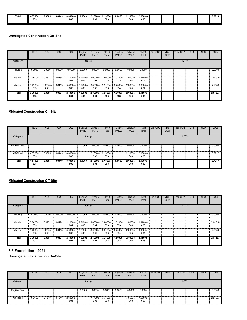| Total | 4.5700e | 0.0385 | 0.0449 | $8.0000e -$ | 0.0000 | $2.1300e-$ | $2.1300e-$ | 0.0000 | $2.1300e -$ | 2.1300e |  |  | 6.7918 |
|-------|---------|--------|--------|-------------|--------|------------|------------|--------|-------------|---------|--|--|--------|
|       | 003     |        |        | 005         |        | 003        | 003        |        | 003         | 003     |  |  |        |
|       |         |        |        |             |        |            |            |        |             |         |  |  |        |

|          | <b>ROG</b>      | <b>NO<sub>x</sub></b> | CO     | SO <sub>2</sub>   | Fugitive<br><b>PM10</b> | Exhaust<br><b>PM10</b> | <b>PM10</b><br>Total | Fugitive<br>PM2.5 | Exhaust<br>PM2.5 | <b>PM2.5</b><br>Total | Bio-CO <sub>2</sub> | NBio-<br>CO <sub>2</sub> | Total CO <sub>2</sub> | CH <sub>4</sub> | <b>N2O</b> | CO <sub>2</sub> e |
|----------|-----------------|-----------------------|--------|-------------------|-------------------------|------------------------|----------------------|-------------------|------------------|-----------------------|---------------------|--------------------------|-----------------------|-----------------|------------|-------------------|
| Category |                 |                       |        |                   | tons/yr                 |                        |                      |                   |                  |                       |                     |                          | MT/yr                 |                 |            |                   |
| Hauling  | 0.0000          | 0.0000                | 0.0000 | 0.0000            | 0.0000                  | 0.0000                 | 0.0000               | 0.0000            | 0.0000           | 0.0000                |                     |                          |                       |                 |            | 0.0000            |
| Vendor   | 2.5000e-<br>003 | 0.0971                | 0.0194 | 2.1000e-<br>004   | 3.7100e-<br>003         | 2.0000e-<br>004        | 3.9000e-<br>003      | 1.0200e-<br>003   | 1.9000e-<br>004  | 1.2100e-<br>003       |                     |                          |                       |                 |            | 20.4648           |
| Worker   | .2900e-<br>003  | 1.0000e-<br>003       | 0.0113 | 3.0000e-<br>005   | 3.2900e-<br>003         | 3.0000e-<br>005        | 3.3100e-<br>003      | 8.7000e-<br>004   | 2.0000e-<br>005  | $9.0000e -$<br>004    |                     |                          |                       |                 |            | 2.9689            |
| Total    | 3.7900e-<br>003 | 0.0981                | 0.0307 | $2.4000e-$<br>004 | 7.0000e-<br>003         | $2.3000e-$<br>004      | 7.2100e-<br>003      | $1.8900e-$<br>003 | 2.1000e-<br>004  | 2.1100e-<br>003       |                     |                          |                       |                 |            | 23.4337           |

# **Mitigated Construction On-Site**

|                      | <b>ROG</b>      | <b>NO<sub>x</sub></b> | CO     | <b>SO2</b>        | Fugitive<br><b>PM10</b> | Exhaust<br><b>PM10</b> | <b>PM10</b><br>Total | Fugitive<br>PM2.5 | Exhaust<br>PM2.5   | <b>PM2.5</b><br>Total | Bio-CO <sub>2</sub> | NBio-<br>CO <sub>2</sub> | <b>Total CO2</b> | CH <sub>4</sub> | <b>N2O</b> | CO <sub>2e</sub> |
|----------------------|-----------------|-----------------------|--------|-------------------|-------------------------|------------------------|----------------------|-------------------|--------------------|-----------------------|---------------------|--------------------------|------------------|-----------------|------------|------------------|
| Category             |                 |                       |        |                   | tons/yr                 |                        |                      |                   |                    |                       |                     |                          | MT/yr            |                 |            |                  |
| <b>Fugitive Dust</b> |                 |                       |        |                   | 0.0000                  | 0.0000                 | 0.0000               | 0.0000            | 0.0000             | 0.0000                |                     |                          |                  |                 |            | 0.0000           |
| Off-Road             | 4.5700e-<br>003 | 0.0385                | 0.0449 | 8.0000e-<br>005   |                         | 2.1300e-<br>003        | 2.1300e-<br>003      |                   | 2.1300e-<br>003    | 2.1300e-<br>003       |                     |                          |                  |                 |            | 6.7917           |
| Total                | 4.5700e-<br>003 | 0.0385                | 0.0449 | $8.0000e-$<br>005 | 0.0000                  | $2.1300e-$<br>003      | 2.1300e-<br>003      | 0.0000            | $2.1300e -$<br>003 | $2.1300e-$<br>003     |                     |                          |                  |                 |            | 6.7917           |

# **Mitigated Construction Off-Site**

|          | <b>ROG</b>      | <b>NO<sub>x</sub></b> | <sub>CO</sub> | SO <sub>2</sub>   | Fugitive<br><b>PM10</b> | Exhaust<br><b>PM10</b> | <b>PM10</b><br>Total | Fugitive<br>PM2.5 | Exhaust<br>PM2.5  | <b>PM2.5</b><br>Total | Bio-CO <sub>2</sub> | NBio-<br>CO <sub>2</sub> | <b>Total CO2</b> | CH <sub>4</sub> | <b>N2O</b> | CO <sub>2e</sub> |
|----------|-----------------|-----------------------|---------------|-------------------|-------------------------|------------------------|----------------------|-------------------|-------------------|-----------------------|---------------------|--------------------------|------------------|-----------------|------------|------------------|
| Category |                 |                       |               |                   | tons/yr                 |                        |                      |                   |                   |                       |                     |                          | MT/yr            |                 |            |                  |
| Hauling  | 0.0000          | 0.0000                | 0.0000        | 0.0000            | 0.0000                  | 0.0000                 | 0.0000               | 0.0000            | 0.0000            | 0.0000                |                     |                          |                  |                 |            | 0.0000           |
| Vendor   | 2.5000e-<br>003 | 0.0971                | 0.0194        | 2.1000e-<br>004   | 3.7100e-<br>003         | 2.0000e-<br>004        | 3.9000e-<br>003      | 1.0200e-<br>003   | 1.9000e-<br>004   | 1.2100e-<br>003       |                     |                          |                  |                 |            | 20.4648          |
| Worker   | -.2900e<br>003  | 1.0000e-<br>003       | 0.0113        | 3.0000e-<br>005   | 3.2900e-<br>003         | 3.0000e-<br>005        | 3.3100e-<br>003      | 8.7000e-<br>004   | 2.0000e-<br>005   | 9.0000e-<br>004       |                     |                          |                  |                 |            | 2.9689           |
| Total    | 3.7900e-<br>003 | 0.0981                | 0.0307        | $2.4000e-$<br>004 | 7.0000e-<br>003         | 2.3000e-<br>004        | 7.2100e-<br>003      | $1.8900e-$<br>003 | $2.1000e-$<br>004 | 2.1100e-<br>003       |                     |                          |                  |                 |            | 23.4337          |

### **3.5 Foundation - 2021**

|                      | <b>ROG</b> | <b>NO<sub>x</sub></b> | $_{\rm CO}$ | SO <sub>2</sub> | Fugitive<br><b>PM10</b> | Exhaust<br><b>PM10</b> | <b>PM10</b><br>Total | Fugitive<br>PM2.5 | Exhaust<br><b>PM2.5</b> | <b>PM2.5</b><br>Total | Bio-CO <sub>2</sub> | NBio-<br>CO <sub>2</sub> | Total CO <sub>2</sub> | CH <sub>4</sub> | <b>N2O</b> | CO <sub>2e</sub> |
|----------------------|------------|-----------------------|-------------|-----------------|-------------------------|------------------------|----------------------|-------------------|-------------------------|-----------------------|---------------------|--------------------------|-----------------------|-----------------|------------|------------------|
| Category             |            |                       |             |                 | tons/yr                 |                        |                      |                   |                         |                       |                     |                          | MT/yr                 |                 |            |                  |
| <b>Fugitive Dust</b> |            |                       |             |                 | 0.0000                  | 0.0000                 | 0.0000               | 0.0000            | 0.0000                  | 0.0000                |                     |                          |                       |                 |            | 0.0000           |
| Off-Road             | 0.0159     | 0.1348                | 0.1546      | 2.6000e-<br>004 |                         | 7.7700e-<br>003        | 7.7700e-<br>003      |                   | 7.6500e-<br>003         | 7.6500e-<br>003       |                     |                          |                       |                 |            | 22.5637          |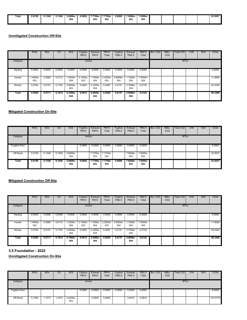| <b>Fotal</b> | 0.0159 | .1348 | J.154f | $2.6000e -$          | 0.0000 | 7.7700e-<br>. | 7.7700e- | 0.0000 | 7.6500e- | 7.6500e                     |  |  | 22.5637 |
|--------------|--------|-------|--------|----------------------|--------|---------------|----------|--------|----------|-----------------------------|--|--|---------|
|              |        |       |        | 004<br>$\sim$ $\sim$ |        | 003           | 003      |        | 003      | 003<br>$\sim$ $\sim$ $\sim$ |  |  |         |
|              |        |       |        |                      |        |               |          |        |          |                             |  |  |         |

|          | <b>ROG</b>     | <b>NO<sub>x</sub></b> | CO     | <b>SO2</b>      | Fugitive<br><b>PM10</b> | Exhaust<br><b>PM10</b> | <b>PM10</b><br>Total | Fugitive<br>PM2.5 | Exhaust<br>PM2.5 | <b>PM2.5</b><br>Total | Bio-CO <sub>2</sub> | NBio-<br>CO <sub>2</sub> | Total CO <sub>2</sub> | CH <sub>4</sub> | <b>N2O</b> | CO <sub>2</sub> e |
|----------|----------------|-----------------------|--------|-----------------|-------------------------|------------------------|----------------------|-------------------|------------------|-----------------------|---------------------|--------------------------|-----------------------|-----------------|------------|-------------------|
| Category |                |                       |        |                 | tons/yr                 |                        |                      |                   |                  |                       |                     |                          | MT/yr                 |                 |            |                   |
| Hauling  | 0.0000         | 0.0000                | 0.0000 | 0.0000          | 0.0000                  | 0.0000                 | 0.0000               | 0.0000            | 0.0000           | 0.0000                |                     |                          |                       |                 |            | 0.0000            |
| Vendor   | .4400e-<br>003 | 0.0560                | 0.0112 | 1.2000e-<br>004 | 2.1400e-<br>003         | 1.1000e-<br>004        | 2.2500e-<br>003      | 5.9000e-<br>004   | 1.1000e-<br>004  | 7.0000e-<br>004       |                     |                          |                       |                 |            | 11.8066           |
| Worker   | 0.0194         | 0.0151                | 0.1702 | 4.9000e-<br>004 | 0.0493                  | 4.1000e-<br>004        | 0.0497               | 0.0131            | 3.7000e-<br>004  | 0.0135                |                     |                          |                       |                 |            | 44.5340           |
| Total    | 0.0208         | 0.0711                | 0.1814 | 6.1000e-<br>004 | 0.0515                  | 5.2000e-<br>004        | 0.0520               | 0.0137            | 4.8000e-<br>004  | 0.0142                |                     |                          |                       |                 |            | 56.3406           |

# **Mitigated Construction On-Site**

|                      | <b>ROG</b> | <b>NO<sub>x</sub></b> | CO     | <b>SO2</b>        | Fugitive<br><b>PM10</b> | Exhaust<br><b>PM10</b> | <b>PM10</b><br>Total | Fugitive<br>PM2.5 | Exhaust<br>PM2.5 | <b>PM2.5</b><br>Total | Bio-CO <sub>2</sub> | NBio-<br>CO <sub>2</sub> | <b>Total CO2</b> | CH <sub>4</sub> | <b>N2O</b> | CO <sub>2</sub> e |
|----------------------|------------|-----------------------|--------|-------------------|-------------------------|------------------------|----------------------|-------------------|------------------|-----------------------|---------------------|--------------------------|------------------|-----------------|------------|-------------------|
| Category             |            |                       |        |                   | tons/yr                 |                        |                      |                   |                  |                       |                     |                          | MT/yr            |                 |            |                   |
| <b>Fugitive Dust</b> |            |                       |        |                   | 0.0000                  | 0.0000                 | 0.0000               | 0.0000            | 0.0000           | 0.0000                |                     |                          |                  |                 |            | 0.0000            |
| Off-Road             | 0.0159     | 0.1348                | 0.1546 | 2.6000e-<br>004   |                         | 7.7700e-<br>003        | 7.7700e-<br>003      |                   | 7.6500e-<br>003  | 7.6500e-<br>003       |                     |                          |                  |                 |            | 22.5637           |
| Total                | 0.0159     | 0.1348                | 0.1546 | $2.6000e-$<br>004 | 0.0000                  | 7.7700e-<br>003        | 7.7700e-<br>003      | 0.0000            | 7.6500e-<br>003  | 7.6500e-<br>003       |                     |                          |                  |                 |            | 22.5637           |

# **Mitigated Construction Off-Site**

|          | <b>ROG</b>     | <b>NO<sub>x</sub></b> | CO     | SO <sub>2</sub>    | Fugitive<br><b>PM10</b> | Exhaust<br><b>PM10</b> | <b>PM10</b><br>Total | Fugitive<br>PM2.5 | Exhaust<br>PM2.5 | <b>PM2.5</b><br>Total | Bio-CO <sub>2</sub> | NBio-<br>CO <sub>2</sub> | <b>Total CO2</b> | CH <sub>4</sub> | <b>N2O</b> | CO <sub>2e</sub> |
|----------|----------------|-----------------------|--------|--------------------|-------------------------|------------------------|----------------------|-------------------|------------------|-----------------------|---------------------|--------------------------|------------------|-----------------|------------|------------------|
| Category |                |                       |        |                    | tons/yr                 |                        |                      |                   |                  |                       |                     |                          | MT/yr            |                 |            |                  |
| Hauling  | 0.0000         | 0.0000                | 0.0000 | 0.0000             | 0.0000                  | 0.0000                 | 0.0000               | 0.0000            | 0.0000           | 0.0000                |                     |                          |                  |                 |            | 0.0000           |
| Vendor   | .4400e-<br>003 | 0.0560                | 0.0112 | -.2000e<br>004     | 2.1400e-<br>003         | $.1000e-$<br>004       | 2.2500e-<br>003      | 5.9000e-<br>004   | 1.1000e-<br>004  | 7.0000e-<br>004       |                     |                          |                  |                 |            | 11.8066          |
| Worker   | 0.0194         | 0.0151                | 0.1702 | 4.9000e-<br>004    | 0.0493                  | 4.1000e-<br>004        | 0.0497               | 0.0131            | 3.7000e-<br>004  | 0.0135                |                     |                          |                  |                 |            | 44.5340          |
| Total    | 0.0208         | 0.0711                | 0.1814 | $6.1000e -$<br>004 | 0.0515                  | 5.2000e-<br>004        | 0.0520               | 0.0137            | 4.8000e-<br>004  | 0.0142                |                     |                          |                  |                 |            | 56.3406          |

### **3.5 Foundation - 2022**

|                      | <b>ROG</b> | <b>NO<sub>x</sub></b> | CO    | SO <sub>2</sub> | Fugitive<br><b>PM10</b> | Exhaust<br><b>PM10</b> | <b>PM10</b><br>Total | Fugitive<br>PM2.5 | Exhaust<br>PM2.5 | <b>PM2.5</b><br>Total | Bio-CO <sub>2</sub> | NBio-<br>CO <sub>2</sub> | Total CO <sub>2</sub> | CH <sub>4</sub> | <b>N2O</b> | CO <sub>2e</sub> |
|----------------------|------------|-----------------------|-------|-----------------|-------------------------|------------------------|----------------------|-------------------|------------------|-----------------------|---------------------|--------------------------|-----------------------|-----------------|------------|------------------|
| Category             |            |                       |       |                 | tons/yr                 |                        |                      |                   |                  |                       |                     |                          | MT/yr                 |                 |            |                  |
| <b>Fugitive Dust</b> |            |                       |       |                 | 0.0000                  | 0.0000                 | 0.0000               | 0.0000            | 0.0000           | 0.0000                |                     |                          |                       |                 |            | 0.0000           |
| Off-Road             | 0.1360     | 1.1573                | .4374 | 2.4400e-<br>003 |                         | 0.0629                 | 0.0629               |                   | 0.0619           | 0.0619                |                     |                          |                       |                 |            | 210.5779         |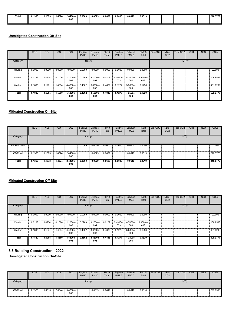| Total | 0.1360 | .1573 | .4374 | :.4400e- | 0.0000 | 0.0629 | 0.0629 | 0.0000 | 0.0619 | 0.0619 |  |  | 210.5779 |
|-------|--------|-------|-------|----------|--------|--------|--------|--------|--------|--------|--|--|----------|
|       |        |       |       | .        | .      | .      | .      | .      | .      |        |  |  |          |
|       |        |       |       | 003      |        |        |        |        |        |        |  |  |          |
|       |        |       |       |          |        |        |        |        |        |        |  |  |          |
|       |        |       |       |          |        |        |        |        |        |        |  |  |          |

|          | <b>ROG</b> | <b>NO<sub>x</sub></b> | CO     | SO <sub>2</sub> | Fugitive<br><b>PM10</b> | Exhaust<br><b>PM10</b> | <b>PM10</b><br>Total | Fugitive<br>PM2.5 | Exhaust<br>PM2.5 | PM2.5<br>Total  | Bio-CO <sub>2</sub> | NBio-<br>CO <sub>2</sub> | Total CO <sub>2</sub> | CH <sub>4</sub> | <b>N2O</b> | CO <sub>2e</sub> |
|----------|------------|-----------------------|--------|-----------------|-------------------------|------------------------|----------------------|-------------------|------------------|-----------------|---------------------|--------------------------|-----------------------|-----------------|------------|------------------|
| Category |            |                       |        |                 | tons/yr                 |                        |                      |                   |                  |                 |                     |                          | MT/yr                 |                 |            |                  |
| Hauling  | 0.0000     | 0.0000                | 0.0000 | 0.0000          | 0.0000                  | 0.0000                 | 0.0000               | 0.0000            | 0.0000           | 0.0000          |                     |                          |                       |                 |            | 0.0000           |
| Vendor   | 0.0128     | 0.4934                | 0.1026 | 1.1000e-<br>003 | 0.0200                  | 9.1000e-<br>004        | 0.0209               | 5.4900e-<br>003   | 8.7000e-<br>004  | 6.3600e-<br>003 |                     |                          |                       |                 |            | 108.9568         |
| Worker   | 0.1695     | 0.1271                | 1.4634 | 4.4300e-<br>003 | 0.4602                  | 3.6700e-<br>003        | 0.4639               | 0.1222            | 3.3800e-<br>003  | 0.1256          |                     |                          |                       |                 |            | 401.0209         |
| Total    | 0.1822     | 0.6205                | 1.5660 | 5.5300e-<br>003 | 0.4802                  | 4.5800e-<br>003        | 0.4848               | 0.1277            | 4.2500e-<br>003  | 0.1320          |                     |                          |                       |                 |            | 509.9777         |

# **Mitigated Construction On-Site**

|                      | <b>ROG</b> | <b>NO<sub>x</sub></b> | CO     | <b>SO2</b>      | Fugitive<br><b>PM10</b> | Exhaust<br><b>PM10</b> | <b>PM10</b><br>Total | Fugitive<br>PM2.5 | Exhaust<br>PM2.5 | <b>PM2.5</b><br>Total | Bio-CO <sub>2</sub> | NBio-<br>CO <sub>2</sub> | Total CO2 | CH <sub>4</sub> | <b>N2O</b> | CO <sub>2</sub> e |
|----------------------|------------|-----------------------|--------|-----------------|-------------------------|------------------------|----------------------|-------------------|------------------|-----------------------|---------------------|--------------------------|-----------|-----------------|------------|-------------------|
| Category             |            |                       |        |                 | tons/yr                 |                        |                      |                   |                  |                       |                     |                          | MT/yr     |                 |            |                   |
| <b>Fugitive Dust</b> |            |                       |        |                 | 0.0000                  | 0.0000                 | 0.0000               | 0.0000            | 0.0000           | 0.0000                |                     |                          |           |                 |            | 0.0000            |
| Off-Road             | 0.1360     | 1.1573                | 1.4374 | 2.4400e-<br>003 |                         | 0.0629                 | 0.0629               |                   | 0.0619           | 0.0619                |                     |                          |           |                 |            | 210.5776          |
| Total                | 0.1360     | 1.1573                | 1.4374 | 2.4400e-<br>003 | 0.0000                  | 0.0629                 | 0.0629               | 0.0000            | 0.0619           | 0.0619                |                     |                          |           |                 |            | 210.5776          |

# **Mitigated Construction Off-Site**

|          | <b>ROG</b> | <b>NO<sub>x</sub></b> | CO     | SO <sub>2</sub> | Fugitive<br><b>PM10</b> | Exhaust<br><b>PM10</b> | <b>PM10</b><br>Total | Fugitive<br>PM2.5 | Exhaust<br>PM2.5 | <b>PM2.5</b><br>Total | Bio-CO <sub>2</sub> | NBio-<br>CO <sub>2</sub> | <b>Total CO2</b> | CH <sub>4</sub> | <b>N2O</b> | CO <sub>2e</sub> |
|----------|------------|-----------------------|--------|-----------------|-------------------------|------------------------|----------------------|-------------------|------------------|-----------------------|---------------------|--------------------------|------------------|-----------------|------------|------------------|
| Category |            |                       |        |                 | tons/yr                 |                        |                      |                   |                  |                       |                     |                          | MT/yr            |                 |            |                  |
| Hauling  | 0.0000     | 0.0000                | 0.0000 | 0.0000          | 0.0000                  | 0.0000                 | 0.0000               | 0.0000            | 0.0000           | 0.0000                |                     |                          |                  |                 |            | 0.0000           |
| Vendor   | 0.0128     | 0.4934                | 0.1026 | 1.1000e-<br>003 | 0.0200                  | 9.1000e-<br>004        | 0.0209               | 5.4900e-<br>003   | 8.7000e-<br>004  | 6.3600e-<br>003       |                     |                          |                  |                 |            | 108.9568         |
| Worker   | 0.1695     | 0.1271                | 1.4634 | 4.4300e-<br>003 | 0.4602                  | 3.6700e-<br>003        | 0.4639               | 0.1222            | 3.3800e-<br>003  | 0.1256                |                     |                          |                  |                 |            | 401.0209         |
| Total    | 0.1822     | 0.6205                | 1.5660 | 5.5300e-<br>003 | 0.4802                  | 4.5800e-<br>003        | 0.4848               | 0.1277            | 4.2500e-<br>003  | 0.1320                |                     |                          |                  |                 |            | 509.9777         |

**3.6 Building Construction - 2022**

|          | ROG    | <b>NO<sub>x</sub></b> | CO     | <b>SO2</b>      | Fugitive<br><b>PM10</b> | Exhaust<br><b>PM10</b> | <b>PM10</b><br>Total | Fugitive<br>PM2.5 | Exhaust<br>PM2.5 | <b>PM2.5</b><br>Total | Bio-CO <sub>2</sub> | NBio-<br>CO <sub>2</sub> | <b>Total CO2</b> | CH <sub>4</sub> | <b>N2O</b> | CO <sub>2e</sub> |
|----------|--------|-----------------------|--------|-----------------|-------------------------|------------------------|----------------------|-------------------|------------------|-----------------------|---------------------|--------------------------|------------------|-----------------|------------|------------------|
| Category |        |                       |        |                 | tons/yr                 |                        |                      |                   |                  | MT/yr                 |                     |                          |                  |                 |            |                  |
| Off-Road | 0.1925 | 1.6015                | 2.0544 | 3.4700e-<br>003 |                         | 0.0819                 | 0.0819               |                   | 0.0810           | 0.0810                |                     |                          |                  |                 |            | 297.0593         |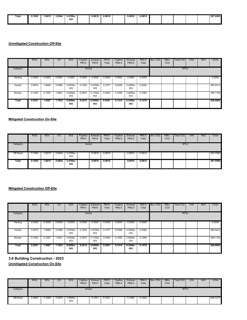|       | 0.1925 | .6015 | 2.0544 | 3.4700e     | 0.0819 | 0.0819 | 0.0810 | 0.0810 |  |  | 297.0593 |
|-------|--------|-------|--------|-------------|--------|--------|--------|--------|--|--|----------|
| Total |        | .     |        |             |        |        |        |        |  |  |          |
|       |        |       |        | 003<br>$ -$ |        |        |        |        |  |  |          |
|       |        |       |        |             |        |        |        |        |  |  |          |
|       |        |       |        |             |        |        |        |        |  |  |          |

|          | <b>ROG</b> | <b>NO<sub>x</sub></b> | CO     | SO <sub>2</sub> | Fugitive<br><b>PM10</b> | Exhaust<br><b>PM10</b> | <b>PM10</b><br>Total | Fugitive<br><b>PM2.5</b> | Exhaust<br>PM2.5 | <b>PM2.5</b><br>Total | Bio-CO <sub>2</sub> | NBio-<br>CO <sub>2</sub> | Total CO <sub>2</sub> | CH <sub>4</sub> | <b>N2O</b> | CO <sub>2e</sub> |
|----------|------------|-----------------------|--------|-----------------|-------------------------|------------------------|----------------------|--------------------------|------------------|-----------------------|---------------------|--------------------------|-----------------------|-----------------|------------|------------------|
| Category |            |                       |        |                 | tons/yr                 |                        |                      |                          |                  |                       |                     |                          | MT/yr                 |                 |            |                  |
| Hauling  | 0.0000     | 0.0000                | 0.0000 | 0.0000          | 0.0000                  | 0.0000                 | 0.0000               | 0.0000                   | 0.0000           | 0.0000                |                     |                          |                       |                 |            | 0.0000           |
| Vendor   | 0.0575     | 1.8490                | 0.4992 | 4.9700e-<br>003 | 0.1242                  | 3.4700e-<br>003        | 0.1277               | 0.0359                   | 3.3200e-<br>003  | 0.0392                |                     |                          |                       |                 |            | 482.5412         |
| Worker   | 0.1463     | 0.1097                | 1.2631 | 3.8300e-<br>003 | 0.3972                  | 3.1700e-<br>003        | 0.4004               | 0.1055                   | 2.9200e-<br>003  | 0.1084                |                     |                          |                       |                 |            | 346.1193         |
| Total    | 0.2037     | 1.9587                | 1.7623 | 8.8000e-<br>003 | 0.5215                  | 6.6400e-<br>003        | 0.5281               | 0.1414                   | 6.2400e-<br>003  | 0.1476                |                     |                          |                       |                 |            | 828.6605         |

### **Mitigated Construction On-Site**

|          | ROG    | <b>NOx</b> | CO     | SO <sub>2</sub> | Fugitive<br><b>PM10</b> | Exhaust<br><b>PM10</b> | <b>PM10</b><br>Total | Fugitive<br>PM2.5 | Exhaust<br>PM2.5 | PM2.5<br>Total | Bio-CO <sub>2</sub> | NBio-<br>CO <sub>2</sub> | Total CO2 | CH <sub>4</sub> | N2O | CO <sub>2</sub> e |
|----------|--------|------------|--------|-----------------|-------------------------|------------------------|----------------------|-------------------|------------------|----------------|---------------------|--------------------------|-----------|-----------------|-----|-------------------|
| Category |        |            |        |                 | tons/yr                 |                        |                      |                   |                  |                |                     |                          | MT/yr     |                 |     |                   |
| Off-Road | 0.1925 | .6015      | 2.0544 | 3.4700e-<br>003 |                         | 0.0819                 | 0.0819               |                   | 0.0810           | 0.0810         |                     |                          |           |                 |     | 297.0590          |
| Total    | 0.1925 | 1.6015     | 2.0544 | 3.4700e-<br>003 |                         | 0.0819                 | 0.0819               |                   | 0.0810           | 0.0810         |                     |                          |           |                 |     | 297.0590          |

#### **Mitigated Construction Off-Site**

|          | <b>ROG</b> | <b>NO<sub>x</sub></b> | CO.    | SO <sub>2</sub> | Fugitive<br><b>PM10</b> | Exhaust<br><b>PM10</b> | <b>PM10</b><br>Total | Fugitive<br>PM2.5 | Exhaust<br>PM2.5   | PM2.5<br>Total | Bio-CO <sub>2</sub> | NBio-<br>CO <sub>2</sub> | Total CO2 | CH <sub>4</sub> | N <sub>2</sub> O | CO <sub>2e</sub> |
|----------|------------|-----------------------|--------|-----------------|-------------------------|------------------------|----------------------|-------------------|--------------------|----------------|---------------------|--------------------------|-----------|-----------------|------------------|------------------|
| Category |            |                       |        |                 | tons/yr                 |                        |                      |                   |                    |                |                     |                          | MT/yr     |                 |                  |                  |
| Hauling  | 0.0000     | 0.0000                | 0.0000 | 0.0000          | 0.0000                  | 0.0000                 | 0.0000               | 0.0000            | 0.0000             | 0.0000         |                     |                          |           |                 |                  | 0.0000           |
| Vendor   | 0.0575     | 1.8490                | 0.4992 | 4.9700e-<br>003 | 0.1242                  | 3.4700e-<br>003        | 0.1277               | 0.0359            | 3.3200e-<br>003    | 0.0392         |                     |                          |           |                 |                  | 482.5412         |
| Worker   | 0.1463     | 0.1097                | 1.2631 | 3.8300e-<br>003 | 0.3972                  | 3.1700e-<br>003        | 0.4004               | 0.1055            | 2.9200e-<br>003    | 0.1084         |                     |                          |           |                 |                  | 346.1193         |
| Total    | 0.2037     | 1.9587                | 1.7623 | 8.8000e-<br>003 | 0.5215                  | 6.6400e-<br>003        | 0.5281               | 0.1414            | $6.2400e -$<br>003 | 0.1476         |                     |                          |           |                 |                  | 828.6605         |

**3.6 Building Construction - 2023**

|          | <b>ROG</b> | <b>NO<sub>x</sub></b> | CO     | <b>SO2</b>       | Fugitive<br><b>PM10</b> | Exhaust<br><b>PM10</b> | <b>PM10</b><br>Total | Fugitive<br><b>PM2.5</b> | Exhaust<br>PM2.5 | <b>PM2.5</b><br>Total | Bio-CO <sub>2</sub> | NBio-<br>CO <sub>2</sub> | Total CO2 | CH <sub>4</sub> | <b>N2O</b> | CO <sub>2</sub> e |
|----------|------------|-----------------------|--------|------------------|-------------------------|------------------------|----------------------|--------------------------|------------------|-----------------------|---------------------|--------------------------|-----------|-----------------|------------|-------------------|
| Category |            |                       |        |                  | tons/yr                 |                        |                      |                          |                  |                       |                     |                          | MT/yr     |                 |            |                   |
| Off-Road | 1.3843     | 3.1998                | 4.4079 | $.4600e-$<br>003 |                         | 0.1521                 | 0.1521               |                          | 0.1504           | 0.1504                |                     |                          |           |                 |            | 639.1213          |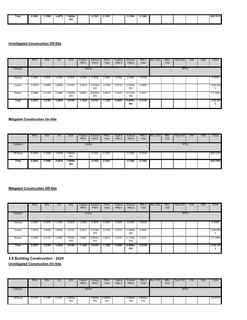| Total | 0.3843 | 3.1998 | 4.4079 | $.4600e-$ | 0.1521               | 0.1521 | 0.1504 | 0.1504 |  |  | 639.1213                             |
|-------|--------|--------|--------|-----------|----------------------|--------|--------|--------|--|--|--------------------------------------|
| .     |        | .      |        | .         | $\sim$ $\sim$ $\sim$ |        | .      |        |  |  | $\qquad \qquad \vdots \qquad \qquad$ |
|       |        |        |        | 003       |                      |        |        |        |  |  |                                      |
|       |        |        |        | $ -$      |                      |        |        |        |  |  |                                      |
|       |        |        |        |           |                      |        |        |        |  |  |                                      |
|       |        |        |        |           |                      |        |        |        |  |  |                                      |

|          | <b>ROG</b> | <b>NO<sub>x</sub></b> | CO     | SO <sub>2</sub> | Fugitive<br><b>PM10</b> | Exhaust<br><b>PM10</b> | <b>PM10</b><br>Total | Fugitive<br>PM2.5 | Exhaust<br><b>PM2.5</b> | <b>PM2.5</b><br>Total | Bio-CO <sub>2</sub> | NBio-<br>CO <sub>2</sub> | <b>Total CO2</b> | CH <sub>4</sub> | <b>N2O</b> | CO <sub>2e</sub> |
|----------|------------|-----------------------|--------|-----------------|-------------------------|------------------------|----------------------|-------------------|-------------------------|-----------------------|---------------------|--------------------------|------------------|-----------------|------------|------------------|
| Category |            |                       |        |                 | tons/yr                 |                        |                      |                   |                         |                       |                     |                          | MT/yr            |                 |            |                  |
| Hauling  | 0.0000     | 0.0000                | 0.0000 | 0.0000          | 0.0000                  | 0.0000                 | 0.0000               | 0.0000            | 0.0000                  | 0.0000                |                     |                          |                  |                 |            | 0.0000           |
| Vendor   | 0.0918     | 3.0058                | 0.9638 | 0.0103          | 0.2673                  | 3.5100e-<br>003        | 0.2708               | 0.0772            | 3.3500e-<br>003         | 0.0805                |                     |                          |                  |                 |            | 1,005.659<br>0   |
| Worker   | 0.2959     | 0.2135                | 2.4992 | 7.9300e-<br>003 | 0.8547                  | 6.6300e-<br>003        | 0.8614               | 0.2270            | 6.1100e-<br>003         | 0.2331                |                     |                          |                  |                 |            | 717.4683         |
| Total    | 0.3877     | 3.2193                | 3.4629 | 0.0183          | 1.1220                  | 0.0101                 | 1.1322               | 0.3042            | $9.4600e -$<br>003      | 0.3136                |                     |                          |                  |                 |            | 1,723.127<br>3   |

### **Mitigated Construction On-Site**

|          | <b>ROG</b> | <b>NO<sub>x</sub></b> | CO     | SO <sub>2</sub> | Fugitive<br><b>PM10</b> | Exhaust<br><b>PM10</b> | <b>PM10</b><br>Total | Fugitive<br>PM2.5 | Exhaust<br><b>PM2.5</b> | PM2.5<br>Total | Bio-CO <sub>2</sub> | NBio-<br>CO <sub>2</sub> | Total CO2 | CH4 | N <sub>2</sub> O | CO <sub>2e</sub> |
|----------|------------|-----------------------|--------|-----------------|-------------------------|------------------------|----------------------|-------------------|-------------------------|----------------|---------------------|--------------------------|-----------|-----|------------------|------------------|
| Category |            |                       |        |                 | tons/yr                 |                        |                      |                   |                         |                |                     |                          | MT/yr     |     |                  |                  |
| Off-Road | 0.3843     | 3.1998                | 4.4079 | 7.4600e-<br>003 |                         | 0.1521                 | 0.1521               |                   | 0.1504                  | 0.1504         |                     |                          |           |     |                  | 639.1205         |
| Total    | 0.3843     | 3.1998                | 4.4079 | 7.4600e-<br>003 |                         | 0.1521                 | 0.1521               |                   | 0.1504                  | 0.1504         |                     |                          |           |     |                  | 639.1205         |

#### **Mitigated Construction Off-Site**

|          | <b>ROG</b> | <b>NOx</b> | CO.    | SO <sub>2</sub> | Fugitive<br><b>PM10</b> | Exhaust<br><b>PM10</b> | <b>PM10</b><br>Total | Fugitive<br>PM2.5 | Exhaust<br><b>PM2.5</b> | PM2.5<br>Total | Bio-CO <sub>2</sub> | NBio-<br>CO <sub>2</sub> | Total CO2 | CH <sub>4</sub> | N <sub>2</sub> O | CO <sub>2e</sub> |
|----------|------------|------------|--------|-----------------|-------------------------|------------------------|----------------------|-------------------|-------------------------|----------------|---------------------|--------------------------|-----------|-----------------|------------------|------------------|
| Category |            |            |        |                 | tons/yr                 |                        |                      |                   |                         |                |                     |                          | MT/yr     |                 |                  |                  |
| Hauling  | 0.0000     | 0.0000     | 0.0000 | 0.0000          | 0.0000                  | 0.0000                 | 0.0000               | 0.0000            | 0.0000                  | 0.0000         |                     |                          |           |                 |                  | 0.0000           |
| Vendor   | 0.0918     | 3.0058     | 0.9638 | 0.0103          | 0.2673                  | 3.5100e-<br>003        | 0.2708               | 0.0772            | 3.3500e-<br>003         | 0.0805         |                     |                          |           |                 |                  | 1,005.659<br>0   |
| Worker   | 0.2959     | 0.2135     | 2.4992 | 7.9300e-<br>003 | 0.8547                  | 6.6300e-<br>003        | 0.8614               | 0.2270            | 6.1100e-<br>003         | 0.2331         |                     |                          |           |                 |                  | 717.4683         |
| Total    | 0.3877     | 3.2193     | 3.4629 | 0.0183          | 1.1220                  | 0.0101                 | 1.1322               | 0.3042            | $9.4600e -$<br>003      | 0.3136         |                     |                          |           |                 |                  | 1,723.127<br>з   |

**3.6 Building Construction - 2024**

|          | <b>ROG</b> | <b>NOx</b> | CO              | <b>SO2</b>        | Fugitive<br><b>PM10</b> | Exhaust<br><b>PM10</b> | <b>PM10</b><br>Total | Fugitive<br><b>PM2.5</b> | Exhaust<br><b>PM2.5</b> | <b>PM2.5</b><br>Total | Bio-CO <sub>2</sub> | NBio-<br>CO <sub>2</sub> | <b>Total CO2</b> | CH <sub>4</sub> | <b>N2O</b> | CO <sub>2e</sub> |
|----------|------------|------------|-----------------|-------------------|-------------------------|------------------------|----------------------|--------------------------|-------------------------|-----------------------|---------------------|--------------------------|------------------|-----------------|------------|------------------|
| Category |            |            |                 |                   | tons/yr                 |                        |                      |                          |                         |                       |                     |                          | MT/yr            |                 |            |                  |
| Off-Road | 0.0127     | 0.1060     | $0.155^{\circ}$ | $2.6000e-$<br>004 |                         | 4.6500e-<br>003        | 4.6500e-<br>003      |                          | 4.5900e-<br>003         | 4.5900e-<br>003       |                     |                          |                  |                 |            | 22.5319          |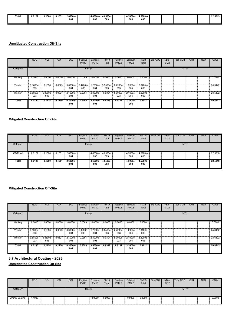| Total<br>. | 0.0127<br>. | 0.1060<br>. | 0.1551<br>. | $2.6000e-$<br>.      | 4.6500e-<br>. | 4.6500e | 4.5900e- | 4.5900e |  |  | <b>00.5040</b><br>22.9919 |
|------------|-------------|-------------|-------------|----------------------|---------------|---------|----------|---------|--|--|---------------------------|
|            |             |             |             | 004<br>$\sim$ $\sim$ | 003           | 003     | 003      | 003     |  |  |                           |
|            |             |             |             |                      |               |         |          |         |  |  |                           |

|          | <b>ROG</b>      | <b>NO<sub>x</sub></b> | CO     | SO <sub>2</sub>   | Fugitive<br><b>PM10</b> | Exhaust<br><b>PM10</b> | <b>PM10</b><br>Total | Fugitive<br><b>PM2.5</b> | Exhaust<br><b>PM2.5</b> | <b>PM2.5</b><br>Total | Bio-CO <sub>2</sub> | NBio-<br>CO <sub>2</sub> | <b>Total CO2</b> | CH <sub>4</sub> | <b>N2O</b> | CO <sub>2e</sub> |
|----------|-----------------|-----------------------|--------|-------------------|-------------------------|------------------------|----------------------|--------------------------|-------------------------|-----------------------|---------------------|--------------------------|------------------|-----------------|------------|------------------|
| Category |                 |                       |        |                   | tons/yr                 |                        |                      |                          |                         |                       |                     |                          | MT/yr            |                 |            |                  |
| Hauling  | 0.0000          | 0.0000                | 0.0000 | 0.0000            | 0.0000                  | 0.0000                 | 0.0000               | 0.0000                   | 0.0000                  | 0.0000                |                     |                          |                  |                 |            | 0.0000           |
| Vendor   | 3.1600e-<br>003 | 0.1056                | 0.0329 | 3.6000e-<br>004   | 9.4200e-<br>003         | 1.2000e-<br>004        | 9.5500e-<br>003      | 2.7200e-<br>003          | 1.2000e-<br>004         | 2.8400e-<br>003       |                     |                          |                  |                 |            | 35.3142          |
| Worker   | 9.8800e-<br>003 | 6.8600e-<br>003       | 0.0821 | 2.7000e-<br>004   | 0.0301                  | 2.3000e-<br>004        | 0.0304               | 8.0000e-<br>003          | 2.1000e-<br>004         | 8.2200e-<br>003       |                     |                          |                  |                 |            | 24.5102          |
| Total    | 0.0130          | 0.1124                | 0.1150 | $6.3000e-$<br>004 | 0.0396                  | $3.5000e-$<br>004      | 0.0399               | 0.0107                   | 3.3000e<br>004          | 0.0111                |                     |                          |                  |                 |            | 59.8243          |

### **Mitigated Construction On-Site**

|          | <b>ROG</b> | <b>NOx</b> | CO     | SO2                | Fugitive<br><b>PM10</b> | Exhaust<br><b>PM10</b> | <b>PM10</b><br>Total | Fugitive<br>PM2.5 | Exhaust<br>PM2.5 | PM2.5<br>Total  | Bio-CO <sub>2</sub> | NBio-<br>CO <sub>2</sub> | Total CO2 | CH4 | N2O | CO <sub>2</sub> e |
|----------|------------|------------|--------|--------------------|-------------------------|------------------------|----------------------|-------------------|------------------|-----------------|---------------------|--------------------------|-----------|-----|-----|-------------------|
| Category |            |            |        |                    | tons/yr                 |                        |                      |                   |                  |                 |                     |                          | MT/yr     |     |     |                   |
| Off-Road | 0.0127     | 0.1060     | 0.1551 | 2.6000e-<br>004    |                         | 4.6500e-<br>003        | 4.6500e-<br>003      |                   | 4.5900e-<br>003  | 4.5900e-<br>003 |                     |                          |           |     |     | 22.5318           |
| Total    | 0.0127     | 0.1060     | 0.1551 | $2.6000e -$<br>004 |                         | $4.6500e-$<br>003      | 4.6500e-<br>003      |                   | 4.5900e-<br>003  | 4.5900e-<br>003 |                     |                          |           |     |     | 22.5318           |

#### **Mitigated Construction Off-Site**

|          | <b>ROG</b>      | <b>NO<sub>x</sub></b> | CO.    | SO <sub>2</sub> | Fugitive<br><b>PM10</b> | Exhaust<br><b>PM10</b> | PM10<br>Total   | Fugitive<br>PM2.5 | Exhaust<br>PM2.5   | PM2.5<br>Total  | Bio-CO <sub>2</sub> | NBio-<br>CO <sub>2</sub> | Total CO2 | CH4 | N <sub>2</sub> O | CO <sub>2e</sub> |
|----------|-----------------|-----------------------|--------|-----------------|-------------------------|------------------------|-----------------|-------------------|--------------------|-----------------|---------------------|--------------------------|-----------|-----|------------------|------------------|
| Category |                 |                       |        |                 | tons/yr                 |                        |                 |                   |                    |                 |                     |                          | MT/yr     |     |                  |                  |
| Hauling  | 0.0000          | 0.0000                | 0.0000 | 0.0000          | 0.0000                  | 0.0000                 | 0.0000          | 0.0000            | 0.0000             | 0.0000          |                     |                          |           |     |                  | 0.0000           |
| Vendor   | 3.1600e-<br>003 | 0.1056                | 0.0329 | 3.6000e-<br>004 | 9.4200e-<br>003         | -.2000e<br>004         | 9.5500e-<br>003 | 2.7200e-<br>003   | 1.2000e-<br>004    | 2.8400e-<br>003 |                     |                          |           |     |                  | 35.3142          |
| Worker   | 9.8800e-<br>003 | 6.8600e-<br>003       | 0.0821 | 2.7000e-<br>004 | 0.0301                  | 2.3000e-<br>004        | 0.0304          | 8.0000e-<br>003   | 2.1000e-<br>004    | 8.2200e-<br>003 |                     |                          |           |     |                  | 24,5102          |
| Total    | 0.0130          | 0.1124                | 0.1150 | 6.3000e-<br>004 | 0.0396                  | $3.5000e-$<br>004      | 0.0399          | 0.0107            | $3.3000e -$<br>004 | 0.0111          |                     |                          |           |     |                  | 59.8243          |

**3.7 Architectural Coating - 2023**

|                 | <b>ROG</b> | <b>NOx</b> | CO | <b>SO2</b> | Fugitive<br><b>PM10</b> | Exhaust<br><b>PM10</b> | <b>PM10</b><br>Total | Fugitive<br>PM2.5 | Exhaust<br>PM2.5 | <b>PM2.5</b><br>Total | $Bio-CO2$ | NBio-<br>CO <sub>2</sub> | Total CO <sub>2</sub> | CH4 | <b>N2O</b> | CO <sub>2</sub> e |
|-----------------|------------|------------|----|------------|-------------------------|------------------------|----------------------|-------------------|------------------|-----------------------|-----------|--------------------------|-----------------------|-----|------------|-------------------|
| Category        |            |            |    |            | tons/yr                 |                        |                      |                   |                  |                       |           |                          | MT/yr                 |     |            |                   |
| Archit. Coating | 1.4933     |            |    |            |                         | 0.0000                 | 0.0000               |                   | 0.0000           | 0.0000                |           |                          |                       |     |            | 0.0000            |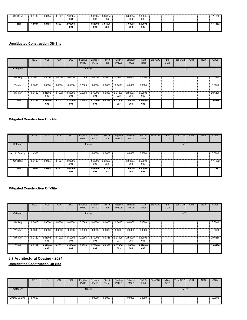| Off-Road | 0.0102 | 0.0795 | 0.1227 | 2.0000e-<br>004    | 3.6300e-<br>003    | 3.6300e-<br>003   | 3.6000e-<br>003    | 3.6000e-<br>003<br>. |  |  | 17.1382 |
|----------|--------|--------|--------|--------------------|--------------------|-------------------|--------------------|----------------------|--|--|---------|
| Total    | 1.5034 | 0.0795 | 0.1227 | $2.0000e -$<br>004 | $3.6300e -$<br>003 | $3.6300e-$<br>003 | $3.6000e -$<br>003 | $3.6000e-$<br>003    |  |  | 17.1382 |

|          | <b>ROG</b>  | <b>NO<sub>x</sub></b> | CO     | <b>SO2</b>      | Fugitive<br><b>PM10</b> | Exhaust<br><b>PM10</b> | <b>PM10</b><br>Total | Fugitive<br><b>PM2.5</b> | Exhaust<br>PM2.5  | <b>PM2.5</b><br>Total | Bio-CO <sub>2</sub> | NBio-<br>CO <sub>2</sub> | Total CO2 | CH <sub>4</sub> | <b>N2O</b> | CO <sub>2e</sub> |
|----------|-------------|-----------------------|--------|-----------------|-------------------------|------------------------|----------------------|--------------------------|-------------------|-----------------------|---------------------|--------------------------|-----------|-----------------|------------|------------------|
| Category |             |                       |        |                 | tons/yr                 |                        |                      |                          |                   |                       |                     |                          | MT/yr     |                 |            |                  |
| Hauling  | 0.0000      | 0.0000                | 0.0000 | 0.0000          | 0.0000                  | 0.0000                 | 0.0000               | 0.0000                   | 0.0000            | 0.0000                |                     |                          |           |                 |            | 0.0000           |
| Vendor   | 0.0000      | 0.0000                | 0.0000 | 0.0000          | 0.0000                  | 0.0000                 | 0.0000               | 0.0000                   | 0.0000            | 0.0000                |                     |                          |           |                 |            | 0.0000           |
| Worker   | H<br>0.0122 | 8.8100e-<br>003       | 0.1032 | 3.3000e-<br>004 | 0.0353                  | 2.7000e-<br>004        | 0.0356               | 9.3700e-<br>003          | 2.5000e-<br>004   | 9.6200e-<br>003       |                     |                          |           |                 |            | 29.6186          |
| Total    | 0.0122      | 8.8100e-<br>003       | 0.1032 | 3.3000e-<br>004 | 0.0353                  | 2.7000e-<br>004        | 0.0356               | $9.3700e-$<br>003        | $2.5000e-$<br>004 | $9.6200e -$<br>003    |                     |                          |           |                 |            | 29.6186          |

# **Mitigated Construction On-Site**

|                 | ROG    | <b>NO<sub>x</sub></b> | CO     | SO <sub>2</sub>   | Fugitive<br><b>PM10</b> | Exhaust<br><b>PM10</b> | <b>PM10</b><br>Total | Fugitive<br><b>PM2.5</b> | Exhaust<br>PM2.5  | PM2.5<br>Total    | Bio-CO <sub>2</sub> | NBio-<br>CO <sub>2</sub> | Total CO2 | CH <sub>4</sub> | N <sub>2</sub> O | CO <sub>2e</sub> |
|-----------------|--------|-----------------------|--------|-------------------|-------------------------|------------------------|----------------------|--------------------------|-------------------|-------------------|---------------------|--------------------------|-----------|-----------------|------------------|------------------|
| Category        |        |                       |        |                   | tons/yr                 |                        |                      |                          |                   |                   |                     |                          | MT/yr     |                 |                  |                  |
| Archit. Coating | 1.4933 |                       |        |                   |                         | 0.0000                 | 0.0000               |                          | 0.0000            | 0.0000            |                     |                          |           |                 |                  | 0.0000           |
| Off-Road        | 0.0102 | 0.0795                | 0.1227 | 2.0000e-<br>004   |                         | 3.6300e-<br>003        | 3.6300e-<br>003      |                          | 3.6000e-<br>003   | 3.6000e-<br>003   |                     |                          |           |                 |                  | 17.1382          |
| Total           | 1.5034 | 0.0795                | 0.1227 | $2.0000e-$<br>004 |                         | $3.6300e-$<br>003      | 3.6300e-<br>003      |                          | $3.6000e-$<br>003 | $3.6000e-$<br>003 |                     |                          |           |                 |                  | 17.1382          |

# **Mitigated Construction Off-Site**

|          | <b>ROG</b> | <b>NO<sub>x</sub></b> | CO.    | SO <sub>2</sub> | Fugitive<br><b>PM10</b> | Exhaust<br><b>PM10</b> | PM10<br>Total | Fugitive<br><b>PM2.5</b> | Exhaust<br>PM2.5  | PM2.5<br>Total    | Bio-CO <sub>2</sub> | NBio-<br>CO <sub>2</sub> | Total CO2 | CH4 | N <sub>2</sub> O | CO <sub>2e</sub> |
|----------|------------|-----------------------|--------|-----------------|-------------------------|------------------------|---------------|--------------------------|-------------------|-------------------|---------------------|--------------------------|-----------|-----|------------------|------------------|
| Category |            |                       |        |                 | tons/yr                 |                        |               |                          |                   |                   |                     |                          | MT/yr     |     |                  |                  |
| Hauling  | 0.0000     | 0.0000                | 0.0000 | 0.0000          | 0.0000                  | 0.0000                 | 0.0000        | 0.0000                   | 0.0000            | 0.0000            |                     |                          |           |     |                  | 0.0000           |
| Vendor   | 0.0000     | 0.0000                | 0.0000 | 0.0000          | 0.0000                  | 0.0000                 | 0.0000        | 0.0000                   | 0.0000            | 0.0000            |                     |                          |           |     |                  | 0.0000           |
| Worker   | 0.0122     | 8.8100e-<br>003       | 0.1032 | 3.3000e-<br>004 | 0.0353                  | 2.7000e-<br>004        | 0.0356        | 9.3700e-<br>003          | 2.5000e-<br>004   | 9.6200e-<br>003   |                     |                          |           |     |                  | 29,6186          |
| Total    | 0.0122     | 8.8100e-<br>003       | 0.1032 | 3.3000e-<br>004 | 0.0353                  | 2.7000e-<br>004        | 0.0356        | $9.3700e-$<br>003        | $2.5000e-$<br>004 | $9.6200e-$<br>003 |                     |                          |           |     |                  | 29.6186          |

**3.7 Architectural Coating - 2024**

|                 | <b>ROG</b> | <b>NO<sub>x</sub></b> | $\overline{c}$ | <b>SO2</b> | Fugitive<br><b>PM10</b> | Exhaust<br><b>PM10</b> | <b>PM10</b><br>Total | Fugitive<br>PM2.5 | Exhaust<br>PM2.5 | PM2.5<br>Total | Bio-CO <sub>2</sub> | NBio-<br>CO <sub>2</sub> | Total CO <sub>2</sub> | CH <sub>4</sub> | <b>N2O</b> | CO <sub>2</sub> e |
|-----------------|------------|-----------------------|----------------|------------|-------------------------|------------------------|----------------------|-------------------|------------------|----------------|---------------------|--------------------------|-----------------------|-----------------|------------|-------------------|
| Category        |            |                       |                |            | tons/yr                 |                        |                      |                   |                  |                |                     |                          | MT/yr                 |                 |            |                   |
| Archit. Coating | 0.4693     |                       |                |            |                         | 0.0000                 | 0.0000               |                   | 0.0000           | 0.0000         |                     |                          |                       |                 |            | 0.0000            |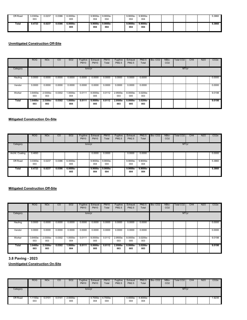| ---------<br>Off-Road | 3.0300e-<br>003 | 0.0237 | 0.0386 | 6.0000e-<br>005   | 9.9000e-<br>004    | 9.9000e-<br>004   | 9.9000e-<br>004   | 9.9000e-<br>004    |  |  | 5.3860 |
|-----------------------|-----------------|--------|--------|-------------------|--------------------|-------------------|-------------------|--------------------|--|--|--------|
| Total                 | 0.4723          | 0.0237 | 0.0386 | $6.0000e-$<br>005 | $9.9000e -$<br>004 | $9.9000e-$<br>004 | $9.9000e-$<br>004 | $9.9000e -$<br>004 |  |  | 5.3860 |

|          | <b>ROG</b>      | <b>NO<sub>x</sub></b> | CO     | <b>SO2</b>         | Fugitive<br><b>PM10</b> | Exhaust<br><b>PM10</b> | <b>PM10</b><br>Total | Fugitive<br><b>PM2.5</b> | Exhaust<br><b>PM2.5</b> | <b>PM2.5</b><br>Total | Bio-CO <sub>2</sub> | NBio-<br>CO <sub>2</sub> | Total CO2 | CH <sub>4</sub> | <b>N2O</b> | CO <sub>2e</sub> |
|----------|-----------------|-----------------------|--------|--------------------|-------------------------|------------------------|----------------------|--------------------------|-------------------------|-----------------------|---------------------|--------------------------|-----------|-----------------|------------|------------------|
| Category |                 |                       |        |                    | tons/yr                 |                        |                      |                          |                         |                       |                     |                          | MT/yr     |                 |            |                  |
| Hauling  | 0.0000          | 0.0000                | 0.0000 | 0.0000             | 0.0000                  | 0.0000                 | 0.0000               | 0.0000                   | 0.0000                  | 0.0000                |                     |                          |           |                 |            | 0.0000           |
| Vendor   | 0.0000          | 0.0000                | 0.0000 | 0.0000             | 0.0000                  | 0.0000                 | 0.0000               | 0.0000                   | 0.0000                  | 0.0000                |                     |                          |           |                 |            | 0.0000           |
| Worker   | 3.6400e-<br>003 | 2.5300e-<br>003       | 0.0302 | 1.0000e-<br>004    | 0.0111                  | 8.0000e-<br>005        | 0.0112               | 2.9500e-<br>003          | 8.0000e-<br>005         | 3.0200e-<br>003       |                     |                          |           |                 |            | 9.0198           |
| Total    | 3.6400e<br>003  | $2.5300e-$<br>003     | 0.0302 | $1.0000e -$<br>004 | 0.0111                  | 8.0000e-<br>005        | 0.0112               | 2.9500e-<br>003          | $8.0000e-$<br>005       | $3.0200e -$<br>003    |                     |                          |           |                 |            | 9.0198           |

### **Mitigated Construction On-Site**

|                 | <b>ROG</b>      | <b>NO<sub>x</sub></b> | CO.    | SO <sub>2</sub> | Fugitive<br><b>PM10</b> | Exhaust<br><b>PM10</b> | PM10<br>Total   | Fugitive<br>PM2.5 | Exhaust<br>PM2.5 | PM2.5<br>Total  | Bio-CO <sub>2</sub> | NBio-<br>CO <sub>2</sub> | Total CO2 | CH <sub>4</sub> | N2O | CO <sub>2e</sub> |
|-----------------|-----------------|-----------------------|--------|-----------------|-------------------------|------------------------|-----------------|-------------------|------------------|-----------------|---------------------|--------------------------|-----------|-----------------|-----|------------------|
| Category        |                 |                       |        |                 | tons/yr                 |                        |                 |                   |                  |                 |                     |                          | MT/yr     |                 |     |                  |
| Archit. Coating | 0.4693<br>Ħ.    |                       |        |                 |                         | 0.0000                 | 0.0000          |                   | 0.0000           | 0.0000          |                     |                          |           |                 |     | 0.0000           |
| Off-Road        | 3.0300e-<br>003 | 0.0237                | 0.0386 | 6.0000e-<br>005 |                         | 9.9000e-<br>004        | 9.9000e-<br>004 |                   | 9.9000e-<br>004  | 9.9000e-<br>004 |                     |                          |           |                 |     | 5.3860           |
| Total           | 0.4723          | 0.0237                | 0.0386 | 6.0000e-<br>005 |                         | $9.9000e-$<br>004      | 9.9000e-<br>004 |                   | 9.9000e-<br>004  | 9.9000e-<br>004 |                     |                          |           |                 |     | 5.3860           |

# **Mitigated Construction Off-Site**

|          | <b>ROG</b>      | NO <sub>x</sub>   | CO.    | SO <sub>2</sub>   | Fugitive<br><b>PM10</b> | Exhaust<br><b>PM10</b> | <b>PM10</b><br>Total | Fugitive<br>PM2.5 | Exhaust<br>PM2.5   | PM2.5<br>Total     | Bio-CO <sub>2</sub> | NBio-<br>CO <sub>2</sub> | Total CO2 | CH <sub>4</sub> | N2O | CO <sub>2e</sub> |
|----------|-----------------|-------------------|--------|-------------------|-------------------------|------------------------|----------------------|-------------------|--------------------|--------------------|---------------------|--------------------------|-----------|-----------------|-----|------------------|
| Category |                 |                   |        |                   | tons/yr                 |                        |                      |                   |                    |                    |                     |                          | MT/yr     |                 |     |                  |
| Hauling  | 0.0000          | 0.0000            | 0.0000 | 0.0000            | 0.0000                  | 0.0000                 | 0.0000               | 0.0000            | 0.0000             | 0.0000             |                     |                          |           |                 |     | 0.0000           |
| Vendor   | 0.0000          | 0.0000            | 0.0000 | 0.0000            | 0.0000                  | 0.0000                 | 0.0000               | 0.0000            | 0.0000             | 0.0000             |                     |                          |           |                 |     | 0.0000           |
| Worker   | 3.6400e-<br>003 | 2.5300e-<br>003   | 0.0302 | 1.0000e-<br>004   | 0.0111                  | 8.0000e-<br>005        | 0.0112               | 2.9500e-<br>003   | 8.0000e-<br>005    | 3.0200e-<br>003    |                     |                          |           |                 |     | 9.0198           |
| Total    | 3.6400e-<br>003 | $2.5300e-$<br>003 | 0.0302 | $1.0000e-$<br>004 | 0.0111                  | 8.0000e-<br>005        | 0.0112               | 2.9500e-<br>003   | $8.0000e -$<br>005 | $3.0200e -$<br>003 |                     |                          |           |                 |     | 9.0198           |

**3.8 Paving - 2023**

|          | <b>ROG</b>    | <b>NOx</b> | CO     | <b>SO2</b>      | Fugitive<br><b>PM10</b> | Exhaust<br><b>PM10</b> | <b>PM10</b><br>Total | Fugitive<br>PM2.5 | Exhaust<br>PM2.5 | PM2.5<br>Total  | Bio-CO <sub>2</sub> | NBio-<br>CO <sub>2</sub> | Total CO <sub>2</sub> | CH <sub>4</sub> | <b>N2O</b> | CO <sub>2e</sub> |
|----------|---------------|------------|--------|-----------------|-------------------------|------------------------|----------------------|-------------------|------------------|-----------------|---------------------|--------------------------|-----------------------|-----------------|------------|------------------|
| Category |               |            |        |                 | tons/yr                 |                        |                      |                   |                  |                 |                     |                          | MT/yr                 |                 |            |                  |
| Off-Road | '100e-<br>003 | 0.0101     | 0.0141 | 2.0000e-<br>005 |                         | 4.7000e-<br>004        | 4.7000e-<br>004      |                   | 4.4000e-<br>004  | 4.4000e-<br>004 |                     |                          |                       |                 |            | 1.9235           |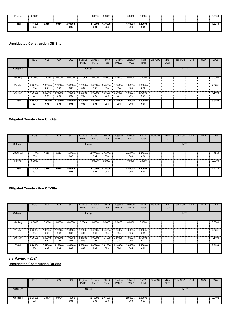| Paving | 0.0000        |       |        |                    | 0.0000         | 0.0000          | 0.0000          | 0.0000          |  |  | 0.0000 |
|--------|---------------|-------|--------|--------------------|----------------|-----------------|-----------------|-----------------|--|--|--------|
| Total  | 1100e-<br>003 | 0.010 | 0.0141 | $2.0000e -$<br>005 | 4.7000e<br>004 | 4.7000e-<br>004 | 4.4000e-<br>004 | 4.4000e-<br>004 |  |  | 1.9235 |

|          | <b>ROG</b>         | <b>NO<sub>x</sub></b> | CO                 | <b>SO2</b>         | Fugitive<br><b>PM10</b> | Exhaust<br><b>PM10</b> | <b>PM10</b><br>Total | Fugitive<br>PM2.5 | Exhaust<br><b>PM2.5</b> | <b>PM2.5</b><br>Total | Bio-CO <sub>2</sub> | NBio-<br>CO <sub>2</sub> | <b>Total CO2</b> | CH <sub>4</sub> | <b>N2O</b> | CO <sub>2e</sub> |
|----------|--------------------|-----------------------|--------------------|--------------------|-------------------------|------------------------|----------------------|-------------------|-------------------------|-----------------------|---------------------|--------------------------|------------------|-----------------|------------|------------------|
| Category |                    |                       |                    |                    | tons/yr                 |                        |                      |                   |                         |                       |                     |                          | MT/yr            |                 |            |                  |
| Hauling  | 0.0000             | 0.0000                | 0.0000             | 0.0000             | 0.0000                  | 0.0000                 | 0.0000               | 0.0000            | 0.0000                  | 0.0000                |                     |                          |                  |                 |            | 0.0000           |
| Vendor   | 2.2000e-<br>004    | 7.0800e-<br>003       | 2.2700e-<br>003    | 2.0000e-<br>005    | 6.3000e-<br>004         | 1.0000e-<br>005        | 6.4000e-<br>004      | -.8000e<br>004    | 1.0000e-<br>005         | 1.9000e-<br>004       |                     |                          |                  |                 |            | 2.3701           |
| Worker   | 4.7000e-<br>004    | 3.4000e-<br>004       | 4.0100e-<br>003    | 1.0000e-<br>005    | 1.3700e-<br>003         | 1.0000e-<br>005        | .3800e-<br>003       | 3.6000e-<br>004   | 1.0000e-<br>005         | 3.7000e-<br>004       |                     |                          |                  |                 |            | 1.1498           |
| Total    | $6.9000e -$<br>004 | 7.4200e-<br>003       | $6.2800e -$<br>003 | $3.0000e -$<br>005 | $2.0000e -$<br>003      | $2.0000e-$<br>005      | 2.0200e-<br>003      | 5.4000e-<br>004   | $2.0000e -$<br>005      | $5.6000e -$<br>004    |                     |                          |                  |                 |            | 3.5198           |

### **Mitigated Construction On-Site**

|          | ROG               | <b>NO<sub>x</sub></b> | CO     | SO <sub>2</sub> | Fugitive<br><b>PM10</b> | Exhaust<br><b>PM10</b> | <b>PM10</b><br>Total | Fugitive<br>PM2.5 | Exhaust<br><b>PM2.5</b> | PM2.5<br>Total  | Bio-CO <sub>2</sub> | NBio-<br>CO <sub>2</sub> | Total CO2 | CH <sub>4</sub> | N2O | CO <sub>2e</sub> |
|----------|-------------------|-----------------------|--------|-----------------|-------------------------|------------------------|----------------------|-------------------|-------------------------|-----------------|---------------------|--------------------------|-----------|-----------------|-----|------------------|
| Category |                   |                       |        |                 | tons/yr                 |                        |                      |                   |                         |                 |                     |                          | MT/yr     |                 |     |                  |
| Off-Road | $1.1100e-$<br>003 | 0.0101                | 0.0141 | 2.0000e-<br>005 |                         | 4.7000e-<br>004        | 4.7000e-<br>004      |                   | 4.4000e-<br>004         | 4.4000e-<br>004 |                     |                          |           |                 |     | 1.9235           |
| Paving   | 0.0000            |                       |        |                 |                         | 0.0000                 | 0.0000               |                   | 0.0000                  | 0.0000          |                     |                          |           |                 |     | 0.0000           |
| Total    | 1.1100e-<br>003   | 0.0101                | 0.0141 | 2.0000e-<br>005 |                         | 4.7000e-<br>004        | 4.7000e-<br>004      |                   | 4.4000e-<br>004         | 4.4000e-<br>004 |                     |                          |           |                 |     | 1.9235           |

# **Mitigated Construction Off-Site**

|          | <b>ROG</b>      | NO <sub>x</sub> | CO.                | SO <sub>2</sub>    | Fugitive<br><b>PM10</b> | Exhaust<br><b>PM10</b> | PM10<br>Total   | Fugitive<br><b>PM2.5</b> | Exhaust<br>PM2.5   | PM2.5<br>Total    | Bio-CO <sub>2</sub> | NBio-<br>CO <sub>2</sub> | Total CO2 | CH <sub>4</sub> | N <sub>2</sub> O | CO <sub>2e</sub> |
|----------|-----------------|-----------------|--------------------|--------------------|-------------------------|------------------------|-----------------|--------------------------|--------------------|-------------------|---------------------|--------------------------|-----------|-----------------|------------------|------------------|
| Category |                 |                 |                    |                    | tons/yr                 |                        |                 |                          |                    |                   |                     |                          | MT/yr     |                 |                  |                  |
| Hauling  | 0.0000          | 0.0000          | 0.0000             | 0.0000             | 0.0000                  | 0.0000                 | 0.0000          | 0.0000                   | 0.0000             | 0.0000            |                     |                          |           |                 |                  | 0.0000           |
| Vendor   | 2.2000e-<br>004 | 7.0800e-<br>003 | 2.2700e-<br>003    | 2.0000e-<br>005    | 6.3000e-<br>004         | $.0000e-$<br>005       | 6.4000e-<br>004 | -.8000e<br>004           | 1.0000e-<br>005    | 1.9000e-<br>004   |                     |                          |           |                 |                  | 2.3701           |
| Worker   | 4.7000e-<br>004 | 3.4000e-<br>004 | 4.0100e-<br>003    | 1.0000e-<br>005    | 1.3700e-<br>003         | 1.0000e-<br>005        | .3800e-<br>003  | 3.6000e-<br>004          | 1.0000e-<br>005    | 3.7000e-<br>004   |                     |                          |           |                 |                  | 1.1498           |
| Total    | 6.9000e-<br>004 | 7.4200e-<br>003 | $6.2800e -$<br>003 | $3.0000e -$<br>005 | $2.0000e -$<br>003      | $2.0000e-$<br>005      | 2.0200e-<br>003 | 5.4000e-<br>004          | $2.0000e -$<br>005 | $5.6000e-$<br>004 |                     |                          |           |                 |                  | 3.5198           |

**3.8 Paving - 2024**

|          | <b>ROG</b>      | <b>NO<sub>x</sub></b> | CO     | <b>SO2</b>        | Fugitive<br><b>PM10</b> | Exhaust<br><b>PM10</b> | <b>PM10</b><br>Total | Fugitive<br>PM2.5 | Exhaust<br>PM2.5 | <b>PM2.5</b><br>Total | Bio-CO <sub>2</sub> | NBio-<br>CO <sub>2</sub> | <b>Total CO2</b> | CH <sub>4</sub> | <b>N2O</b> | CO <sub>2e</sub> |
|----------|-----------------|-----------------------|--------|-------------------|-------------------------|------------------------|----------------------|-------------------|------------------|-----------------------|---------------------|--------------------------|------------------|-----------------|------------|------------------|
| Category |                 |                       |        |                   | tons/yr                 |                        |                      |                   |                  |                       |                     |                          | MT/yr            |                 |            |                  |
| Off-Road | 5.3300e-<br>003 | 0.0476                | 0.0706 | $1.1000e-$<br>004 |                         | $2.1500e-$<br>003      | 2.1500e-<br>003      |                   | 2.0000e-<br>003  | 2.0000e-<br>003       |                     |                          |                  |                 |            | 9.6192           |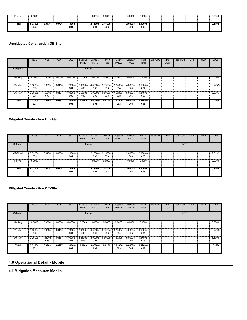| Paving | 0.0000            |        |        |                   | 0.0000         | 0.0000            | 0.0000             | 0.0000             |  |  | 0.0000 |
|--------|-------------------|--------|--------|-------------------|----------------|-------------------|--------------------|--------------------|--|--|--------|
| Total  | $5.3300e-$<br>003 | 0.0476 | 0.0706 | $1.1000e-$<br>004 | 2.1500e<br>003 | $2.1500e-$<br>003 | $2.0000e -$<br>003 | $2.0000e -$<br>003 |  |  | 9.6192 |

|          | <b>ROG</b>       | <b>NO<sub>x</sub></b> | CO     | <b>SO2</b>        | Fugitive<br><b>PM10</b> | Exhaust<br><b>PM10</b> | <b>PM10</b><br>Total | Fugitive<br>PM2.5 | Exhaust<br><b>PM2.5</b> | <b>PM2.5</b><br>Total | Bio-CO <sub>2</sub> | NBio-<br>CO <sub>2</sub> | Total CO <sub>2</sub> | CH <sub>4</sub> | <b>N2O</b> | CO <sub>2e</sub> |
|----------|------------------|-----------------------|--------|-------------------|-------------------------|------------------------|----------------------|-------------------|-------------------------|-----------------------|---------------------|--------------------------|-----------------------|-----------------|------------|------------------|
| Category |                  |                       |        |                   | tons/yr                 |                        |                      |                   |                         |                       |                     |                          | MT/yr                 |                 |            |                  |
| Hauling  | 0.0000           | 0.0000                | 0.0000 | 0.0000            | 0.0000                  | 0.0000                 | 0.0000               | 0.0000            | 0.0000                  | 0.0000                |                     |                          |                       |                 |            | 0.0000           |
| Vendor   | $.0600e-$<br>003 | 0.0353                | 0.0110 | 1.2000e-<br>004   | 3.1500e-<br>003         | 4.0000e-<br>005        | 3.1900e-<br>003      | 9.1000e-<br>004   | 4.0000e-<br>005         | 9.5000e-<br>004       |                     |                          |                       |                 |            | 11.8029          |
| Worker   | 2.2500e-<br>003  | .5600e-<br>003        | 0.0187 | 6.0000e-<br>005   | 6.8500e-<br>003         | 5.0000e-<br>005        | 6.9000e-<br>003      | -.8200e<br>003    | 5.0000e-<br>005         | 1.8700e-<br>003       |                     |                          |                       |                 |            | 5.5705           |
| Total    | 3.3100e-<br>003  | 0.0369                | 0.0297 | $1.8000e-$<br>004 | 0.0100                  | $9.0000e -$<br>005     | 0.0101               | 2.7300e-<br>003   | $9.0000e -$<br>005      | 2.8200e-<br>003       |                     |                          |                       |                 |            | 17.3734          |

### **Mitigated Construction On-Site**

|          | ROG             | <b>NO<sub>x</sub></b> | CO     | SO <sub>2</sub> | Fugitive<br><b>PM10</b> | Exhaust<br><b>PM10</b>   | <b>PM10</b><br>Total | Fugitive<br><b>PM2.5</b> | Exhaust<br>PM2.5 | PM2.5<br>Total  | Bio-CO <sub>2</sub> | NBio-<br>CO <sub>2</sub> | Total CO2 | CH <sub>4</sub> | N2O | CO <sub>2e</sub> |
|----------|-----------------|-----------------------|--------|-----------------|-------------------------|--------------------------|----------------------|--------------------------|------------------|-----------------|---------------------|--------------------------|-----------|-----------------|-----|------------------|
| Category |                 |                       |        |                 | tons/yr                 |                          |                      |                          |                  |                 |                     |                          | MT/yr     |                 |     |                  |
| Off-Road | 5.3300e-<br>003 | 0.0476                | 0.0706 | 1.1000e-<br>004 |                         | 2.1500e-<br>003          | 2.1500e-<br>003      |                          | 2.0000e-<br>003  | 2.0000e-<br>003 |                     |                          |           |                 |     | 9.6192           |
| Paving   | 0.0000          |                       |        |                 |                         | 0.0000                   | 0.0000               |                          | 0.0000           | 0.0000          |                     |                          |           |                 |     | 0.0000           |
| Total    | 5.3300e-<br>003 | 0.0476                | 0.0706 | 1.1000e-<br>004 |                         | 2.1500e- 2.1500e-<br>003 | 003                  |                          | 2.0000e-<br>003  | 2.0000e-<br>003 |                     |                          |           |                 |     | 9.6192           |

#### **Mitigated Construction Off-Site**

|          | <b>ROG</b>      | <b>NO<sub>x</sub></b> | CO.    | SO <sub>2</sub>   | Fugitive<br><b>PM10</b> | Exhaust<br><b>PM10</b> | <b>PM10</b><br>Total | Fugitive<br>PM2.5 | Exhaust<br><b>PM2.5</b> | PM2.5<br>Total    | Bio-CO <sub>2</sub> | NBio-<br>CO <sub>2</sub> | Total CO2 | CH <sub>4</sub> | N2O | CO <sub>2e</sub> |
|----------|-----------------|-----------------------|--------|-------------------|-------------------------|------------------------|----------------------|-------------------|-------------------------|-------------------|---------------------|--------------------------|-----------|-----------------|-----|------------------|
| Category |                 |                       |        |                   | tons/yr                 |                        |                      |                   |                         |                   |                     |                          | MT/yr     |                 |     |                  |
| Hauling  | 0.0000          | 0.0000                | 0.0000 | 0.0000            | 0.0000                  | 0.0000                 | 0.0000               | 0.0000            | 0.0000                  | 0.0000            |                     |                          |           |                 |     | 0.0000           |
| Vendor   | -.0600e<br>003  | 0.0353                | 0.0110 | -.2000e<br>004    | 3.1500e-<br>003         | 4.0000e-<br>005        | 3.1900e-<br>003      | 9.1000e-<br>004   | 4.0000e-<br>005         | 9.5000e-<br>004   |                     |                          |           |                 |     | 11.8029          |
| Worker   | 2.2500e-<br>003 | -.5600e<br>003        | 0.0187 | 6.0000e-<br>005   | 6.8500e-<br>003         | 5.0000e-<br>005        | 6.9000e-<br>003      | .8200e-<br>003    | 5.0000e-<br>005         | 1.8700e-<br>003   |                     |                          |           |                 |     | 5.5705           |
| Total    | 3.3100e<br>003  | 0.0369                | 0.0297 | $1.8000e-$<br>004 | 0.0100                  | $9.0000e-$<br>005      | 0.0101               | 2.7300e-<br>003   | $9.0000e -$<br>005      | $2.8200e-$<br>003 |                     |                          |           |                 |     | 17.3734          |

# **4.0 Operational Detail - Mobile**

**4.1 Mitigation Measures Mobile**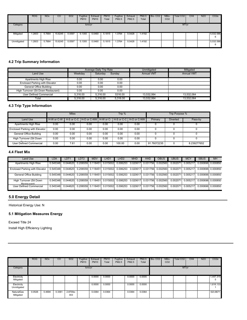|             | ROG   | <b>NO<sub>x</sub></b> | CO      | SO <sub>2</sub> | Fugitive<br><b>PM10</b> | Exhaust<br><b>PM10</b> | PM10<br>Total | Fugitive<br>PM2.5 | Exhaust<br>PM2.5 | PM2.5<br>Total | Bio-CO <sub>2</sub> | NBio-<br>CO <sub>2</sub> | Total CO2 | CH4 | N <sub>2</sub> O | CO <sub>2e</sub> |
|-------------|-------|-----------------------|---------|-----------------|-------------------------|------------------------|---------------|-------------------|------------------|----------------|---------------------|--------------------------|-----------|-----|------------------|------------------|
| Category    |       |                       |         |                 | tons/yr                 |                        |               |                   |                  |                |                     |                          | MT/yr     |     |                  |                  |
| Mitigated   | .2603 | 5.7664                | 15.6245 | 0.0597          | 5.1355                  | 0.0460                 | 5.1815        | .3764             | 0.0428           | 1.4192         |                     |                          |           |     |                  | 5,532.586        |
| Unmitigated | .2603 | 5.7664                | 15.6245 | 0.0597          | 5.1355                  | 0.0460                 | 5.1815        | 1.3764            | 0.0428           | 1.4192         |                     |                          |           |     |                  | 5,532.586        |

# **4.2 Trip Summary Information**

|                                       |          | Average Daily Trip Rate |          | Unmitigated       | Mitigated         |
|---------------------------------------|----------|-------------------------|----------|-------------------|-------------------|
| Land Use                              | Weekdav  | Saturdav                | Sundav   | <b>Annual VMT</b> | <b>Annual VMT</b> |
| Apartments High Rise                  | 0.00     | 0.00                    | 0.00     |                   |                   |
| <b>Enclosed Parking with Elevator</b> | 0.00     | 0.00                    | 0.00     |                   |                   |
| General Office Building               | 0.00     | 0.00                    | 0.00     |                   |                   |
| High Turnover (Sit Down Restaurant)   | 0.00     | 0.00                    | 0.00     |                   |                   |
| User Defined Commercial               | 5.316.00 | 5.316.00                | 5316.00  | 13.532.064        | 13.532.064        |
| Total                                 | 5.316.00 | 5.316.00                | 5.316.00 | 13.532.064        | 13.532.064        |

# **4.3 Trip Type Information**

|                                       |      | <b>Miles</b> |      |      | Trip % |                                                                             |             | Trip Purpose %  |             |
|---------------------------------------|------|--------------|------|------|--------|-----------------------------------------------------------------------------|-------------|-----------------|-------------|
| Land Use                              |      |              |      |      |        | H-W or C-W I H-S or C-C I H-O or C-NWI H-W or C-I H-S or C-C I H-O or C-NWI | Primary     | <b>Diverted</b> | Pass-by     |
| Apartments High Rise                  | 0.00 | 0.00         | 0.00 | 0.00 | 0.00   | 0.00                                                                        |             |                 |             |
| <b>Enclosed Parking with Elevator</b> | 0.00 | 0.00         | 0.00 | 0.00 | 0.00   | 0.00                                                                        |             |                 |             |
| General Office Building               | 0.00 | 0.00         | 0.00 | 0.00 | 0.00   | 0.00                                                                        |             |                 |             |
| High Turnover (Sit Down               | 0.00 | 0.00         | 0.00 | 0.00 | 0.00   | 0.00                                                                        |             |                 |             |
| User Defined Commercial               | 0.00 | 7.61         | 0.00 | 0.00 | 100.00 | 0.00                                                                        | 91.76072235 |                 | 8.239277652 |

# **4.4 Fleet Mix**

| Land Use                               | LDA      | LD.      | LDT2                             | MDV | LHD'                                | LHD2                                                                                    | <b>MHD</b> | <b>HHD</b>                 | OBUS | <b>UBUS</b> | <b>MC</b>         | <b>SBUS</b>       | <b>MH</b>         |
|----------------------------------------|----------|----------|----------------------------------|-----|-------------------------------------|-----------------------------------------------------------------------------------------|------------|----------------------------|------|-------------|-------------------|-------------------|-------------------|
| Apartments High Rise                   | 0.545348 |          | $0.044620$ $0.206559$ $0.118451$ |     |                                     | 0.015002 0.006253                                                                       |            | 0.020617 0.031756 0.002560 |      |             | 0.002071 0.005217 |                   |                   |
| <b>Enclosed Parking with Elevator</b>  | 0.545348 |          |                                  |     |                                     | $0.044620$ $0.206559$ $0.118451$ $0.015002$ $0.006253$ $0.020617$ $0.031756$ $0.002560$ |            |                            |      |             | 0.002071 0.005217 | 0.000696 0.000850 |                   |
| General Office Building                | 0.545348 |          |                                  |     |                                     | 0.044620 0.206559 0.118451 0.015002 0.006253 0.020617 0.031756 0.002560                 |            |                            |      | 0.002071    | 0.005217          |                   | 0.000696 0.000850 |
| High Turnover (Sit Down<br>Restaurant) | 0.545348 |          |                                  |     | 0.044620 0.206559 0.118451 0.015002 | 0.006253                                                                                |            | 0.020617 0.031756 0.002560 |      | 0.002071    | 0.005217          | 0.000696 0.000850 |                   |
| User Defined Commercial                | 0.545348 | 0.044620 | 0.206559 0.118451                |     | 0.015002                            | 0.006253                                                                                |            | 0.020617 0.031756 0.002560 |      | 0.002071    | 0.005217          |                   | 0.000696 0.000850 |

# **5.0 Energy Detail**

Historical Energy Use: N

# **5.1 Mitigation Measures Energy**

Exceed Title 24 Install High Efficiency Lighting

|                            | ROG.   | <b>NOx</b> | CO     | SO <sub>2</sub> | Fugitive<br><b>PM10</b> | Exhaust<br><b>PM10</b> | <b>PM10</b><br>Total | Fugitive<br>PM2.5 | Exhaust<br>PM2.5 | PM2.5<br>Total | Bio-CO <sub>2</sub> | NBio-<br>CO <sub>2</sub> | Total CO2 | CH4 | N <sub>2</sub> O | CO2e      |
|----------------------------|--------|------------|--------|-----------------|-------------------------|------------------------|----------------------|-------------------|------------------|----------------|---------------------|--------------------------|-----------|-----|------------------|-----------|
| Category                   |        |            |        |                 | tons/yr                 |                        |                      |                   |                  |                |                     |                          | MT/yr     |     |                  |           |
| Electricity<br>Mitigated   |        |            |        |                 |                         | 0.0000                 | 0.0000               |                   | 0.0000           | 0.0000         |                     |                          |           |     |                  | 1,447.315 |
| Electricity<br>Unmitigated |        |            |        |                 |                         | 0.0000                 | 0.0000               |                   | 0.0000           | 0.0000         |                     |                          |           |     |                  | 1,616.133 |
| NaturalGas<br>Mitigated    | 0.0526 | 0.4694     | 0.3361 | 2.8700e-<br>003 |                         | 0.0364                 | 0.0364               |                   | 0.0364           | 0.0364         |                     |                          |           |     |                  | 523.8671  |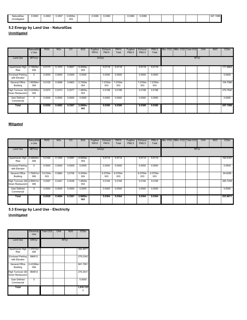| <b>NaturalGas</b>       | 0.0550 | 0.4902 | 0.3507 | 3.0000e- | 0.0380 | 0.0380 | 0.0380 | 0.0380 |  |  | $-1$<br>54. | 1000<br>1586 |
|-------------------------|--------|--------|--------|----------|--------|--------|--------|--------|--|--|-------------|--------------|
| $\cdots$<br>Unmitigated |        |        |        | 003      |        |        |        |        |  |  |             |              |

# **5.2 Energy by Land Use - NaturalGas**

**Unmitigated**

|                                                  | NaturalGa<br>s Use | <b>ROG</b> | <b>NO<sub>x</sub></b> | $\overline{C}$ | SO <sub>2</sub>   | Fugitive<br><b>PM10</b> | Exhaust<br><b>PM10</b> | <b>PM10</b><br>Total | Fugitive<br>PM2.5 | Exhaust<br>PM2.5 | <b>PM2.5</b><br>Total | Bio- CO2 NBio- CO2 Total CO2 |       | CH <sub>4</sub> | <b>N2O</b> | CO <sub>2</sub> e |
|--------------------------------------------------|--------------------|------------|-----------------------|----------------|-------------------|-------------------------|------------------------|----------------------|-------------------|------------------|-----------------------|------------------------------|-------|-----------------|------------|-------------------|
| Land Use                                         | kBTU/yr            |            |                       |                |                   |                         | tons/yr                |                      |                   |                  |                       |                              | MT/yr |                 |            |                   |
| Apartments High 13.19828e+<br>Rise               | 006                | 0.0173     | 0.1474                | 0.0627         | 9.4000e-<br>004   |                         | 0.0119                 | 0.0119               |                   | 0.0119           | 0.0119                |                              |       |                 |            | 171.6865          |
| <b>Enclosed Parking</b><br>with Elevator         | $^{\circ}$         | 0.0000     | 0.0000                | 0.0000         | 0.0000            |                         | 0.0000                 | 0.0000               |                   | 0.0000           | 0.0000                |                              |       |                 |            | 0.0000            |
| General Office<br>Building                       | 1.95056e+<br>006   | 0.0105     | 0.0956                | 0.0803         | 5.7000e-<br>004   |                         | 7.2700e-<br>003        | 7.2700e-<br>003      |                   | 7.2700e-<br>003  | 7.2700e-<br>003       |                              |       |                 |            | 104.7080          |
| High Turnover (Sit 5.04395e+<br>Down Restaurant) | 006                | 0.0272     | 0.2473                | 0.2077         | 1.4800e-<br>003   |                         | 0.0188                 | 0.0188               |                   | 0.0188           | 0.0188                |                              |       |                 |            | 270,7640          |
| User Defined<br>Commercial                       | $\mathbf{0}$       | 0.0000     | 0.0000                | 0.0000         | 0.0000            |                         | 0.0000                 | 0.0000               |                   | 0.0000           | 0.0000                |                              |       |                 |            | 0.0000            |
| Total                                            |                    | 0.0550     | 0.4902                | 0.3507         | $2.9900e-$<br>003 |                         | 0.0380                 | 0.0380               |                   | 0.0380           | 0.0380                |                              |       |                 |            | 547.1586          |

# **Mitigated**

|                                                  | NaturalGa<br>s Use | <b>ROG</b>      | <b>NO<sub>x</sub></b> | CO     | SO <sub>2</sub>   | Fugitive<br><b>PM10</b> | <b>Exhaust</b><br><b>PM10</b> | <b>PM10</b><br>Total | Fugitive<br>PM2.5 | Exhaust<br>PM2.5 | <b>PM2.5</b><br>Total |  | Bio- CO2 NBio- CO2 Total CO2 |  | CH <sub>4</sub> | N <sub>2</sub> O | CO <sub>2</sub> e |
|--------------------------------------------------|--------------------|-----------------|-----------------------|--------|-------------------|-------------------------|-------------------------------|----------------------|-------------------|------------------|-----------------------|--|------------------------------|--|-----------------|------------------|-------------------|
| Land Use                                         | kBTU/yr            |                 | tons/yr               |        |                   |                         |                               |                      |                   | MT/yr            |                       |  |                              |  |                 |                  |                   |
| Apartments High 13.04609e+1<br>Rise              | 006                | 0.0164          | 0.1404                | 0.0597 | $9.0000e-$<br>004 |                         | 0.0114                        | 0.0114               |                   | 0.0114           | 0.0114                |  |                              |  |                 |                  | 163.5167          |
| <b>Enclosed Parking</b><br>with Elevator         | $\Omega$           | 0.0000          | 0.0000                | 0.0000 | 0.0000            |                         | 0.0000                        | 0.0000               |                   | 0.0000           | 0.0000                |  |                              |  |                 |                  | 0.0000            |
| General Office<br>Building                       | 1.76281e+<br>006   | 9.5100e-<br>003 | 0.0864                | 0.0726 | 5.2000e-<br>004   |                         | 6.5700e-<br>003               | 6.5700e-<br>003      |                   | 6.5700e-<br>003  | 6.5700e-<br>003       |  |                              |  |                 |                  | 94.6295           |
| High Turnover (Sit 4.95001e+<br>Down Restaurant) | 006                | 0.0267          | 0.2427                | 0.2038 | 1.4600e-<br>003   |                         | 0.0184                        | 0.0184               |                   | 0.0184           | 0.0184                |  |                              |  |                 |                  | 265.7209          |
| User Defined<br>Commercial                       | $\Omega$           | 0.0000          | 0.0000                | 0.0000 | 0.0000            |                         | 0.0000                        | 0.0000               |                   | 0.0000           | 0.0000                |  |                              |  |                 |                  | 0.0000            |
| <b>Total</b>                                     |                    | 0.0526          | 0.4694                | 0.3361 | $2.8800e-$<br>003 |                         | 0.0364                        | 0.0364               |                   | 0.0364           | 0.0364                |  |                              |  |                 |                  | 523.8671          |

**5.3 Energy by Land Use - Electricity**

**Unmitigated**

|                                               | Electricity<br>Use | Total CO <sub>2</sub> | CH <sub>4</sub>              | <b>N2O</b> | CO <sub>2e</sub>                              |
|-----------------------------------------------|--------------------|-----------------------|------------------------------|------------|-----------------------------------------------|
| <b>Land Use</b>                               | kWh/yr             |                       |                              | MT/yr      |                                               |
| Apartments High 1.37415e+<br><b>Rise</b>      | 006                |                       |                              |            | 384,8977                                      |
| <b>Enclosed Parking</b><br>with Elevator      | 996912             |                       |                              |            | 279.2342                                      |
| General Office 2.43399e+<br><b>Building</b>   | 006                |                       |                              |            | 681.7581                                      |
| High Turnover (Sit 964812<br>Down Restaurant) |                    |                       | ,,,,,,,,,,,,,,,,,,,,,,,,,,,, |            | ,,,,,,,,,,,,,,,,,,,,,,,,,,,,,,,,,<br>270.2431 |
| <b>User Defined</b><br>Commercial             |                    |                       |                              |            | 0.0000                                        |
| Total                                         |                    |                       |                              |            | 1,616.133                                     |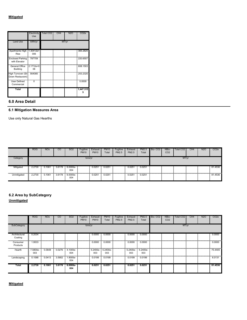|                                               | Use              | Electricity   Total CO2 | CH <sub>4</sub> | N <sub>2</sub> | CO2e                                       |
|-----------------------------------------------|------------------|-------------------------|-----------------|----------------|--------------------------------------------|
| <b>Land Use</b>                               | kWh/yr           |                         |                 | MT/yr          |                                            |
| Apartments High   1.30412e+<br>Rise           | 006              |                         |                 |                | 365.2825<br>,,,,,,,,,,,,,,,,,,,,,,,,,,,,,, |
| Enclosed Parking 787759<br>with Elevator      |                  |                         |                 |                | 220.6507                                   |
| General Office<br>Building                    | 12.1712e+0<br>06 |                         |                 |                | 608.1503                                   |
| High Turnover (Sit 904080<br>Down Restaurant) |                  |                         |                 |                | 253.2320                                   |
| User Defined<br>Commercial                    |                  |                         |                 |                | 0.0000                                     |
| Total                                         |                  |                         |                 |                | 1,447.315                                  |

# **6.0 Area Detail**

# **6.1 Mitigation Measures Area**

Use only Natural Gas Hearths

|             | <b>ROG</b> | <b>NO<sub>x</sub></b> | CO     | <b>SO2</b>      | Fugitive<br><b>PM10</b> | Exhaust<br><b>PM10</b> | <b>PM10</b><br>Total | Fugitive<br>PM2.5 | Exhaust<br><b>PM2.5</b> | <b>PM2.5</b><br>Total | Bio-CO <sub>2</sub> | NBio-<br>CO <sub>2</sub> | Total CO <sub>2</sub> | CH <sub>4</sub> | <b>N2O</b> | CO <sub>2e</sub> |
|-------------|------------|-----------------------|--------|-----------------|-------------------------|------------------------|----------------------|-------------------|-------------------------|-----------------------|---------------------|--------------------------|-----------------------|-----------------|------------|------------------|
| Category    |            |                       |        |                 | tons/yr                 |                        |                      |                   |                         |                       |                     |                          | MT/yr                 |                 |            |                  |
| Mitigated   | 2.2730     | 0.1061                | 3.6178 | 6.0000e-<br>004 |                         | 0.025                  | 0.0251               |                   | $0.025^{\circ}$         | 0.0251                |                     |                          |                       |                 |            | 81.4536          |
| Unmitigated | 2.2730     | 0.1061                | 3.6178 | 6.0000e-<br>004 |                         | 0.0251                 | 0.0251               |                   | 0.0251                  | 0.0251                |                     |                          |                       |                 |            | 81.4536          |

# **6.2 Area by SubCategory Unmitigated**

|                          | <b>ROG</b>      | <b>NO<sub>x</sub></b> | CO     | <b>SO2</b>        | Fugitive<br><b>PM10</b> | Exhaust<br><b>PM10</b> | <b>PM10</b><br>Total | Fugitive<br>PM2.5 | Exhaust<br>PM2.5 | <b>PM2.5</b><br>Total | Bio-CO <sub>2</sub> | NBio-<br>CO <sub>2</sub> | <b>Total CO2</b> | CH <sub>4</sub> | <b>N2O</b> | CO <sub>2</sub> e |
|--------------------------|-----------------|-----------------------|--------|-------------------|-------------------------|------------------------|----------------------|-------------------|------------------|-----------------------|---------------------|--------------------------|------------------|-----------------|------------|-------------------|
| SubCategory              | tons/yr         |                       |        |                   |                         |                        |                      |                   |                  |                       | MT/yr               |                          |                  |                 |            |                   |
| Architectural<br>Coating | 0.2034          |                       |        |                   |                         | 0.0000                 | 0.0000               |                   | 0.0000           | 0.0000                |                     |                          |                  |                 |            | 0.0000            |
| Consumer<br>Products     | 1.9533          |                       |        |                   |                         | 0.0000                 | 0.0000               |                   | 0.0000           | 0.0000                |                     |                          |                  |                 |            | 0.0000            |
| Hearth                   | 7.5800e-<br>003 | 0.0648                | 0.0276 | 4.1000e-<br>004   |                         | 5.2400e-<br>003        | 5.2400e-<br>003      |                   | 5.2400e-<br>003  | 5.2400e-<br>003       |                     |                          |                  |                 |            | 75.4405           |
| Landscaping              | 0.1088          | 0.0413                | 3.5902 | 1.9000e-<br>004   |                         | 0.0199                 | 0.0199               |                   | 0.0199           | 0.0199                |                     |                          |                  |                 |            | 6.0131            |
| Total                    | 2.2730          | 0.1061                | 3.6178 | $6.0000e-$<br>004 |                         | 0.0251                 | 0.0251               |                   | 0.0251           | 0.0251                |                     |                          |                  |                 |            | 81.4536           |

# **Mitigated**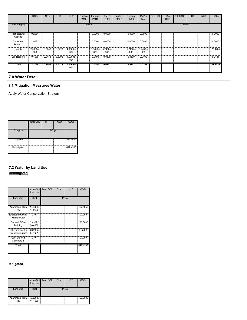|                          | <b>ROG</b>      | <b>NOx</b> | CO.    | SO <sub>2</sub>   | Fugitive<br><b>PM10</b> | Exhaust<br><b>PM10</b> | <b>PM10</b><br>Total | Fugitive<br>PM2.5 | Exhaust<br>PM2.5 | PM2.5<br>Total  | Bio-CO <sub>2</sub> | NBio-<br>CO <sub>2</sub> | Total CO <sub>2</sub> | CH <sub>4</sub> | N <sub>2</sub> O | CO2e    |
|--------------------------|-----------------|------------|--------|-------------------|-------------------------|------------------------|----------------------|-------------------|------------------|-----------------|---------------------|--------------------------|-----------------------|-----------------|------------------|---------|
| SubCategory              | tons/yr         |            |        |                   |                         |                        |                      |                   |                  |                 | MT/yr               |                          |                       |                 |                  |         |
| Architectural<br>Coating | 0.2034          |            |        |                   |                         | 0.0000                 | 0.0000               |                   | 0.0000           | 0.0000          |                     |                          |                       |                 |                  | 0.0000  |
| Consumer<br>Products     | 1.9533          |            |        |                   |                         | 0.0000                 | 0.0000               |                   | 0.0000           | 0.0000          |                     |                          |                       |                 |                  | 0.0000  |
| Hearth                   | 7.5800e-<br>003 | 0.0648     | 0.0276 | 4.1000e-<br>004   |                         | 5.2400e-<br>003        | 5.2400e-<br>003      |                   | 5.2400e-<br>003  | 5.2400e-<br>003 |                     |                          |                       |                 |                  | 75.4405 |
| Landscaping              | 0.1088          | 0.0413     | 3.5902 | 1.9000e-<br>004   |                         | 0.0199                 | 0.0199               |                   | 0.0199           | 0.0199          |                     |                          |                       |                 |                  | 6.0131  |
| Total                    | 2.2730          | 0.1061     | 3.6178 | $6.0000e-$<br>004 |                         | 0.0251                 | 0.0251               |                   | 0.0251           | 0.0251          |                     |                          |                       |                 |                  | 81.4536 |

# **7.0 Water Detail**

# **7.1 Mitigation Measures Water**

Apply Water Conservation Strategy

|             | Total CO2                                  | CH <sub>4</sub> | N <sub>2</sub> O | CO <sub>2</sub> e |
|-------------|--------------------------------------------|-----------------|------------------|-------------------|
| Category    |                                            | MT/yr           |                  |                   |
| Mitigated   | <b>THE REAL PROPERTY</b>                   |                 |                  | 337.9509<br>      |
| Unmitigated | <b>THE REAL PROPERTY AND INTERNATIONAL</b> |                 |                  | 422.4386          |

# **7.2 Water by Land Use**

**Unmitigated**

|                                                           | door Use                 | Indoor/Out Total CO2<br>CH4 | <b>N2O</b> | CO <sub>2e</sub> |
|-----------------------------------------------------------|--------------------------|-----------------------------|------------|------------------|
| <b>Land Use</b>                                           | Mgal                     |                             | MT/yr      |                  |
| Apartments High   22.6084 /   <br>Rise                    | 14.2532<br>÷             |                             |            | 157.5850         |
| <b>Enclosed Parking</b><br>with Elevator                  | 0/0                      |                             |            | 0.0000           |
| General Office<br>Building                                | 33.302/<br>I.<br>20.4109 |                             |            | 230.3040         |
| High Turnover (Sit 6.63525 /<br>Down Restaurant) 0.423526 |                          |                             |            | 34.5495          |
| User Defined<br>Commercial                                | n                        |                             |            | 0.0000           |
| Total                                                     |                          |                             |            | 422.4386         |

# **Mitigated**

|                                        | Indoor/Out Total CO2<br>door Use | CH <sub>4</sub> | <b>N2O</b> | CO <sub>2e</sub> |
|----------------------------------------|----------------------------------|-----------------|------------|------------------|
| Land Use                               | Mgal                             |                 | MT/yr      |                  |
| Apartments High   18.0868 /   <br>Rise | I<br>11.4025                     |                 |            | 126,0680         |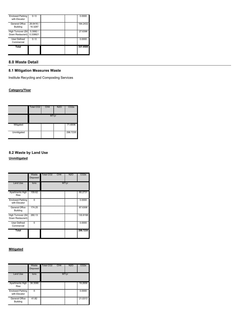| <b>Enclosed Parking</b><br>with Elevator                  | 0 / 0                |          |
|-----------------------------------------------------------|----------------------|----------|
| General Office<br><b>Building</b>                         | 26.6416 /<br>16.3287 | 184.2432 |
| High Turnover (Sit! 5.3082 /<br>Down Restaurant) 0.338821 |                      | 27 6396  |
| User Defined<br>Commercial                                | 0 /                  | n nnnn   |
| Total                                                     |                      | 337.9509 |

# **8.0 Waste Detail**

# **8.1 Mitigation Measures Waste**

Institute Recycling and Composting Services

# **Category/Year**

|                                                                                 | Total CO <sub>2</sub> | CH <sub>4</sub> | N2O | CO <sub>2</sub> e                          |
|---------------------------------------------------------------------------------|-----------------------|-----------------|-----|--------------------------------------------|
|                                                                                 |                       | MT/yr           |     |                                            |
| Mitigated<br><b>The Contract of Security</b><br>,,,,,,,,,,,,,,,,,,,,,,,,,,,,,,, |                       |                 |     | 71.6936<br>,,,,,,,,,,,,,,,,,,,,,,,,,,,,,,, |
| Unmitigated                                                                     |                       |                 |     | 298.7235                                   |

# **8.2 Waste by Land Use Unmitigated**

|                                          | Waste<br>Disposed | Total CO <sub>2</sub><br>CH4 | N2O   | CO2e                                     |
|------------------------------------------|-------------------|------------------------------|-------|------------------------------------------|
| <b>Land Use</b>                          | tons              |                              | MT/yr |                                          |
| Apartments High  <br><b>Rise</b>         | 159.62            |                              |       | 80.2731<br>                              |
| <b>Enclosed Parking</b><br>with Elevator |                   |                              |       | 0.0000                                   |
| General Office<br><b>Building</b>        | 174.25            |                              |       | 87.6306                                  |
| High Turnover (Sit<br>Down Restaurant)   | 260.13            |                              |       | 130.8198                                 |
| User Defined<br>Commercial               | п                 |                              |       | ,,,,,,,,,,,,,,,,,,,,,,,,,,,,,,<br>0.0000 |
| Total                                    |                   |                              |       | 298.7235                                 |

# **Mitigated**

|                                          | Waste<br><b>Disposed</b> | Total CO <sub>2</sub><br>CH <sub>4</sub> | <b>N2O</b> | CO <sub>2</sub> e                               |
|------------------------------------------|--------------------------|------------------------------------------|------------|-------------------------------------------------|
| <b>Land Use</b>                          | tons                     |                                          | MT/vr      |                                                 |
| <b>Apartments High</b><br>Rise           | 38.3088                  | Ī                                        |            | 19.2656<br>,,,,,,,,,,,,,,,,,,,,,,,,,,,,,,,,,,,, |
| <b>Enclosed Parking</b><br>with Elevator |                          | ,,,,,,,,,,,,,,,,,,,,,,,,,,,,,,,,,,,,     |            | 0.0000                                          |
| General Office<br><b>Building</b>        | 41.82                    |                                          |            | 21.0313                                         |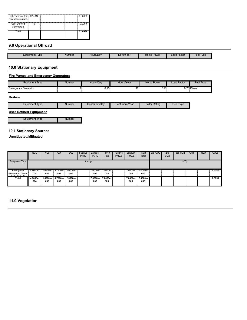| High Turnover (Sit 62.4312<br>Down Restaurant) | I | 31.3968 |
|------------------------------------------------|---|---------|
| User Defined<br>Commercial                     |   | 0.0000  |
| Total                                          |   | 71.6936 |

# **9.0 Operational Offroad**

| Equipment Type | Number | Hours/Day | Davs/Year | Horse Power | Factor<br>∟oad | Tvpe<br>-ue |
|----------------|--------|-----------|-----------|-------------|----------------|-------------|

# **10.0 Stationary Equipment**

### **Fire Pumps and Emergency Generators**

| Equipment Type      | Number | Hours/Dav | Hours/Year | Horse Power | Load Factor | <b>Fuel Type</b> |
|---------------------|--------|-----------|------------|-------------|-------------|------------------|
| Emergency Generator |        | 0.25      | $\sim$     | 350         |             | 0.73 Diesel      |

# **Boilers**

|  | I vpe<br>∟quipment | Number | Heat Input/Dav | Heat Input/Year | ∵ Ratino<br>Boiler | Fuel.<br>I vpe |
|--|--------------------|--------|----------------|-----------------|--------------------|----------------|
|--|--------------------|--------|----------------|-----------------|--------------------|----------------|

# **User Defined Equipment**

Equipment Type **Number** 

# **10.1 Stationary Sources**

**Unmitigated/Mitigated**

|                                          | <b>ROG</b>      | <b>NO<sub>x</sub></b> | CO                | <b>SO2</b>         | Fugitive<br><b>PM10</b> | Exhaust<br><b>PM10</b> | <b>PM10</b><br>Total | Fugitive<br>PM2.5 | Exhaust<br>PM2.5 | <b>PM2.5</b><br>Total | Bio-CO <sub>2</sub> | NBio-<br>CO <sub>2</sub> | Total CO <sub>2</sub> | CH <sub>4</sub> | <b>N2O</b> | CO <sub>2e</sub> |
|------------------------------------------|-----------------|-----------------------|-------------------|--------------------|-------------------------|------------------------|----------------------|-------------------|------------------|-----------------------|---------------------|--------------------------|-----------------------|-----------------|------------|------------------|
| Equipment Type                           | tons/yr         |                       |                   |                    |                         |                        |                      |                   | MT/yr            |                       |                     |                          |                       |                 |            |                  |
| Emergency                                | 4.8000e-        | $.6900e-$             | 8.7900e-          | 2.0000e-           |                         | 7.0000e-               | 7.0000e-             |                   | 7.0000e-         | 7.0000e-              |                     |                          |                       |                 |            | 1.6050           |
| Generator - Diesel<br>$(200 - 200 + 17)$ | 004             | 003                   | 003               | 005                |                         | 005                    | 005                  |                   | 005              | 005                   |                     |                          |                       |                 |            |                  |
| Total                                    | 4.8000e-<br>004 | $1.6900e-$<br>003     | $8.7900e-$<br>003 | $2.0000e -$<br>005 |                         | 7.0000e-<br>005        | 7.0000e-<br>005      |                   | 7.0000e-<br>005  | 7.0000e-<br>005       |                     |                          |                       |                 |            | 1.6050           |

# **11.0 Vegetation**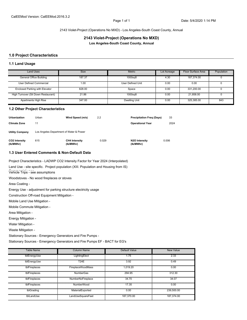2143 Violet-Project (Operations No MXD) - Los Angeles-South Coast County, Annual

**2143 Violet-Project (Operations No MXD)**

**Los Angeles-South Coast County, Annual**

#### **1.0 Project Characteristics**

#### **1.1 Land Usage**

| <b>Land Uses</b>                      | <b>Size</b> | <b>Metric</b>        | Lot Acreage | Floor Surface Area | Population |
|---------------------------------------|-------------|----------------------|-------------|--------------------|------------|
| General Office Building               | 187.37      | 1000sqft             | 4.30        | 187.374.00         |            |
| User Defined Commercial               | 1.00        | User Defined Unit    | 0.00        | 0.00               |            |
| <b>Enclosed Parking with Elevator</b> | 828.00      | Space                | 0.00        | 331.200.00         |            |
| High Turnover (Sit Down Restaurant)   | 21.86       | 1000sqft             | 0.00        | 21.858.00          |            |
| Apartments High Rise                  | 347.00      | <b>Dwelling Unit</b> | 0.00        | 325,385.00         | 843        |

#### **1.2 Other Project Characteristics**

| <b>Urbanization</b>        | Urban | Wind Speed (m/s)                        | 2.2   | <b>Precipitation Freg (Days)</b> |       | 33   |
|----------------------------|-------|-----------------------------------------|-------|----------------------------------|-------|------|
| <b>Climate Zone</b>        | 11    |                                         |       | <b>Operational Year</b>          |       | 2024 |
| <b>Utility Company</b>     |       | Los Angeles Department of Water & Power |       |                                  |       |      |
| CO2 Intensity<br>(lb/MWhr) | 615   | <b>CH4 Intensity</b><br>(lb/MWhr)       | 0.029 | N2O Intensity<br>(lb/MWhr)       | 0.006 |      |

#### **1.3 User Entered Comments & Non-Default Data**

Project Characteristics - LADWP CO2 Intensity Factor for Year 2024 (Interpolated)

Land Use - site specific. Project population (XIII. Population and Housing from IS)

Vehicle Trips - see assumptions Commercial uses

Woodstoves - No wood fireplaces or stoves

Area Coating -

Energy Use - adjustment for parking structure electricity usage

Construction Off-road Equipment Mitigation -

Mobile Land Use Mitigation -

Mobile Commute Mitigation -

Area Mitigation -

Energy Mitigation -

Water Mitigation -

Waste Mitigation -

Stationary Sources - Emergency Generators and Fire Pumps -

Stationary Sources - Emergency Generators and Fire Pumps EF - BACT for EG's

| Table Name    | <b>Column Name</b>       | Default Value | <b>New Value</b> |
|---------------|--------------------------|---------------|------------------|
| tblEnergyUse  | LightingElect            | 1.75          | 2.33             |
| tblEnergyUse  | <b>T24E</b>              | 3.92          | 0.49             |
| tblFireplaces | <b>FireplaceWoodMass</b> | 1.019.20      | 0.00             |
| tblFireplaces | <b>NumberGas</b>         | 294.95        | 312.30           |
| tblFireplaces | NumberNoFireplace        | 34.70         | 34.07            |
| tblFireplaces | NumberWood               | 17.35         | 0.00             |
| tblGrading    | MaterialExported         | 0.00          | 239.500.00       |
| tblLandUse    | LandUseSquareFeet        | 187,370.00    | 187,374.00       |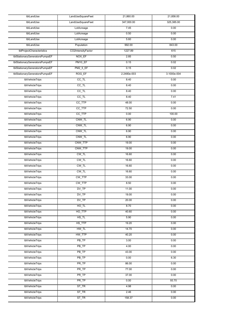| tblLandUse                     | LandUseSquareFeet   | 21,860.00   | 21,858.00   |
|--------------------------------|---------------------|-------------|-------------|
| tblLandUse                     | LandUseSquareFeet   | 347,000.00  | 325,385.00  |
| tblLandUse                     | LotAcreage          | 7.45        | 0.00        |
| tblLandUse                     | LotAcreage          | 0.50        | 0.00        |
| tblLandUse                     | LotAcreage          | 5.60        | 0.00        |
| tblLandUse                     | Population          | 992.00      | 843.00      |
| tblProjectCharacteristics      | CO2IntensityFactor  | 1227.89     | 615         |
| tblStationaryGeneratorsPumpsEF | NOX_EF              | 2.85        | 0.50        |
| tblStationaryGeneratorsPumpsEF | PM10_EF             | 0.15        | 0.02        |
| tblStationaryGeneratorsPumpsEF | <b>PM2_5_EF</b>     | 0.15        | 0.02        |
| tblStationaryGeneratorsPumpsEF | ROG_EF              | 2.2480e-003 | 3.1000e-004 |
| tblVehicleTrips                | $\overline{CC\_TL}$ | 8.40        | 0.00        |
| tblVehicleTrips                | $CC$ _TL            | 8.40        | 0.00        |
| tblVehicleTrips                | $CC$ _TL            | 8.40        | 0.00        |
| tblVehicleTrips                | $CC$ _TL            | 8.40        | 7.41        |
| tblVehicleTrips                | CC_TTP              | 48.00       | 0.00        |
| tblVehicleTrips                | CC_TTP              | 72.50       | 0.00        |
| tblVehicleTrips                | CC_TTP              | 0.00        | 100.00      |
| tblVehicleTrips                | CNW_TL              | 6.90        | 0.00        |
| tblVehicleTrips                | CNW_TL              | 6.90        | 0.00        |
| tblVehicleTrips                | CNW_TL              | 6.90        | 0.00        |
| tblVehicleTrips                | CNW_TL              | 6.90        | 0.00        |
| tblVehicleTrips                | CNW_TTP             | 19.00       | 0.00        |
| tblVehicleTrips                | CNW_TTP             | 19.00       | 0.00        |
| tblVehicleTrips                | CW_TL               | 16.60       | 0.00        |
| tblVehicleTrips                | $CW_TL$             | 16.60       | 0.00        |
| tblVehicleTrips                | $CW_TL$             | 16.60       | 0.00        |
| tblVehicleTrips                | $CW_TL$             | 16.60       | 0.00        |
| tblVehicleTrips                | CW_TTP              | 33.00       | 0.00        |
| tblVehicleTrips                | CW_TTP              | 8.50        | 0.00        |
| tblVehicleTrips                | DV_TP               | 11.00       | 0.00        |
| tblVehicleTrips                | $DV_TP$             | 19.00       | 0.00        |
| tblVehicleTrips                | $DV_TP$             | 20.00       | 0.00        |
| tblVehicleTrips                | $HO$ _TL            | 8.70        | 0.00        |
| tblVehicleTrips                | HO_TTP              | 40.60       | 0.00        |
| tblVehicleTrips                | HS_TL               | 5.90        | 0.00        |
| tblVehicleTrips                | HS_TTP              | 19.20       | 0.00        |
| tblVehicleTrips                | HW_TL               | 14.70       | 0.00        |
| tblVehicleTrips                | HW_TTP              | 40.20       | 0.00        |
| tblVehicleTrips                | PB TP               | 3.00        | 0.00        |
| tblVehicleTrips                | $PB$ <sub>TP</sub>  | 4.00        | 0.00        |
| tblVehicleTrips                | PB TP               | 43.00       | 0.00        |
| tblVehicleTrips                | $PB$ <sub>TP</sub>  | 0.00        | 6.30        |
| tblVehicleTrips                | PR_TP               | 86.00       | 0.00        |
| tblVehicleTrips                | $\overline{PR\_TP}$ | 77.00       | 0.00        |
| tblVehicleTrips                | PR TP               | 37.00       | 0.00        |
| tblVehicleTrips                | $\overline{PR\_TP}$ | 0.00        | 93.70       |
| tblVehicleTrips                | $ST_TR$             | 4.98        | 0.00        |
| tblVehicleTrips                | $ST_T$ $R$          | 2.46        | 0.00        |
| tblVehicleTrips                | $ST_T$ $R$          | 158.37      | 0.00        |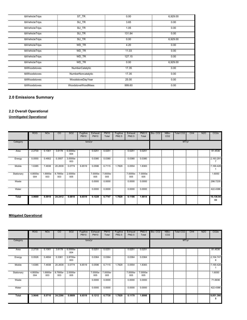| tblVehicleTrips | ST TR                     | 0.00   | 6,929.00 |
|-----------------|---------------------------|--------|----------|
| tblVehicleTrips | SU TR                     | 3.65   | 0.00     |
| tblVehicleTrips | SU_TR                     | 1.05   | 0.00     |
| tblVehicleTrips | SU TR                     | 131.84 | 0.00     |
| tblVehicleTrips | SU TR                     | 0.00   | 6,929.00 |
| tblVehicleTrips | WD TR                     | 4.20   | 0.00     |
| tblVehicleTrips | WD TR                     | 11.03  | 0.00     |
| tblVehicleTrips | WD TR                     | 127.15 | 0.00     |
| tblVehicleTrips | WD TR                     | 0.00   | 6,929.00 |
| tblWoodstoves   | NumberCatalytic           | 17.35  | 0.00     |
| tblWoodstoves   | <b>NumberNoncatalytic</b> | 17.35  | 0.00     |
| tblWoodstoves   | <b>WoodstoveDayYear</b>   | 25.00  | 0.00     |
| tblWoodstoves   | WoodstoveWoodMass         | 999.60 | 0.00     |

# **2.0 Emissions Summary**

# **2.2 Overall Operational**

**Unmitigated Operational**

|              | <b>ROG</b>      | <b>NOx</b>      | CO              | SO <sub>2</sub> | Fugitive<br><b>PM10</b> | Exhaust<br><b>PM10</b> | <b>PM10</b><br>Total | Fugitive<br>PM2.5 | Exhaust<br>PM2.5 | PM2.5<br>Total  | Bio-CO <sub>2</sub> | NBio-<br>CO <sub>2</sub> | Total CO2 | CH <sub>4</sub> | N <sub>2</sub> O | CO <sub>2</sub> e |
|--------------|-----------------|-----------------|-----------------|-----------------|-------------------------|------------------------|----------------------|-------------------|------------------|-----------------|---------------------|--------------------------|-----------|-----------------|------------------|-------------------|
| Category     | tons/yr         |                 |                 |                 |                         |                        |                      |                   |                  | MT/yr           |                     |                          |           |                 |                  |                   |
| Area         | 2.2730          | 0.1061          | 3.6178          | 6.0000e-<br>004 |                         | 0.0251                 | 0.0251               |                   | 0.0251           | 0.0251          |                     |                          |           |                 |                  | 81.4536           |
| Energy       | 0.0550          | 0.4902          | 0.3507          | 3.0000e-<br>003 |                         | 0.0380                 | 0.0380               |                   | 0.0380           | 0.0380          |                     |                          |           |                 |                  | 2,163.291         |
| Mobile       | 1.6385          | 7.4938          | 20.2639         | 0.0774          | 6.6519                  | 0.0596                 | 6.7115               | 1.7829            | 0.0554           | 1.8383          |                     |                          |           |                 |                  | 7,169.428         |
| Stationary   | 4.8000e-<br>004 | 1.6900e-<br>003 | 8.7900e-<br>003 | 2.0000e-<br>005 |                         | 7.0000e-<br>005        | 7.0000e-<br>005      |                   | 7.0000e-<br>005  | 7.0000e-<br>005 |                     |                          |           |                 |                  | 1.6050            |
| Waste        |                 |                 |                 |                 |                         | 0.0000                 | 0.0000               |                   | 0.0000           | 0.0000          |                     |                          |           |                 |                  | 298.7235          |
| Water        |                 |                 |                 |                 |                         | 0.0000                 | 0.0000               |                   | 0.0000           | 0.0000          |                     |                          |           |                 |                  | 422.4386          |
| <b>Total</b> | 3.9669          | 8.0918          | 24.2412         | 0.0810          | 6.6519                  | 0.1228                 | 6.7747               | 1.7829            | 0.1186           | 1.9014          |                     |                          |           |                 |                  | 10,136.94<br>03   |

# **Mitigated Operational**

|               | <b>ROG</b>      | <b>NOx</b>      | CO.             | SO <sub>2</sub> | Fugitive<br><b>PM10</b> | Exhaust<br><b>PM10</b> | <b>PM10</b><br>Total | Fugitive<br>PM2.5 | Exhaust<br>PM2.5 | PM2.5<br>Total  | Bio-CO <sub>2</sub> | NBio-<br>CO <sub>2</sub> | Total CO2 | CH <sub>4</sub> | N <sub>2</sub> O | CO <sub>2</sub> e |
|---------------|-----------------|-----------------|-----------------|-----------------|-------------------------|------------------------|----------------------|-------------------|------------------|-----------------|---------------------|--------------------------|-----------|-----------------|------------------|-------------------|
| Category      | tons/yr         |                 |                 |                 |                         |                        |                      |                   |                  |                 | MT/yr               |                          |           |                 |                  |                   |
| Area          | 2.2730          | 0.1061          | 3.6178          | 6.0000e-<br>004 |                         | 0.0251                 | 0.0251               |                   | 0.0251           | 0.0251          |                     |                          |           |                 |                  | 81.4536           |
| Energy        | 0.0526          | 0.4694          | 0.3361          | 2.8700e-<br>003 |                         | 0.0364                 | 0.0364               |                   | 0.0364           | 0.0364          |                     |                          |           |                 |                  | 2,104.747<br>8    |
| <b>Mobile</b> | 1.6385          | 7.4938          | 20.2639         | 0.0774          | 6.6519                  | 0.0596                 | 6.7115               | 1.7829            | 0.0554           | 1.8383          |                     |                          |           |                 |                  | 7,169.428         |
| Stationary    | 4.8000e-<br>004 | 1.6900e-<br>003 | 8.7900e-<br>003 | 2.0000e-<br>005 |                         | 7.0000e-<br>005        | 7.0000e-<br>005      |                   | 7.0000e-<br>005  | 7.0000e-<br>005 |                     |                          |           |                 |                  | 1.6050            |
| Waste         |                 |                 |                 |                 |                         | 0.0000                 | 0.0000               |                   | 0.0000           | 0.0000          |                     |                          |           |                 |                  | 71.6936           |
| Water         |                 |                 |                 |                 |                         | 0.0000                 | 0.0000               |                   | 0.0000           | 0.0000          |                     |                          |           |                 |                  | 422.4386          |
| <b>Total</b>  | 3.9646          | 8.0710          | 24.2266         | 0.0809          | 6.6519                  | 0.1212                 | 6.7730               | 1.7829            | 0.1170           | 1.8998          |                     |                          |           |                 |                  | 9,851.366<br>5    |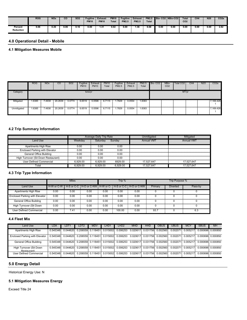|                             | <b>ROG</b> | <b>NO<sub>x</sub></b> | $_{\rm co}$ | <b>SO2</b> | Fugitive<br><b>PM10</b> | <b>Exhaust</b><br><b>PM10</b> | <b>PM10</b><br><b>Total</b> | Fugitive<br><b>PM2.5</b> | <b>Exhaust</b><br><b>PM2.5</b> | <b>PM2.5</b><br><b>Total</b> |      | Bio-CO2 NBio-CO2 | $\tau$ <sub>otal</sub><br>CO <sub>2</sub> | CH <sub>4</sub> | N <sub>20</sub> | CO <sub>2e</sub> |
|-----------------------------|------------|-----------------------|-------------|------------|-------------------------|-------------------------------|-----------------------------|--------------------------|--------------------------------|------------------------------|------|------------------|-------------------------------------------|-----------------|-----------------|------------------|
| Percent<br><b>Reduction</b> | 0.06       | 0.26                  | 0.06        | 0.16       | 0.00                    | .31                           | 0.02                        | 0.00                     | . 36                           | 0.08                         | 0.00 | 0.00             | 0.00                                      | 0.00            | 0.00            | 2.82             |

# **4.0 Operational Detail - Mobile**

# **4.1 Mitigation Measures Mobile**

|             | <b>ROG</b> | <b>NOx</b> | CO      | <b>SO2</b> | Fugitive<br><b>PM10</b> | Exhaust<br><b>PM10</b> | <b>PM10</b><br>Total | Fugitive<br>PM2.5 | Exhaust<br><b>PM2.5</b> | <b>PM2.5</b><br>Total | Bio-CO <sub>2</sub> | NBio-<br>CO <sub>2</sub> | Total CO <sub>2</sub> | CH <sub>4</sub> | <b>N2O</b> | CO <sub>2e</sub> |
|-------------|------------|------------|---------|------------|-------------------------|------------------------|----------------------|-------------------|-------------------------|-----------------------|---------------------|--------------------------|-----------------------|-----------------|------------|------------------|
| Category    | tons/yr    |            |         |            |                         |                        |                      |                   |                         |                       |                     | MT/yr                    |                       |                 |            |                  |
| Mitigated   | .6385      | 7.4938     | 20.2639 | 0.0774     | 6.6519                  | 0.0596                 | 6.7115               | .7829             | 0.0554                  | .8383                 |                     |                          |                       |                 |            | 7,169.428        |
| Unmitigated | .6385      | 4938       | 20.2639 | 0.0774     | 6.6519                  | 0.0596                 | 6.7115               | .7829             | 0.0554                  | 1.8383                |                     |                          |                       |                 |            | 7,169.428        |

### **4.2 Trip Summary Information**

|                                       |          | Average Daily Trip Rate |          | Unmitigated       | Mitigated         |
|---------------------------------------|----------|-------------------------|----------|-------------------|-------------------|
| Land Use                              | Weekdav  | Saturday                | Sundav   | <b>Annual VMT</b> | <b>Annual VMT</b> |
| Apartments High Rise                  | 0.00     | 0.00                    | 0.00     |                   |                   |
| <b>Enclosed Parking with Elevator</b> | 0.00     | 0.00                    | 0.00     |                   |                   |
| General Office Building               | 0.00     | 0.00                    | 0.00     |                   |                   |
| High Turnover (Sit Down Restaurant)   | 0.00     | 0.00                    | 0.00     |                   |                   |
| User Defined Commercial               | 6.929.00 | 6.929.00                | 6929.00  | 17.527.647        | 17.527.647        |
| Total                                 | 6.929.00 | 6.929.00                | 6.929.00 | 17.527.647        | 17.527.647        |

# **4.3 Trip Type Information**

|                                       |                | <b>Miles</b> |      |      | Trip % |                                                                    | <b>Trip Purpose %</b> |                 |         |  |  |
|---------------------------------------|----------------|--------------|------|------|--------|--------------------------------------------------------------------|-----------------------|-----------------|---------|--|--|
| Land Use                              | $H-W$ or $C-W$ |              |      |      |        | I H-S or C-C I H-O or C-NW I H-W or C-I H-S or C-C I H-O or C-NW I | Primary               | <b>Diverted</b> | Pass-by |  |  |
| Apartments High Rise                  | 0.00           | 0.00         | 0.00 | 0.00 | 0.00   | 0.00                                                               |                       |                 |         |  |  |
| <b>Enclosed Parking with Elevator</b> | 0.00           | 0.00         | 0.00 | 0.00 | 0.00   | 0.00                                                               |                       |                 |         |  |  |
| General Office Building               | 0.00           | 0.00         | 0.00 | 0.00 | 0.00   | 0.00                                                               |                       |                 |         |  |  |
| High Turnover (Sit Down               | 0.00           | 0.00         | 0.00 | 0.00 | 0.00   | 0.00                                                               | O                     |                 | 0       |  |  |
| User Defined Commercial               | 0.00           | 7.41         | 0.00 | 0.00 | 100.00 | 0.00                                                               | 93.7                  |                 | 6.3     |  |  |

#### **4.4 Fleet Mix**

| Land Use                               | LDA      | LDT1     | LDT2                       | MDV               | LHD1     | LHD <sub>2</sub>                                                                        | <b>MHD</b> | <b>HHD</b>                 | OBUS | <b>UBUS</b> | <b>MCY</b>                          | <b>SBUS</b>                | <b>MH</b>         |
|----------------------------------------|----------|----------|----------------------------|-------------------|----------|-----------------------------------------------------------------------------------------|------------|----------------------------|------|-------------|-------------------------------------|----------------------------|-------------------|
| Apartments High Rise                   | 0.545348 | 0.044620 |                            | 0.206559 0.118451 | 0.015002 | 0.006253                                                                                |            | 0.020617 0.031756 0.002560 |      | 0.002071    | 0.005217                            |                            | 0.000696 0.000850 |
| Enclosed Parking with Elevator         | 0.545348 |          |                            |                   |          | $0.044620$ $0.206559$ $0.118451$ $0.015002$ $0.006253$ $0.020617$ $0.031756$ $0.002560$ |            |                            |      | 0.002071    | 0.005217                            |                            | 0.000696 0.000850 |
| General Office Building                | 0.545348 | 0.044620 |                            | 0.206559 0.118451 |          | 0.015002 0.006253                                                                       |            | 0.020617 0.031756 0.002560 |      |             | 0.002071 0.005217 0.000696 0.000850 |                            |                   |
| High Turnover (Sit Down<br>Restaurant) | 0.545348 |          | 0.044620 0.206559 0.118451 |                   |          | 0.015002 0.006253                                                                       |            | 0.020617 0.031756 0.002560 |      | 0.002071    |                                     | 0.005217 0.000696 0.000850 |                   |
| User Defined Commercial                | 0.545348 |          |                            |                   |          | 0.015002 0.006253                                                                       |            | 0.020617 0.031756 0.002560 |      | 0.002071    | 0.005217                            |                            |                   |

# **5.0 Energy Detail**

Historical Energy Use: N

# **5.1 Mitigation Measures Energy**

Exceed Title 24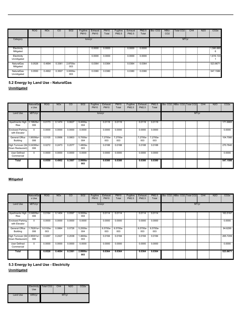|                                | ROG    | <b>NOx</b> | CO     | SO <sub>2</sub> | Fugitive<br><b>PM10</b> | Exhaust<br><b>PM10</b> | PM10<br>Total | Fugitive<br>PM2.5 | Exhaust<br><b>PM2.5</b> | PM2.5<br>Total | Bio-CO <sub>2</sub> | NBio-<br>CO <sub>2</sub> | Total CO2 | CH4 | N <sub>2</sub> O | CO <sub>2e</sub> |
|--------------------------------|--------|------------|--------|-----------------|-------------------------|------------------------|---------------|-------------------|-------------------------|----------------|---------------------|--------------------------|-----------|-----|------------------|------------------|
| Category                       |        |            |        |                 | tons/yr                 |                        |               |                   |                         |                |                     |                          | MT/yr     |     |                  |                  |
| Electricity<br>Mitigated       |        |            |        |                 |                         | 0.0000                 | 0.0000        |                   | 0.0000                  | 0.0000         |                     |                          |           |     |                  | 1,580.880<br>6   |
| Electricity<br>Unmitigated     |        |            |        |                 |                         | 0.0000                 | 0.0000        |                   | 0.0000                  | 0.0000         |                     |                          |           |     |                  | 1,616.133        |
| <b>NaturalGas</b><br>Mitigated | 0.0526 | 0.4694     | 0.3361 | 2.8700e-<br>003 |                         | 0.0364                 | 0.0364        |                   | 0.0364                  | 0.0364         |                     |                          |           |     |                  | 523.8671         |
| NaturalGas<br>Unmitigated      | 0.0550 | 0.4902     | 0.3507 | 3.0000e-<br>003 |                         | 0.0380                 | 0.0380        |                   | 0.0380                  | 0.0380         |                     |                          |           |     |                  | 547.1586         |

# **Unmitigated 5.2 Energy by Land Use - NaturalGas**

|                                                  | NaturalGal<br>s Use | <b>ROG</b> | NO <sub>x</sub> | CO.    | SO <sub>2</sub>   | Fugitive<br><b>PM10</b> | Exhaust<br><b>PM10</b> | <b>PM10</b><br>Total | Fugitive<br>PM2.5 | Exhaust<br>PM2.5 | PM2.5<br>Total  | Bio- CO2   NBio- CO2   Total CO2 |       | CH <sub>4</sub> | N <sub>2</sub> O | CO <sub>2</sub> e |
|--------------------------------------------------|---------------------|------------|-----------------|--------|-------------------|-------------------------|------------------------|----------------------|-------------------|------------------|-----------------|----------------------------------|-------|-----------------|------------------|-------------------|
| Land Use                                         | kBTU/yr             |            |                 |        |                   |                         | tons/yr                |                      |                   |                  |                 |                                  | MT/yr |                 |                  |                   |
| Apartments High 13.19828e+<br>Rise               | 006                 | 0.0173     | 0.1474          | 0.0627 | 9.4000e-<br>004   |                         | 0.0119                 | 0.0119               |                   | 0.0119           | 0.0119          |                                  |       |                 |                  | 171.6865          |
| Enclosed Parking<br>with Elevator                | $^{\circ}$          | 0.0000     | 0.0000          | 0.0000 | 0.0000            |                         | 0.0000                 | 0.0000               |                   | 0.0000           | 0.0000          |                                  |       |                 |                  | 0.0000            |
| <b>General Office</b><br>Building                | 1.95056e+<br>006    | 0.0105     | 0.0956          | 0.0803 | 5.7000e-<br>004   |                         | 7.2700e-<br>003        | 7.2700e-<br>003      |                   | 7.2700e-<br>003  | 7.2700e-<br>003 |                                  |       |                 |                  | 104.7080          |
| High Turnover (Sit 5.04395e+<br>Down Restaurant) | 006                 | 0.0272     | 0.2473          | 0.2077 | 1.4800e-<br>003   |                         | 0.0188                 | 0.0188               |                   | 0.0188           | 0.0188          |                                  |       |                 |                  | 270.7640          |
| <b>User Defined</b><br>Commercial                | $\mathbf{0}$        | 0.0000     | 0.0000          | 0.0000 | 0.0000            |                         | 0.0000                 | 0.0000               |                   | 0.0000           | 0.0000          |                                  |       |                 |                  | 0.0000            |
| <b>Total</b>                                     |                     | 0.0550     | 0.4902          | 0.3507 | $2.9900e-$<br>003 |                         | 0.0380                 | 0.0380               |                   | 0.0380           | 0.0380          |                                  |       |                 |                  | 547.1586          |

# **Mitigated**

|                                                  | NaturalGa<br>s Use | <b>ROG</b>      | <b>NO<sub>x</sub></b>                                                   | <sub>CO</sub> | SO <sub>2</sub> | Fugitive<br><b>PM10</b> | Exhaust<br><b>PM10</b> | <b>PM10</b><br>Total | Fugitive<br>PM2.5 | Exhaust<br>PM2.5 | PM2.5<br>Total  | Bio- CO2 NBio- CO2 Total CO2 |  | CH <sub>4</sub> | N <sub>2</sub> O | CO <sub>2</sub> e |
|--------------------------------------------------|--------------------|-----------------|-------------------------------------------------------------------------|---------------|-----------------|-------------------------|------------------------|----------------------|-------------------|------------------|-----------------|------------------------------|--|-----------------|------------------|-------------------|
| Land Use                                         | kBTU/yr            |                 | tons/yr<br>0.1404<br>0.0597<br>$9.0000e-$<br>0.0114<br>0.0114<br>0.0114 |               |                 |                         |                        |                      |                   |                  |                 | MT/yr                        |  |                 |                  |                   |
| Apartments High 13.04609e+<br>Rise               | 006                | 0.0164          |                                                                         |               | 004             |                         |                        |                      |                   |                  | 0.0114          |                              |  |                 |                  | 163.5167          |
| <b>Enclosed Parking</b><br>with Elevator         | $\mathbf 0$        | 0.0000          | 0.0000                                                                  | 0.0000        | 0.0000          |                         | 0.0000                 | 0.0000               |                   | 0.0000           | 0.0000          |                              |  |                 |                  | 0.0000            |
| <b>General Office</b><br>Building                | 1.76281e+<br>006   | 9.5100e-<br>003 | 0.0864                                                                  | 0.0726        | 5.2000e-<br>004 |                         | 6.5700e-<br>003        | 6.5700e-<br>003      |                   | 6.5700e-<br>003  | 6.5700e-<br>003 |                              |  |                 |                  | 94.6295           |
| High Turnover (Sit 4.95001e+<br>Down Restaurant) | 006                | 0.0267          | 0.2427                                                                  | 0.2038        | 1.4600e-<br>003 |                         | 0.0184                 | 0.0184               |                   | 0.0184           | 0.0184          |                              |  |                 |                  | 265.7209          |
| User Defined<br>Commercial                       | $^{\circ}$         | 0.0000          | 0.0000                                                                  | 0.0000        | 0.0000          |                         | 0.0000                 | 0.0000               |                   | 0.0000           | 0.0000          |                              |  |                 |                  | 0.0000            |
| Total                                            |                    | 0.0526          | 0.4694                                                                  | 0.3361        | 2.8800e-<br>003 |                         | 0.0364                 | 0.0364               |                   | 0.0364           | 0.0364          |                              |  |                 |                  | 523.8671          |

**5.3 Energy by Land Use - Electricity**

**Unmitigated**

|          | Use    | Electricity Total CO2 | CH <sub>4</sub> | <b>N2O</b> | CO <sub>2</sub> e |
|----------|--------|-----------------------|-----------------|------------|-------------------|
| Land Use | kWh/yr |                       |                 | MT/yr      |                   |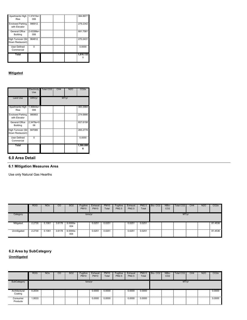| Apartments High   1.37415e+ |           |   |  | 384.8977  |
|-----------------------------|-----------|---|--|-----------|
| Rise                        | 006       |   |  |           |
|                             |           |   |  |           |
| <b>Enclosed Parking</b>     | 996912    | ≣ |  | 279.2342  |
| with Elevator               |           |   |  |           |
|                             |           |   |  |           |
| General Office              | 2.43399e+ |   |  | 681.7581  |
| <b>Building</b>             | 006       |   |  |           |
|                             |           |   |  |           |
| High Turnover (Sit          | 964812    | Ξ |  | 270.2431  |
| Down Restaurant)            |           |   |  |           |
|                             |           |   |  |           |
| <b>User Defined</b>         |           |   |  | 0.0000    |
| Commercial                  |           |   |  |           |
|                             |           |   |  |           |
| Total                       |           |   |  | 1,616.133 |
|                             |           |   |  |           |
|                             |           |   |  |           |

#### **Mitigated**

|                                            | Electricity<br>Use | Total CO <sub>2</sub> | CH <sub>4</sub> | N2O   | CO2e                                        |
|--------------------------------------------|--------------------|-----------------------|-----------------|-------|---------------------------------------------|
| <b>Land Use</b>                            | kWh/yr             |                       |                 | MT/yr |                                             |
| Apartments High   1.36844e+<br><b>Rise</b> | 006                |                       |                 |       | 383.2984                                    |
| <b>Enclosed Parking</b><br>with Elevator   | 980683             |                       |                 |       | ,,,,,,,,,,,,,,,,,,,,,,,,,,,,,,,<br>274.6886 |
| General Office<br><b>Building</b>          | 2.3478e+0<br>06    |                       |                 |       | 657.6158                                    |
| High Turnover (Sit<br>Down Restaurant)     | 947085             |                       |                 |       | 265.2778                                    |
| <b>User Defined</b><br>Commercial          |                    |                       |                 |       | 0.0000                                      |
| Total                                      |                    |                       |                 |       | 1,580.880                                   |

#### **6.0 Area Detail**

# **6.1 Mitigation Measures Area**

Use only Natural Gas Hearths

|             | <b>ROG</b> | <b>NO<sub>x</sub></b> | CO     | <b>SO2</b>      | Fugitive<br><b>PM10</b> | Exhaust<br><b>PM10</b> | <b>PM10</b><br>Total | Fugitive<br>PM2.5 | Exhaust<br><b>PM2.5</b> | <b>PM2.5</b><br>Total | Bio-CO <sub>2</sub> | NBio-<br>CO <sub>2</sub> | Total CO <sub>2</sub> | CH <sub>4</sub> | <b>N2O</b> | CO <sub>2e</sub> |
|-------------|------------|-----------------------|--------|-----------------|-------------------------|------------------------|----------------------|-------------------|-------------------------|-----------------------|---------------------|--------------------------|-----------------------|-----------------|------------|------------------|
| Category    |            |                       |        |                 | tons/yr                 |                        |                      |                   |                         |                       |                     |                          | MT/yr                 |                 |            |                  |
| Mitigated   | 2.2730     | 0.1061                | 3.6178 | 6.0000e-<br>004 |                         | 0.0251                 | 0.0251               |                   | 0.0251                  | 0.0251                |                     |                          |                       |                 |            | 81.4536          |
| Unmitigated | 2.2730     | 0.1061                | 3.6178 | 6.0000e-<br>004 |                         | 0.0251                 | 0.0251               |                   | 0.0251                  | 0.0251                |                     |                          |                       |                 |            | 81.4536          |

# **6.2 Area by SubCategory**

**Unmitigated**

|                          | <b>ROG</b> | <b>NO<sub>x</sub></b> | CO | SO <sub>2</sub> | Fugitive<br><b>PM10</b> | Exhaust<br><b>PM10</b> | <b>PM10</b><br>Total | Fugitive<br>PM2.5 | Exhaust<br>PM2.5 | <b>PM2.5</b><br>Total | Bio-CO <sub>2</sub> | NBio-<br>CO <sub>2</sub> | Total CO <sub>2</sub> | CH <sub>4</sub> | <b>N2O</b> | CO <sub>2e</sub> |
|--------------------------|------------|-----------------------|----|-----------------|-------------------------|------------------------|----------------------|-------------------|------------------|-----------------------|---------------------|--------------------------|-----------------------|-----------------|------------|------------------|
| SubCategory              |            |                       |    |                 | tons/yr                 |                        |                      |                   |                  |                       |                     |                          | MT/yr                 |                 |            |                  |
| Architectural<br>Coating | 0.2034     |                       |    |                 |                         | 0.0000                 | 0.0000               |                   | 0.0000           | 0.0000                |                     |                          |                       |                 |            | 0.0000           |
| Consumer<br>Products     | 1.9533     |                       |    |                 |                         | 0.0000                 | 0.0000               |                   | 0.0000           | 0.0000                |                     |                          |                       |                 |            | 0.0000           |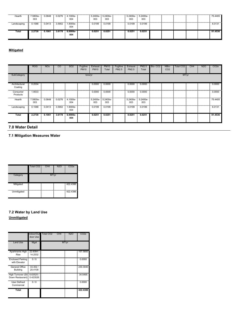| Hearth      | 7.5800e-<br>003 | 0.0648 | 0.0276 | 4.1000e-<br>004   | 5.2400e- 5.2400e-<br>003 | 003    | 5.2400e-<br>003    | 5.2400e-<br>003 |  |  | 75.4405 |
|-------------|-----------------|--------|--------|-------------------|--------------------------|--------|--------------------|-----------------|--|--|---------|
| Landscaping | 0.1088          | 0.0413 | 3.5902 | 1.9000e-<br>004   | 0.0199                   | 0.0199 | 0.0199             | 0.0199          |  |  | 6.0131  |
| Total       | 2.2730          | 0.1061 | 3.6178 | $6.0000e-$<br>004 | 0.0251                   | 0.0251 | 0.025 <sup>2</sup> | 0.0251          |  |  | 81.4536 |

# **Mitigated**

| <b>ROG</b>      | <b>NO<sub>x</sub></b> | $\overline{c}$ | SO <sub>2</sub>   | Fugitive<br><b>PM10</b> | Exhaust<br><b>PM10</b> | <b>PM10</b><br>Total | Fugitive<br>PM2.5 | <b>Exhaust</b><br>PM2.5 | PM2.5<br>Total  | Bio-CO <sub>2</sub> | NBio-<br>CO <sub>2</sub> | Total CO <sub>2</sub> | CH <sub>4</sub> | <b>N2O</b> | CO <sub>2</sub> e |
|-----------------|-----------------------|----------------|-------------------|-------------------------|------------------------|----------------------|-------------------|-------------------------|-----------------|---------------------|--------------------------|-----------------------|-----------------|------------|-------------------|
|                 |                       |                |                   |                         |                        |                      |                   |                         |                 |                     |                          |                       |                 |            |                   |
| 0.2034          |                       |                |                   |                         | 0.0000                 | 0.0000               |                   | 0.0000                  | 0.0000          |                     |                          |                       |                 |            | 0.0000            |
| 1.9533          |                       |                |                   |                         | 0.0000                 | 0.0000               |                   | 0.0000                  | 0.0000          |                     |                          |                       |                 |            | 0.0000            |
| 7.5800e-<br>003 | 0.0648                | 0.0276         | 4.1000e-<br>004   |                         | 5.2400e-<br>003        | 5.2400e-<br>003      |                   | 5.2400e-<br>003         | 5.2400e-<br>003 |                     |                          |                       |                 |            | 75.4405           |
| 0.1088          | 0.0413                | 3.5902         | 1.9000e-<br>004   |                         | 0.0199                 | 0.0199               |                   | 0.0199                  | 0.0199          |                     |                          |                       |                 |            | 6.0131            |
| 2.2730          | 0.1061                | 3.6178         | $6.0000e-$<br>004 |                         | 0.0251                 | 0.0251               |                   | 0.0251                  | 0.0251          |                     |                          |                       |                 |            | 81.4536           |
|                 |                       |                |                   |                         |                        | tons/yr              |                   |                         |                 |                     |                          |                       |                 | MT/yr      |                   |

## **7.0 Water Detail**

**7.1 Mitigation Measures Water**

|             | Total CO <sub>2</sub>                  | CH <sub>4</sub> | <b>N2O</b> | CO <sub>2</sub> e                              |
|-------------|----------------------------------------|-----------------|------------|------------------------------------------------|
| Category    |                                        | MT/yr           |            |                                                |
| Mitigated   | <b>THE REAL PROPERTY AND REAL</b>      |                 |            | 422.4386<br>i                                  |
| Unmitigated | <b>TELEVISION NAMES AND RESPONSIVE</b> |                 |            | ,,,,,,,,,,,,,,,,,,,,,,,,,,,,,,,,,,<br>422.4386 |

# **7.2 Water by Land Use Unmitigated**

|                                                           | door Use                | Indoor/Out Total CO2 | CH <sub>4</sub> | N2O   | CO2e                                          |
|-----------------------------------------------------------|-------------------------|----------------------|-----------------|-------|-----------------------------------------------|
| <b>Land Use</b>                                           | Mgal                    |                      |                 | MT/yr |                                               |
| Apartments High 22.6084 /<br>Rise                         | 14.2532                 |                      |                 |       | 157.5850                                      |
| <b>Enclosed Parking</b><br>with Elevator                  | 0/0                     |                      |                 |       | 0.0000                                        |
| General Office<br>Building                                | 33.302/<br>I<br>20.4109 |                      |                 |       | 230.3040<br>,,,,,,,,,,,,,,,,,,,,,,,,,,,,,,,,, |
| High Turnover (Sit 6.63525 /<br>Down Restaurant) 0.423526 |                         |                      |                 |       | 34.5495<br>,,,,,,,,,,,,,,,,,,,,,,,,,,,,,      |
| User Defined<br>Commercial                                | n<br>0                  |                      |                 |       | 0.0000                                        |
| Total                                                     |                         |                      |                 |       | 422.4386                                      |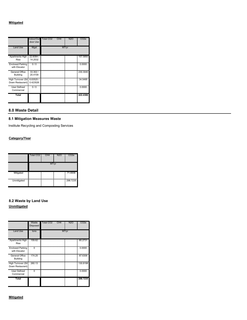#### **Mitigated**

|                                                            | door Use                                               | Indoor/Out Total CO2<br>CH4 | N2O   | CO2e                                      |
|------------------------------------------------------------|--------------------------------------------------------|-----------------------------|-------|-------------------------------------------|
| <b>Land Use</b>                                            | Mgal                                                   |                             | MT/yr |                                           |
| Apartments High   22.6084 /<br>Rise                        | 14.2532<br>I                                           |                             |       | 157.5850<br>,,,,,,,,,,,,,,,,,,,,,,,,,,,,, |
| <b>Enclosed Parking</b><br>with Elevator                   | 0/0                                                    |                             |       | 0.0000                                    |
| General Office<br><b>Building</b>                          | ,,,,,,,,,,,,,,,,,,,,,,,,,,,<br>33.302/<br>Ī<br>20.4109 |                             |       | ,,,,,,,,,,,,,,,,,,,,,,,,,,,,,<br>230.3040 |
| High Turnover (Sit! 6.63525 /<br>Down Restaurant) 0.423526 |                                                        |                             |       | 34.5495<br>,,,,,,,,,,,,,,,,,,,,,,,,,,,,   |
| User Defined<br>Commercial                                 | 0                                                      |                             |       | 0.0000                                    |
| Total                                                      |                                                        |                             |       | 422.4386                                  |

#### **8.0 Waste Detail**

#### **8.1 Mitigation Measures Waste**

Institute Recycling and Composting Services

#### **Category/Year**

|                                       | Total CO <sub>2</sub>                                                                                          | CH <sub>4</sub> | <b>N2O</b> | CO <sub>2</sub> e |
|---------------------------------------|----------------------------------------------------------------------------------------------------------------|-----------------|------------|-------------------|
|                                       |                                                                                                                | MT/yr           |            |                   |
| Mitigated<br><b>THE REAL PROPERTY</b> | រណីបានបញ្ជាក់បានបញ្ជាក់បានបញ្ជាក់បានបញ្ជាក់បានបញ្ជាក់បានបញ្ជាក់បានបញ្ជាក់បានបញ្ជាក់បានបញ្ជាក់បានបញ្ជាក់បានបញ្ជ |                 |            | 71.6936           |
| Unmitigated                           |                                                                                                                |                 |            | 298.7235          |

### **8.2 Waste by Land Use Unmitigated**

|                                          | Waste<br>Disposed | <b>Total CO2</b><br>CH4                                                                                        | N2O   | CO2e                                   |
|------------------------------------------|-------------------|----------------------------------------------------------------------------------------------------------------|-------|----------------------------------------|
| <b>Land Use</b>                          | tons              |                                                                                                                | MT/yr |                                        |
| <b>Apartments High</b><br>Rise           | 159.62            | ทยมนยนยนของแทนของแทนของแทนของแทนของแทนของแทนของแทนของแทนของแทนของแทนของแทนของแทนของแทนของแทนของแทนของแทนของแทน |       | 80.2731                                |
| <b>Enclosed Parking</b><br>with Elevator |                   |                                                                                                                |       | 0.0000<br>,,,,,,,,,,,,,,,,,,,,,,,,,,,, |
| General Office<br><b>Building</b>        | 174.25            |                                                                                                                |       | 87.6306                                |
| High Turnover (Sit<br>Down Restaurant)   | 260.13            |                                                                                                                |       | 130.8198                               |
| User Defined<br>Commercial               |                   |                                                                                                                |       | 0.0000                                 |
| Total                                    |                   |                                                                                                                |       | 298.7235                               |

#### **Mitigated**